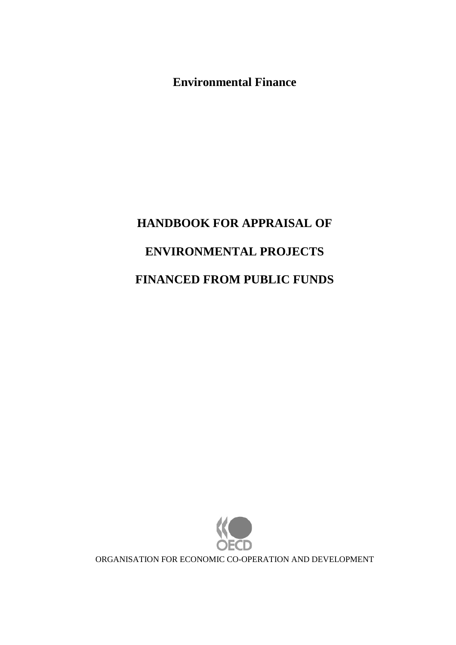**Environmental Finance**

# **HANDBOOK FOR APPRAISAL OF ENVIRONMENTAL PROJECTS FINANCED FROM PUBLIC FUNDS**



ORGANISATION FOR ECONOMIC CO-OPERATION AND DEVELOPMENT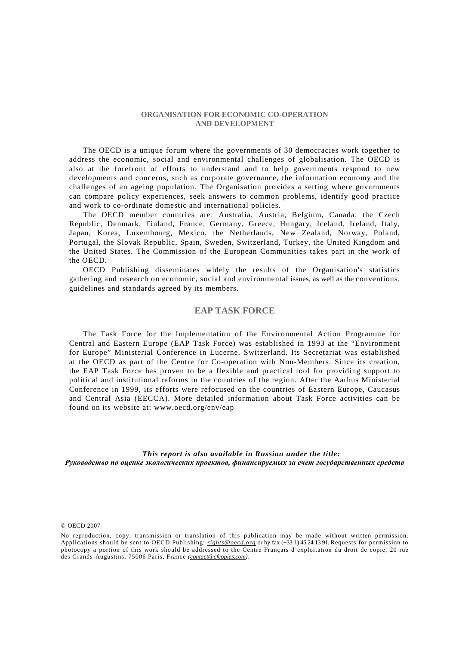## **ORGANISATION FOR ECONOMIC CO-OPERATION AND DEVELOPMENT**

The OECD is a unique forum where the governments of 30 democracies work together to address the economic, social and environmental challenges of globalisation. The OECD is also at the forefront of efforts to understand and to help governments respond to new developments and concerns, such as corporate governance, the information economy and the challenges of an ageing population. The Organisation provides a setting where governments can compare policy experiences, seek answers to common problems, identify good practice and work to co-ordinate domestic and international policies.

The OECD member countries are: Australia, Austria, Belgium, Canada, the Czech Republic, Denmark, Finland, France, Germany, Greece, Hungary, Iceland, Ireland, Italy, Japan, Korea, Luxembourg, Mexico, the Netherlands, New Zealand, Norway, Poland, Portugal, the Slovak Republic, Spain, Sweden, Switzerland, Turkey, the United Kingdom and the United States. The Commission of the European Communities takes part in the work of the OECD.

OECD Publishing disseminates widely the results of the Organisation's statistics gathering and research on economic, social and environmental issues, as well as the conventions, guidelines and standards agreed by its members.

## **EAP TASK FORCE**

The Task Force for the Implementation of the Environmental Action Programme for Central and Eastern Europe (EAP Task Force) was established in 1993 at the "Environment for Europe" Ministerial Conference in Lucerne, Switzerland. Its Secretariat was established at the OECD as part of the Centre for Co-operation with Non-Members. Since its creation, the EAP Task Force has proven to be a flexible and practical tool for providing support to political and institutional reforms in the countries of the region. After the Aarhus Ministerial Conference in 1999, its efforts were refocused on the countries of Eastern Europe, Caucasus and Central Asia (EECCA). More detailed information about Task Force activities can be found on its website at: www.oecd.org/env/eap

*This report is also available in Russian under the title: Руководство по оценке экологических проектов, финансируемых за счет государственных средств*

#### © OECD 2007

No reproduction, copy, transmission or translation of this publication may be made without written permission. Applications should be sent to OECD Publishing: *rights@oecd.org* or by fax (+33-1) 45 24 13 91. Requests for permission to photocopy a portion of this work should be addressed to the Centre Français d'exploitation du droit de copie, 20 rue des Grands-Augustins, 75006 Paris, France *(contact@cfcopies.com).*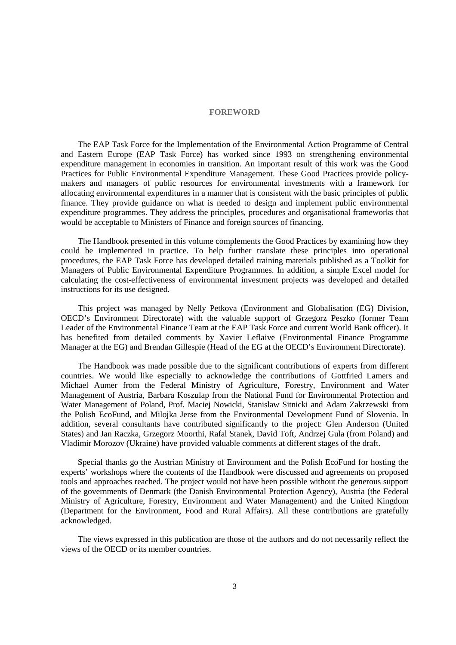#### **FOREWORD**

The EAP Task Force for the Implementation of the Environmental Action Programme of Central and Eastern Europe (EAP Task Force) has worked since 1993 on strengthening environmental expenditure management in economies in transition. An important result of this work was the Good Practices for Public Environmental Expenditure Management. These Good Practices provide policymakers and managers of public resources for environmental investments with a framework for allocating environmental expenditures in a manner that is consistent with the basic principles of public finance. They provide guidance on what is needed to design and implement public environmental expenditure programmes. They address the principles, procedures and organisational frameworks that would be acceptable to Ministers of Finance and foreign sources of financing.

The Handbook presented in this volume complements the Good Practices by examining how they could be implemented in practice. To help further translate these principles into operational procedures, the EAP Task Force has developed detailed training materials published as a Toolkit for Managers of Public Environmental Expenditure Programmes. In addition, a simple Excel model for calculating the cost-effectiveness of environmental investment projects was developed and detailed instructions for its use designed.

This project was managed by Nelly Petkova (Environment and Globalisation (EG) Division, OECD's Environment Directorate) with the valuable support of Grzegorz Peszko (former Team Leader of the Environmental Finance Team at the EAP Task Force and current World Bank officer). It has benefited from detailed comments by Xavier Leflaive (Environmental Finance Programme Manager at the EG) and Brendan Gillespie (Head of the EG at the OECD's Environment Directorate).

The Handbook was made possible due to the significant contributions of experts from different countries. We would like especially to acknowledge the contributions of Gottfried Lamers and Michael Aumer from the Federal Ministry of Agriculture, Forestry, Environment and Water Management of Austria, Barbara Koszulap from the National Fund for Environmental Protection and Water Management of Poland, Prof. Maciej Nowicki, Stanislaw Sitnicki and Adam Zakrzewski from the Polish EcoFund, and Milojka Jerse from the Environmental Development Fund of Slovenia. In addition, several consultants have contributed significantly to the project: Glen Anderson (United States) and Jan Raczka, Grzegorz Moorthi, Rafal Stanek, David Toft, Andrzej Gula (from Poland) and Vladimir Morozov (Ukraine) have provided valuable comments at different stages of the draft.

Special thanks go the Austrian Ministry of Environment and the Polish EcoFund for hosting the experts' workshops where the contents of the Handbook were discussed and agreements on proposed tools and approaches reached. The project would not have been possible without the generous support of the governments of Denmark (the Danish Environmental Protection Agency), Austria (the Federal Ministry of Agriculture, Forestry, Environment and Water Management) and the United Kingdom (Department for the Environment, Food and Rural Affairs). All these contributions are gratefully acknowledged.

The views expressed in this publication are those of the authors and do not necessarily reflect the views of the OECD or its member countries.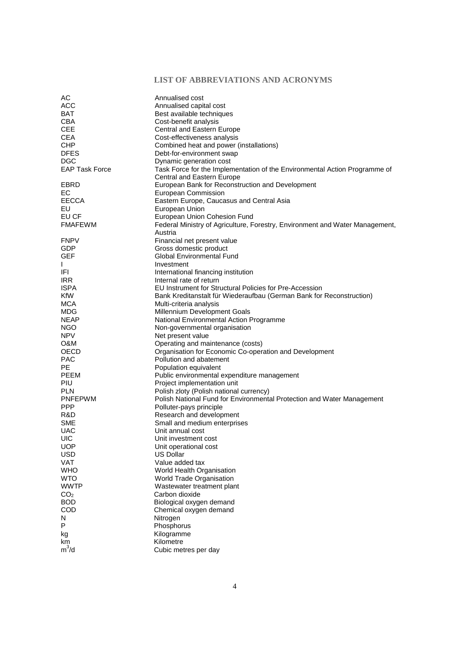# **LIST OF ABBREVIATIONS AND ACRONYMS**

| AС                    | Annualised cost                                                              |
|-----------------------|------------------------------------------------------------------------------|
| ACC                   | Annualised capital cost                                                      |
| <b>BAT</b>            | Best available techniques                                                    |
| <b>CBA</b>            | Cost-benefit analysis                                                        |
| <b>CEE</b>            | Central and Eastern Europe                                                   |
| <b>CEA</b>            | Cost-effectiveness analysis                                                  |
| <b>CHP</b>            | Combined heat and power (installations)                                      |
| <b>DFES</b>           | Debt-for-environment swap                                                    |
| DGC.                  | Dynamic generation cost                                                      |
| <b>EAP Task Force</b> | Task Force for the Implementation of the Environmental Action Programme of   |
|                       | Central and Eastern Europe                                                   |
| EBRD                  | European Bank for Reconstruction and Development                             |
| EС                    | European Commission                                                          |
| <b>EECCA</b>          | Eastern Europe, Caucasus and Central Asia                                    |
| EU                    | European Union                                                               |
| EU CF                 | European Union Cohesion Fund                                                 |
| <b>FMAFEWM</b>        | Federal Ministry of Agriculture, Forestry, Environment and Water Management, |
|                       | Austria                                                                      |
| <b>FNPV</b>           | Financial net present value                                                  |
| <b>GDP</b>            | Gross domestic product                                                       |
| <b>GEF</b>            | Global Environmental Fund                                                    |
| L                     | Investment                                                                   |
|                       |                                                                              |
| IFI<br>IRR.           | International financing institution<br>Internal rate of return               |
|                       | EU Instrument for Structural Policies for Pre-Accession                      |
| <b>ISPA</b>           |                                                                              |
| <b>KfW</b>            | Bank Kreditanstalt für Wiederaufbau (German Bank for Reconstruction)         |
| <b>MCA</b>            | Multi-criteria analysis                                                      |
| MDG                   | Millennium Development Goals                                                 |
| <b>NEAP</b>           | National Environmental Action Programme                                      |
| NGO                   | Non-governmental organisation                                                |
| NPV.                  | Net present value                                                            |
| O&M                   | Operating and maintenance (costs)                                            |
| OECD                  | Organisation for Economic Co-operation and Development                       |
| <b>PAC</b>            | Pollution and abatement                                                      |
| PE.                   | Population equivalent                                                        |
| <b>PEEM</b>           | Public environmental expenditure management                                  |
| <b>PIU</b>            | Project implementation unit                                                  |
| <b>PLN</b>            | Polish zloty (Polish national currency)                                      |
| <b>PNFEPWM</b>        | Polish National Fund for Environmental Protection and Water Management       |
| <b>PPP</b>            | Polluter-pays principle                                                      |
| R&D                   | Research and development                                                     |
| <b>SME</b>            | Small and medium enterprises                                                 |
| <b>UAC</b>            | Unit annual cost                                                             |
| UIC                   | Unit investment cost                                                         |
| <b>UOP</b>            | Unit operational cost                                                        |
| <b>USD</b>            | <b>US Dollar</b>                                                             |
| <b>VAT</b>            | Value added tax                                                              |
| <b>WHO</b>            | World Health Organisation                                                    |
| <b>WTO</b>            | World Trade Organisation                                                     |
| <b>WWTP</b>           | Wastewater treatment plant                                                   |
| CO <sub>2</sub>       | Carbon dioxide                                                               |
| <b>BOD</b>            | Biological oxygen demand                                                     |
| <b>COD</b>            | Chemical oxygen demand                                                       |
| N                     | Nitrogen                                                                     |
| P                     | Phosphorus                                                                   |
| kg                    | Kilogramme                                                                   |
| km                    | Kilometre                                                                    |
| $m^3/d$               | Cubic metres per day                                                         |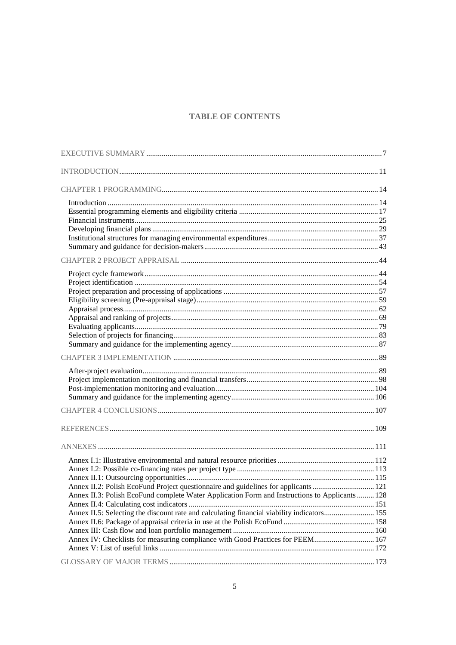# **TABLE OF CONTENTS**

| Annex II.3: Polish EcoFund complete Water Application Form and Instructions to Applicants  128<br>Annex IV: Checklists for measuring compliance with Good Practices for PEEM 167 |  |
|----------------------------------------------------------------------------------------------------------------------------------------------------------------------------------|--|
|                                                                                                                                                                                  |  |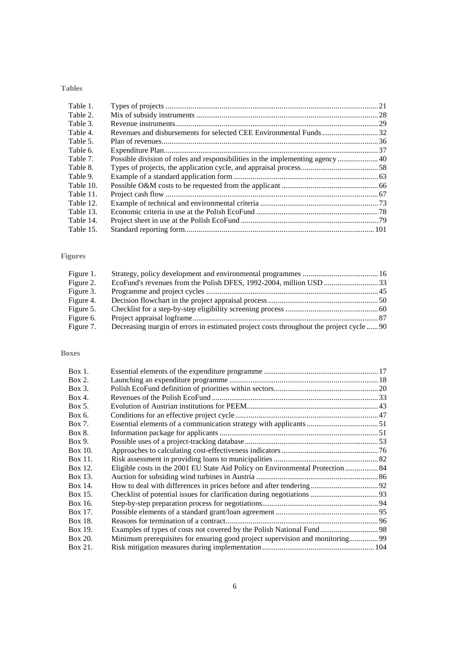# **Tables**

| Table 1.  |                                                                                |  |
|-----------|--------------------------------------------------------------------------------|--|
| Table 2.  |                                                                                |  |
| Table 3.  |                                                                                |  |
| Table 4.  |                                                                                |  |
| Table 5.  |                                                                                |  |
| Table 6.  |                                                                                |  |
| Table 7.  | Possible division of roles and responsibilities in the implementing agency  40 |  |
| Table 8.  |                                                                                |  |
| Table 9.  |                                                                                |  |
| Table 10. |                                                                                |  |
| Table 11. |                                                                                |  |
| Table 12. |                                                                                |  |
| Table 13. |                                                                                |  |
| Table 14. |                                                                                |  |
| Table 15. |                                                                                |  |

# **Figures**

| Figure 1. |                                                                                        |  |
|-----------|----------------------------------------------------------------------------------------|--|
| Figure 2. |                                                                                        |  |
| Figure 3. |                                                                                        |  |
| Figure 4. |                                                                                        |  |
| Figure 5. |                                                                                        |  |
| Figure 6. |                                                                                        |  |
| Figure 7. | Decreasing margin of errors in estimated project costs throughout the project cycle 90 |  |

## **Boxes**

| $Box 1$ . |  |
|-----------|--|
| $Box 2$ . |  |
| Box 3.    |  |
| Box 4.    |  |
| Box 5.    |  |
| Box 6.    |  |
| Box 7.    |  |
| Box 8.    |  |
| Box 9.    |  |
| Box 10.   |  |
| Box 11.   |  |
| Box 12.   |  |
| Box 13.   |  |
| Box 14.   |  |
| Box 15.   |  |
| Box 16.   |  |
| Box 17.   |  |
| Box 18.   |  |
| Box 19.   |  |
| Box 20.   |  |
| Box 21.   |  |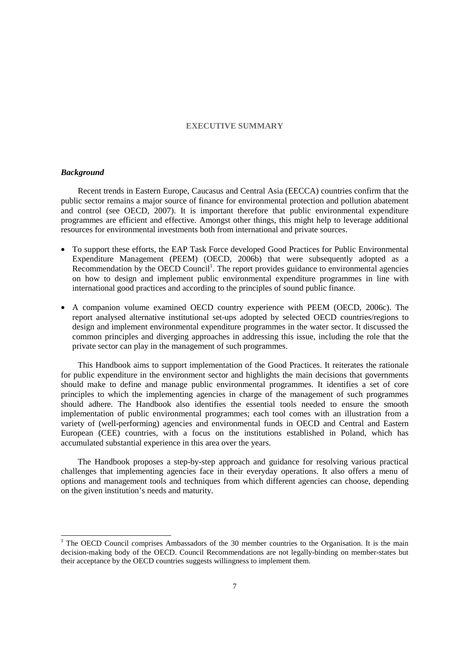#### **EXECUTIVE SUMMARY**

## *Background*

Recent trends in Eastern Europe, Caucasus and Central Asia (EECCA) countries confirm that the public sector remains a major source of finance for environmental protection and pollution abatement and control (see OECD, 2007). It is important therefore that public environmental expenditure programmes are efficient and effective. Amongst other things, this might help to leverage additional resources for environmental investments both from international and private sources.

- To support these efforts, the EAP Task Force developed Good Practices for Public Environmental Expenditure Management (PEEM) (OECD, 2006b) that were subsequently adopted as a Recommendation by the OECD Council<sup>1</sup>. The report provides guidance to environmental agencies on how to design and implement public environmental expenditure programmes in line with international good practices and according to the principles of sound public finance.
- A companion volume examined OECD country experience with PEEM (OECD, 2006c). The report analysed alternative institutional set-ups adopted by selected OECD countries/regions to design and implement environmental expenditure programmes in the water sector. It discussed the common principles and diverging approaches in addressing this issue, including the role that the private sector can play in the management of such programmes.

This Handbook aims to support implementation of the Good Practices. It reiterates the rationale for public expenditure in the environment sector and highlights the main decisions that governments should make to define and manage public environmental programmes. It identifies a set of core principles to which the implementing agencies in charge of the management of such programmes should adhere. The Handbook also identifies the essential tools needed to ensure the smooth implementation of public environmental programmes; each tool comes with an illustration from a variety of (well-performing) agencies and environmental funds in OECD and Central and Eastern European (CEE) countries, with a focus on the institutions established in Poland, which has accumulated substantial experience in this area over the years.

The Handbook proposes a step-by-step approach and guidance for resolving various practical challenges that implementing agencies face in their everyday operations. It also offers a menu of options and management tools and techniques from which different agencies can choose, depending on the given institution's needs and maturity.

<sup>&</sup>lt;sup>1</sup> The OECD Council comprises Ambassadors of the 30 member countries to the Organisation. It is the main decision-making body of the OECD. Council Recommendations are not legally-binding on member-states but their acceptance by the OECD countries suggests willingness to implement them.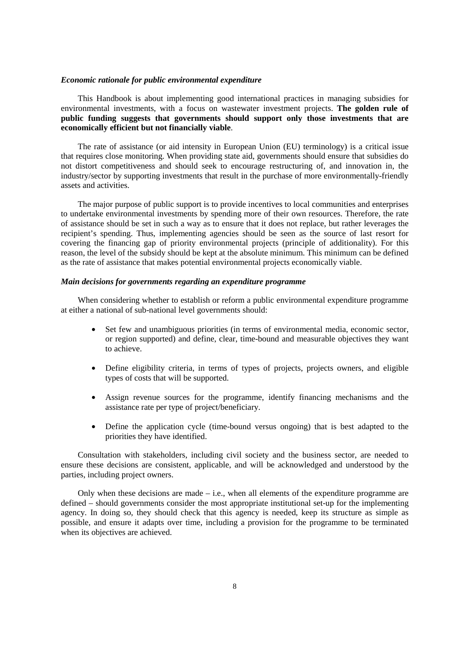#### *Economic rationale for public environmental expenditure*

This Handbook is about implementing good international practices in managing subsidies for environmental investments, with a focus on wastewater investment projects. **The golden rule of public funding suggests that governments should support only those investments that are economically efficient but not financially viable**.

The rate of assistance (or aid intensity in European Union (EU) terminology) is a critical issue that requires close monitoring. When providing state aid, governments should ensure that subsidies do not distort competitiveness and should seek to encourage restructuring of, and innovation in, the industry/sector by supporting investments that result in the purchase of more environmentally-friendly assets and activities.

The major purpose of public support is to provide incentives to local communities and enterprises to undertake environmental investments by spending more of their own resources. Therefore, the rate of assistance should be set in such a way as to ensure that it does not replace, but rather leverages the recipient's spending. Thus, implementing agencies should be seen as the source of last resort for covering the financing gap of priority environmental projects (principle of additionality). For this reason, the level of the subsidy should be kept at the absolute minimum. This minimum can be defined as the rate of assistance that makes potential environmental projects economically viable.

#### *Main decisions for governments regarding an expenditure programme*

When considering whether to establish or reform a public environmental expenditure programme at either a national of sub-national level governments should:

- Set few and unambiguous priorities (in terms of environmental media, economic sector, or region supported) and define, clear, time-bound and measurable objectives they want to achieve.
- Define eligibility criteria, in terms of types of projects, projects owners, and eligible types of costs that will be supported.
- Assign revenue sources for the programme, identify financing mechanisms and the assistance rate per type of project/beneficiary.
- Define the application cycle (time-bound versus ongoing) that is best adapted to the priorities they have identified.

Consultation with stakeholders, including civil society and the business sector, are needed to ensure these decisions are consistent, applicable, and will be acknowledged and understood by the parties, including project owners.

Only when these decisions are made  $-$  i.e., when all elements of the expenditure programme are defined – should governments consider the most appropriate institutional set-up for the implementing agency. In doing so, they should check that this agency is needed, keep its structure as simple as possible, and ensure it adapts over time, including a provision for the programme to be terminated when its objectives are achieved.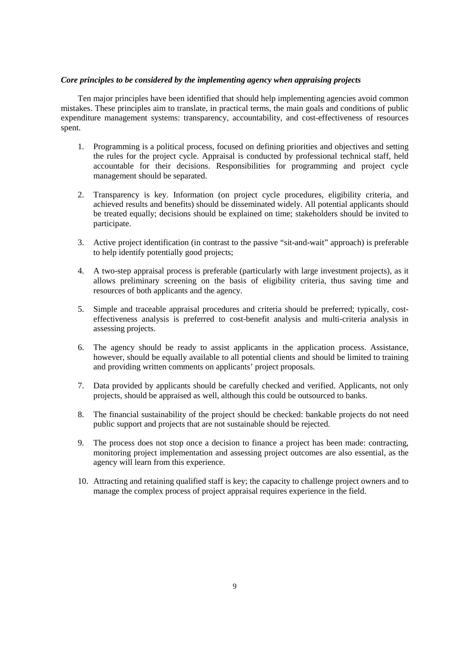## *Core principles to be considered by the implementing agency when appraising projects*

Ten major principles have been identified that should help implementing agencies avoid common mistakes. These principles aim to translate, in practical terms, the main goals and conditions of public expenditure management systems: transparency, accountability, and cost-effectiveness of resources spent.

- 1. Programming is a political process, focused on defining priorities and objectives and setting the rules for the project cycle. Appraisal is conducted by professional technical staff, held accountable for their decisions. Responsibilities for programming and project cycle management should be separated.
- 2. Transparency is key. Information (on project cycle procedures, eligibility criteria, and achieved results and benefits) should be disseminated widely. All potential applicants should be treated equally; decisions should be explained on time; stakeholders should be invited to participate.
- 3. Active project identification (in contrast to the passive "sit-and-wait" approach) is preferable to help identify potentially good projects;
- 4. A two-step appraisal process is preferable (particularly with large investment projects), as it allows preliminary screening on the basis of eligibility criteria, thus saving time and resources of both applicants and the agency.
- 5. Simple and traceable appraisal procedures and criteria should be preferred; typically, costeffectiveness analysis is preferred to cost-benefit analysis and multi-criteria analysis in assessing projects.
- 6. The agency should be ready to assist applicants in the application process. Assistance, however, should be equally available to all potential clients and should be limited to training and providing written comments on applicants' project proposals.
- 7. Data provided by applicants should be carefully checked and verified. Applicants, not only projects, should be appraised as well, although this could be outsourced to banks.
- 8. The financial sustainability of the project should be checked: bankable projects do not need public support and projects that are not sustainable should be rejected.
- 9. The process does not stop once a decision to finance a project has been made: contracting, monitoring project implementation and assessing project outcomes are also essential, as the agency will learn from this experience.
- 10. Attracting and retaining qualified staff is key; the capacity to challenge project owners and to manage the complex process of project appraisal requires experience in the field.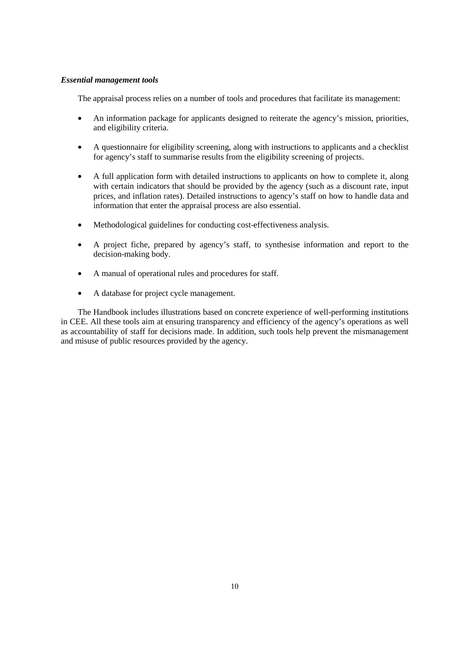# *Essential management tools*

The appraisal process relies on a number of tools and procedures that facilitate its management:

- An information package for applicants designed to reiterate the agency's mission, priorities, and eligibility criteria.
- A questionnaire for eligibility screening, along with instructions to applicants and a checklist for agency's staff to summarise results from the eligibility screening of projects.
- A full application form with detailed instructions to applicants on how to complete it, along with certain indicators that should be provided by the agency (such as a discount rate, input prices, and inflation rates). Detailed instructions to agency's staff on how to handle data and information that enter the appraisal process are also essential.
- Methodological guidelines for conducting cost-effectiveness analysis.
- A project fiche, prepared by agency's staff, to synthesise information and report to the decision-making body.
- A manual of operational rules and procedures for staff.
- A database for project cycle management.

The Handbook includes illustrations based on concrete experience of well-performing institutions in CEE. All these tools aim at ensuring transparency and efficiency of the agency's operations as well as accountability of staff for decisions made. In addition, such tools help prevent the mismanagement and misuse of public resources provided by the agency.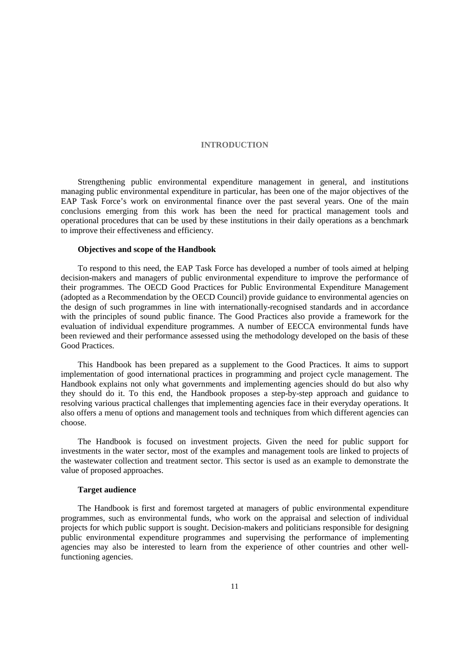#### **INTRODUCTION**

Strengthening public environmental expenditure management in general, and institutions managing public environmental expenditure in particular, has been one of the major objectives of the EAP Task Force's work on environmental finance over the past several years. One of the main conclusions emerging from this work has been the need for practical management tools and operational procedures that can be used by these institutions in their daily operations as a benchmark to improve their effectiveness and efficiency.

#### **Objectives and scope of the Handbook**

To respond to this need, the EAP Task Force has developed a number of tools aimed at helping decision-makers and managers of public environmental expenditure to improve the performance of their programmes. The OECD Good Practices for Public Environmental Expenditure Management (adopted as a Recommendation by the OECD Council) provide guidance to environmental agencies on the design of such programmes in line with internationally-recognised standards and in accordance with the principles of sound public finance. The Good Practices also provide a framework for the evaluation of individual expenditure programmes. A number of EECCA environmental funds have been reviewed and their performance assessed using the methodology developed on the basis of these Good Practices.

This Handbook has been prepared as a supplement to the Good Practices. It aims to support implementation of good international practices in programming and project cycle management. The Handbook explains not only what governments and implementing agencies should do but also why they should do it. To this end, the Handbook proposes a step-by-step approach and guidance to resolving various practical challenges that implementing agencies face in their everyday operations. It also offers a menu of options and management tools and techniques from which different agencies can choose.

The Handbook is focused on investment projects. Given the need for public support for investments in the water sector, most of the examples and management tools are linked to projects of the wastewater collection and treatment sector. This sector is used as an example to demonstrate the value of proposed approaches.

#### **Target audience**

The Handbook is first and foremost targeted at managers of public environmental expenditure programmes, such as environmental funds, who work on the appraisal and selection of individual projects for which public support is sought. Decision-makers and politicians responsible for designing public environmental expenditure programmes and supervising the performance of implementing agencies may also be interested to learn from the experience of other countries and other wellfunctioning agencies.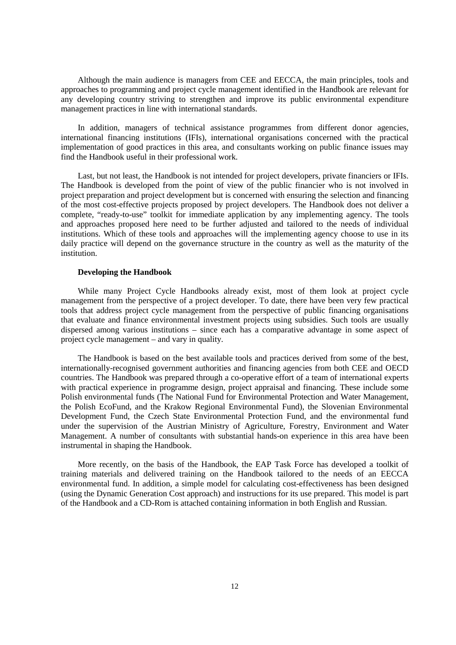Although the main audience is managers from CEE and EECCA, the main principles, tools and approaches to programming and project cycle management identified in the Handbook are relevant for any developing country striving to strengthen and improve its public environmental expenditure management practices in line with international standards.

In addition, managers of technical assistance programmes from different donor agencies, international financing institutions (IFIs), international organisations concerned with the practical implementation of good practices in this area, and consultants working on public finance issues may find the Handbook useful in their professional work.

Last, but not least, the Handbook is not intended for project developers, private financiers or IFIs. The Handbook is developed from the point of view of the public financier who is not involved in project preparation and project development but is concerned with ensuring the selection and financing of the most cost-effective projects proposed by project developers. The Handbook does not deliver a complete, "ready-to-use" toolkit for immediate application by any implementing agency. The tools and approaches proposed here need to be further adjusted and tailored to the needs of individual institutions. Which of these tools and approaches will the implementing agency choose to use in its daily practice will depend on the governance structure in the country as well as the maturity of the institution.

## **Developing the Handbook**

While many Project Cycle Handbooks already exist, most of them look at project cycle management from the perspective of a project developer. To date, there have been very few practical tools that address project cycle management from the perspective of public financing organisations that evaluate and finance environmental investment projects using subsidies. Such tools are usually dispersed among various institutions – since each has a comparative advantage in some aspect of project cycle management – and vary in quality.

The Handbook is based on the best available tools and practices derived from some of the best, internationally-recognised government authorities and financing agencies from both CEE and OECD countries. The Handbook was prepared through a co-operative effort of a team of international experts with practical experience in programme design, project appraisal and financing. These include some Polish environmental funds (The National Fund for Environmental Protection and Water Management, the Polish EcoFund, and the Krakow Regional Environmental Fund), the Slovenian Environmental Development Fund, the Czech State Environmental Protection Fund, and the environmental fund under the supervision of the Austrian Ministry of Agriculture, Forestry, Environment and Water Management. A number of consultants with substantial hands-on experience in this area have been instrumental in shaping the Handbook.

More recently, on the basis of the Handbook, the EAP Task Force has developed a toolkit of training materials and delivered training on the Handbook tailored to the needs of an EECCA environmental fund. In addition, a simple model for calculating cost-effectiveness has been designed (using the Dynamic Generation Cost approach) and instructions for its use prepared. This model is part of the Handbook and a CD-Rom is attached containing information in both English and Russian.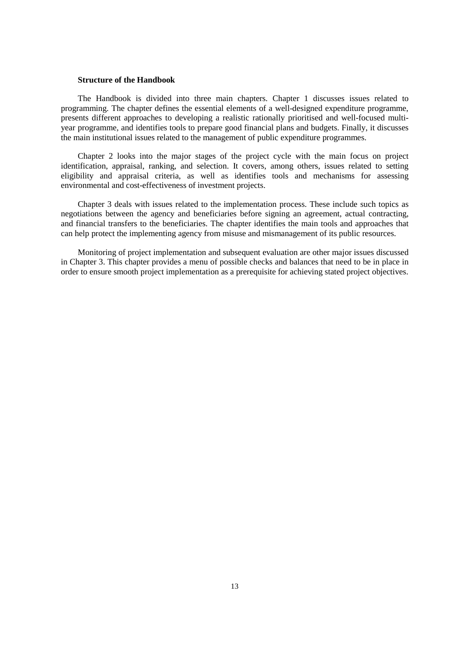## **Structure of the Handbook**

The Handbook is divided into three main chapters. Chapter 1 discusses issues related to programming. The chapter defines the essential elements of a well-designed expenditure programme, presents different approaches to developing a realistic rationally prioritised and well-focused multiyear programme, and identifies tools to prepare good financial plans and budgets. Finally, it discusses the main institutional issues related to the management of public expenditure programmes.

Chapter 2 looks into the major stages of the project cycle with the main focus on project identification, appraisal, ranking, and selection. It covers, among others, issues related to setting eligibility and appraisal criteria, as well as identifies tools and mechanisms for assessing environmental and cost-effectiveness of investment projects.

Chapter 3 deals with issues related to the implementation process. These include such topics as negotiations between the agency and beneficiaries before signing an agreement, actual contracting, and financial transfers to the beneficiaries. The chapter identifies the main tools and approaches that can help protect the implementing agency from misuse and mismanagement of its public resources.

Monitoring of project implementation and subsequent evaluation are other major issues discussed in Chapter 3. This chapter provides a menu of possible checks and balances that need to be in place in order to ensure smooth project implementation as a prerequisite for achieving stated project objectives.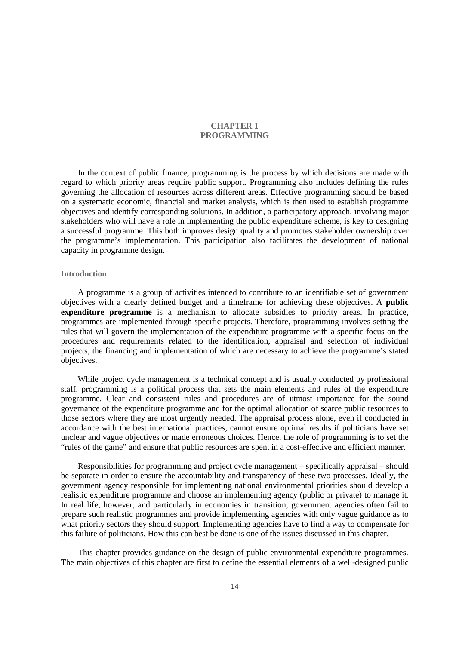## **CHAPTER 1 PROGRAMMING**

In the context of public finance, programming is the process by which decisions are made with regard to which priority areas require public support. Programming also includes defining the rules governing the allocation of resources across different areas. Effective programming should be based on a systematic economic, financial and market analysis, which is then used to establish programme objectives and identify corresponding solutions. In addition, a participatory approach, involving major stakeholders who will have a role in implementing the public expenditure scheme, is key to designing a successful programme. This both improves design quality and promotes stakeholder ownership over the programme's implementation. This participation also facilitates the development of national capacity in programme design.

## **Introduction**

A programme is a group of activities intended to contribute to an identifiable set of government objectives with a clearly defined budget and a timeframe for achieving these objectives. A **public expenditure programme** is a mechanism to allocate subsidies to priority areas. In practice, programmes are implemented through specific projects. Therefore, programming involves setting the rules that will govern the implementation of the expenditure programme with a specific focus on the procedures and requirements related to the identification, appraisal and selection of individual projects, the financing and implementation of which are necessary to achieve the programme's stated objectives.

While project cycle management is a technical concept and is usually conducted by professional staff, programming is a political process that sets the main elements and rules of the expenditure programme. Clear and consistent rules and procedures are of utmost importance for the sound governance of the expenditure programme and for the optimal allocation of scarce public resources to those sectors where they are most urgently needed. The appraisal process alone, even if conducted in accordance with the best international practices, cannot ensure optimal results if politicians have set unclear and vague objectives or made erroneous choices. Hence, the role of programming is to set the "rules of the game" and ensure that public resources are spent in a cost-effective and efficient manner.

Responsibilities for programming and project cycle management – specifically appraisal – should be separate in order to ensure the accountability and transparency of these two processes. Ideally, the government agency responsible for implementing national environmental priorities should develop a realistic expenditure programme and choose an implementing agency (public or private) to manage it. In real life, however, and particularly in economies in transition, government agencies often fail to prepare such realistic programmes and provide implementing agencies with only vague guidance as to what priority sectors they should support. Implementing agencies have to find a way to compensate for this failure of politicians. How this can best be done is one of the issues discussed in this chapter.

This chapter provides guidance on the design of public environmental expenditure programmes. The main objectives of this chapter are first to define the essential elements of a well-designed public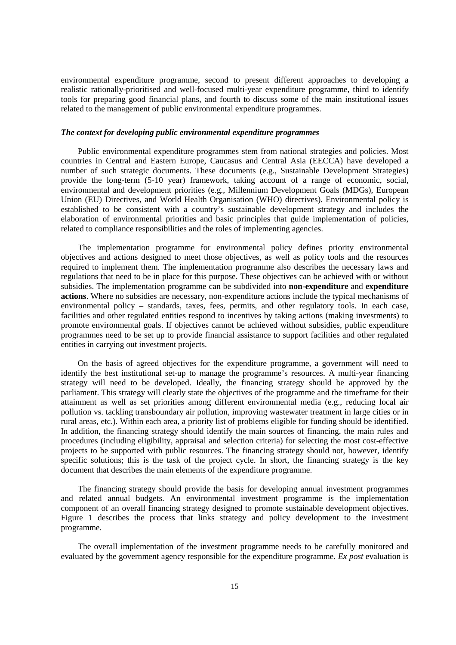environmental expenditure programme, second to present different approaches to developing a realistic rationally-prioritised and well-focused multi-year expenditure programme, third to identify tools for preparing good financial plans, and fourth to discuss some of the main institutional issues related to the management of public environmental expenditure programmes.

#### *The context for developing public environmental expenditure programmes*

Public environmental expenditure programmes stem from national strategies and policies. Most countries in Central and Eastern Europe, Caucasus and Central Asia (EECCA) have developed a number of such strategic documents. These documents (e.g., Sustainable Development Strategies) provide the long-term (5-10 year) framework, taking account of a range of economic, social, environmental and development priorities (e.g., Millennium Development Goals (MDGs), European Union (EU) Directives, and World Health Organisation (WHO) directives). Environmental policy is established to be consistent with a country's sustainable development strategy and includes the elaboration of environmental priorities and basic principles that guide implementation of policies, related to compliance responsibilities and the roles of implementing agencies.

The implementation programme for environmental policy defines priority environmental objectives and actions designed to meet those objectives, as well as policy tools and the resources required to implement them. The implementation programme also describes the necessary laws and regulations that need to be in place for this purpose. These objectives can be achieved with or without subsidies. The implementation programme can be subdivided into **non-expenditure** and **expenditure actions**. Where no subsidies are necessary, non-expenditure actions include the typical mechanisms of environmental policy – standards, taxes, fees, permits, and other regulatory tools. In each case, facilities and other regulated entities respond to incentives by taking actions (making investments) to promote environmental goals. If objectives cannot be achieved without subsidies, public expenditure programmes need to be set up to provide financial assistance to support facilities and other regulated entities in carrying out investment projects.

On the basis of agreed objectives for the expenditure programme, a government will need to identify the best institutional set-up to manage the programme's resources. A multi-year financing strategy will need to be developed. Ideally, the financing strategy should be approved by the parliament. This strategy will clearly state the objectives of the programme and the timeframe for their attainment as well as set priorities among different environmental media (e.g., reducing local air pollution vs. tackling transboundary air pollution, improving wastewater treatment in large cities or in rural areas, etc.). Within each area, a priority list of problems eligible for funding should be identified. In addition, the financing strategy should identify the main sources of financing, the main rules and procedures (including eligibility, appraisal and selection criteria) for selecting the most cost-effective projects to be supported with public resources. The financing strategy should not, however, identify specific solutions; this is the task of the project cycle. In short, the financing strategy is the key document that describes the main elements of the expenditure programme.

The financing strategy should provide the basis for developing annual investment programmes and related annual budgets. An environmental investment programme is the implementation component of an overall financing strategy designed to promote sustainable development objectives. Figure 1 describes the process that links strategy and policy development to the investment programme.

The overall implementation of the investment programme needs to be carefully monitored and evaluated by the government agency responsible for the expenditure programme. *Ex post* evaluation is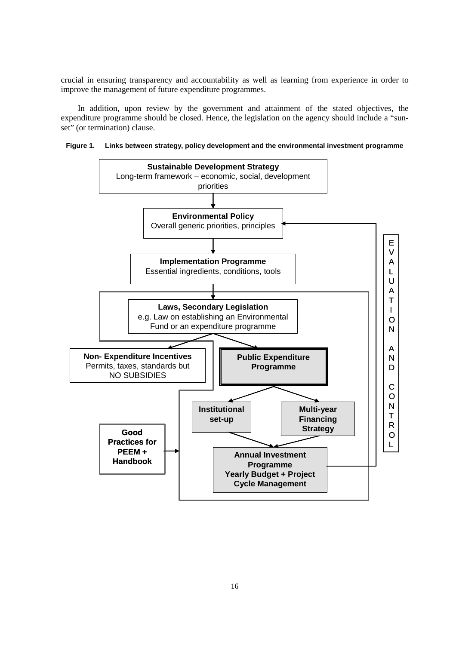crucial in ensuring transparency and accountability as well as learning from experience in order to improve the management of future expenditure programmes.

In addition, upon review by the government and attainment of the stated objectives, the expenditure programme should be closed. Hence, the legislation on the agency should include a "sunset" (or termination) clause.



## **Figure 1. Links between strategy, policy development and the environmental investment programme**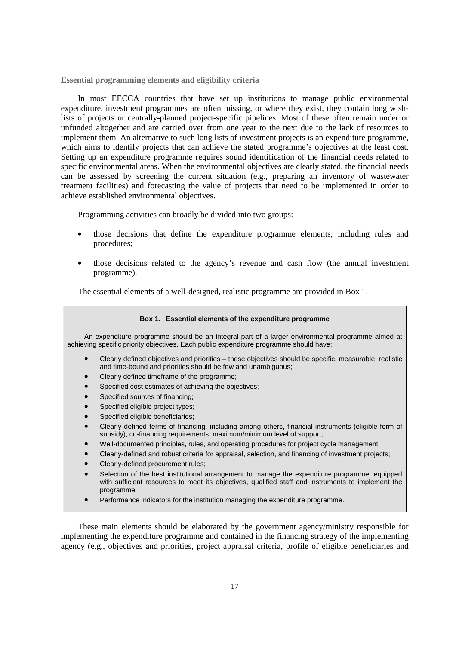**Essential programming elements and eligibility criteria** 

In most EECCA countries that have set up institutions to manage public environmental expenditure, investment programmes are often missing, or where they exist, they contain long wishlists of projects or centrally-planned project-specific pipelines. Most of these often remain under or unfunded altogether and are carried over from one year to the next due to the lack of resources to implement them. An alternative to such long lists of investment projects is an expenditure programme, which aims to identify projects that can achieve the stated programme's objectives at the least cost. Setting up an expenditure programme requires sound identification of the financial needs related to specific environmental areas. When the environmental objectives are clearly stated, the financial needs can be assessed by screening the current situation (e.g., preparing an inventory of wastewater treatment facilities) and forecasting the value of projects that need to be implemented in order to achieve established environmental objectives.

Programming activities can broadly be divided into two groups:

- those decisions that define the expenditure programme elements, including rules and procedures;
- those decisions related to the agency's revenue and cash flow (the annual investment programme).

The essential elements of a well-designed, realistic programme are provided in Box 1.

#### **Box 1. Essential elements of the expenditure programme**

An expenditure programme should be an integral part of a larger environmental programme aimed at achieving specific priority objectives. Each public expenditure programme should have:

- Clearly defined objectives and priorities these objectives should be specific, measurable, realistic and time-bound and priorities should be few and unambiguous;
- Clearly defined timeframe of the programme;
- Specified cost estimates of achieving the objectives;
- Specified sources of financing;
- Specified eligible project types;
- Specified eligible beneficiaries;
- Clearly defined terms of financing, including among others, financial instruments (eligible form of subsidy), co-financing requirements, maximum/minimum level of support;
- Well-documented principles, rules, and operating procedures for project cycle management;
- Clearly-defined and robust criteria for appraisal, selection, and financing of investment projects;
- Clearly-defined procurement rules;
- Selection of the best institutional arrangement to manage the expenditure programme, equipped with sufficient resources to meet its objectives, qualified staff and instruments to implement the programme;
- Performance indicators for the institution managing the expenditure programme.

These main elements should be elaborated by the government agency/ministry responsible for implementing the expenditure programme and contained in the financing strategy of the implementing agency (e.g., objectives and priorities, project appraisal criteria, profile of eligible beneficiaries and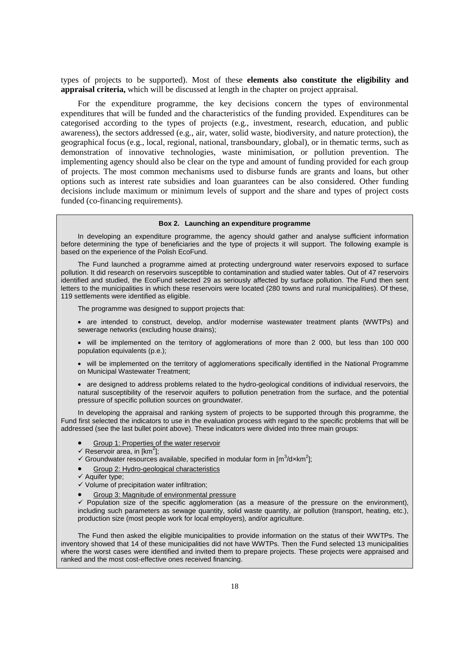types of projects to be supported). Most of these **elements also constitute the eligibility and appraisal criteria,** which will be discussed at length in the chapter on project appraisal.

For the expenditure programme, the key decisions concern the types of environmental expenditures that will be funded and the characteristics of the funding provided. Expenditures can be categorised according to the types of projects (e.g., investment, research, education, and public awareness), the sectors addressed (e.g., air, water, solid waste, biodiversity, and nature protection), the geographical focus (e.g., local, regional, national, transboundary, global), or in thematic terms, such as demonstration of innovative technologies, waste minimisation, or pollution prevention. The implementing agency should also be clear on the type and amount of funding provided for each group of projects. The most common mechanisms used to disburse funds are grants and loans, but other options such as interest rate subsidies and loan guarantees can be also considered. Other funding decisions include maximum or minimum levels of support and the share and types of project costs funded (co-financing requirements).

#### **Box 2. Launching an expenditure programme**

In developing an expenditure programme, the agency should gather and analyse sufficient information before determining the type of beneficiaries and the type of projects it will support. The following example is based on the experience of the Polish EcoFund.

The Fund launched a programme aimed at protecting underground water reservoirs exposed to surface pollution. It did research on reservoirs susceptible to contamination and studied water tables. Out of 47 reservoirs identified and studied, the EcoFund selected 29 as seriously affected by surface pollution. The Fund then sent letters to the municipalities in which these reservoirs were located (280 towns and rural municipalities). Of these, 119 settlements were identified as eligible.

The programme was designed to support projects that:

• are intended to construct, develop, and/or modernise wastewater treatment plants (WWTPs) and sewerage networks (excluding house drains);

• will be implemented on the territory of agglomerations of more than 2 000, but less than 100 000 population equivalents (p.e.);

• will be implemented on the territory of agglomerations specifically identified in the National Programme on Municipal Wastewater Treatment;

• are designed to address problems related to the hydro-geological conditions of individual reservoirs, the natural susceptibility of the reservoir aquifers to pollution penetration from the surface, and the potential pressure of specific pollution sources on groundwater.

In developing the appraisal and ranking system of projects to be supported through this programme, the Fund first selected the indicators to use in the evaluation process with regard to the specific problems that will be addressed (see the last bullet point above). These indicators were divided into three main groups:

- Group 1: Properties of the water reservoir
- $\checkmark$  Reservoir area, in [km<sup>2</sup>];
- $\checkmark$  Groundwater resources available, specified in modular form in [m<sup>3</sup>/dxkm<sup>2</sup>];
- Group 2: Hydro-geological characteristics
- $\checkmark$  Aquifer type;
- $\checkmark$  Volume of precipitation water infiltration;
- Group 3: Magnitude of environmental pressure

 $\checkmark$  Population size of the specific agglomeration (as a measure of the pressure on the environment), including such parameters as sewage quantity, solid waste quantity, air pollution (transport, heating, etc.), production size (most people work for local employers), and/or agriculture.

The Fund then asked the eligible municipalities to provide information on the status of their WWTPs. The inventory showed that 14 of these municipalities did not have WWTPs. Then the Fund selected 13 municipalities where the worst cases were identified and invited them to prepare projects. These projects were appraised and ranked and the most cost-effective ones received financing.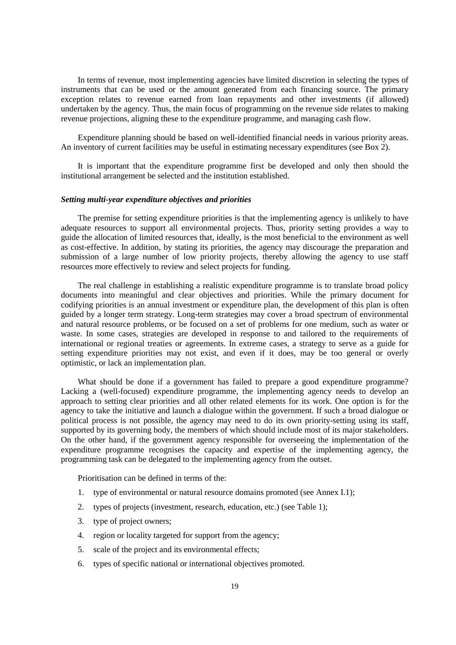In terms of revenue, most implementing agencies have limited discretion in selecting the types of instruments that can be used or the amount generated from each financing source. The primary exception relates to revenue earned from loan repayments and other investments (if allowed) undertaken by the agency. Thus, the main focus of programming on the revenue side relates to making revenue projections, aligning these to the expenditure programme, and managing cash flow.

Expenditure planning should be based on well-identified financial needs in various priority areas. An inventory of current facilities may be useful in estimating necessary expenditures (see Box 2).

It is important that the expenditure programme first be developed and only then should the institutional arrangement be selected and the institution established.

#### *Setting multi-year expenditure objectives and priorities*

The premise for setting expenditure priorities is that the implementing agency is unlikely to have adequate resources to support all environmental projects. Thus, priority setting provides a way to guide the allocation of limited resources that, ideally, is the most beneficial to the environment as well as cost-effective. In addition, by stating its priorities, the agency may discourage the preparation and submission of a large number of low priority projects, thereby allowing the agency to use staff resources more effectively to review and select projects for funding.

The real challenge in establishing a realistic expenditure programme is to translate broad policy documents into meaningful and clear objectives and priorities. While the primary document for codifying priorities is an annual investment or expenditure plan, the development of this plan is often guided by a longer term strategy. Long-term strategies may cover a broad spectrum of environmental and natural resource problems, or be focused on a set of problems for one medium, such as water or waste. In some cases, strategies are developed in response to and tailored to the requirements of international or regional treaties or agreements. In extreme cases, a strategy to serve as a guide for setting expenditure priorities may not exist, and even if it does, may be too general or overly optimistic, or lack an implementation plan.

What should be done if a government has failed to prepare a good expenditure programme? Lacking a (well-focused) expenditure programme, the implementing agency needs to develop an approach to setting clear priorities and all other related elements for its work. One option is for the agency to take the initiative and launch a dialogue within the government. If such a broad dialogue or political process is not possible, the agency may need to do its own priority-setting using its staff, supported by its governing body, the members of which should include most of its major stakeholders. On the other hand, if the government agency responsible for overseeing the implementation of the expenditure programme recognises the capacity and expertise of the implementing agency, the programming task can be delegated to the implementing agency from the outset.

Prioritisation can be defined in terms of the:

- 1. type of environmental or natural resource domains promoted (see Annex I.1);
- 2. types of projects (investment, research, education, etc.) (see Table 1);
- 3. type of project owners;
- 4. region or locality targeted for support from the agency;
- 5. scale of the project and its environmental effects;
- 6. types of specific national or international objectives promoted.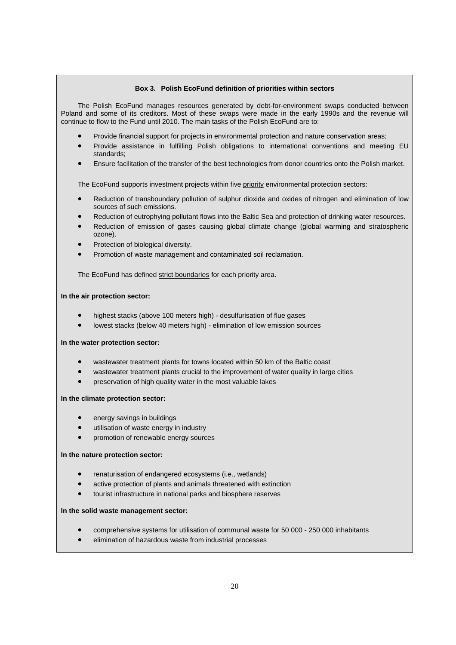#### **Box 3. Polish EcoFund definition of priorities within sectors**

The Polish EcoFund manages resources generated by debt-for-environment swaps conducted between Poland and some of its creditors. Most of these swaps were made in the early 1990s and the revenue will continue to flow to the Fund until 2010. The main tasks of the Polish EcoFund are to:

- Provide financial support for projects in environmental protection and nature conservation areas;
- Provide assistance in fulfilling Polish obligations to international conventions and meeting EU standards;
- Ensure facilitation of the transfer of the best technologies from donor countries onto the Polish market.

The EcoFund supports investment projects within five priority environmental protection sectors:

- Reduction of transboundary pollution of sulphur dioxide and oxides of nitrogen and elimination of low sources of such emissions.
- Reduction of eutrophying pollutant flows into the Baltic Sea and protection of drinking water resources.
- Reduction of emission of gases causing global climate change (global warming and stratospheric ozone).
- Protection of biological diversity.
- Promotion of waste management and contaminated soil reclamation.

The EcoFund has defined strict boundaries for each priority area.

#### **In the air protection sector:**

- highest stacks (above 100 meters high) desulfurisation of flue gases
- lowest stacks (below 40 meters high) elimination of low emission sources

#### **In the water protection sector:**

- wastewater treatment plants for towns located within 50 km of the Baltic coast
- wastewater treatment plants crucial to the improvement of water quality in large cities
- preservation of high quality water in the most valuable lakes

#### **In the climate protection sector:**

- energy savings in buildings
- utilisation of waste energy in industry
- promotion of renewable energy sources

#### **In the nature protection sector:**

- renaturisation of endangered ecosystems (i.e., wetlands)
- active protection of plants and animals threatened with extinction
- tourist infrastructure in national parks and biosphere reserves

#### **In the solid waste management sector:**

- comprehensive systems for utilisation of communal waste for 50 000 250 000 inhabitants
- elimination of hazardous waste from industrial processes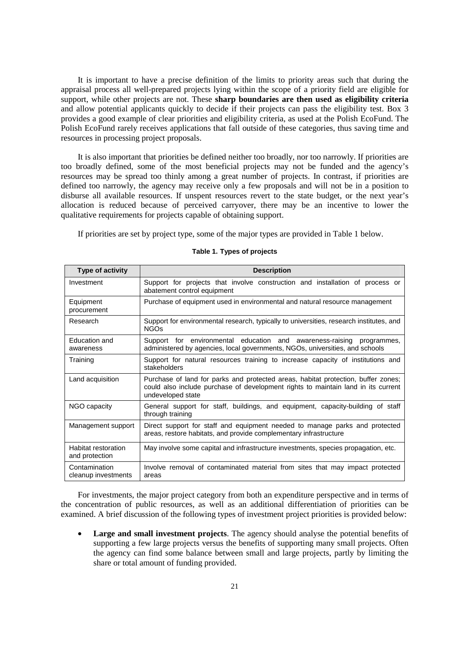It is important to have a precise definition of the limits to priority areas such that during the appraisal process all well-prepared projects lying within the scope of a priority field are eligible for support, while other projects are not. These **sharp boundaries are then used as eligibility criteria** and allow potential applicants quickly to decide if their projects can pass the eligibility test. Box 3 provides a good example of clear priorities and eligibility criteria, as used at the Polish EcoFund. The Polish EcoFund rarely receives applications that fall outside of these categories, thus saving time and resources in processing project proposals.

It is also important that priorities be defined neither too broadly, nor too narrowly. If priorities are too broadly defined, some of the most beneficial projects may not be funded and the agency's resources may be spread too thinly among a great number of projects. In contrast, if priorities are defined too narrowly, the agency may receive only a few proposals and will not be in a position to disburse all available resources. If unspent resources revert to the state budget, or the next year's allocation is reduced because of perceived carryover, there may be an incentive to lower the qualitative requirements for projects capable of obtaining support.

If priorities are set by project type, some of the major types are provided in Table 1 below.

| Type of activity                      | <b>Description</b>                                                                                                                                                                          |
|---------------------------------------|---------------------------------------------------------------------------------------------------------------------------------------------------------------------------------------------|
| Investment                            | Support for projects that involve construction and installation of process or<br>abatement control equipment                                                                                |
| Equipment<br>procurement              | Purchase of equipment used in environmental and natural resource management                                                                                                                 |
| Research                              | Support for environmental research, typically to universities, research institutes, and<br>NGO <sub>S</sub>                                                                                 |
| <b>Education and</b><br>awareness     | Support for environmental education and awareness-raising programmes,<br>administered by agencies, local governments, NGOs, universities, and schools                                       |
| Training                              | Support for natural resources training to increase capacity of institutions and<br>stakeholders                                                                                             |
| Land acquisition                      | Purchase of land for parks and protected areas, habitat protection, buffer zones;<br>could also include purchase of development rights to maintain land in its current<br>undeveloped state |
| NGO capacity                          | General support for staff, buildings, and equipment, capacity-building of staff<br>through training                                                                                         |
| Management support                    | Direct support for staff and equipment needed to manage parks and protected<br>areas, restore habitats, and provide complementary infrastructure                                            |
| Habitat restoration<br>and protection | May involve some capital and infrastructure investments, species propagation, etc.                                                                                                          |
| Contamination<br>cleanup investments  | Involve removal of contaminated material from sites that may impact protected<br>areas                                                                                                      |

#### **Table 1. Types of projects**

For investments, the major project category from both an expenditure perspective and in terms of the concentration of public resources, as well as an additional differentiation of priorities can be examined. A brief discussion of the following types of investment project priorities is provided below:

• **Large and small investment projects**. The agency should analyse the potential benefits of supporting a few large projects versus the benefits of supporting many small projects. Often the agency can find some balance between small and large projects, partly by limiting the share or total amount of funding provided.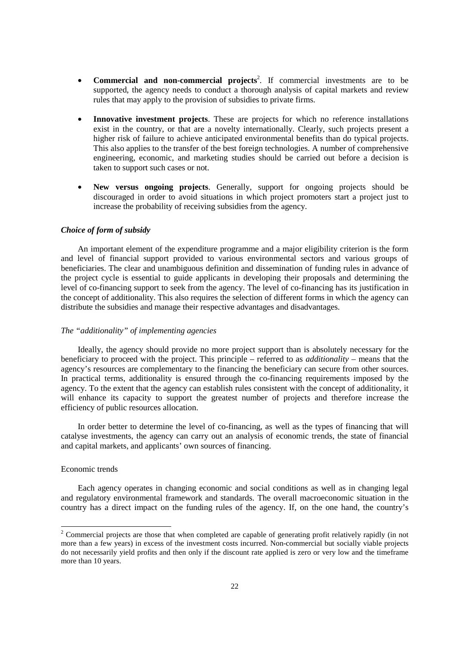- **Commercial and non-commercial projects**<sup>2</sup> . If commercial investments are to be supported, the agency needs to conduct a thorough analysis of capital markets and review rules that may apply to the provision of subsidies to private firms.
- **Innovative investment projects**. These are projects for which no reference installations exist in the country, or that are a novelty internationally. Clearly, such projects present a higher risk of failure to achieve anticipated environmental benefits than do typical projects. This also applies to the transfer of the best foreign technologies. A number of comprehensive engineering, economic, and marketing studies should be carried out before a decision is taken to support such cases or not.
- **New versus ongoing projects**. Generally, support for ongoing projects should be discouraged in order to avoid situations in which project promoters start a project just to increase the probability of receiving subsidies from the agency.

## *Choice of form of subsidy*

An important element of the expenditure programme and a major eligibility criterion is the form and level of financial support provided to various environmental sectors and various groups of beneficiaries. The clear and unambiguous definition and dissemination of funding rules in advance of the project cycle is essential to guide applicants in developing their proposals and determining the level of co-financing support to seek from the agency. The level of co-financing has its justification in the concept of additionality. This also requires the selection of different forms in which the agency can distribute the subsidies and manage their respective advantages and disadvantages.

## *The "additionality" of implementing agencies*

Ideally, the agency should provide no more project support than is absolutely necessary for the beneficiary to proceed with the project. This principle – referred to as *additionality –* means that the agency's resources are complementary to the financing the beneficiary can secure from other sources. In practical terms, additionality is ensured through the co-financing requirements imposed by the agency. To the extent that the agency can establish rules consistent with the concept of additionality, it will enhance its capacity to support the greatest number of projects and therefore increase the efficiency of public resources allocation.

In order better to determine the level of co-financing, as well as the types of financing that will catalyse investments, the agency can carry out an analysis of economic trends, the state of financial and capital markets, and applicants' own sources of financing.

## Economic trends

Each agency operates in changing economic and social conditions as well as in changing legal and regulatory environmental framework and standards. The overall macroeconomic situation in the country has a direct impact on the funding rules of the agency. If, on the one hand, the country's

<sup>&</sup>lt;sup>2</sup> Commercial projects are those that when completed are capable of generating profit relatively rapidly (in not more than a few years) in excess of the investment costs incurred. Non-commercial but socially viable projects do not necessarily yield profits and then only if the discount rate applied is zero or very low and the timeframe more than 10 years.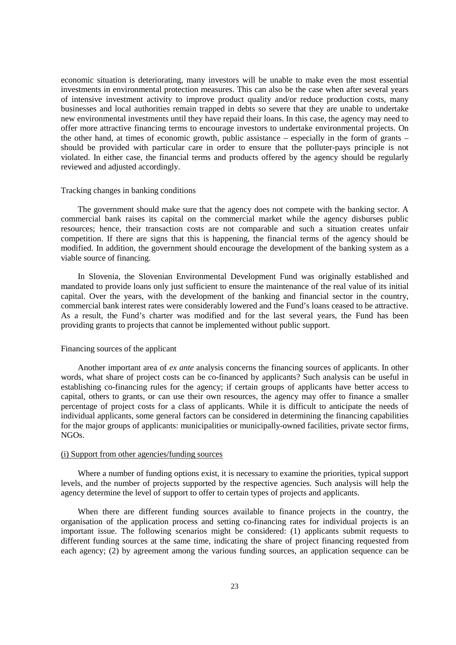economic situation is deteriorating, many investors will be unable to make even the most essential investments in environmental protection measures. This can also be the case when after several years of intensive investment activity to improve product quality and/or reduce production costs, many businesses and local authorities remain trapped in debts so severe that they are unable to undertake new environmental investments until they have repaid their loans. In this case, the agency may need to offer more attractive financing terms to encourage investors to undertake environmental projects. On the other hand, at times of economic growth, public assistance – especially in the form of grants – should be provided with particular care in order to ensure that the polluter-pays principle is not violated. In either case, the financial terms and products offered by the agency should be regularly reviewed and adjusted accordingly.

#### Tracking changes in banking conditions

The government should make sure that the agency does not compete with the banking sector. A commercial bank raises its capital on the commercial market while the agency disburses public resources; hence, their transaction costs are not comparable and such a situation creates unfair competition. If there are signs that this is happening, the financial terms of the agency should be modified. In addition, the government should encourage the development of the banking system as a viable source of financing.

In Slovenia, the Slovenian Environmental Development Fund was originally established and mandated to provide loans only just sufficient to ensure the maintenance of the real value of its initial capital. Over the years, with the development of the banking and financial sector in the country, commercial bank interest rates were considerably lowered and the Fund's loans ceased to be attractive. As a result, the Fund's charter was modified and for the last several years, the Fund has been providing grants to projects that cannot be implemented without public support.

## Financing sources of the applicant

Another important area of *ex ante* analysis concerns the financing sources of applicants. In other words, what share of project costs can be co-financed by applicants? Such analysis can be useful in establishing co-financing rules for the agency; if certain groups of applicants have better access to capital, others to grants, or can use their own resources, the agency may offer to finance a smaller percentage of project costs for a class of applicants. While it is difficult to anticipate the needs of individual applicants, some general factors can be considered in determining the financing capabilities for the major groups of applicants: municipalities or municipally-owned facilities, private sector firms, NGOs.

#### (i) Support from other agencies/funding sources

Where a number of funding options exist, it is necessary to examine the priorities, typical support levels, and the number of projects supported by the respective agencies. Such analysis will help the agency determine the level of support to offer to certain types of projects and applicants.

When there are different funding sources available to finance projects in the country, the organisation of the application process and setting co-financing rates for individual projects is an important issue. The following scenarios might be considered: (1) applicants submit requests to different funding sources at the same time, indicating the share of project financing requested from each agency; (2) by agreement among the various funding sources, an application sequence can be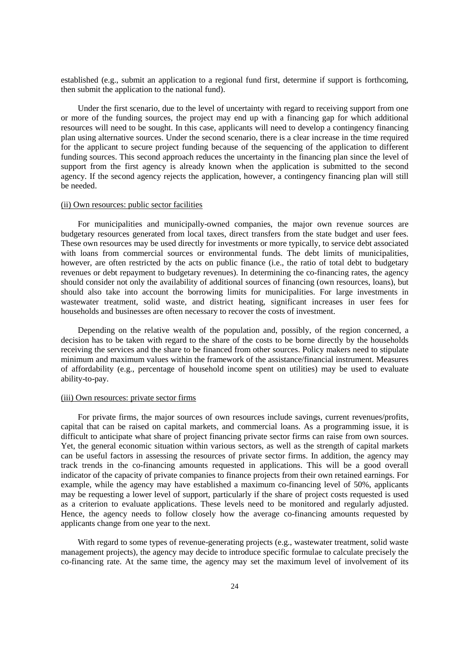established (e.g., submit an application to a regional fund first, determine if support is forthcoming, then submit the application to the national fund).

Under the first scenario, due to the level of uncertainty with regard to receiving support from one or more of the funding sources, the project may end up with a financing gap for which additional resources will need to be sought. In this case, applicants will need to develop a contingency financing plan using alternative sources. Under the second scenario, there is a clear increase in the time required for the applicant to secure project funding because of the sequencing of the application to different funding sources. This second approach reduces the uncertainty in the financing plan since the level of support from the first agency is already known when the application is submitted to the second agency. If the second agency rejects the application, however, a contingency financing plan will still be needed.

#### (ii) Own resources: public sector facilities

For municipalities and municipally-owned companies, the major own revenue sources are budgetary resources generated from local taxes, direct transfers from the state budget and user fees. These own resources may be used directly for investments or more typically, to service debt associated with loans from commercial sources or environmental funds. The debt limits of municipalities, however, are often restricted by the acts on public finance (i.e., the ratio of total debt to budgetary revenues or debt repayment to budgetary revenues). In determining the co-financing rates, the agency should consider not only the availability of additional sources of financing (own resources, loans), but should also take into account the borrowing limits for municipalities. For large investments in wastewater treatment, solid waste, and district heating, significant increases in user fees for households and businesses are often necessary to recover the costs of investment.

Depending on the relative wealth of the population and, possibly, of the region concerned, a decision has to be taken with regard to the share of the costs to be borne directly by the households receiving the services and the share to be financed from other sources. Policy makers need to stipulate minimum and maximum values within the framework of the assistance/financial instrument. Measures of affordability (e.g., percentage of household income spent on utilities) may be used to evaluate ability-to-pay.

## (iii) Own resources: private sector firms

For private firms, the major sources of own resources include savings, current revenues/profits, capital that can be raised on capital markets, and commercial loans. As a programming issue, it is difficult to anticipate what share of project financing private sector firms can raise from own sources. Yet, the general economic situation within various sectors, as well as the strength of capital markets can be useful factors in assessing the resources of private sector firms. In addition, the agency may track trends in the co-financing amounts requested in applications. This will be a good overall indicator of the capacity of private companies to finance projects from their own retained earnings. For example, while the agency may have established a maximum co-financing level of 50%, applicants may be requesting a lower level of support, particularly if the share of project costs requested is used as a criterion to evaluate applications. These levels need to be monitored and regularly adjusted. Hence, the agency needs to follow closely how the average co-financing amounts requested by applicants change from one year to the next.

With regard to some types of revenue-generating projects (e.g., wastewater treatment, solid waste management projects), the agency may decide to introduce specific formulae to calculate precisely the co-financing rate. At the same time, the agency may set the maximum level of involvement of its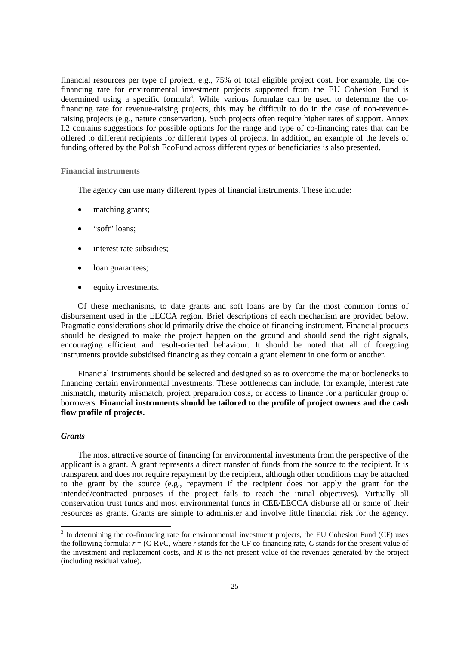financial resources per type of project, e.g., 75% of total eligible project cost. For example, the cofinancing rate for environmental investment projects supported from the EU Cohesion Fund is determined using a specific formula<sup>3</sup>. While various formulae can be used to determine the cofinancing rate for revenue-raising projects, this may be difficult to do in the case of non-revenueraising projects (e.g., nature conservation). Such projects often require higher rates of support. Annex I.2 contains suggestions for possible options for the range and type of co-financing rates that can be offered to different recipients for different types of projects. In addition, an example of the levels of funding offered by the Polish EcoFund across different types of beneficiaries is also presented.

## **Financial instruments**

The agency can use many different types of financial instruments. These include:

- matching grants;
- "soft" loans;
- interest rate subsidies;
- loan guarantees;
- equity investments.

Of these mechanisms, to date grants and soft loans are by far the most common forms of disbursement used in the EECCA region. Brief descriptions of each mechanism are provided below. Pragmatic considerations should primarily drive the choice of financing instrument. Financial products should be designed to make the project happen on the ground and should send the right signals, encouraging efficient and result-oriented behaviour. It should be noted that all of foregoing instruments provide subsidised financing as they contain a grant element in one form or another.

Financial instruments should be selected and designed so as to overcome the major bottlenecks to financing certain environmental investments. These bottlenecks can include, for example, interest rate mismatch, maturity mismatch, project preparation costs, or access to finance for a particular group of borrowers. **Financial instruments should be tailored to the profile of project owners and the cash flow profile of projects.**

## *Grants*

The most attractive source of financing for environmental investments from the perspective of the applicant is a grant. A grant represents a direct transfer of funds from the source to the recipient. It is transparent and does not require repayment by the recipient, although other conditions may be attached to the grant by the source (e.g., repayment if the recipient does not apply the grant for the intended/contracted purposes if the project fails to reach the initial objectives). Virtually all conservation trust funds and most environmental funds in CEE/EECCA disburse all or some of their resources as grants. Grants are simple to administer and involve little financial risk for the agency.

<sup>&</sup>lt;sup>3</sup> In determining the co-financing rate for environmental investment projects, the EU Cohesion Fund (CF) uses the following formula:  $r = (C-R)/C$ , where *r* stands for the CF co-financing rate, *C* stands for the present value of the investment and replacement costs, and *R* is the net present value of the revenues generated by the project (including residual value).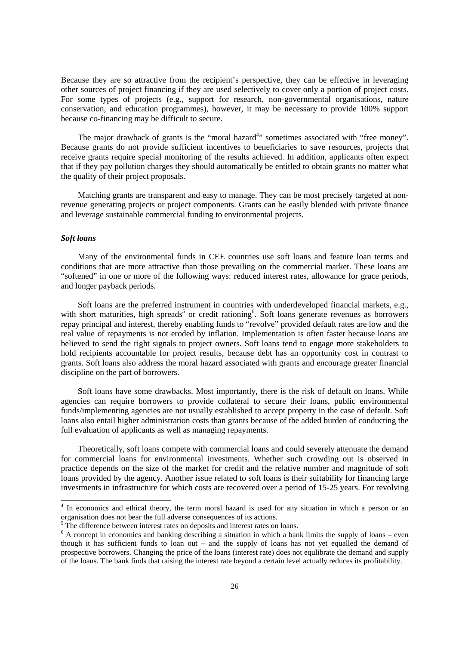Because they are so attractive from the recipient's perspective, they can be effective in leveraging other sources of project financing if they are used selectively to cover only a portion of project costs. For some types of projects (e.g., support for research, non-governmental organisations, nature conservation, and education programmes), however, it may be necessary to provide 100% support because co-financing may be difficult to secure.

The major drawback of grants is the "moral hazard<sup>4</sup>" sometimes associated with "free money". Because grants do not provide sufficient incentives to beneficiaries to save resources, projects that receive grants require special monitoring of the results achieved. In addition, applicants often expect that if they pay pollution charges they should automatically be entitled to obtain grants no matter what the quality of their project proposals.

Matching grants are transparent and easy to manage. They can be most precisely targeted at nonrevenue generating projects or project components. Grants can be easily blended with private finance and leverage sustainable commercial funding to environmental projects.

#### *Soft loans*

Many of the environmental funds in CEE countries use soft loans and feature loan terms and conditions that are more attractive than those prevailing on the commercial market. These loans are "softened" in one or more of the following ways: reduced interest rates, allowance for grace periods, and longer payback periods.

Soft loans are the preferred instrument in countries with underdeveloped financial markets, e.g., with short maturities, high spreads<sup>5</sup> or credit rationing<sup>6</sup>. Soft loans generate revenues as borrowers repay principal and interest, thereby enabling funds to "revolve" provided default rates are low and the real value of repayments is not eroded by inflation. Implementation is often faster because loans are believed to send the right signals to project owners. Soft loans tend to engage more stakeholders to hold recipients accountable for project results, because debt has an opportunity cost in contrast to grants. Soft loans also address the moral hazard associated with grants and encourage greater financial discipline on the part of borrowers.

Soft loans have some drawbacks. Most importantly, there is the risk of default on loans. While agencies can require borrowers to provide collateral to secure their loans, public environmental funds/implementing agencies are not usually established to accept property in the case of default. Soft loans also entail higher administration costs than grants because of the added burden of conducting the full evaluation of applicants as well as managing repayments.

Theoretically, soft loans compete with commercial loans and could severely attenuate the demand for commercial loans for environmental investments. Whether such crowding out is observed in practice depends on the size of the market for credit and the relative number and magnitude of soft loans provided by the agency. Another issue related to soft loans is their suitability for financing large investments in infrastructure for which costs are recovered over a period of 15-25 years. For revolving

<sup>&</sup>lt;sup>4</sup> In economics and ethical theory, the term moral hazard is used for any situation in which a person or an organisation does not bear the full adverse consequences of its actions.

<sup>5</sup> The difference between interest rates on deposits and interest rates on loans.

<sup>&</sup>lt;sup>6</sup> A concept in economics and banking describing a situation in which a bank limits the supply of loans – even though it has sufficient funds to loan out – and the supply of loans has not yet equalled the demand of prospective borrowers. Changing the price of the loans (interest rate) does not equlibrate the demand and supply of the loans. The bank finds that raising the interest rate beyond a certain level actually reduces its profitability.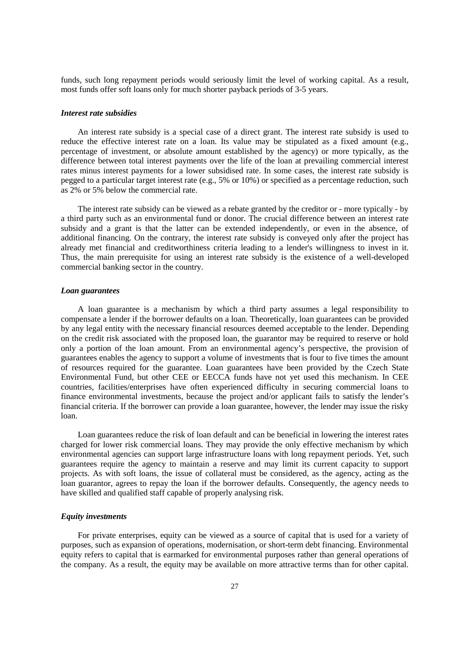funds, such long repayment periods would seriously limit the level of working capital. As a result, most funds offer soft loans only for much shorter payback periods of 3-5 years.

#### *Interest rate subsidies*

An interest rate subsidy is a special case of a direct grant. The interest rate subsidy is used to reduce the effective interest rate on a loan. Its value may be stipulated as a fixed amount (e.g., percentage of investment, or absolute amount established by the agency) or more typically, as the difference between total interest payments over the life of the loan at prevailing commercial interest rates minus interest payments for a lower subsidised rate. In some cases, the interest rate subsidy is pegged to a particular target interest rate (e.g., 5% or 10%) or specified as a percentage reduction, such as 2% or 5% below the commercial rate.

The interest rate subsidy can be viewed as a rebate granted by the creditor or - more typically - by a third party such as an environmental fund or donor. The crucial difference between an interest rate subsidy and a grant is that the latter can be extended independently, or even in the absence, of additional financing. On the contrary, the interest rate subsidy is conveyed only after the project has already met financial and creditworthiness criteria leading to a lender's willingness to invest in it. Thus, the main prerequisite for using an interest rate subsidy is the existence of a well-developed commercial banking sector in the country.

#### *Loan guarantees*

A loan guarantee is a mechanism by which a third party assumes a legal responsibility to compensate a lender if the borrower defaults on a loan. Theoretically, loan guarantees can be provided by any legal entity with the necessary financial resources deemed acceptable to the lender. Depending on the credit risk associated with the proposed loan, the guarantor may be required to reserve or hold only a portion of the loan amount. From an environmental agency's perspective, the provision of guarantees enables the agency to support a volume of investments that is four to five times the amount of resources required for the guarantee. Loan guarantees have been provided by the Czech State Environmental Fund, but other CEE or EECCA funds have not yet used this mechanism. In CEE countries, facilities/enterprises have often experienced difficulty in securing commercial loans to finance environmental investments, because the project and/or applicant fails to satisfy the lender's financial criteria. If the borrower can provide a loan guarantee, however, the lender may issue the risky loan.

Loan guarantees reduce the risk of loan default and can be beneficial in lowering the interest rates charged for lower risk commercial loans. They may provide the only effective mechanism by which environmental agencies can support large infrastructure loans with long repayment periods. Yet, such guarantees require the agency to maintain a reserve and may limit its current capacity to support projects. As with soft loans, the issue of collateral must be considered, as the agency, acting as the loan guarantor, agrees to repay the loan if the borrower defaults. Consequently, the agency needs to have skilled and qualified staff capable of properly analysing risk.

#### *Equity investments*

For private enterprises, equity can be viewed as a source of capital that is used for a variety of purposes, such as expansion of operations, modernisation, or short-term debt financing. Environmental equity refers to capital that is earmarked for environmental purposes rather than general operations of the company. As a result, the equity may be available on more attractive terms than for other capital.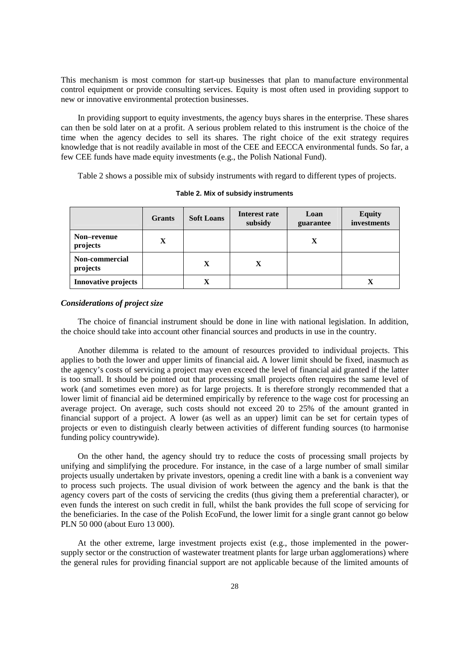This mechanism is most common for start-up businesses that plan to manufacture environmental control equipment or provide consulting services. Equity is most often used in providing support to new or innovative environmental protection businesses.

In providing support to equity investments, the agency buys shares in the enterprise. These shares can then be sold later on at a profit. A serious problem related to this instrument is the choice of the time when the agency decides to sell its shares. The right choice of the exit strategy requires knowledge that is not readily available in most of the CEE and EECCA environmental funds. So far, a few CEE funds have made equity investments (e.g., the Polish National Fund).

Table 2 shows a possible mix of subsidy instruments with regard to different types of projects.

|                            | <b>Grants</b> | <b>Soft Loans</b> | Interest rate<br>subsidy | Loan<br>guarantee | <b>Equity</b><br>investments |
|----------------------------|---------------|-------------------|--------------------------|-------------------|------------------------------|
| Non-revenue<br>projects    | X             |                   |                          | X                 |                              |
| Non-commercial<br>projects |               | X                 | X                        |                   |                              |
| <b>Innovative projects</b> |               | x                 |                          |                   | X                            |

**Table 2. Mix of subsidy instruments** 

#### *Considerations of project size*

The choice of financial instrument should be done in line with national legislation. In addition, the choice should take into account other financial sources and products in use in the country.

Another dilemma is related to the amount of resources provided to individual projects. This applies to both the lower and upper limits of financial aid**.** A lower limit should be fixed, inasmuch as the agency's costs of servicing a project may even exceed the level of financial aid granted if the latter is too small. It should be pointed out that processing small projects often requires the same level of work (and sometimes even more) as for large projects. It is therefore strongly recommended that a lower limit of financial aid be determined empirically by reference to the wage cost for processing an average project. On average, such costs should not exceed 20 to 25% of the amount granted in financial support of a project. A lower (as well as an upper) limit can be set for certain types of projects or even to distinguish clearly between activities of different funding sources (to harmonise funding policy countrywide).

On the other hand, the agency should try to reduce the costs of processing small projects by unifying and simplifying the procedure. For instance, in the case of a large number of small similar projects usually undertaken by private investors, opening a credit line with a bank is a convenient way to process such projects. The usual division of work between the agency and the bank is that the agency covers part of the costs of servicing the credits (thus giving them a preferential character), or even funds the interest on such credit in full, whilst the bank provides the full scope of servicing for the beneficiaries. In the case of the Polish EcoFund, the lower limit for a single grant cannot go below PLN 50 000 (about Euro 13 000).

At the other extreme, large investment projects exist (e.g., those implemented in the powersupply sector or the construction of wastewater treatment plants for large urban agglomerations) where the general rules for providing financial support are not applicable because of the limited amounts of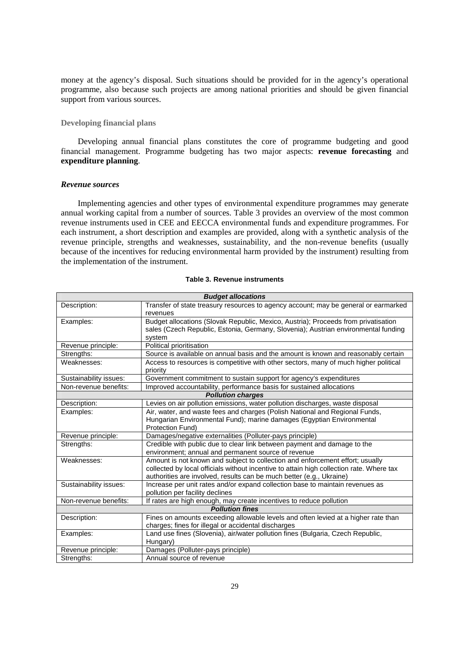money at the agency's disposal. Such situations should be provided for in the agency's operational programme, also because such projects are among national priorities and should be given financial support from various sources.

## **Developing financial plans**

Developing annual financial plans constitutes the core of programme budgeting and good financial management. Programme budgeting has two major aspects: **revenue forecasting** and **expenditure planning**.

#### *Revenue sources*

Implementing agencies and other types of environmental expenditure programmes may generate annual working capital from a number of sources. Table 3 provides an overview of the most common revenue instruments used in CEE and EECCA environmental funds and expenditure programmes. For each instrument, a short description and examples are provided, along with a synthetic analysis of the revenue principle, strengths and weaknesses, sustainability, and the non-revenue benefits (usually because of the incentives for reducing environmental harm provided by the instrument) resulting from the implementation of the instrument.

| <b>Budget allocations</b>                                                                    |                                                                                                                  |  |  |  |  |
|----------------------------------------------------------------------------------------------|------------------------------------------------------------------------------------------------------------------|--|--|--|--|
| Description:                                                                                 | Transfer of state treasury resources to agency account; may be general or earmarked<br>revenues                  |  |  |  |  |
| Examples:                                                                                    | Budget allocations (Slovak Republic, Mexico, Austria); Proceeds from privatisation                               |  |  |  |  |
|                                                                                              | sales (Czech Republic, Estonia, Germany, Slovenia); Austrian environmental funding<br>system                     |  |  |  |  |
| Revenue principle:                                                                           | Political prioritisation                                                                                         |  |  |  |  |
| Strengths:                                                                                   | Source is available on annual basis and the amount is known and reasonably certain                               |  |  |  |  |
| Weaknesses:                                                                                  | Access to resources is competitive with other sectors, many of much higher political<br>priority                 |  |  |  |  |
| Sustainability issues:                                                                       | Government commitment to sustain support for agency's expenditures                                               |  |  |  |  |
| Non-revenue benefits:                                                                        | Improved accountability, performance basis for sustained allocations                                             |  |  |  |  |
|                                                                                              | <b>Pollution charges</b>                                                                                         |  |  |  |  |
| Description:                                                                                 | Levies on air pollution emissions, water pollution discharges, waste disposal                                    |  |  |  |  |
| Examples:                                                                                    | Air, water, and waste fees and charges (Polish National and Regional Funds,                                      |  |  |  |  |
|                                                                                              | Hungarian Environmental Fund); marine damages (Egyptian Environmental                                            |  |  |  |  |
|                                                                                              | Protection Fund)                                                                                                 |  |  |  |  |
| Revenue principle:                                                                           | Damages/negative externalities (Polluter-pays principle)                                                         |  |  |  |  |
| Strengths:                                                                                   | Credible with public due to clear link between payment and damage to the                                         |  |  |  |  |
|                                                                                              | environment; annual and permanent source of revenue                                                              |  |  |  |  |
| Amount is not known and subject to collection and enforcement effort; usually<br>Weaknesses: |                                                                                                                  |  |  |  |  |
|                                                                                              | collected by local officials without incentive to attain high collection rate. Where tax                         |  |  |  |  |
|                                                                                              | authorities are involved, results can be much better (e.g., Ukraine)                                             |  |  |  |  |
| Sustainability issues:                                                                       | Increase per unit rates and/or expand collection base to maintain revenues as<br>pollution per facility declines |  |  |  |  |
| Non-revenue benefits:                                                                        | If rates are high enough, may create incentives to reduce pollution                                              |  |  |  |  |
| <b>Pollution fines</b>                                                                       |                                                                                                                  |  |  |  |  |
| Description:                                                                                 | Fines on amounts exceeding allowable levels and often levied at a higher rate than                               |  |  |  |  |
|                                                                                              | charges; fines for illegal or accidental discharges                                                              |  |  |  |  |
| Examples:                                                                                    | Land use fines (Slovenia), air/water pollution fines (Bulgaria, Czech Republic,                                  |  |  |  |  |
|                                                                                              | Hungary)                                                                                                         |  |  |  |  |
| Revenue principle:                                                                           | Damages (Polluter-pays principle)                                                                                |  |  |  |  |
| Strengths:                                                                                   | Annual source of revenue                                                                                         |  |  |  |  |

#### **Table 3. Revenue instruments**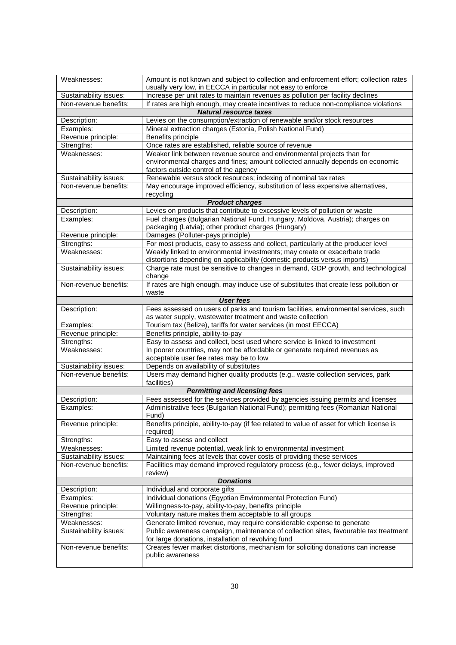| Weaknesses:                   | Amount is not known and subject to collection and enforcement effort; collection rates<br>usually very low, in EECCA in particular not easy to enforce |  |  |  |  |  |
|-------------------------------|--------------------------------------------------------------------------------------------------------------------------------------------------------|--|--|--|--|--|
| Sustainability issues:        | Increase per unit rates to maintain revenues as pollution per facility declines                                                                        |  |  |  |  |  |
| Non-revenue benefits:         | If rates are high enough, may create incentives to reduce non-compliance violations                                                                    |  |  |  |  |  |
| <b>Natural resource taxes</b> |                                                                                                                                                        |  |  |  |  |  |
| Description:                  | Levies on the consumption/extraction of renewable and/or stock resources                                                                               |  |  |  |  |  |
| Examples:                     | Mineral extraction charges (Estonia, Polish National Fund)                                                                                             |  |  |  |  |  |
| Revenue principle:            | Benefits principle                                                                                                                                     |  |  |  |  |  |
| Strengths:                    | Once rates are established, reliable source of revenue                                                                                                 |  |  |  |  |  |
| Weaknesses:                   | Weaker link between revenue source and environmental projects than for                                                                                 |  |  |  |  |  |
|                               | environmental charges and fines; amount collected annually depends on economic                                                                         |  |  |  |  |  |
|                               | factors outside control of the agency                                                                                                                  |  |  |  |  |  |
| Sustainability issues:        | Renewable versus stock resources; indexing of nominal tax rates                                                                                        |  |  |  |  |  |
| Non-revenue benefits:         | May encourage improved efficiency, substitution of less expensive alternatives,<br>recycling                                                           |  |  |  |  |  |
|                               | <b>Product charges</b>                                                                                                                                 |  |  |  |  |  |
| Description:                  | Levies on products that contribute to excessive levels of pollution or waste                                                                           |  |  |  |  |  |
| Examples:                     | Fuel charges (Bulgarian National Fund, Hungary, Moldova, Austria); charges on                                                                          |  |  |  |  |  |
|                               | packaging (Latvia); other product charges (Hungary)                                                                                                    |  |  |  |  |  |
| Revenue principle:            | Damages (Polluter-pays principle)                                                                                                                      |  |  |  |  |  |
| Strengths:                    | For most products, easy to assess and collect, particularly at the producer level                                                                      |  |  |  |  |  |
| Weaknesses:                   | Weakly linked to environmental investments; may create or exacerbate trade                                                                             |  |  |  |  |  |
|                               | distortions depending on applicability (domestic products versus imports)                                                                              |  |  |  |  |  |
| Sustainability issues:        | Charge rate must be sensitive to changes in demand, GDP growth, and technological<br>change                                                            |  |  |  |  |  |
| Non-revenue benefits:         | If rates are high enough, may induce use of substitutes that create less pollution or<br>waste                                                         |  |  |  |  |  |
|                               | <b>User fees</b>                                                                                                                                       |  |  |  |  |  |
| Description:                  | Fees assessed on users of parks and tourism facilities, environmental services, such                                                                   |  |  |  |  |  |
|                               | as water supply, wastewater treatment and waste collection                                                                                             |  |  |  |  |  |
| Examples:                     | Tourism tax (Belize), tariffs for water services (in most EECCA)                                                                                       |  |  |  |  |  |
| Revenue principle:            | Benefits principle, ability-to-pay                                                                                                                     |  |  |  |  |  |
| Strengths:                    | Easy to assess and collect, best used where service is linked to investment                                                                            |  |  |  |  |  |
| Weaknesses:                   | In poorer countries, may not be affordable or generate required revenues as                                                                            |  |  |  |  |  |
|                               | acceptable user fee rates may be to low                                                                                                                |  |  |  |  |  |
| Sustainability issues:        | Depends on availability of substitutes                                                                                                                 |  |  |  |  |  |
| Non-revenue benefits:         | Users may demand higher quality products (e.g., waste collection services, park                                                                        |  |  |  |  |  |
|                               | facilities)                                                                                                                                            |  |  |  |  |  |
|                               | <b>Permitting and licensing fees</b>                                                                                                                   |  |  |  |  |  |
| Description:                  | Fees assessed for the services provided by agencies issuing permits and licenses                                                                       |  |  |  |  |  |
| Examples:                     | Administrative fees (Bulgarian National Fund); permitting fees (Romanian National<br>Fund)                                                             |  |  |  |  |  |
| Revenue principle:            | Benefits principle, ability-to-pay (if fee related to value of asset for which license is<br>required)                                                 |  |  |  |  |  |
| Strengths:                    | Easy to assess and collect                                                                                                                             |  |  |  |  |  |
| Weaknesses:                   | Limited revenue potential, weak link to environmental investment                                                                                       |  |  |  |  |  |
| Sustainability issues:        | Maintaining fees at levels that cover costs of providing these services                                                                                |  |  |  |  |  |
| Non-revenue benefits:         | Facilities may demand improved regulatory process (e.g., fewer delays, improved                                                                        |  |  |  |  |  |
|                               | review)                                                                                                                                                |  |  |  |  |  |
|                               | <b>Donations</b>                                                                                                                                       |  |  |  |  |  |
| Description:                  | Individual and corporate gifts                                                                                                                         |  |  |  |  |  |
| Examples:                     | Individual donations (Egyptian Environmental Protection Fund)                                                                                          |  |  |  |  |  |
| Revenue principle:            | Willingness-to-pay, ability-to-pay, benefits principle                                                                                                 |  |  |  |  |  |
| Strengths:                    | Voluntary nature makes them acceptable to all groups                                                                                                   |  |  |  |  |  |
| Weaknesses:                   | Generate limited revenue, may require considerable expense to generate                                                                                 |  |  |  |  |  |
| Sustainability issues:        | Public awareness campaign, maintenance of collection sites, favourable tax treatment<br>for large donations, installation of revolving fund            |  |  |  |  |  |
| Non-revenue benefits:         | Creates fewer market distortions, mechanism for soliciting donations can increase                                                                      |  |  |  |  |  |
|                               | public awareness                                                                                                                                       |  |  |  |  |  |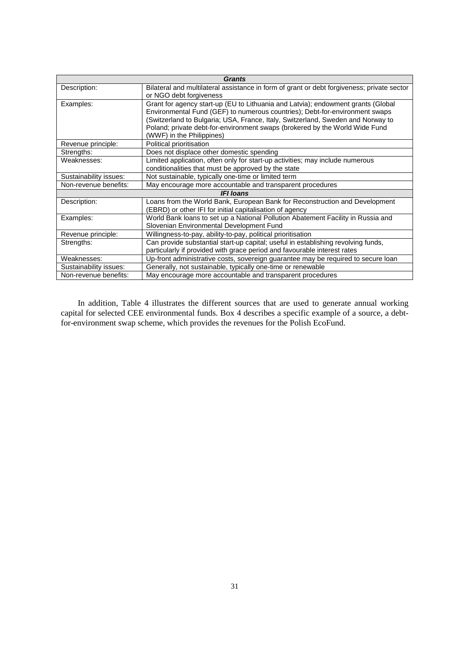| <b>Grants</b>          |                                                                                            |  |  |  |
|------------------------|--------------------------------------------------------------------------------------------|--|--|--|
| Description:           | Bilateral and multilateral assistance in form of grant or debt forgiveness; private sector |  |  |  |
|                        | or NGO debt forgiveness                                                                    |  |  |  |
| Examples:              | Grant for agency start-up (EU to Lithuania and Latvia); endowment grants (Global           |  |  |  |
|                        | Environmental Fund (GEF) to numerous countries); Debt-for-environment swaps                |  |  |  |
|                        | (Switzerland to Bulgaria; USA, France, Italy, Switzerland, Sweden and Norway to            |  |  |  |
|                        | Poland; private debt-for-environment swaps (brokered by the World Wide Fund                |  |  |  |
|                        | (WWF) in the Philippines)                                                                  |  |  |  |
| Revenue principle:     | Political prioritisation                                                                   |  |  |  |
| Strengths:             | Does not displace other domestic spending                                                  |  |  |  |
| Weaknesses:            | Limited application, often only for start-up activities; may include numerous              |  |  |  |
|                        | conditionalities that must be approved by the state                                        |  |  |  |
| Sustainability issues: | Not sustainable, typically one-time or limited term                                        |  |  |  |
| Non-revenue benefits:  | May encourage more accountable and transparent procedures                                  |  |  |  |
| <b>IFI</b> loans       |                                                                                            |  |  |  |
| Description:           | Loans from the World Bank, European Bank for Reconstruction and Development                |  |  |  |
|                        | (EBRD) or other IFI for initial capitalisation of agency                                   |  |  |  |
| Examples:              | World Bank loans to set up a National Pollution Abatement Facility in Russia and           |  |  |  |
|                        | Slovenian Environmental Development Fund                                                   |  |  |  |
| Revenue principle:     | Willingness-to-pay, ability-to-pay, political prioritisation                               |  |  |  |
| Strengths:             | Can provide substantial start-up capital; useful in establishing revolving funds,          |  |  |  |
|                        | particularly if provided with grace period and favourable interest rates                   |  |  |  |
| Weaknesses:            | Up-front administrative costs, sovereign guarantee may be required to secure loan          |  |  |  |
| Sustainability issues: | Generally, not sustainable, typically one-time or renewable                                |  |  |  |
| Non-revenue benefits:  | May encourage more accountable and transparent procedures                                  |  |  |  |

In addition, Table 4 illustrates the different sources that are used to generate annual working capital for selected CEE environmental funds. Box 4 describes a specific example of a source, a debtfor-environment swap scheme, which provides the revenues for the Polish EcoFund.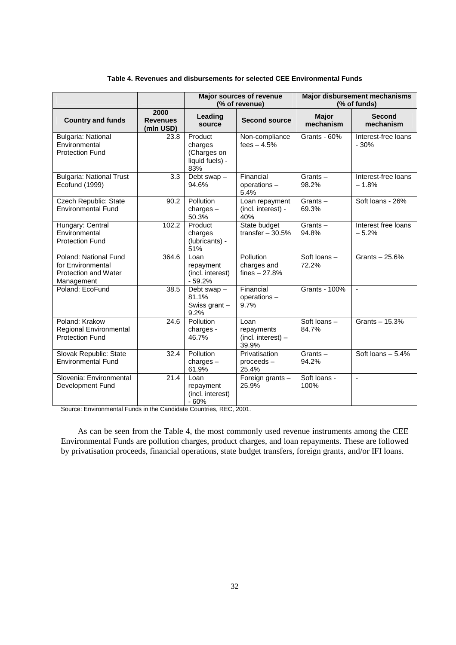|                                                                                         |                                      | <b>Major sources of revenue</b><br>(% of revenue)           |                                                        | <b>Major disbursement mechanisms</b><br>(% of funds) |                                |
|-----------------------------------------------------------------------------------------|--------------------------------------|-------------------------------------------------------------|--------------------------------------------------------|------------------------------------------------------|--------------------------------|
| <b>Country and funds</b>                                                                | 2000<br><b>Revenues</b><br>(mln USD) | Leading<br>source                                           | <b>Second source</b>                                   | Major<br>mechanism                                   | <b>Second</b><br>mechanism     |
| Bulgaria: National<br>Environmental<br><b>Protection Fund</b>                           | 23.8                                 | Product<br>charges<br>(Charges on<br>liquid fuels) -<br>83% | Non-compliance<br>fees $-4.5%$                         | <b>Grants - 60%</b>                                  | Interest-free loans<br>$-30%$  |
| <b>Bulgaria: National Trust</b><br>Ecofund (1999)                                       | 3.3                                  | Debt swap $-$<br>94.6%                                      | Financial<br>operations -<br>5.4%                      | Grants $-$<br>98.2%                                  | Interest-free loans<br>$-1.8%$ |
| Czech Republic: State<br><b>Environmental Fund</b>                                      | 90.2                                 | Pollution<br>$charges -$<br>50.3%                           | Loan repayment<br>(incl. interest) -<br>40%            | Grants $-$<br>69.3%                                  | Soft loans - 26%               |
| Hungary: Central<br>Environmental<br><b>Protection Fund</b>                             | 102.2                                | Product<br>charges<br>(lubricants) -<br>51%                 | State budget<br>transfer $-30.5%$                      | Grants $-$<br>94.8%                                  | Interest free loans<br>$-5.2%$ |
| Poland: National Fund<br>for Environmental<br><b>Protection and Water</b><br>Management | 364.6                                | Loan<br>repayment<br>(incl. interest)<br>$-59.2%$           | Pollution<br>charges and<br>fines $-27.8%$             | Soft loans -<br>72.2%                                | Grants $-25.6%$                |
| Poland: EcoFund                                                                         | 38.5                                 | Debt swap-<br>81.1%<br>Swiss grant-<br>9.2%                 | Financial<br>operations -<br>9.7%                      | Grants - 100%                                        | $\sim$                         |
| Poland: Krakow<br>Regional Environmental<br><b>Protection Fund</b>                      | $\overline{2}$ 4.6                   | Pollution<br>charges -<br>46.7%                             | Loan<br>repayments<br>$(incl.$ interest $)$ –<br>39.9% | Soft loans -<br>84.7%                                | Grants $-15.3%$                |
| Slovak Republic: State<br><b>Environmental Fund</b>                                     | 32.4                                 | Pollution<br>$charges -$<br>61.9%                           | Privatisation<br>$process -$<br>25.4%                  | Grants $-$<br>94.2%                                  | Soft loans $-5.4%$             |
| Slovenia: Environmental<br>Development Fund                                             | 21.4                                 | Loan<br>repayment<br>(incl. interest)<br>$-60%$             | Foreign grants -<br>25.9%                              | Soft loans -<br>100%                                 | $\blacksquare$                 |

# **Table 4. Revenues and disbursements for selected CEE Environmental Funds**

Source: Environmental Funds in the Candidate Countries, REC, 2001.

As can be seen from the Table 4, the most commonly used revenue instruments among the CEE Environmental Funds are pollution charges, product charges, and loan repayments. These are followed by privatisation proceeds, financial operations, state budget transfers, foreign grants, and/or IFI loans.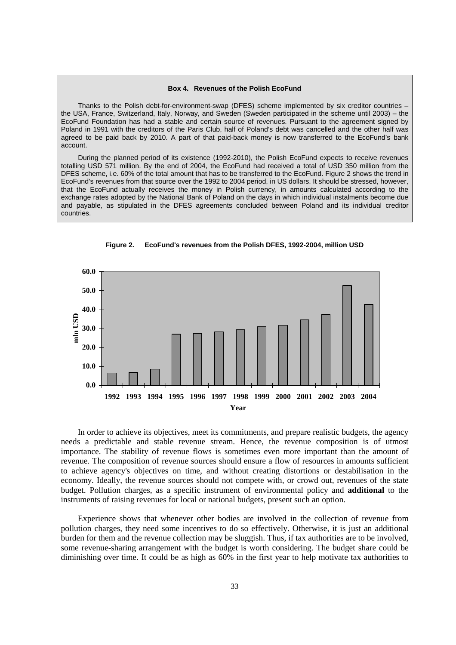#### **Box 4. Revenues of the Polish EcoFund**

Thanks to the Polish debt-for-environment-swap (DFES) scheme implemented by six creditor countries – the USA, France, Switzerland, Italy, Norway, and Sweden (Sweden participated in the scheme until 2003) – the EcoFund Foundation has had a stable and certain source of revenues. Pursuant to the agreement signed by Poland in 1991 with the creditors of the Paris Club, half of Poland's debt was cancelled and the other half was agreed to be paid back by 2010. A part of that paid-back money is now transferred to the EcoFund's bank account.

During the planned period of its existence (1992-2010), the Polish EcoFund expects to receive revenues totalling USD 571 million. By the end of 2004, the EcoFund had received a total of USD 350 million from the DFES scheme, i.e. 60% of the total amount that has to be transferred to the EcoFund. Figure 2 shows the trend in EcoFund's revenues from that source over the 1992 to 2004 period, in US dollars. It should be stressed, however, that the EcoFund actually receives the money in Polish currency, in amounts calculated according to the exchange rates adopted by the National Bank of Poland on the days in which individual instalments become due and payable, as stipulated in the DFES agreements concluded between Poland and its individual creditor countries.



**Figure 2. EcoFund's revenues from the Polish DFES, 1992-2004, million USD** 

In order to achieve its objectives, meet its commitments, and prepare realistic budgets, the agency needs a predictable and stable revenue stream. Hence, the revenue composition is of utmost importance. The stability of revenue flows is sometimes even more important than the amount of revenue. The composition of revenue sources should ensure a flow of resources in amounts sufficient to achieve agency's objectives on time, and without creating distortions or destabilisation in the economy. Ideally, the revenue sources should not compete with, or crowd out, revenues of the state budget. Pollution charges, as a specific instrument of environmental policy and **additional** to the instruments of raising revenues for local or national budgets, present such an option.

Experience shows that whenever other bodies are involved in the collection of revenue from pollution charges, they need some incentives to do so effectively. Otherwise, it is just an additional burden for them and the revenue collection may be sluggish. Thus, if tax authorities are to be involved, some revenue-sharing arrangement with the budget is worth considering. The budget share could be diminishing over time. It could be as high as 60% in the first year to help motivate tax authorities to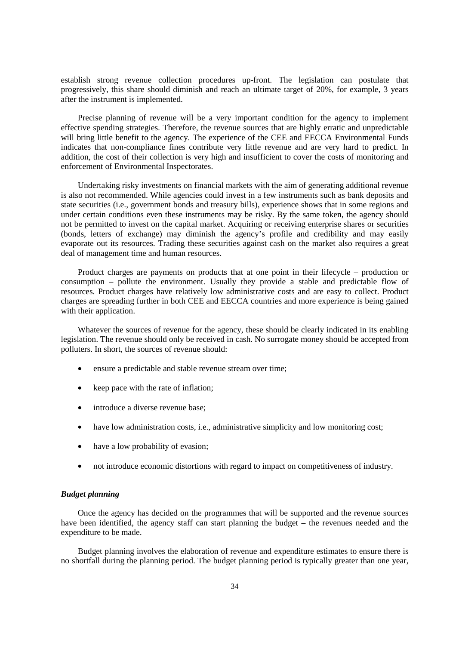establish strong revenue collection procedures up-front. The legislation can postulate that progressively, this share should diminish and reach an ultimate target of 20%, for example, 3 years after the instrument is implemented.

Precise planning of revenue will be a very important condition for the agency to implement effective spending strategies. Therefore, the revenue sources that are highly erratic and unpredictable will bring little benefit to the agency. The experience of the CEE and EECCA Environmental Funds indicates that non-compliance fines contribute very little revenue and are very hard to predict. In addition, the cost of their collection is very high and insufficient to cover the costs of monitoring and enforcement of Environmental Inspectorates.

Undertaking risky investments on financial markets with the aim of generating additional revenue is also not recommended. While agencies could invest in a few instruments such as bank deposits and state securities (i.e., government bonds and treasury bills), experience shows that in some regions and under certain conditions even these instruments may be risky. By the same token, the agency should not be permitted to invest on the capital market. Acquiring or receiving enterprise shares or securities (bonds, letters of exchange) may diminish the agency's profile and credibility and may easily evaporate out its resources. Trading these securities against cash on the market also requires a great deal of management time and human resources.

Product charges are payments on products that at one point in their lifecycle – production or consumption – pollute the environment. Usually they provide a stable and predictable flow of resources. Product charges have relatively low administrative costs and are easy to collect. Product charges are spreading further in both CEE and EECCA countries and more experience is being gained with their application.

Whatever the sources of revenue for the agency, these should be clearly indicated in its enabling legislation. The revenue should only be received in cash. No surrogate money should be accepted from polluters. In short, the sources of revenue should:

- ensure a predictable and stable revenue stream over time;
- keep pace with the rate of inflation;
- introduce a diverse revenue base;
- have low administration costs, i.e., administrative simplicity and low monitoring cost;
- have a low probability of evasion;
- not introduce economic distortions with regard to impact on competitiveness of industry.

## *Budget planning*

Once the agency has decided on the programmes that will be supported and the revenue sources have been identified, the agency staff can start planning the budget – the revenues needed and the expenditure to be made.

Budget planning involves the elaboration of revenue and expenditure estimates to ensure there is no shortfall during the planning period. The budget planning period is typically greater than one year,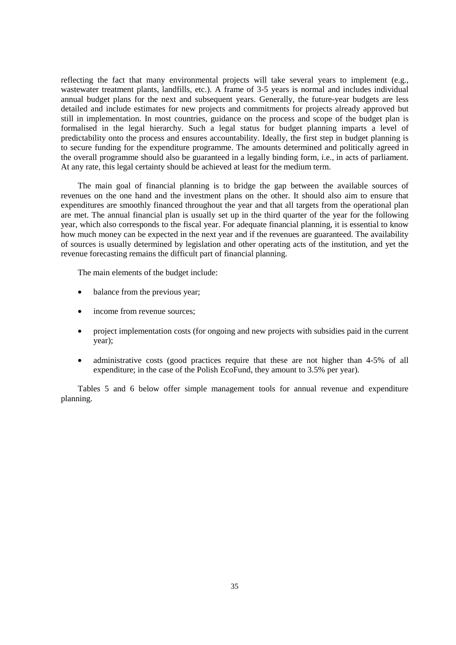reflecting the fact that many environmental projects will take several years to implement (e.g., wastewater treatment plants, landfills, etc.). A frame of 3-5 years is normal and includes individual annual budget plans for the next and subsequent years. Generally, the future-year budgets are less detailed and include estimates for new projects and commitments for projects already approved but still in implementation. In most countries, guidance on the process and scope of the budget plan is formalised in the legal hierarchy. Such a legal status for budget planning imparts a level of predictability onto the process and ensures accountability. Ideally, the first step in budget planning is to secure funding for the expenditure programme. The amounts determined and politically agreed in the overall programme should also be guaranteed in a legally binding form, i.e., in acts of parliament. At any rate, this legal certainty should be achieved at least for the medium term.

The main goal of financial planning is to bridge the gap between the available sources of revenues on the one hand and the investment plans on the other. It should also aim to ensure that expenditures are smoothly financed throughout the year and that all targets from the operational plan are met. The annual financial plan is usually set up in the third quarter of the year for the following year, which also corresponds to the fiscal year. For adequate financial planning, it is essential to know how much money can be expected in the next year and if the revenues are guaranteed. The availability of sources is usually determined by legislation and other operating acts of the institution, and yet the revenue forecasting remains the difficult part of financial planning.

The main elements of the budget include:

- balance from the previous year:
- income from revenue sources:
- project implementation costs (for ongoing and new projects with subsidies paid in the current year);
- administrative costs (good practices require that these are not higher than 4-5% of all expenditure; in the case of the Polish EcoFund, they amount to 3.5% per year).

Tables 5 and 6 below offer simple management tools for annual revenue and expenditure planning.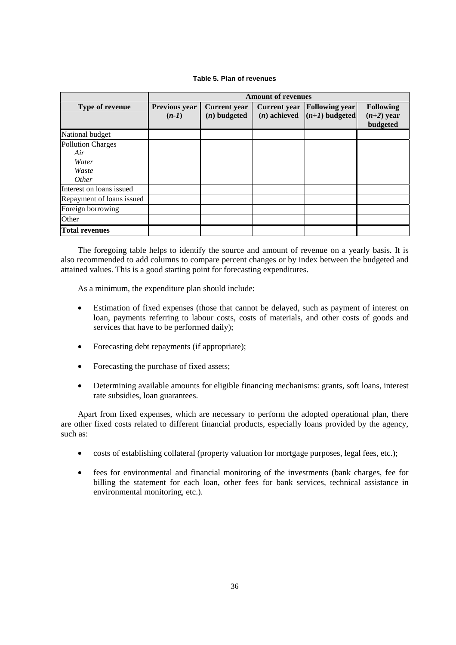## **Table 5. Plan of revenues**

|                           | <b>Amount of revenues</b> |                                       |                                       |                                           |                                              |  |  |
|---------------------------|---------------------------|---------------------------------------|---------------------------------------|-------------------------------------------|----------------------------------------------|--|--|
| Type of revenue           | Previous year<br>$(n-1)$  | <b>Current</b> year<br>$(n)$ budgeted | <b>Current year</b><br>$(n)$ achieved | <b>Following year</b><br>$(n+1)$ budgeted | <b>Following</b><br>$(n+2)$ year<br>budgeted |  |  |
| National budget           |                           |                                       |                                       |                                           |                                              |  |  |
| <b>Pollution Charges</b>  |                           |                                       |                                       |                                           |                                              |  |  |
| Air                       |                           |                                       |                                       |                                           |                                              |  |  |
| Water                     |                           |                                       |                                       |                                           |                                              |  |  |
| Waste                     |                           |                                       |                                       |                                           |                                              |  |  |
| <i>Other</i>              |                           |                                       |                                       |                                           |                                              |  |  |
| Interest on loans issued  |                           |                                       |                                       |                                           |                                              |  |  |
| Repayment of loans issued |                           |                                       |                                       |                                           |                                              |  |  |
| Foreign borrowing         |                           |                                       |                                       |                                           |                                              |  |  |
| Other                     |                           |                                       |                                       |                                           |                                              |  |  |
| <b>Total revenues</b>     |                           |                                       |                                       |                                           |                                              |  |  |

The foregoing table helps to identify the source and amount of revenue on a yearly basis. It is also recommended to add columns to compare percent changes or by index between the budgeted and attained values. This is a good starting point for forecasting expenditures.

As a minimum, the expenditure plan should include:

- Estimation of fixed expenses (those that cannot be delayed, such as payment of interest on loan, payments referring to labour costs, costs of materials, and other costs of goods and services that have to be performed daily);
- Forecasting debt repayments (if appropriate);
- Forecasting the purchase of fixed assets;
- Determining available amounts for eligible financing mechanisms: grants, soft loans, interest rate subsidies, loan guarantees.

Apart from fixed expenses, which are necessary to perform the adopted operational plan, there are other fixed costs related to different financial products, especially loans provided by the agency, such as:

- costs of establishing collateral (property valuation for mortgage purposes, legal fees, etc.);
- fees for environmental and financial monitoring of the investments (bank charges, fee for billing the statement for each loan, other fees for bank services, technical assistance in environmental monitoring, etc.).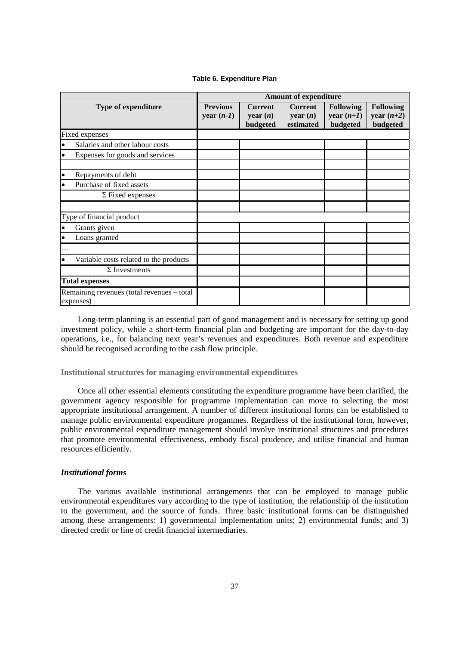#### **Table 6. Expenditure Plan**

|                                                         | <b>Amount of expenditure</b>    |                                          |                                           |                                              |                                              |  |  |
|---------------------------------------------------------|---------------------------------|------------------------------------------|-------------------------------------------|----------------------------------------------|----------------------------------------------|--|--|
| <b>Type of expenditure</b>                              | <b>Previous</b><br>year $(n-1)$ | <b>Current</b><br>year $(n)$<br>budgeted | <b>Current</b><br>year $(n)$<br>estimated | <b>Following</b><br>year $(n+1)$<br>budgeted | <b>Following</b><br>year $(n+2)$<br>budgeted |  |  |
| Fixed expenses                                          |                                 |                                          |                                           |                                              |                                              |  |  |
| Salaries and other labour costs                         |                                 |                                          |                                           |                                              |                                              |  |  |
| Expenses for goods and services<br>٠                    |                                 |                                          |                                           |                                              |                                              |  |  |
|                                                         |                                 |                                          |                                           |                                              |                                              |  |  |
| Repayments of debt                                      |                                 |                                          |                                           |                                              |                                              |  |  |
| Purchase of fixed assets                                |                                 |                                          |                                           |                                              |                                              |  |  |
| $\Sigma$ Fixed expenses                                 |                                 |                                          |                                           |                                              |                                              |  |  |
|                                                         |                                 |                                          |                                           |                                              |                                              |  |  |
| Type of financial product                               |                                 |                                          |                                           |                                              |                                              |  |  |
| Grants given                                            |                                 |                                          |                                           |                                              |                                              |  |  |
| Loans granted                                           |                                 |                                          |                                           |                                              |                                              |  |  |
| .                                                       |                                 |                                          |                                           |                                              |                                              |  |  |
| Variable costs related to the products<br>$\bullet$     |                                 |                                          |                                           |                                              |                                              |  |  |
| $\Sigma$ Investments                                    |                                 |                                          |                                           |                                              |                                              |  |  |
| <b>Total expenses</b>                                   |                                 |                                          |                                           |                                              |                                              |  |  |
| Remaining revenues (total revenues - total<br>expenses) |                                 |                                          |                                           |                                              |                                              |  |  |

Long-term planning is an essential part of good management and is necessary for setting up good investment policy, while a short-term financial plan and budgeting are important for the day-to-day operations, i.e., for balancing next year's revenues and expenditures. Both revenue and expenditure should be recognised according to the cash flow principle.

## **Institutional structures for managing environmental expenditures**

Once all other essential elements constituting the expenditure programme have been clarified, the government agency responsible for programme implementation can move to selecting the most appropriate institutional arrangement. A number of different institutional forms can be established to manage public environmental expenditure progammes. Regardless of the institutional form, however, public environmental expenditure management should involve institutional structures and procedures that promote environmental effectiveness, embody fiscal prudence, and utilise financial and human resources efficiently.

## *Institutional forms*

The various available institutional arrangements that can be employed to manage public environmental expenditures vary according to the type of institution, the relationship of the institution to the government, and the source of funds. Three basic institutional forms can be distinguished among these arrangements: 1) governmental implementation units; 2) environmental funds; and 3) directed credit or line of credit financial intermediaries.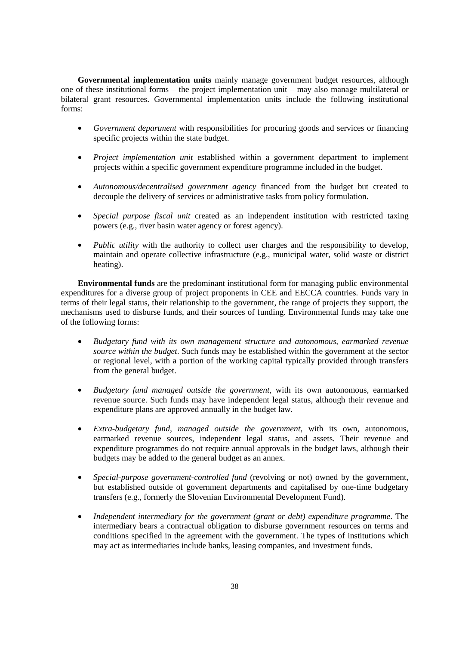**Governmental implementation units** mainly manage government budget resources, although one of these institutional forms – the project implementation unit – may also manage multilateral or bilateral grant resources. Governmental implementation units include the following institutional forms:

- *Government department* with responsibilities for procuring goods and services or financing specific projects within the state budget.
- *Project implementation unit* established within a government department to implement projects within a specific government expenditure programme included in the budget.
- *Autonomous/decentralised government agency* financed from the budget but created to decouple the delivery of services or administrative tasks from policy formulation.
- *Special purpose fiscal unit* created as an independent institution with restricted taxing powers (e.g., river basin water agency or forest agency).
- *Public utility* with the authority to collect user charges and the responsibility to develop, maintain and operate collective infrastructure (e.g., municipal water, solid waste or district heating).

**Environmental funds** are the predominant institutional form for managing public environmental expenditures for a diverse group of project proponents in CEE and EECCA countries. Funds vary in terms of their legal status, their relationship to the government, the range of projects they support, the mechanisms used to disburse funds, and their sources of funding. Environmental funds may take one of the following forms:

- *Budgetary fund with its own management structure and autonomous, earmarked revenue source within the budget*. Such funds may be established within the government at the sector or regional level, with a portion of the working capital typically provided through transfers from the general budget.
- *Budgetary fund managed outside the government*, with its own autonomous, earmarked revenue source. Such funds may have independent legal status, although their revenue and expenditure plans are approved annually in the budget law.
- *Extra-budgetary fund, managed outside the government*, with its own, autonomous, earmarked revenue sources, independent legal status, and assets. Their revenue and expenditure programmes do not require annual approvals in the budget laws, although their budgets may be added to the general budget as an annex.
- *Special-purpose government-controlled fund* (revolving or not) owned by the government, but established outside of government departments and capitalised by one-time budgetary transfers (e.g., formerly the Slovenian Environmental Development Fund).
- *Independent intermediary for the government (grant or debt) expenditure programme*. The intermediary bears a contractual obligation to disburse government resources on terms and conditions specified in the agreement with the government. The types of institutions which may act as intermediaries include banks, leasing companies, and investment funds.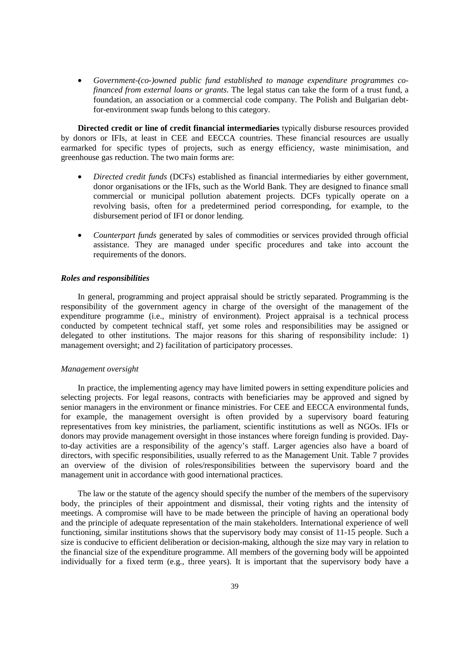• *Government-(co-)owned public fund established to manage expenditure programmes cofinanced from external loans or grants*. The legal status can take the form of a trust fund, a foundation, an association or a commercial code company. The Polish and Bulgarian debtfor-environment swap funds belong to this category.

**Directed credit or line of credit financial intermediaries** typically disburse resources provided by donors or IFIs, at least in CEE and EECCA countries. These financial resources are usually earmarked for specific types of projects, such as energy efficiency, waste minimisation, and greenhouse gas reduction. The two main forms are:

- *Directed credit funds* (DCFs) established as financial intermediaries by either government, donor organisations or the IFIs, such as the World Bank. They are designed to finance small commercial or municipal pollution abatement projects. DCFs typically operate on a revolving basis, often for a predetermined period corresponding, for example, to the disbursement period of IFI or donor lending.
- *Counterpart funds* generated by sales of commodities or services provided through official assistance. They are managed under specific procedures and take into account the requirements of the donors.

### *Roles and responsibilities*

In general, programming and project appraisal should be strictly separated. Programming is the responsibility of the government agency in charge of the oversight of the management of the expenditure programme (i.e., ministry of environment). Project appraisal is a technical process conducted by competent technical staff, yet some roles and responsibilities may be assigned or delegated to other institutions. The major reasons for this sharing of responsibility include: 1) management oversight; and 2) facilitation of participatory processes.

### *Management oversight*

In practice, the implementing agency may have limited powers in setting expenditure policies and selecting projects. For legal reasons, contracts with beneficiaries may be approved and signed by senior managers in the environment or finance ministries. For CEE and EECCA environmental funds, for example, the management oversight is often provided by a supervisory board featuring representatives from key ministries, the parliament, scientific institutions as well as NGOs. IFIs or donors may provide management oversight in those instances where foreign funding is provided. Dayto-day activities are a responsibility of the agency's staff. Larger agencies also have a board of directors, with specific responsibilities, usually referred to as the Management Unit. Table 7 provides an overview of the division of roles/responsibilities between the supervisory board and the management unit in accordance with good international practices.

The law or the statute of the agency should specify the number of the members of the supervisory body, the principles of their appointment and dismissal, their voting rights and the intensity of meetings. A compromise will have to be made between the principle of having an operational body and the principle of adequate representation of the main stakeholders. International experience of well functioning, similar institutions shows that the supervisory body may consist of 11-15 people. Such a size is conducive to efficient deliberation or decision-making, although the size may vary in relation to the financial size of the expenditure programme. All members of the governing body will be appointed individually for a fixed term (e.g., three years). It is important that the supervisory body have a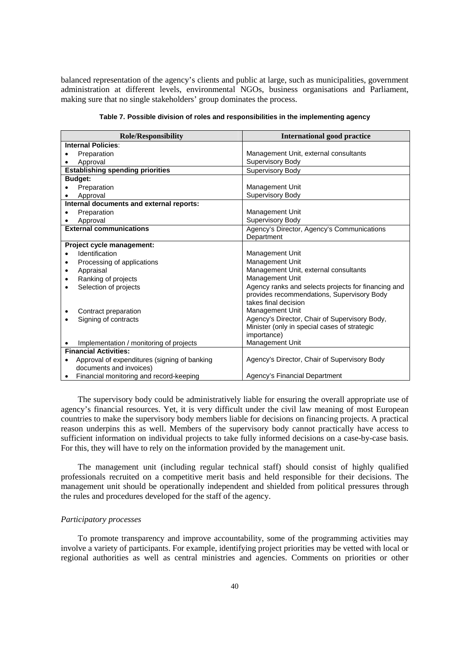balanced representation of the agency's clients and public at large, such as municipalities, government administration at different levels, environmental NGOs, business organisations and Parliament, making sure that no single stakeholders' group dominates the process.

| <b>Role/Responsibility</b>                                              | <b>International good practice</b>                  |
|-------------------------------------------------------------------------|-----------------------------------------------------|
| Internal Policies:                                                      |                                                     |
| Preparation                                                             | Management Unit, external consultants               |
| Approval                                                                | Supervisory Body                                    |
| <b>Establishing spending priorities</b>                                 | Supervisory Body                                    |
| <b>Budget:</b>                                                          |                                                     |
| Preparation                                                             | Management Unit                                     |
| Approval                                                                | Supervisory Body                                    |
| Internal documents and external reports:                                |                                                     |
| Preparation                                                             | Management Unit                                     |
| Approval                                                                | Supervisory Body                                    |
| <b>External communications</b>                                          | Agency's Director, Agency's Communications          |
|                                                                         | Department                                          |
| Project cycle management:                                               |                                                     |
| Identification                                                          | Management Unit                                     |
| Processing of applications                                              | Management Unit                                     |
| Appraisal<br>٠                                                          | Management Unit, external consultants               |
| Ranking of projects                                                     | Management Unit                                     |
| Selection of projects                                                   | Agency ranks and selects projects for financing and |
|                                                                         | provides recommendations, Supervisory Body          |
|                                                                         | takes final decision                                |
| Contract preparation                                                    | Management Unit                                     |
| Signing of contracts                                                    | Agency's Director, Chair of Supervisory Body,       |
|                                                                         | Minister (only in special cases of strategic        |
|                                                                         | importance)                                         |
| Implementation / monitoring of projects                                 | Management Unit                                     |
| <b>Financial Activities:</b>                                            |                                                     |
| Approval of expenditures (signing of banking<br>documents and invoices) | Agency's Director, Chair of Supervisory Body        |
| Financial monitoring and record-keeping                                 | Agency's Financial Department                       |

**Table 7. Possible division of roles and responsibilities in the implementing agency** 

The supervisory body could be administratively liable for ensuring the overall appropriate use of agency's financial resources. Yet, it is very difficult under the civil law meaning of most European countries to make the supervisory body members liable for decisions on financing projects. A practical reason underpins this as well. Members of the supervisory body cannot practically have access to sufficient information on individual projects to take fully informed decisions on a case-by-case basis. For this, they will have to rely on the information provided by the management unit.

The management unit (including regular technical staff) should consist of highly qualified professionals recruited on a competitive merit basis and held responsible for their decisions. The management unit should be operationally independent and shielded from political pressures through the rules and procedures developed for the staff of the agency.

## *Participatory processes*

To promote transparency and improve accountability, some of the programming activities may involve a variety of participants. For example, identifying project priorities may be vetted with local or regional authorities as well as central ministries and agencies. Comments on priorities or other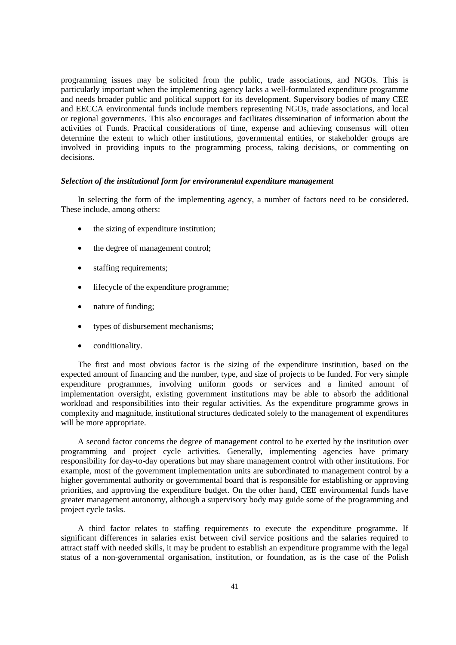programming issues may be solicited from the public, trade associations, and NGOs. This is particularly important when the implementing agency lacks a well-formulated expenditure programme and needs broader public and political support for its development. Supervisory bodies of many CEE and EECCA environmental funds include members representing NGOs, trade associations, and local or regional governments. This also encourages and facilitates dissemination of information about the activities of Funds. Practical considerations of time, expense and achieving consensus will often determine the extent to which other institutions, governmental entities, or stakeholder groups are involved in providing inputs to the programming process, taking decisions, or commenting on decisions.

# *Selection of the institutional form for environmental expenditure management*

In selecting the form of the implementing agency, a number of factors need to be considered. These include, among others:

- the sizing of expenditure institution;
- the degree of management control;
- staffing requirements;
- lifecycle of the expenditure programme;
- nature of funding;
- types of disbursement mechanisms;
- conditionality.

The first and most obvious factor is the sizing of the expenditure institution, based on the expected amount of financing and the number, type, and size of projects to be funded. For very simple expenditure programmes, involving uniform goods or services and a limited amount of implementation oversight, existing government institutions may be able to absorb the additional workload and responsibilities into their regular activities. As the expenditure programme grows in complexity and magnitude, institutional structures dedicated solely to the management of expenditures will be more appropriate.

A second factor concerns the degree of management control to be exerted by the institution over programming and project cycle activities. Generally, implementing agencies have primary responsibility for day-to-day operations but may share management control with other institutions. For example, most of the government implementation units are subordinated to management control by a higher governmental authority or governmental board that is responsible for establishing or approving priorities, and approving the expenditure budget. On the other hand, CEE environmental funds have greater management autonomy, although a supervisory body may guide some of the programming and project cycle tasks.

A third factor relates to staffing requirements to execute the expenditure programme. If significant differences in salaries exist between civil service positions and the salaries required to attract staff with needed skills, it may be prudent to establish an expenditure programme with the legal status of a non-governmental organisation, institution, or foundation, as is the case of the Polish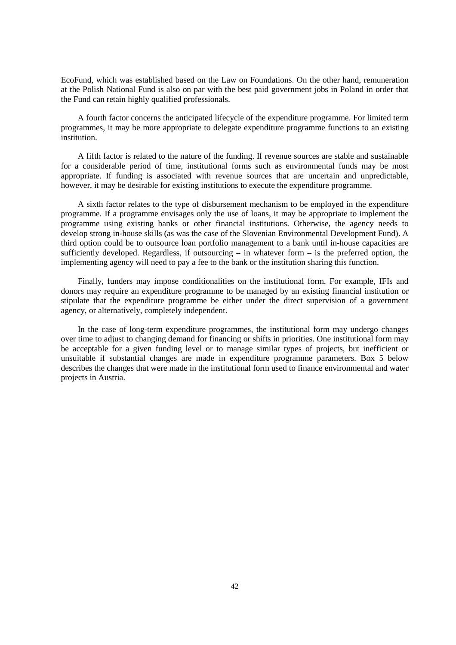EcoFund, which was established based on the Law on Foundations. On the other hand, remuneration at the Polish National Fund is also on par with the best paid government jobs in Poland in order that the Fund can retain highly qualified professionals.

A fourth factor concerns the anticipated lifecycle of the expenditure programme. For limited term programmes, it may be more appropriate to delegate expenditure programme functions to an existing institution.

A fifth factor is related to the nature of the funding. If revenue sources are stable and sustainable for a considerable period of time, institutional forms such as environmental funds may be most appropriate. If funding is associated with revenue sources that are uncertain and unpredictable, however, it may be desirable for existing institutions to execute the expenditure programme.

A sixth factor relates to the type of disbursement mechanism to be employed in the expenditure programme. If a programme envisages only the use of loans, it may be appropriate to implement the programme using existing banks or other financial institutions. Otherwise, the agency needs to develop strong in-house skills (as was the case of the Slovenian Environmental Development Fund). A third option could be to outsource loan portfolio management to a bank until in-house capacities are sufficiently developed. Regardless, if outsourcing – in whatever form – is the preferred option, the implementing agency will need to pay a fee to the bank or the institution sharing this function.

Finally, funders may impose conditionalities on the institutional form. For example, IFIs and donors may require an expenditure programme to be managed by an existing financial institution or stipulate that the expenditure programme be either under the direct supervision of a government agency, or alternatively, completely independent.

In the case of long-term expenditure programmes, the institutional form may undergo changes over time to adjust to changing demand for financing or shifts in priorities. One institutional form may be acceptable for a given funding level or to manage similar types of projects, but inefficient or unsuitable if substantial changes are made in expenditure programme parameters. Box 5 below describes the changes that were made in the institutional form used to finance environmental and water projects in Austria.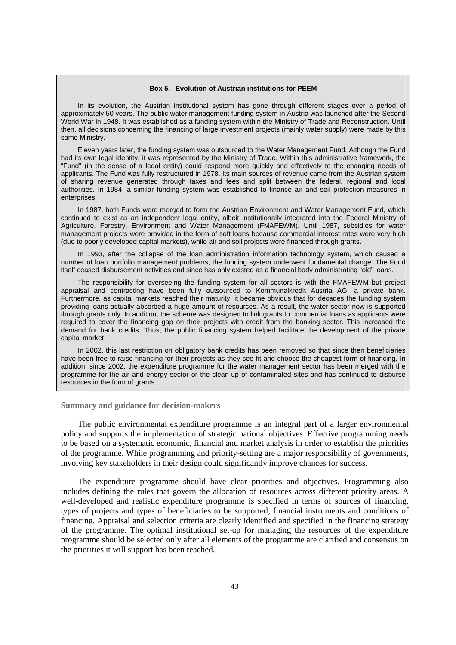#### **Box 5. Evolution of Austrian institutions for PEEM**

In its evolution, the Austrian institutional system has gone through different stages over a period of approximately 50 years. The public water management funding system in Austria was launched after the Second World War in 1948. It was established as a funding system within the Ministry of Trade and Reconstruction. Until then, all decisions concerning the financing of large investment projects (mainly water supply) were made by this same Ministry.

Eleven years later, the funding system was outsourced to the Water Management Fund. Although the Fund had its own legal identity, it was represented by the Ministry of Trade. Within this administrative framework, the "Fund" (in the sense of a legal entity) could respond more quickly and effectively to the changing needs of applicants. The Fund was fully restructured in 1978. Its main sources of revenue came from the Austrian system of sharing revenue generated through taxes and fees and split between the federal, regional and local authorities. In 1984, a similar funding system was established to finance air and soil protection measures in enterprises.

In 1987, both Funds were merged to form the Austrian Environment and Water Management Fund, which continued to exist as an independent legal entity, albeit institutionally integrated into the Federal Ministry of Agriculture, Forestry, Environment and Water Management (FMAFEWM). Until 1987, subsidies for water management projects were provided in the form of soft loans because commercial interest rates were very high (due to poorly developed capital markets), while air and soil projects were financed through grants.

In 1993, after the collapse of the loan administration information technology system, which caused a number of loan portfolio management problems, the funding system underwent fundamental change. The Fund itself ceased disbursement activities and since has only existed as a financial body administrating "old" loans.

The responsibility for overseeing the funding system for all sectors is with the FMAFEWM but project appraisal and contracting have been fully outsourced to Kommunalkredit Austria AG, a private bank. Furthermore, as capital markets reached their maturity, it became obvious that for decades the funding system providing loans actually absorbed a huge amount of resources. As a result, the water sector now is supported through grants only. In addition, the scheme was designed to link grants to commercial loans as applicants were required to cover the financing gap on their projects with credit from the banking sector. This increased the demand for bank credits. Thus, the public financing system helped facilitate the development of the private capital market.

In 2002, this last restriction on obligatory bank credits has been removed so that since then beneficiaries have been free to raise financing for their projects as they see fit and choose the cheapest form of financing. In addition, since 2002, the expenditure programme for the water management sector has been merged with the programme for the air and energy sector or the clean-up of contaminated sites and has continued to disburse resources in the form of grants.

#### **Summary and guidance for decision-makers**

The public environmental expenditure programme is an integral part of a larger environmental policy and supports the implementation of strategic national objectives. Effective programming needs to be based on a systematic economic, financial and market analysis in order to establish the priorities of the programme. While programming and priority-setting are a major responsibility of governments, involving key stakeholders in their design could significantly improve chances for success.

The expenditure programme should have clear priorities and objectives. Programming also includes defining the rules that govern the allocation of resources across different priority areas. A well-developed and realistic expenditure programme is specified in terms of sources of financing, types of projects and types of beneficiaries to be supported, financial instruments and conditions of financing. Appraisal and selection criteria are clearly identified and specified in the financing strategy of the programme. The optimal institutional set-up for managing the resources of the expenditure programme should be selected only after all elements of the programme are clarified and consensus on the priorities it will support has been reached.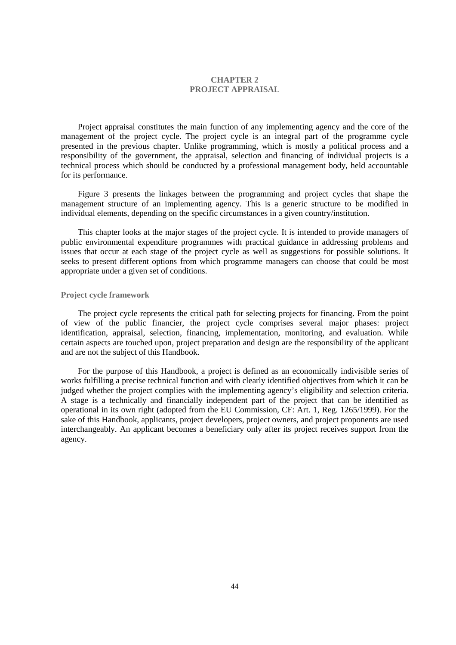# **CHAPTER 2 PROJECT APPRAISAL**

Project appraisal constitutes the main function of any implementing agency and the core of the management of the project cycle. The project cycle is an integral part of the programme cycle presented in the previous chapter. Unlike programming, which is mostly a political process and a responsibility of the government, the appraisal, selection and financing of individual projects is a technical process which should be conducted by a professional management body, held accountable for its performance.

Figure 3 presents the linkages between the programming and project cycles that shape the management structure of an implementing agency. This is a generic structure to be modified in individual elements, depending on the specific circumstances in a given country/institution.

This chapter looks at the major stages of the project cycle. It is intended to provide managers of public environmental expenditure programmes with practical guidance in addressing problems and issues that occur at each stage of the project cycle as well as suggestions for possible solutions. It seeks to present different options from which programme managers can choose that could be most appropriate under a given set of conditions.

#### **Project cycle framework**

The project cycle represents the critical path for selecting projects for financing. From the point of view of the public financier, the project cycle comprises several major phases: project identification, appraisal, selection, financing, implementation, monitoring, and evaluation. While certain aspects are touched upon, project preparation and design are the responsibility of the applicant and are not the subject of this Handbook.

For the purpose of this Handbook, a project is defined as an economically indivisible series of works fulfilling a precise technical function and with clearly identified objectives from which it can be judged whether the project complies with the implementing agency's eligibility and selection criteria. A stage is a technically and financially independent part of the project that can be identified as operational in its own right (adopted from the EU Commission, CF: Art. 1, Reg. 1265/1999). For the sake of this Handbook, applicants, project developers, project owners, and project proponents are used interchangeably. An applicant becomes a beneficiary only after its project receives support from the agency.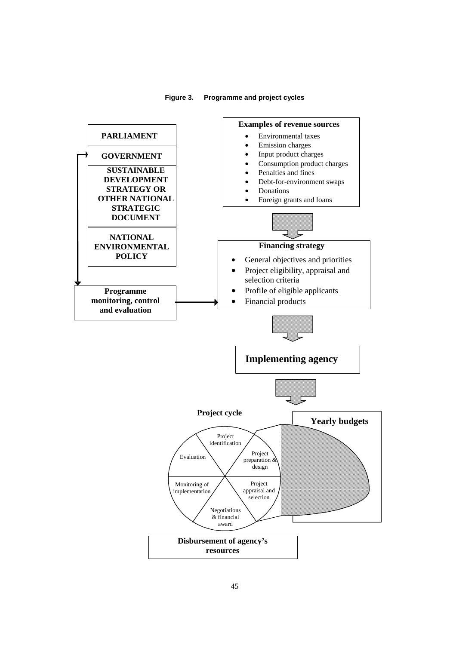**Figure 3. Programme and project cycles** 

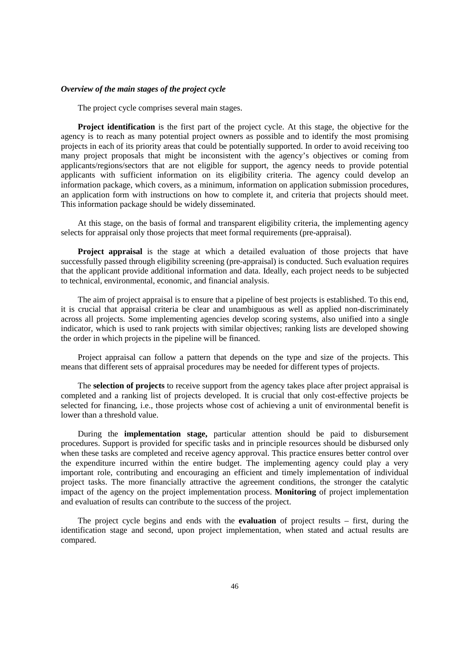### *Overview of the main stages of the project cycle*

The project cycle comprises several main stages.

**Project identification** is the first part of the project cycle. At this stage, the objective for the agency is to reach as many potential project owners as possible and to identify the most promising projects in each of its priority areas that could be potentially supported. In order to avoid receiving too many project proposals that might be inconsistent with the agency's objectives or coming from applicants/regions/sectors that are not eligible for support, the agency needs to provide potential applicants with sufficient information on its eligibility criteria. The agency could develop an information package, which covers, as a minimum, information on application submission procedures, an application form with instructions on how to complete it, and criteria that projects should meet. This information package should be widely disseminated.

At this stage, on the basis of formal and transparent eligibility criteria, the implementing agency selects for appraisal only those projects that meet formal requirements (pre-appraisal).

**Project appraisal** is the stage at which a detailed evaluation of those projects that have successfully passed through eligibility screening (pre-appraisal) is conducted. Such evaluation requires that the applicant provide additional information and data. Ideally, each project needs to be subjected to technical, environmental, economic, and financial analysis.

The aim of project appraisal is to ensure that a pipeline of best projects is established. To this end, it is crucial that appraisal criteria be clear and unambiguous as well as applied non-discriminately across all projects. Some implementing agencies develop scoring systems, also unified into a single indicator, which is used to rank projects with similar objectives; ranking lists are developed showing the order in which projects in the pipeline will be financed.

Project appraisal can follow a pattern that depends on the type and size of the projects. This means that different sets of appraisal procedures may be needed for different types of projects.

The **selection of projects** to receive support from the agency takes place after project appraisal is completed and a ranking list of projects developed. It is crucial that only cost-effective projects be selected for financing, i.e., those projects whose cost of achieving a unit of environmental benefit is lower than a threshold value.

During the **implementation stage,** particular attention should be paid to disbursement procedures. Support is provided for specific tasks and in principle resources should be disbursed only when these tasks are completed and receive agency approval. This practice ensures better control over the expenditure incurred within the entire budget. The implementing agency could play a very important role, contributing and encouraging an efficient and timely implementation of individual project tasks. The more financially attractive the agreement conditions, the stronger the catalytic impact of the agency on the project implementation process. **Monitoring** of project implementation and evaluation of results can contribute to the success of the project.

The project cycle begins and ends with the **evaluation** of project results – first, during the identification stage and second, upon project implementation, when stated and actual results are compared.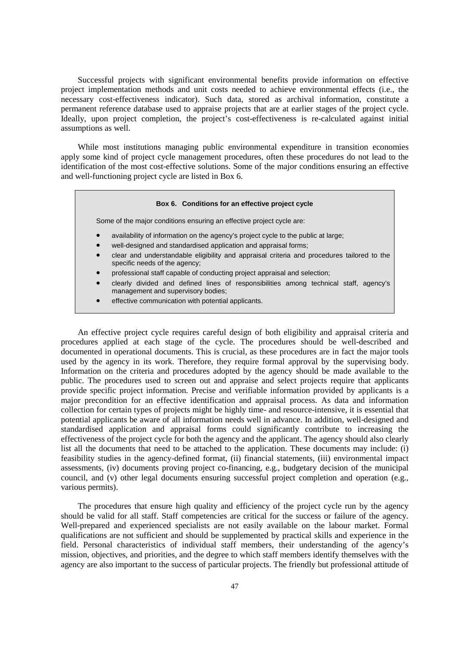Successful projects with significant environmental benefits provide information on effective project implementation methods and unit costs needed to achieve environmental effects (i.e., the necessary cost-effectiveness indicator). Such data, stored as archival information, constitute a permanent reference database used to appraise projects that are at earlier stages of the project cycle. Ideally, upon project completion, the project's cost-effectiveness is re-calculated against initial assumptions as well.

While most institutions managing public environmental expenditure in transition economies apply some kind of project cycle management procedures, often these procedures do not lead to the identification of the most cost-effective solutions. Some of the major conditions ensuring an effective and well-functioning project cycle are listed in Box 6.

#### **Box 6. Conditions for an effective project cycle**

Some of the major conditions ensuring an effective project cycle are:

- availability of information on the agency's project cycle to the public at large;
- well-designed and standardised application and appraisal forms;
- clear and understandable eligibility and appraisal criteria and procedures tailored to the specific needs of the agency;
- professional staff capable of conducting project appraisal and selection;
- clearly divided and defined lines of responsibilities among technical staff, agency's management and supervisory bodies;
- effective communication with potential applicants.

An effective project cycle requires careful design of both eligibility and appraisal criteria and procedures applied at each stage of the cycle. The procedures should be well-described and documented in operational documents. This is crucial, as these procedures are in fact the major tools used by the agency in its work. Therefore, they require formal approval by the supervising body. Information on the criteria and procedures adopted by the agency should be made available to the public. The procedures used to screen out and appraise and select projects require that applicants provide specific project information. Precise and verifiable information provided by applicants is a major precondition for an effective identification and appraisal process. As data and information collection for certain types of projects might be highly time- and resource-intensive, it is essential that potential applicants be aware of all information needs well in advance. In addition, well-designed and standardised application and appraisal forms could significantly contribute to increasing the effectiveness of the project cycle for both the agency and the applicant. The agency should also clearly list all the documents that need to be attached to the application. These documents may include: (i) feasibility studies in the agency-defined format, (ii) financial statements, (iii) environmental impact assessments, (iv) documents proving project co-financing, e.g., budgetary decision of the municipal council, and (v) other legal documents ensuring successful project completion and operation (e.g., various permits).

The procedures that ensure high quality and efficiency of the project cycle run by the agency should be valid for all staff. Staff competencies are critical for the success or failure of the agency. Well-prepared and experienced specialists are not easily available on the labour market. Formal qualifications are not sufficient and should be supplemented by practical skills and experience in the field. Personal characteristics of individual staff members, their understanding of the agency's mission, objectives, and priorities, and the degree to which staff members identify themselves with the agency are also important to the success of particular projects. The friendly but professional attitude of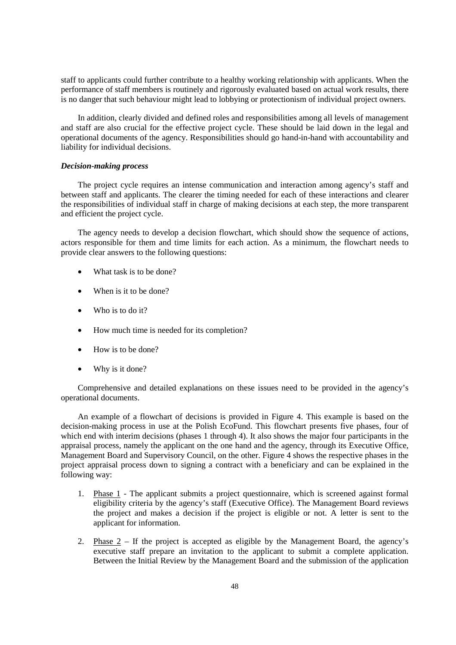staff to applicants could further contribute to a healthy working relationship with applicants. When the performance of staff members is routinely and rigorously evaluated based on actual work results, there is no danger that such behaviour might lead to lobbying or protectionism of individual project owners.

In addition, clearly divided and defined roles and responsibilities among all levels of management and staff are also crucial for the effective project cycle. These should be laid down in the legal and operational documents of the agency. Responsibilities should go hand-in-hand with accountability and liability for individual decisions.

### *Decision-making process*

The project cycle requires an intense communication and interaction among agency's staff and between staff and applicants. The clearer the timing needed for each of these interactions and clearer the responsibilities of individual staff in charge of making decisions at each step, the more transparent and efficient the project cycle.

The agency needs to develop a decision flowchart, which should show the sequence of actions, actors responsible for them and time limits for each action. As a minimum, the flowchart needs to provide clear answers to the following questions:

- What task is to be done?
- When is it to be done?
- Who is to do it?
- How much time is needed for its completion?
- How is to be done?
- Why is it done?

Comprehensive and detailed explanations on these issues need to be provided in the agency's operational documents.

An example of a flowchart of decisions is provided in Figure 4. This example is based on the decision-making process in use at the Polish EcoFund. This flowchart presents five phases, four of which end with interim decisions (phases 1 through 4). It also shows the major four participants in the appraisal process, namely the applicant on the one hand and the agency, through its Executive Office, Management Board and Supervisory Council, on the other. Figure 4 shows the respective phases in the project appraisal process down to signing a contract with a beneficiary and can be explained in the following way:

- 1. Phase 1 The applicant submits a project questionnaire, which is screened against formal eligibility criteria by the agency's staff (Executive Office). The Management Board reviews the project and makes a decision if the project is eligible or not. A letter is sent to the applicant for information.
- 2. Phase 2 If the project is accepted as eligible by the Management Board, the agency's executive staff prepare an invitation to the applicant to submit a complete application. Between the Initial Review by the Management Board and the submission of the application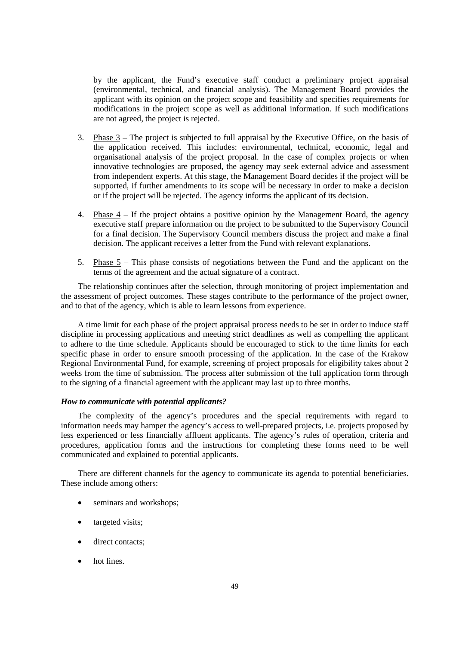by the applicant, the Fund's executive staff conduct a preliminary project appraisal (environmental, technical, and financial analysis). The Management Board provides the applicant with its opinion on the project scope and feasibility and specifies requirements for modifications in the project scope as well as additional information. If such modifications are not agreed, the project is rejected.

- 3. Phase 3 The project is subjected to full appraisal by the Executive Office, on the basis of the application received. This includes: environmental, technical, economic, legal and organisational analysis of the project proposal. In the case of complex projects or when innovative technologies are proposed, the agency may seek external advice and assessment from independent experts. At this stage, the Management Board decides if the project will be supported, if further amendments to its scope will be necessary in order to make a decision or if the project will be rejected. The agency informs the applicant of its decision.
- 4. Phase 4 If the project obtains a positive opinion by the Management Board, the agency executive staff prepare information on the project to be submitted to the Supervisory Council for a final decision. The Supervisory Council members discuss the project and make a final decision. The applicant receives a letter from the Fund with relevant explanations.
- 5. Phase  $5$  This phase consists of negotiations between the Fund and the applicant on the terms of the agreement and the actual signature of a contract.

The relationship continues after the selection, through monitoring of project implementation and the assessment of project outcomes. These stages contribute to the performance of the project owner, and to that of the agency, which is able to learn lessons from experience.

A time limit for each phase of the project appraisal process needs to be set in order to induce staff discipline in processing applications and meeting strict deadlines as well as compelling the applicant to adhere to the time schedule. Applicants should be encouraged to stick to the time limits for each specific phase in order to ensure smooth processing of the application. In the case of the Krakow Regional Environmental Fund, for example, screening of project proposals for eligibility takes about 2 weeks from the time of submission. The process after submission of the full application form through to the signing of a financial agreement with the applicant may last up to three months.

### *How to communicate with potential applicants?*

The complexity of the agency's procedures and the special requirements with regard to information needs may hamper the agency's access to well-prepared projects, i.e. projects proposed by less experienced or less financially affluent applicants. The agency's rules of operation, criteria and procedures, application forms and the instructions for completing these forms need to be well communicated and explained to potential applicants.

There are different channels for the agency to communicate its agenda to potential beneficiaries. These include among others:

- seminars and workshops;
- targeted visits;
- direct contacts:
- hot lines.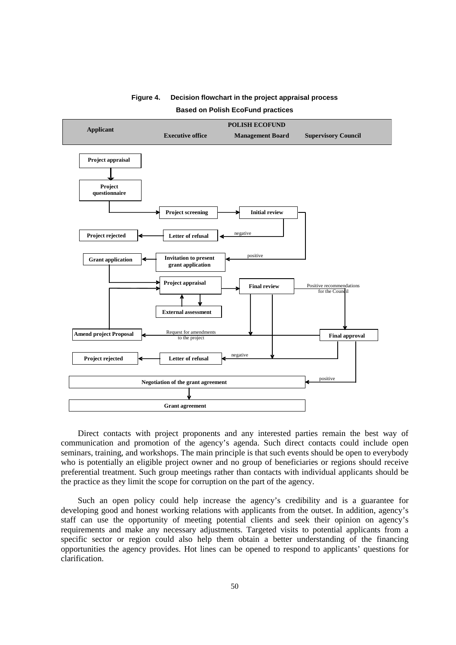

# **Figure 4. Decision flowchart in the project appraisal process Based on Polish EcoFund practices**

Direct contacts with project proponents and any interested parties remain the best way of communication and promotion of the agency's agenda. Such direct contacts could include open seminars, training, and workshops. The main principle is that such events should be open to everybody who is potentially an eligible project owner and no group of beneficiaries or regions should receive preferential treatment. Such group meetings rather than contacts with individual applicants should be the practice as they limit the scope for corruption on the part of the agency.

Such an open policy could help increase the agency's credibility and is a guarantee for developing good and honest working relations with applicants from the outset. In addition, agency's staff can use the opportunity of meeting potential clients and seek their opinion on agency's requirements and make any necessary adjustments. Targeted visits to potential applicants from a specific sector or region could also help them obtain a better understanding of the financing opportunities the agency provides. Hot lines can be opened to respond to applicants' questions for clarification.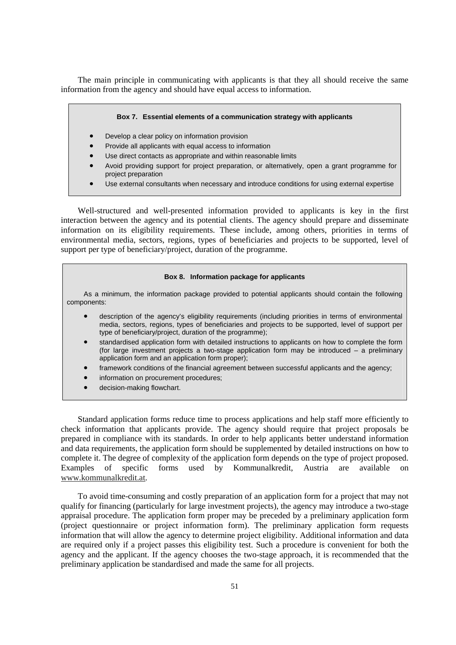The main principle in communicating with applicants is that they all should receive the same information from the agency and should have equal access to information.

#### **Box 7. Essential elements of a communication strategy with applicants**

- Develop a clear policy on information provision
- Provide all applicants with equal access to information
- Use direct contacts as appropriate and within reasonable limits
- Avoid providing support for project preparation, or alternatively, open a grant programme for project preparation
- Use external consultants when necessary and introduce conditions for using external expertise

Well-structured and well-presented information provided to applicants is key in the first interaction between the agency and its potential clients. The agency should prepare and disseminate information on its eligibility requirements. These include, among others, priorities in terms of environmental media, sectors, regions, types of beneficiaries and projects to be supported, level of support per type of beneficiary/project, duration of the programme.

#### **Box 8. Information package for applicants**

As a minimum, the information package provided to potential applicants should contain the following components:

- description of the agency's eligibility requirements (including priorities in terms of environmental media, sectors, regions, types of beneficiaries and projects to be supported, level of support per type of beneficiary/project, duration of the programme);
- standardised application form with detailed instructions to applicants on how to complete the form (for large investment projects a two-stage application form may be introduced – a preliminary application form and an application form proper);
- framework conditions of the financial agreement between successful applicants and the agency;
- information on procurement procedures;
- decision-making flowchart.

Standard application forms reduce time to process applications and help staff more efficiently to check information that applicants provide. The agency should require that project proposals be prepared in compliance with its standards. In order to help applicants better understand information and data requirements, the application form should be supplemented by detailed instructions on how to complete it. The degree of complexity of the application form depends on the type of project proposed. Examples of specific forms used by Kommunalkredit, Austria are available on www.kommunalkredit.at.

To avoid time-consuming and costly preparation of an application form for a project that may not qualify for financing (particularly for large investment projects), the agency may introduce a two-stage appraisal procedure. The application form proper may be preceded by a preliminary application form (project questionnaire or project information form). The preliminary application form requests information that will allow the agency to determine project eligibility. Additional information and data are required only if a project passes this eligibility test. Such a procedure is convenient for both the agency and the applicant. If the agency chooses the two-stage approach, it is recommended that the preliminary application be standardised and made the same for all projects.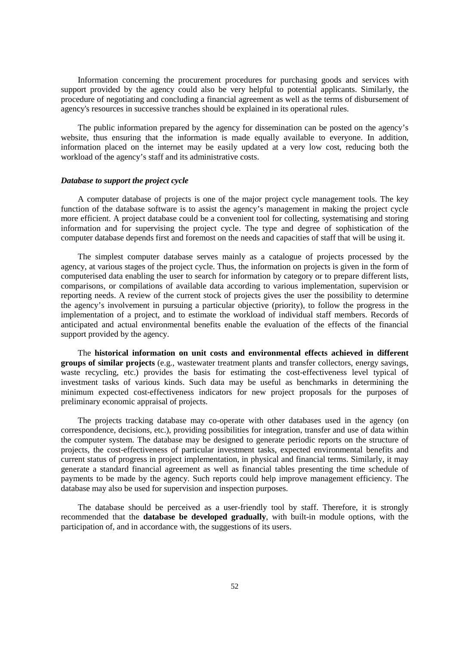Information concerning the procurement procedures for purchasing goods and services with support provided by the agency could also be very helpful to potential applicants. Similarly, the procedure of negotiating and concluding a financial agreement as well as the terms of disbursement of agency's resources in successive tranches should be explained in its operational rules.

The public information prepared by the agency for dissemination can be posted on the agency's website, thus ensuring that the information is made equally available to everyone. In addition, information placed on the internet may be easily updated at a very low cost, reducing both the workload of the agency's staff and its administrative costs.

### *Database to support the project cycle*

A computer database of projects is one of the major project cycle management tools. The key function of the database software is to assist the agency's management in making the project cycle more efficient. A project database could be a convenient tool for collecting, systematising and storing information and for supervising the project cycle. The type and degree of sophistication of the computer database depends first and foremost on the needs and capacities of staff that will be using it.

The simplest computer database serves mainly as a catalogue of projects processed by the agency, at various stages of the project cycle. Thus, the information on projects is given in the form of computerised data enabling the user to search for information by category or to prepare different lists, comparisons, or compilations of available data according to various implementation, supervision or reporting needs. A review of the current stock of projects gives the user the possibility to determine the agency's involvement in pursuing a particular objective (priority), to follow the progress in the implementation of a project, and to estimate the workload of individual staff members. Records of anticipated and actual environmental benefits enable the evaluation of the effects of the financial support provided by the agency.

The **historical information on unit costs and environmental effects achieved in different groups of similar projects** (e.g., wastewater treatment plants and transfer collectors, energy savings, waste recycling, etc.) provides the basis for estimating the cost-effectiveness level typical of investment tasks of various kinds. Such data may be useful as benchmarks in determining the minimum expected cost-effectiveness indicators for new project proposals for the purposes of preliminary economic appraisal of projects.

The projects tracking database may co-operate with other databases used in the agency (on correspondence, decisions, etc.), providing possibilities for integration, transfer and use of data within the computer system. The database may be designed to generate periodic reports on the structure of projects, the cost-effectiveness of particular investment tasks, expected environmental benefits and current status of progress in project implementation, in physical and financial terms. Similarly, it may generate a standard financial agreement as well as financial tables presenting the time schedule of payments to be made by the agency. Such reports could help improve management efficiency. The database may also be used for supervision and inspection purposes.

The database should be perceived as a user-friendly tool by staff. Therefore, it is strongly recommended that the **database be developed gradually**, with built-in module options, with the participation of, and in accordance with, the suggestions of its users.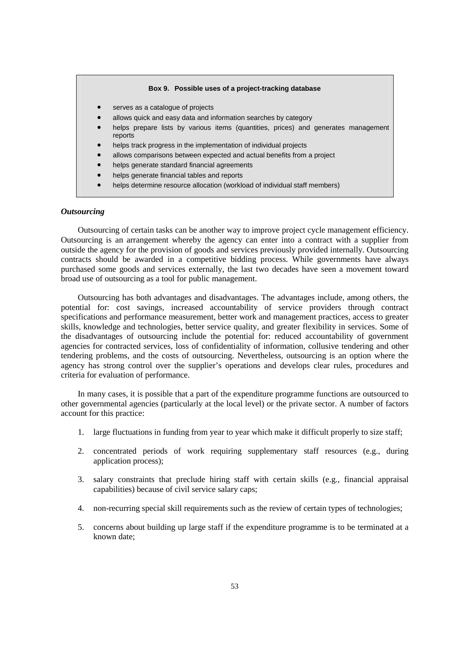#### **Box 9. Possible uses of a project-tracking database**

- serves as a catalogue of projects
- allows quick and easy data and information searches by category
- helps prepare lists by various items (quantities, prices) and generates management reports
- helps track progress in the implementation of individual projects
- allows comparisons between expected and actual benefits from a project
- helps generate standard financial agreements
- helps generate financial tables and reports
- helps determine resource allocation (workload of individual staff members)

## *Outsourcing*

Outsourcing of certain tasks can be another way to improve project cycle management efficiency. Outsourcing is an arrangement whereby the agency can enter into a contract with a supplier from outside the agency for the provision of goods and services previously provided internally. Outsourcing contracts should be awarded in a competitive bidding process. While governments have always purchased some goods and services externally, the last two decades have seen a movement toward broad use of outsourcing as a tool for public management.

Outsourcing has both advantages and disadvantages. The advantages include, among others, the potential for: cost savings, increased accountability of service providers through contract specifications and performance measurement, better work and management practices, access to greater skills, knowledge and technologies, better service quality, and greater flexibility in services. Some of the disadvantages of outsourcing include the potential for: reduced accountability of government agencies for contracted services, loss of confidentiality of information, collusive tendering and other tendering problems, and the costs of outsourcing. Nevertheless, outsourcing is an option where the agency has strong control over the supplier's operations and develops clear rules, procedures and criteria for evaluation of performance.

In many cases, it is possible that a part of the expenditure programme functions are outsourced to other governmental agencies (particularly at the local level) or the private sector. A number of factors account for this practice:

- 1. large fluctuations in funding from year to year which make it difficult properly to size staff;
- 2. concentrated periods of work requiring supplementary staff resources (e.g., during application process);
- 3. salary constraints that preclude hiring staff with certain skills (e.g., financial appraisal capabilities) because of civil service salary caps;
- 4. non-recurring special skill requirements such as the review of certain types of technologies;
- 5. concerns about building up large staff if the expenditure programme is to be terminated at a known date;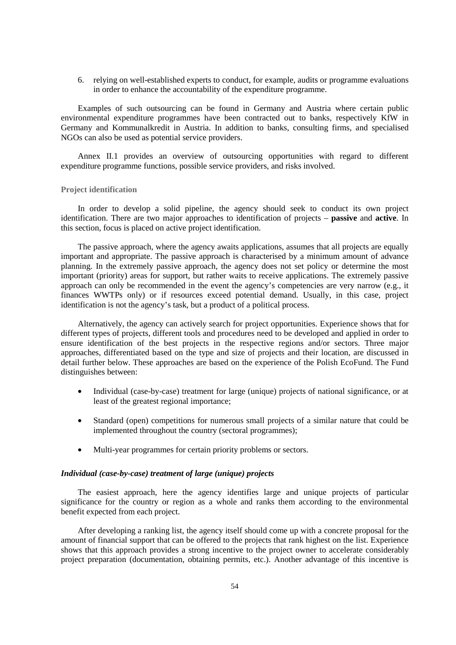6. relying on well-established experts to conduct, for example, audits or programme evaluations in order to enhance the accountability of the expenditure programme.

Examples of such outsourcing can be found in Germany and Austria where certain public environmental expenditure programmes have been contracted out to banks, respectively KfW in Germany and Kommunalkredit in Austria. In addition to banks, consulting firms, and specialised NGOs can also be used as potential service providers.

Annex II.1 provides an overview of outsourcing opportunities with regard to different expenditure programme functions, possible service providers, and risks involved.

## **Project identification**

In order to develop a solid pipeline, the agency should seek to conduct its own project identification. There are two major approaches to identification of projects – **passive** and **active**. In this section, focus is placed on active project identification.

The passive approach, where the agency awaits applications, assumes that all projects are equally important and appropriate. The passive approach is characterised by a minimum amount of advance planning. In the extremely passive approach, the agency does not set policy or determine the most important (priority) areas for support, but rather waits to receive applications. The extremely passive approach can only be recommended in the event the agency's competencies are very narrow (e.g., it finances WWTPs only) or if resources exceed potential demand. Usually, in this case, project identification is not the agency's task, but a product of a political process.

Alternatively, the agency can actively search for project opportunities. Experience shows that for different types of projects, different tools and procedures need to be developed and applied in order to ensure identification of the best projects in the respective regions and/or sectors. Three major approaches, differentiated based on the type and size of projects and their location, are discussed in detail further below. These approaches are based on the experience of the Polish EcoFund. The Fund distinguishes between:

- Individual (case-by-case) treatment for large (unique) projects of national significance, or at least of the greatest regional importance;
- Standard (open) competitions for numerous small projects of a similar nature that could be implemented throughout the country (sectoral programmes);
- Multi-year programmes for certain priority problems or sectors.

## *Individual (case-by-case) treatment of large (unique) projects*

The easiest approach, here the agency identifies large and unique projects of particular significance for the country or region as a whole and ranks them according to the environmental benefit expected from each project.

After developing a ranking list, the agency itself should come up with a concrete proposal for the amount of financial support that can be offered to the projects that rank highest on the list. Experience shows that this approach provides a strong incentive to the project owner to accelerate considerably project preparation (documentation, obtaining permits, etc.). Another advantage of this incentive is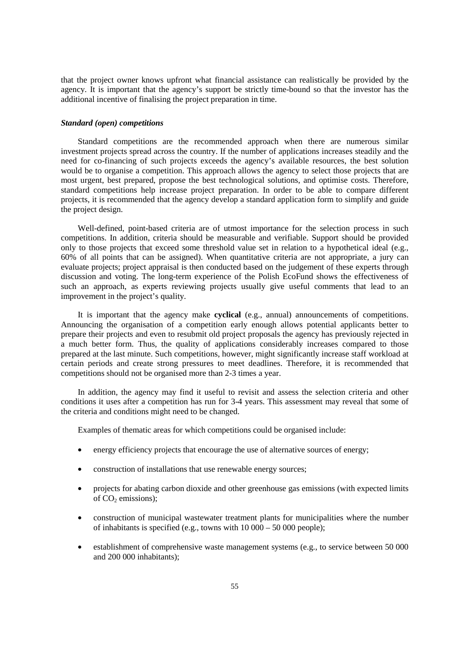that the project owner knows upfront what financial assistance can realistically be provided by the agency. It is important that the agency's support be strictly time-bound so that the investor has the additional incentive of finalising the project preparation in time.

### *Standard (open) competitions*

Standard competitions are the recommended approach when there are numerous similar investment projects spread across the country. If the number of applications increases steadily and the need for co-financing of such projects exceeds the agency's available resources, the best solution would be to organise a competition. This approach allows the agency to select those projects that are most urgent, best prepared, propose the best technological solutions, and optimise costs. Therefore, standard competitions help increase project preparation. In order to be able to compare different projects, it is recommended that the agency develop a standard application form to simplify and guide the project design.

Well-defined, point-based criteria are of utmost importance for the selection process in such competitions. In addition, criteria should be measurable and verifiable. Support should be provided only to those projects that exceed some threshold value set in relation to a hypothetical ideal (e.g., 60% of all points that can be assigned). When quantitative criteria are not appropriate, a jury can evaluate projects; project appraisal is then conducted based on the judgement of these experts through discussion and voting. The long-term experience of the Polish EcoFund shows the effectiveness of such an approach, as experts reviewing projects usually give useful comments that lead to an improvement in the project's quality.

It is important that the agency make **cyclical** (e.g., annual) announcements of competitions. Announcing the organisation of a competition early enough allows potential applicants better to prepare their projects and even to resubmit old project proposals the agency has previously rejected in a much better form. Thus, the quality of applications considerably increases compared to those prepared at the last minute. Such competitions, however, might significantly increase staff workload at certain periods and create strong pressures to meet deadlines. Therefore, it is recommended that competitions should not be organised more than 2-3 times a year.

In addition, the agency may find it useful to revisit and assess the selection criteria and other conditions it uses after a competition has run for 3-4 years. This assessment may reveal that some of the criteria and conditions might need to be changed.

Examples of thematic areas for which competitions could be organised include:

- energy efficiency projects that encourage the use of alternative sources of energy;
- construction of installations that use renewable energy sources;
- projects for abating carbon dioxide and other greenhouse gas emissions (with expected limits of  $CO<sub>2</sub>$  emissions);
- construction of municipal wastewater treatment plants for municipalities where the number of inhabitants is specified (e.g., towns with  $10\,000 - 50\,000$  people);
- establishment of comprehensive waste management systems (e.g., to service between 50 000 and 200 000 inhabitants);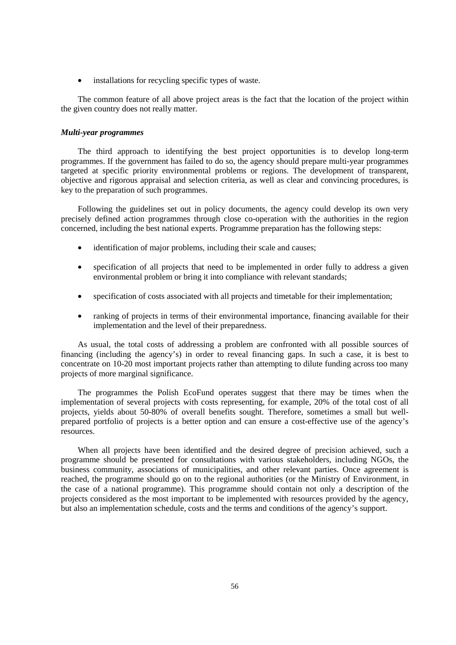• installations for recycling specific types of waste.

The common feature of all above project areas is the fact that the location of the project within the given country does not really matter.

## *Multi-year programmes*

The third approach to identifying the best project opportunities is to develop long-term programmes. If the government has failed to do so, the agency should prepare multi-year programmes targeted at specific priority environmental problems or regions. The development of transparent, objective and rigorous appraisal and selection criteria, as well as clear and convincing procedures, is key to the preparation of such programmes.

Following the guidelines set out in policy documents, the agency could develop its own very precisely defined action programmes through close co-operation with the authorities in the region concerned, including the best national experts. Programme preparation has the following steps:

- identification of major problems, including their scale and causes;
- specification of all projects that need to be implemented in order fully to address a given environmental problem or bring it into compliance with relevant standards;
- specification of costs associated with all projects and timetable for their implementation;
- ranking of projects in terms of their environmental importance, financing available for their implementation and the level of their preparedness.

As usual, the total costs of addressing a problem are confronted with all possible sources of financing (including the agency's) in order to reveal financing gaps. In such a case, it is best to concentrate on 10-20 most important projects rather than attempting to dilute funding across too many projects of more marginal significance.

The programmes the Polish EcoFund operates suggest that there may be times when the implementation of several projects with costs representing, for example, 20% of the total cost of all projects, yields about 50-80% of overall benefits sought. Therefore, sometimes a small but wellprepared portfolio of projects is a better option and can ensure a cost-effective use of the agency's resources.

When all projects have been identified and the desired degree of precision achieved, such a programme should be presented for consultations with various stakeholders, including NGOs, the business community, associations of municipalities, and other relevant parties. Once agreement is reached, the programme should go on to the regional authorities (or the Ministry of Environment, in the case of a national programme). This programme should contain not only a description of the projects considered as the most important to be implemented with resources provided by the agency, but also an implementation schedule, costs and the terms and conditions of the agency's support.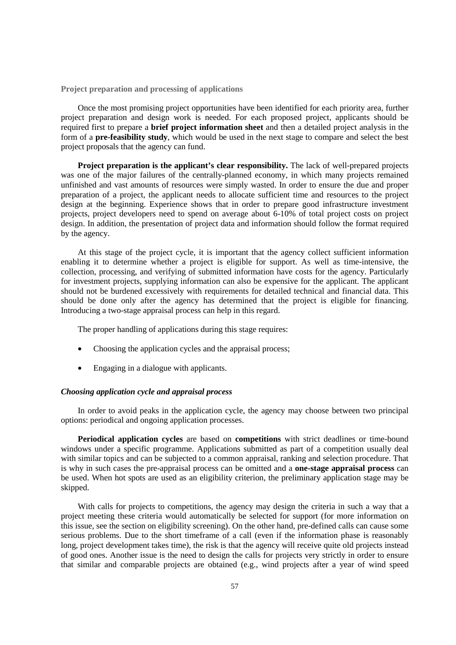**Project preparation and processing of applications** 

Once the most promising project opportunities have been identified for each priority area, further project preparation and design work is needed. For each proposed project, applicants should be required first to prepare a **brief project information sheet** and then a detailed project analysis in the form of a **pre-feasibility study**, which would be used in the next stage to compare and select the best project proposals that the agency can fund.

**Project preparation is the applicant's clear responsibility.** The lack of well-prepared projects was one of the major failures of the centrally-planned economy, in which many projects remained unfinished and vast amounts of resources were simply wasted. In order to ensure the due and proper preparation of a project, the applicant needs to allocate sufficient time and resources to the project design at the beginning. Experience shows that in order to prepare good infrastructure investment projects, project developers need to spend on average about 6-10% of total project costs on project design. In addition, the presentation of project data and information should follow the format required by the agency.

At this stage of the project cycle, it is important that the agency collect sufficient information enabling it to determine whether a project is eligible for support. As well as time-intensive, the collection, processing, and verifying of submitted information have costs for the agency. Particularly for investment projects, supplying information can also be expensive for the applicant. The applicant should not be burdened excessively with requirements for detailed technical and financial data. This should be done only after the agency has determined that the project is eligible for financing. Introducing a two-stage appraisal process can help in this regard.

The proper handling of applications during this stage requires:

- Choosing the application cycles and the appraisal process;
- Engaging in a dialogue with applicants.

# *Choosing application cycle and appraisal process*

In order to avoid peaks in the application cycle, the agency may choose between two principal options: periodical and ongoing application processes.

**Periodical application cycles** are based on **competitions** with strict deadlines or time-bound windows under a specific programme. Applications submitted as part of a competition usually deal with similar topics and can be subjected to a common appraisal, ranking and selection procedure. That is why in such cases the pre-appraisal process can be omitted and a **one-stage appraisal process** can be used. When hot spots are used as an eligibility criterion, the preliminary application stage may be skipped.

With calls for projects to competitions, the agency may design the criteria in such a way that a project meeting these criteria would automatically be selected for support (for more information on this issue, see the section on eligibility screening). On the other hand, pre-defined calls can cause some serious problems. Due to the short timeframe of a call (even if the information phase is reasonably long, project development takes time), the risk is that the agency will receive quite old projects instead of good ones. Another issue is the need to design the calls for projects very strictly in order to ensure that similar and comparable projects are obtained (e.g., wind projects after a year of wind speed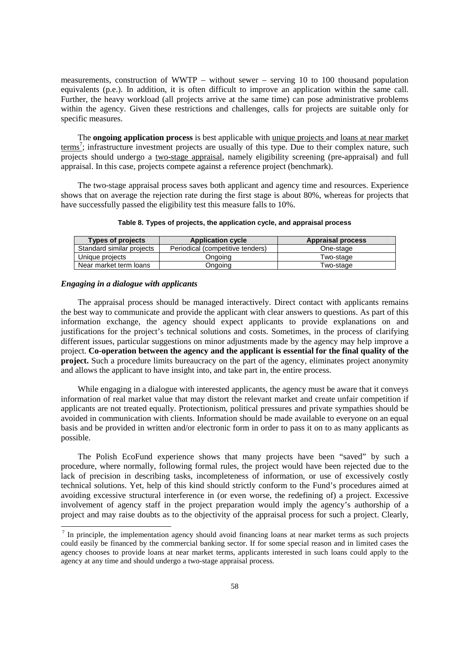measurements, construction of WWTP – without sewer – serving 10 to 100 thousand population equivalents (p.e.). In addition, it is often difficult to improve an application within the same call. Further, the heavy workload (all projects arrive at the same time) can pose administrative problems within the agency. Given these restrictions and challenges, calls for projects are suitable only for specific measures.

The **ongoing application process** is best applicable with unique projects and loans at near market terms<sup>7</sup>; infrastructure investment projects are usually of this type. Due to their complex nature, such projects should undergo a two-stage appraisal, namely eligibility screening (pre-appraisal) and full appraisal. In this case, projects compete against a reference project (benchmark).

The two-stage appraisal process saves both applicant and agency time and resources. Experience shows that on average the rejection rate during the first stage is about 80%, whereas for projects that have successfully passed the eligibility test this measure falls to 10%.

| <b>Application cycle</b><br><b>Types of projects</b> |                                  | <b>Appraisal process</b> |
|------------------------------------------------------|----------------------------------|--------------------------|
| Standard similar projects                            | Periodical (competitive tenders) | One-stage                |
| Unique projects                                      | Onaoina                          | Two-stage                |
| Near market term loans                               | .<br>Jnaoina                     | Two-stage                |

**Table 8. Types of projects, the application cycle, and appraisal process** 

### *Engaging in a dialogue with applicants*

The appraisal process should be managed interactively. Direct contact with applicants remains the best way to communicate and provide the applicant with clear answers to questions. As part of this information exchange, the agency should expect applicants to provide explanations on and justifications for the project's technical solutions and costs. Sometimes, in the process of clarifying different issues, particular suggestions on minor adjustments made by the agency may help improve a project. **Co-operation between the agency and the applicant is essential for the final quality of the project.** Such a procedure limits bureaucracy on the part of the agency, eliminates project anonymity and allows the applicant to have insight into, and take part in, the entire process.

While engaging in a dialogue with interested applicants, the agency must be aware that it conveys information of real market value that may distort the relevant market and create unfair competition if applicants are not treated equally. Protectionism, political pressures and private sympathies should be avoided in communication with clients. Information should be made available to everyone on an equal basis and be provided in written and/or electronic form in order to pass it on to as many applicants as possible.

The Polish EcoFund experience shows that many projects have been "saved" by such a procedure, where normally, following formal rules, the project would have been rejected due to the lack of precision in describing tasks, incompleteness of information, or use of excessively costly technical solutions. Yet, help of this kind should strictly conform to the Fund's procedures aimed at avoiding excessive structural interference in (or even worse, the redefining of) a project. Excessive involvement of agency staff in the project preparation would imply the agency's authorship of a project and may raise doubts as to the objectivity of the appraisal process for such a project. Clearly,

<sup>&</sup>lt;sup>7</sup> In principle, the implementation agency should avoid financing loans at near market terms as such projects could easily be financed by the commercial banking sector. If for some special reason and in limited cases the agency chooses to provide loans at near market terms, applicants interested in such loans could apply to the agency at any time and should undergo a two-stage appraisal process.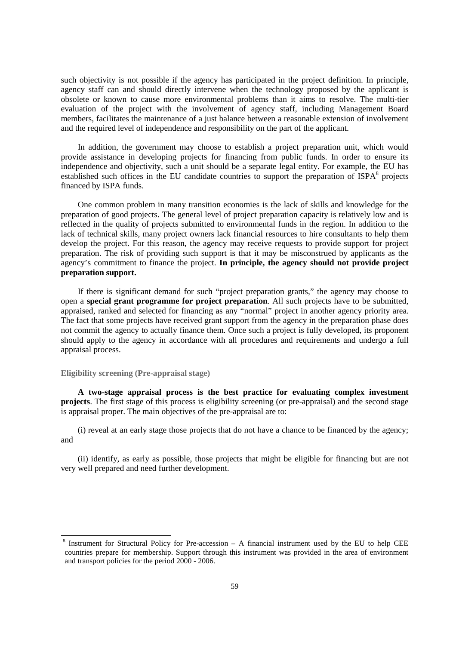such objectivity is not possible if the agency has participated in the project definition. In principle, agency staff can and should directly intervene when the technology proposed by the applicant is obsolete or known to cause more environmental problems than it aims to resolve. The multi-tier evaluation of the project with the involvement of agency staff, including Management Board members, facilitates the maintenance of a just balance between a reasonable extension of involvement and the required level of independence and responsibility on the part of the applicant.

In addition, the government may choose to establish a project preparation unit, which would provide assistance in developing projects for financing from public funds. In order to ensure its independence and objectivity, such a unit should be a separate legal entity. For example, the EU has established such offices in the EU candidate countries to support the preparation of ISPA<sup>8</sup> projects financed by ISPA funds.

One common problem in many transition economies is the lack of skills and knowledge for the preparation of good projects. The general level of project preparation capacity is relatively low and is reflected in the quality of projects submitted to environmental funds in the region. In addition to the lack of technical skills, many project owners lack financial resources to hire consultants to help them develop the project. For this reason, the agency may receive requests to provide support for project preparation. The risk of providing such support is that it may be misconstrued by applicants as the agency's commitment to finance the project. **In principle, the agency should not provide project preparation support.** 

If there is significant demand for such "project preparation grants," the agency may choose to open a **special grant programme for project preparation**. All such projects have to be submitted, appraised, ranked and selected for financing as any "normal" project in another agency priority area. The fact that some projects have received grant support from the agency in the preparation phase does not commit the agency to actually finance them. Once such a project is fully developed, its proponent should apply to the agency in accordance with all procedures and requirements and undergo a full appraisal process.

# **Eligibility screening (Pre-appraisal stage)**

j

**A two-stage appraisal process is the best practice for evaluating complex investment projects**. The first stage of this process is eligibility screening (or pre-appraisal) and the second stage is appraisal proper. The main objectives of the pre-appraisal are to:

(i) reveal at an early stage those projects that do not have a chance to be financed by the agency; and

(ii) identify, as early as possible, those projects that might be eligible for financing but are not very well prepared and need further development.

<sup>8</sup> Instrument for Structural Policy for Pre-accession – A financial instrument used by the EU to help CEE countries prepare for membership. Support through this instrument was provided in the area of environment and transport policies for the period 2000 - 2006.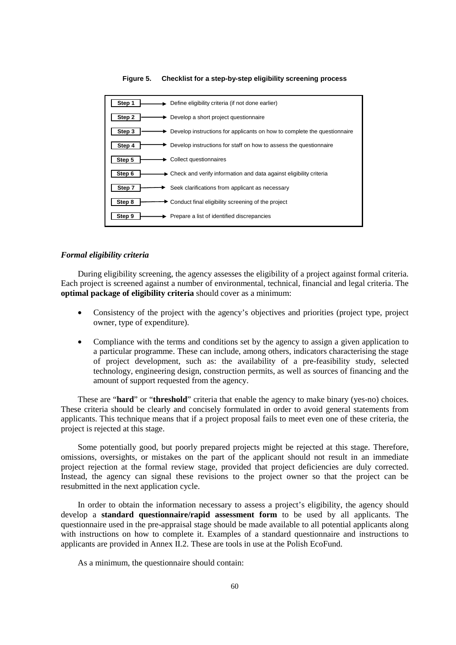| Step 1<br>Define eligibility criteria (if not done earlier)                                      |
|--------------------------------------------------------------------------------------------------|
| Develop a short project questionnaire<br>Step 2                                                  |
| Step 3<br>$\rightarrow$ Develop instructions for applicants on how to complete the questionnaire |
| Step 4<br>Develop instructions for staff on how to assess the questionnaire                      |
| Step 5<br>Collect questionnaires                                                                 |
| Step 6<br>• Check and verify information and data against eligibility criteria                   |
| Step 7<br>Seek clarifications from applicant as necessary                                        |
| Conduct final eligibility screening of the project<br>Step 8                                     |
| Prepare a list of identified discrepancies<br>Step 9                                             |

### **Figure 5. Checklist for a step-by-step eligibility screening process**

### *Formal eligibility criteria*

During eligibility screening, the agency assesses the eligibility of a project against formal criteria. Each project is screened against a number of environmental, technical, financial and legal criteria. The **optimal package of eligibility criteria** should cover as a minimum:

- Consistency of the project with the agency's objectives and priorities (project type, project owner, type of expenditure).
- Compliance with the terms and conditions set by the agency to assign a given application to a particular programme. These can include, among others, indicators characterising the stage of project development, such as: the availability of a pre-feasibility study, selected technology, engineering design, construction permits, as well as sources of financing and the amount of support requested from the agency.

These are "**hard**" or "**threshold**" criteria that enable the agency to make binary (yes-no) choices. These criteria should be clearly and concisely formulated in order to avoid general statements from applicants. This technique means that if a project proposal fails to meet even one of these criteria, the project is rejected at this stage.

Some potentially good, but poorly prepared projects might be rejected at this stage. Therefore, omissions, oversights, or mistakes on the part of the applicant should not result in an immediate project rejection at the formal review stage, provided that project deficiencies are duly corrected. Instead, the agency can signal these revisions to the project owner so that the project can be resubmitted in the next application cycle.

In order to obtain the information necessary to assess a project's eligibility, the agency should develop a **standard questionnaire/rapid assessment form** to be used by all applicants. The questionnaire used in the pre-appraisal stage should be made available to all potential applicants along with instructions on how to complete it. Examples of a standard questionnaire and instructions to applicants are provided in Annex II.2. These are tools in use at the Polish EcoFund.

As a minimum, the questionnaire should contain: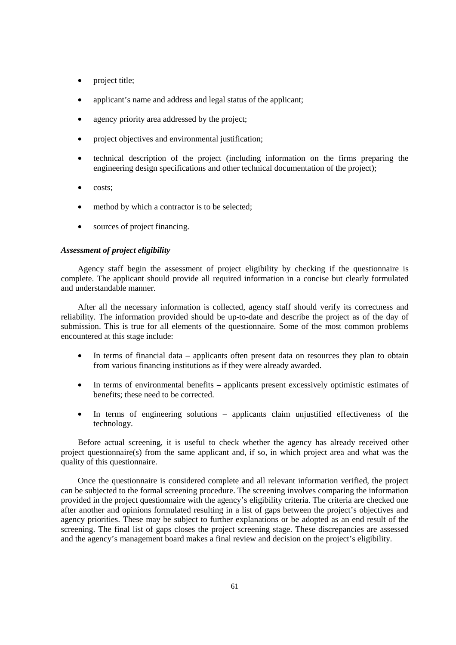- project title;
- applicant's name and address and legal status of the applicant;
- agency priority area addressed by the project;
- project objectives and environmental justification;
- technical description of the project (including information on the firms preparing the engineering design specifications and other technical documentation of the project);
- costs;
- method by which a contractor is to be selected;
- sources of project financing.

# *Assessment of project eligibility*

Agency staff begin the assessment of project eligibility by checking if the questionnaire is complete. The applicant should provide all required information in a concise but clearly formulated and understandable manner.

After all the necessary information is collected, agency staff should verify its correctness and reliability. The information provided should be up-to-date and describe the project as of the day of submission. This is true for all elements of the questionnaire. Some of the most common problems encountered at this stage include:

- In terms of financial data applicants often present data on resources they plan to obtain from various financing institutions as if they were already awarded.
- In terms of environmental benefits applicants present excessively optimistic estimates of benefits; these need to be corrected.
- In terms of engineering solutions applicants claim unjustified effectiveness of the technology.

Before actual screening, it is useful to check whether the agency has already received other project questionnaire(s) from the same applicant and, if so, in which project area and what was the quality of this questionnaire.

Once the questionnaire is considered complete and all relevant information verified, the project can be subjected to the formal screening procedure. The screening involves comparing the information provided in the project questionnaire with the agency's eligibility criteria. The criteria are checked one after another and opinions formulated resulting in a list of gaps between the project's objectives and agency priorities. These may be subject to further explanations or be adopted as an end result of the screening. The final list of gaps closes the project screening stage. These discrepancies are assessed and the agency's management board makes a final review and decision on the project's eligibility.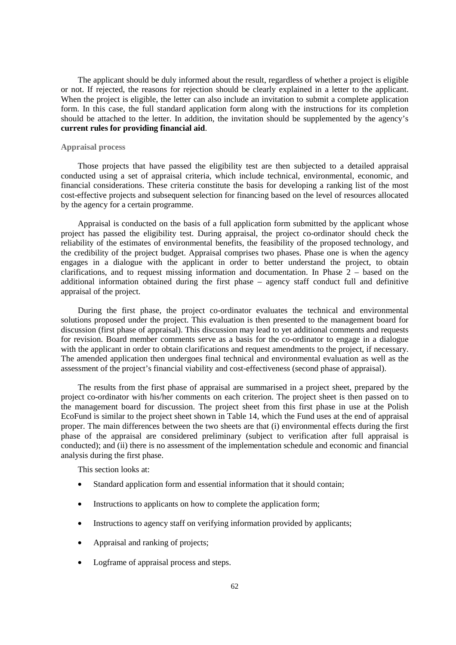The applicant should be duly informed about the result, regardless of whether a project is eligible or not. If rejected, the reasons for rejection should be clearly explained in a letter to the applicant. When the project is eligible, the letter can also include an invitation to submit a complete application form. In this case, the full standard application form along with the instructions for its completion should be attached to the letter. In addition, the invitation should be supplemented by the agency's **current rules for providing financial aid**.

# **Appraisal process**

Those projects that have passed the eligibility test are then subjected to a detailed appraisal conducted using a set of appraisal criteria, which include technical, environmental, economic, and financial considerations. These criteria constitute the basis for developing a ranking list of the most cost-effective projects and subsequent selection for financing based on the level of resources allocated by the agency for a certain programme.

Appraisal is conducted on the basis of a full application form submitted by the applicant whose project has passed the eligibility test. During appraisal, the project co-ordinator should check the reliability of the estimates of environmental benefits, the feasibility of the proposed technology, and the credibility of the project budget. Appraisal comprises two phases. Phase one is when the agency engages in a dialogue with the applicant in order to better understand the project, to obtain clarifications, and to request missing information and documentation. In Phase 2 – based on the additional information obtained during the first phase – agency staff conduct full and definitive appraisal of the project.

During the first phase, the project co-ordinator evaluates the technical and environmental solutions proposed under the project. This evaluation is then presented to the management board for discussion (first phase of appraisal). This discussion may lead to yet additional comments and requests for revision. Board member comments serve as a basis for the co-ordinator to engage in a dialogue with the applicant in order to obtain clarifications and request amendments to the project, if necessary. The amended application then undergoes final technical and environmental evaluation as well as the assessment of the project's financial viability and cost-effectiveness (second phase of appraisal).

The results from the first phase of appraisal are summarised in a project sheet, prepared by the project co-ordinator with his/her comments on each criterion. The project sheet is then passed on to the management board for discussion. The project sheet from this first phase in use at the Polish EcoFund is similar to the project sheet shown in Table 14, which the Fund uses at the end of appraisal proper. The main differences between the two sheets are that (i) environmental effects during the first phase of the appraisal are considered preliminary (subject to verification after full appraisal is conducted); and (ii) there is no assessment of the implementation schedule and economic and financial analysis during the first phase.

This section looks at:

- Standard application form and essential information that it should contain;
- Instructions to applicants on how to complete the application form;
- Instructions to agency staff on verifying information provided by applicants;
- Appraisal and ranking of projects;
- Logframe of appraisal process and steps.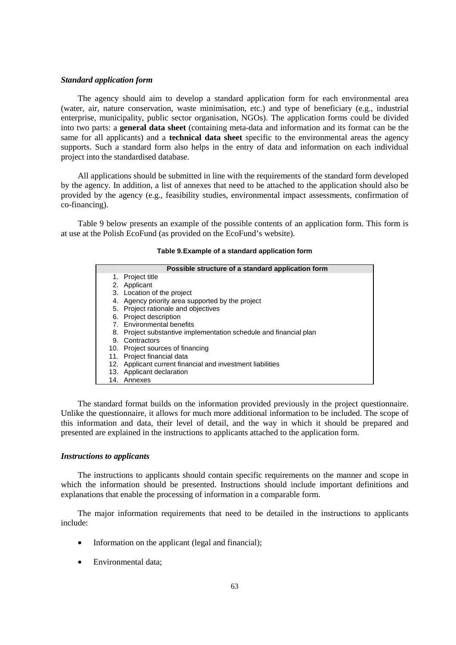### *Standard application form*

The agency should aim to develop a standard application form for each environmental area (water, air, nature conservation, waste minimisation, etc.) and type of beneficiary (e.g., industrial enterprise, municipality, public sector organisation, NGOs). The application forms could be divided into two parts: a **general data sheet** (containing meta-data and information and its format can be the same for all applicants) and a **technical data sheet** specific to the environmental areas the agency supports. Such a standard form also helps in the entry of data and information on each individual project into the standardised database.

All applications should be submitted in line with the requirements of the standard form developed by the agency. In addition, a list of annexes that need to be attached to the application should also be provided by the agency (e.g., feasibility studies, environmental impact assessments, confirmation of co-financing).

Table 9 below presents an example of the possible contents of an application form. This form is at use at the Polish EcoFund (as provided on the EcoFund's website).

#### **Table 9. Example of a standard application form**

|     | Possible structure of a standard application form              |
|-----|----------------------------------------------------------------|
|     | <b>Project title</b>                                           |
|     | 2. Applicant                                                   |
|     | 3. Location of the project                                     |
|     | Agency priority area supported by the project                  |
|     | 5. Project rationale and objectives                            |
| 6.  | Project description                                            |
|     | 7. Environmental benefits                                      |
| 8.  | Project substantive implementation schedule and financial plan |
| 9.  | Contractors                                                    |
|     | 10. Project sources of financing                               |
| 11. | Project financial data                                         |
| 12. | Applicant current financial and investment liabilities         |
| 13. | Applicant declaration                                          |
| 14. | Annexes                                                        |

The standard format builds on the information provided previously in the project questionnaire. Unlike the questionnaire, it allows for much more additional information to be included. The scope of this information and data, their level of detail, and the way in which it should be prepared and presented are explained in the instructions to applicants attached to the application form.

## *Instructions to applicants*

The instructions to applicants should contain specific requirements on the manner and scope in which the information should be presented. Instructions should include important definitions and explanations that enable the processing of information in a comparable form.

The major information requirements that need to be detailed in the instructions to applicants include:

- Information on the applicant (legal and financial);
- Environmental data;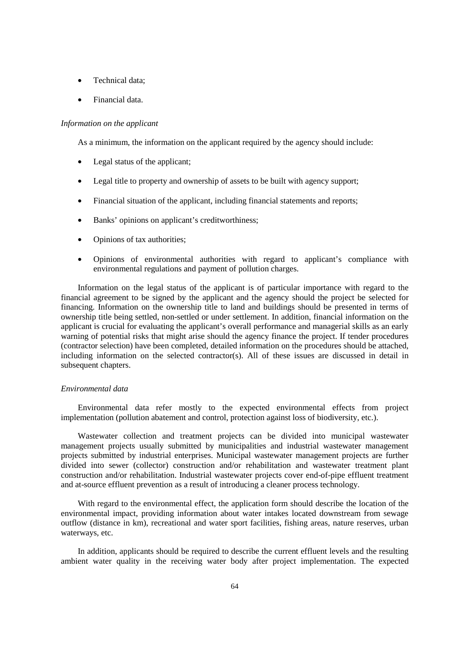- Technical data;
- Financial data.

# *Information on the applicant*

As a minimum, the information on the applicant required by the agency should include:

- Legal status of the applicant;
- Legal title to property and ownership of assets to be built with agency support;
- Financial situation of the applicant, including financial statements and reports;
- Banks' opinions on applicant's creditworthiness;
- Opinions of tax authorities;
- Opinions of environmental authorities with regard to applicant's compliance with environmental regulations and payment of pollution charges.

Information on the legal status of the applicant is of particular importance with regard to the financial agreement to be signed by the applicant and the agency should the project be selected for financing. Information on the ownership title to land and buildings should be presented in terms of ownership title being settled, non-settled or under settlement. In addition, financial information on the applicant is crucial for evaluating the applicant's overall performance and managerial skills as an early warning of potential risks that might arise should the agency finance the project. If tender procedures (contractor selection) have been completed, detailed information on the procedures should be attached, including information on the selected contractor(s). All of these issues are discussed in detail in subsequent chapters.

## *Environmental data*

Environmental data refer mostly to the expected environmental effects from project implementation (pollution abatement and control, protection against loss of biodiversity, etc.).

Wastewater collection and treatment projects can be divided into municipal wastewater management projects usually submitted by municipalities and industrial wastewater management projects submitted by industrial enterprises. Municipal wastewater management projects are further divided into sewer (collector) construction and/or rehabilitation and wastewater treatment plant construction and/or rehabilitation. Industrial wastewater projects cover end-of-pipe effluent treatment and at-source effluent prevention as a result of introducing a cleaner process technology.

With regard to the environmental effect, the application form should describe the location of the environmental impact, providing information about water intakes located downstream from sewage outflow (distance in km), recreational and water sport facilities, fishing areas, nature reserves, urban waterways, etc.

In addition, applicants should be required to describe the current effluent levels and the resulting ambient water quality in the receiving water body after project implementation. The expected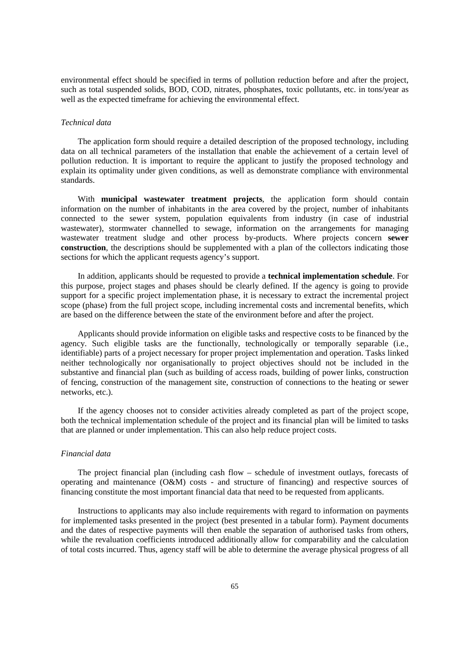environmental effect should be specified in terms of pollution reduction before and after the project, such as total suspended solids, BOD, COD, nitrates, phosphates, toxic pollutants, etc. in tons/year as well as the expected timeframe for achieving the environmental effect.

### *Technical data*

The application form should require a detailed description of the proposed technology, including data on all technical parameters of the installation that enable the achievement of a certain level of pollution reduction. It is important to require the applicant to justify the proposed technology and explain its optimality under given conditions, as well as demonstrate compliance with environmental standards.

With **municipal wastewater treatment projects**, the application form should contain information on the number of inhabitants in the area covered by the project, number of inhabitants connected to the sewer system, population equivalents from industry (in case of industrial wastewater), stormwater channelled to sewage, information on the arrangements for managing wastewater treatment sludge and other process by-products. Where projects concern **sewer construction**, the descriptions should be supplemented with a plan of the collectors indicating those sections for which the applicant requests agency's support.

In addition, applicants should be requested to provide a **technical implementation schedule**. For this purpose, project stages and phases should be clearly defined. If the agency is going to provide support for a specific project implementation phase, it is necessary to extract the incremental project scope (phase) from the full project scope, including incremental costs and incremental benefits, which are based on the difference between the state of the environment before and after the project.

Applicants should provide information on eligible tasks and respective costs to be financed by the agency. Such eligible tasks are the functionally, technologically or temporally separable (i.e., identifiable) parts of a project necessary for proper project implementation and operation. Tasks linked neither technologically nor organisationally to project objectives should not be included in the substantive and financial plan (such as building of access roads, building of power links, construction of fencing, construction of the management site, construction of connections to the heating or sewer networks, etc.).

If the agency chooses not to consider activities already completed as part of the project scope, both the technical implementation schedule of the project and its financial plan will be limited to tasks that are planned or under implementation. This can also help reduce project costs.

## *Financial data*

The project financial plan (including cash flow – schedule of investment outlays, forecasts of operating and maintenance (O&M) costs - and structure of financing) and respective sources of financing constitute the most important financial data that need to be requested from applicants.

Instructions to applicants may also include requirements with regard to information on payments for implemented tasks presented in the project (best presented in a tabular form). Payment documents and the dates of respective payments will then enable the separation of authorised tasks from others, while the revaluation coefficients introduced additionally allow for comparability and the calculation of total costs incurred. Thus, agency staff will be able to determine the average physical progress of all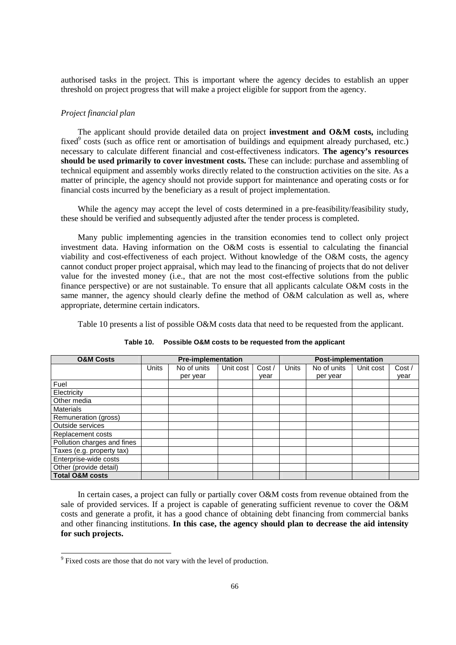authorised tasks in the project. This is important where the agency decides to establish an upper threshold on project progress that will make a project eligible for support from the agency.

### *Project financial plan*

The applicant should provide detailed data on project **investment and O&M costs,** including fixed<sup>9</sup> costs (such as office rent or amortisation of buildings and equipment already purchased, etc.) necessary to calculate different financial and cost-effectiveness indicators. **The agency's resources should be used primarily to cover investment costs.** These can include: purchase and assembling of technical equipment and assembly works directly related to the construction activities on the site. As a matter of principle, the agency should not provide support for maintenance and operating costs or for financial costs incurred by the beneficiary as a result of project implementation.

While the agency may accept the level of costs determined in a pre-feasibility/feasibility study, these should be verified and subsequently adjusted after the tender process is completed.

Many public implementing agencies in the transition economies tend to collect only project investment data. Having information on the O&M costs is essential to calculating the financial viability and cost-effectiveness of each project. Without knowledge of the O&M costs, the agency cannot conduct proper project appraisal, which may lead to the financing of projects that do not deliver value for the invested money (i.e., that are not the most cost-effective solutions from the public finance perspective) or are not sustainable. To ensure that all applicants calculate O&M costs in the same manner, the agency should clearly define the method of O&M calculation as well as, where appropriate, determine certain indicators.

Table 10 presents a list of possible O&M costs data that need to be requested from the applicant.

| <b>O&amp;M Costs</b>        | <b>Pre-implementation</b> |             |           | <b>Post-implementation</b> |              |             |           |       |
|-----------------------------|---------------------------|-------------|-----------|----------------------------|--------------|-------------|-----------|-------|
|                             | Units                     | No of units | Unit cost | Cost /                     | <b>Units</b> | No of units | Unit cost | Cost/ |
|                             |                           | per year    |           | vear                       |              | per year    |           | vear  |
| Fuel                        |                           |             |           |                            |              |             |           |       |
| Electricity                 |                           |             |           |                            |              |             |           |       |
| Other media                 |                           |             |           |                            |              |             |           |       |
| <b>Materials</b>            |                           |             |           |                            |              |             |           |       |
| Remuneration (gross)        |                           |             |           |                            |              |             |           |       |
| Outside services            |                           |             |           |                            |              |             |           |       |
| Replacement costs           |                           |             |           |                            |              |             |           |       |
| Pollution charges and fines |                           |             |           |                            |              |             |           |       |
| Taxes (e.g. property tax)   |                           |             |           |                            |              |             |           |       |
| Enterprise-wide costs       |                           |             |           |                            |              |             |           |       |
| Other (provide detail)      |                           |             |           |                            |              |             |           |       |
| <b>Total O&amp;M costs</b>  |                           |             |           |                            |              |             |           |       |

**Table 10. Possible O&M costs to be requested from the applicant** 

In certain cases, a project can fully or partially cover O&M costs from revenue obtained from the sale of provided services. If a project is capable of generating sufficient revenue to cover the O&M costs and generate a profit, it has a good chance of obtaining debt financing from commercial banks and other financing institutions. **In this case, the agency should plan to decrease the aid intensity for such projects.** 

-

 $9^9$  Fixed costs are those that do not vary with the level of production.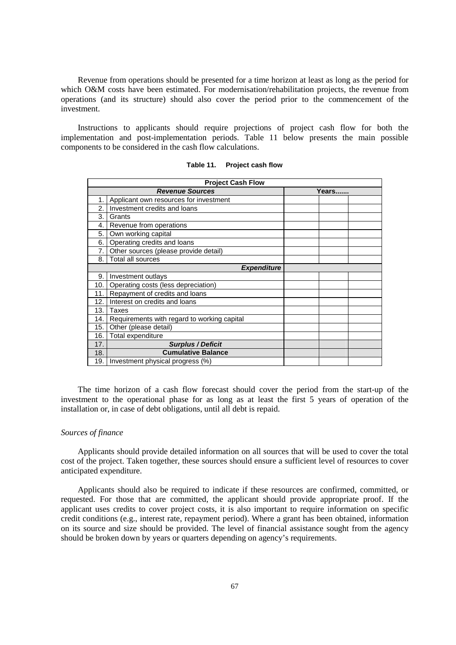Revenue from operations should be presented for a time horizon at least as long as the period for which O&M costs have been estimated. For modernisation/rehabilitation projects, the revenue from operations (and its structure) should also cover the period prior to the commencement of the investment.

Instructions to applicants should require projections of project cash flow for both the implementation and post-implementation periods. Table 11 below presents the main possible components to be considered in the cash flow calculations.

| <b>Project Cash Flow</b> |                                             |       |  |  |
|--------------------------|---------------------------------------------|-------|--|--|
|                          | <b>Revenue Sources</b>                      | Years |  |  |
| 1.                       | Applicant own resources for investment      |       |  |  |
| 2.                       | Investment credits and loans                |       |  |  |
| 3.                       | Grants                                      |       |  |  |
| 4.                       | Revenue from operations                     |       |  |  |
| 5.                       | Own working capital                         |       |  |  |
| 6.                       | Operating credits and loans                 |       |  |  |
| 7.                       | Other sources (please provide detail)       |       |  |  |
| 8.                       | Total all sources                           |       |  |  |
|                          | <b>Expenditure</b>                          |       |  |  |
| 9.                       | Investment outlays                          |       |  |  |
| 10.                      | Operating costs (less depreciation)         |       |  |  |
| 11.                      | Repayment of credits and loans              |       |  |  |
| 12.                      | Interest on credits and loans               |       |  |  |
| 13.                      | Taxes                                       |       |  |  |
| 14.                      | Requirements with regard to working capital |       |  |  |
| 15.                      | Other (please detail)                       |       |  |  |
| 16.                      | Total expenditure                           |       |  |  |
| 17.                      | <b>Surplus / Deficit</b>                    |       |  |  |
| 18.                      | <b>Cumulative Balance</b>                   |       |  |  |
| 19.                      | Investment physical progress (%)            |       |  |  |

| Table 11. | <b>Project cash flow</b> |
|-----------|--------------------------|
|-----------|--------------------------|

The time horizon of a cash flow forecast should cover the period from the start-up of the investment to the operational phase for as long as at least the first 5 years of operation of the installation or, in case of debt obligations, until all debt is repaid.

# *Sources of finance*

Applicants should provide detailed information on all sources that will be used to cover the total cost of the project. Taken together, these sources should ensure a sufficient level of resources to cover anticipated expenditure.

Applicants should also be required to indicate if these resources are confirmed, committed, or requested. For those that are committed, the applicant should provide appropriate proof. If the applicant uses credits to cover project costs, it is also important to require information on specific credit conditions (e.g., interest rate, repayment period). Where a grant has been obtained, information on its source and size should be provided. The level of financial assistance sought from the agency should be broken down by years or quarters depending on agency's requirements.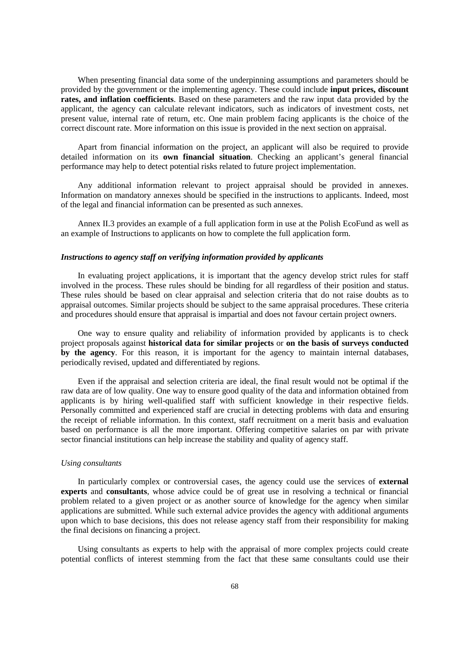When presenting financial data some of the underpinning assumptions and parameters should be provided by the government or the implementing agency. These could include **input prices, discount rates, and inflation coefficients**. Based on these parameters and the raw input data provided by the applicant, the agency can calculate relevant indicators, such as indicators of investment costs, net present value, internal rate of return, etc. One main problem facing applicants is the choice of the correct discount rate. More information on this issue is provided in the next section on appraisal.

Apart from financial information on the project, an applicant will also be required to provide detailed information on its **own financial situation**. Checking an applicant's general financial performance may help to detect potential risks related to future project implementation.

Any additional information relevant to project appraisal should be provided in annexes. Information on mandatory annexes should be specified in the instructions to applicants. Indeed, most of the legal and financial information can be presented as such annexes.

Annex II.3 provides an example of a full application form in use at the Polish EcoFund as well as an example of Instructions to applicants on how to complete the full application form.

# *Instructions to agency staff on verifying information provided by applicants*

In evaluating project applications, it is important that the agency develop strict rules for staff involved in the process. These rules should be binding for all regardless of their position and status. These rules should be based on clear appraisal and selection criteria that do not raise doubts as to appraisal outcomes. Similar projects should be subject to the same appraisal procedures. These criteria and procedures should ensure that appraisal is impartial and does not favour certain project owners.

One way to ensure quality and reliability of information provided by applicants is to check project proposals against **historical data for similar projects** or **on the basis of surveys conducted by the agency**. For this reason, it is important for the agency to maintain internal databases, periodically revised, updated and differentiated by regions.

Even if the appraisal and selection criteria are ideal, the final result would not be optimal if the raw data are of low quality. One way to ensure good quality of the data and information obtained from applicants is by hiring well-qualified staff with sufficient knowledge in their respective fields. Personally committed and experienced staff are crucial in detecting problems with data and ensuring the receipt of reliable information. In this context, staff recruitment on a merit basis and evaluation based on performance is all the more important. Offering competitive salaries on par with private sector financial institutions can help increase the stability and quality of agency staff.

#### *Using consultants*

In particularly complex or controversial cases, the agency could use the services of **external experts** and **consultants**, whose advice could be of great use in resolving a technical or financial problem related to a given project or as another source of knowledge for the agency when similar applications are submitted. While such external advice provides the agency with additional arguments upon which to base decisions, this does not release agency staff from their responsibility for making the final decisions on financing a project.

Using consultants as experts to help with the appraisal of more complex projects could create potential conflicts of interest stemming from the fact that these same consultants could use their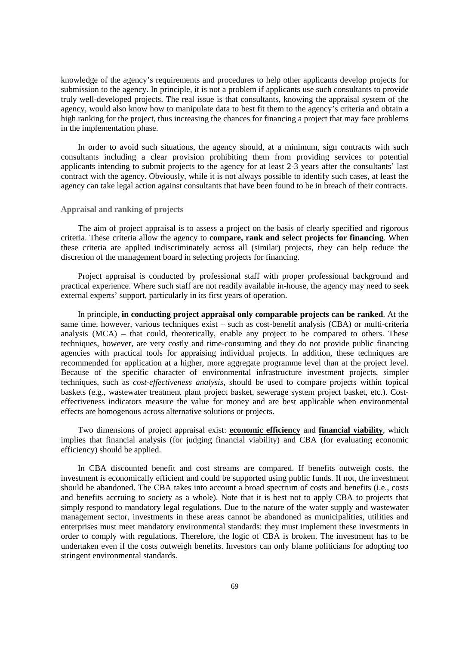knowledge of the agency's requirements and procedures to help other applicants develop projects for submission to the agency. In principle, it is not a problem if applicants use such consultants to provide truly well-developed projects. The real issue is that consultants, knowing the appraisal system of the agency, would also know how to manipulate data to best fit them to the agency's criteria and obtain a high ranking for the project, thus increasing the chances for financing a project that may face problems in the implementation phase.

In order to avoid such situations, the agency should, at a minimum, sign contracts with such consultants including a clear provision prohibiting them from providing services to potential applicants intending to submit projects to the agency for at least 2-3 years after the consultants' last contract with the agency. Obviously, while it is not always possible to identify such cases, at least the agency can take legal action against consultants that have been found to be in breach of their contracts.

### **Appraisal and ranking of projects**

The aim of project appraisal is to assess a project on the basis of clearly specified and rigorous criteria. These criteria allow the agency to **compare, rank and select projects for financing**. When these criteria are applied indiscriminately across all (similar) projects, they can help reduce the discretion of the management board in selecting projects for financing.

Project appraisal is conducted by professional staff with proper professional background and practical experience. Where such staff are not readily available in-house, the agency may need to seek external experts' support, particularly in its first years of operation.

In principle, **in conducting project appraisal only comparable projects can be ranked**. At the same time, however, various techniques exist – such as cost-benefit analysis (CBA) or multi-criteria analysis (MCA) – that could, theoretically, enable any project to be compared to others. These techniques, however, are very costly and time-consuming and they do not provide public financing agencies with practical tools for appraising individual projects. In addition, these techniques are recommended for application at a higher, more aggregate programme level than at the project level. Because of the specific character of environmental infrastructure investment projects, simpler techniques, such as *cost-effectiveness analysis,* should be used to compare projects within topical baskets (e.g., wastewater treatment plant project basket, sewerage system project basket, etc.). Costeffectiveness indicators measure the value for money and are best applicable when environmental effects are homogenous across alternative solutions or projects.

Two dimensions of project appraisal exist: **economic efficiency** and **financial viability**, which implies that financial analysis (for judging financial viability) and CBA (for evaluating economic efficiency) should be applied.

In CBA discounted benefit and cost streams are compared. If benefits outweigh costs, the investment is economically efficient and could be supported using public funds. If not, the investment should be abandoned. The CBA takes into account a broad spectrum of costs and benefits (i.e., costs and benefits accruing to society as a whole). Note that it is best not to apply CBA to projects that simply respond to mandatory legal regulations. Due to the nature of the water supply and wastewater management sector, investments in these areas cannot be abandoned as municipalities, utilities and enterprises must meet mandatory environmental standards: they must implement these investments in order to comply with regulations. Therefore, the logic of CBA is broken. The investment has to be undertaken even if the costs outweigh benefits. Investors can only blame politicians for adopting too stringent environmental standards.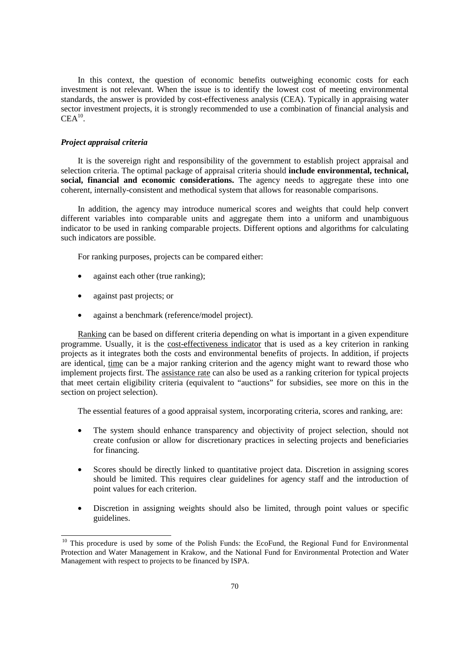In this context, the question of economic benefits outweighing economic costs for each investment is not relevant. When the issue is to identify the lowest cost of meeting environmental standards, the answer is provided by cost-effectiveness analysis (CEA). Typically in appraising water sector investment projects, it is strongly recommended to use a combination of financial analysis and  $CEA^{10}$ 

## *Project appraisal criteria*

It is the sovereign right and responsibility of the government to establish project appraisal and selection criteria. The optimal package of appraisal criteria should **include environmental, technical,**  social, financial and economic considerations. The agency needs to aggregate these into one coherent, internally-consistent and methodical system that allows for reasonable comparisons.

In addition, the agency may introduce numerical scores and weights that could help convert different variables into comparable units and aggregate them into a uniform and unambiguous indicator to be used in ranking comparable projects. Different options and algorithms for calculating such indicators are possible.

For ranking purposes, projects can be compared either:

- against each other (true ranking);
- against past projects; or

j

• against a benchmark (reference/model project).

Ranking can be based on different criteria depending on what is important in a given expenditure programme. Usually, it is the cost-effectiveness indicator that is used as a key criterion in ranking projects as it integrates both the costs and environmental benefits of projects. In addition, if projects are identical, time can be a major ranking criterion and the agency might want to reward those who implement projects first. The assistance rate can also be used as a ranking criterion for typical projects that meet certain eligibility criteria (equivalent to "auctions" for subsidies, see more on this in the section on project selection).

The essential features of a good appraisal system, incorporating criteria, scores and ranking, are:

- The system should enhance transparency and objectivity of project selection, should not create confusion or allow for discretionary practices in selecting projects and beneficiaries for financing.
- Scores should be directly linked to quantitative project data. Discretion in assigning scores should be limited. This requires clear guidelines for agency staff and the introduction of point values for each criterion.
- Discretion in assigning weights should also be limited, through point values or specific guidelines.

<sup>&</sup>lt;sup>10</sup> This procedure is used by some of the Polish Funds: the EcoFund, the Regional Fund for Environmental Protection and Water Management in Krakow, and the National Fund for Environmental Protection and Water Management with respect to projects to be financed by ISPA.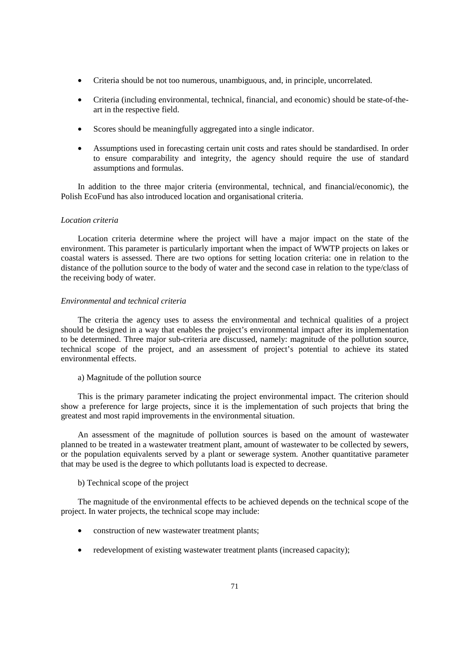- Criteria should be not too numerous, unambiguous, and, in principle, uncorrelated.
- Criteria (including environmental, technical, financial, and economic) should be state-of-theart in the respective field.
- Scores should be meaningfully aggregated into a single indicator.
- Assumptions used in forecasting certain unit costs and rates should be standardised. In order to ensure comparability and integrity, the agency should require the use of standard assumptions and formulas.

In addition to the three major criteria (environmental, technical, and financial/economic), the Polish EcoFund has also introduced location and organisational criteria.

### *Location criteria*

Location criteria determine where the project will have a major impact on the state of the environment. This parameter is particularly important when the impact of WWTP projects on lakes or coastal waters is assessed. There are two options for setting location criteria: one in relation to the distance of the pollution source to the body of water and the second case in relation to the type/class of the receiving body of water.

## *Environmental and technical criteria*

The criteria the agency uses to assess the environmental and technical qualities of a project should be designed in a way that enables the project's environmental impact after its implementation to be determined. Three major sub-criteria are discussed, namely: magnitude of the pollution source, technical scope of the project, and an assessment of project's potential to achieve its stated environmental effects.

## a) Magnitude of the pollution source

This is the primary parameter indicating the project environmental impact. The criterion should show a preference for large projects, since it is the implementation of such projects that bring the greatest and most rapid improvements in the environmental situation.

An assessment of the magnitude of pollution sources is based on the amount of wastewater planned to be treated in a wastewater treatment plant, amount of wastewater to be collected by sewers, or the population equivalents served by a plant or sewerage system. Another quantitative parameter that may be used is the degree to which pollutants load is expected to decrease.

# b) Technical scope of the project

The magnitude of the environmental effects to be achieved depends on the technical scope of the project. In water projects, the technical scope may include:

- construction of new wastewater treatment plants;
- redevelopment of existing wastewater treatment plants (increased capacity);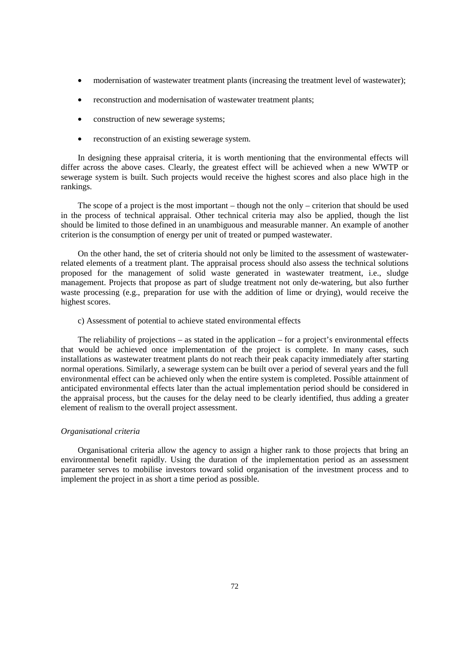- modernisation of wastewater treatment plants (increasing the treatment level of wastewater);
- reconstruction and modernisation of wastewater treatment plants;
- construction of new sewerage systems;
- reconstruction of an existing sewerage system.

In designing these appraisal criteria, it is worth mentioning that the environmental effects will differ across the above cases. Clearly, the greatest effect will be achieved when a new WWTP or sewerage system is built. Such projects would receive the highest scores and also place high in the rankings.

The scope of a project is the most important – though not the only – criterion that should be used in the process of technical appraisal. Other technical criteria may also be applied, though the list should be limited to those defined in an unambiguous and measurable manner. An example of another criterion is the consumption of energy per unit of treated or pumped wastewater.

On the other hand, the set of criteria should not only be limited to the assessment of wastewaterrelated elements of a treatment plant. The appraisal process should also assess the technical solutions proposed for the management of solid waste generated in wastewater treatment, i.e., sludge management. Projects that propose as part of sludge treatment not only de-watering, but also further waste processing (e.g., preparation for use with the addition of lime or drying), would receive the highest scores.

c) Assessment of potential to achieve stated environmental effects

The reliability of projections – as stated in the application – for a project's environmental effects that would be achieved once implementation of the project is complete. In many cases, such installations as wastewater treatment plants do not reach their peak capacity immediately after starting normal operations. Similarly, a sewerage system can be built over a period of several years and the full environmental effect can be achieved only when the entire system is completed. Possible attainment of anticipated environmental effects later than the actual implementation period should be considered in the appraisal process, but the causes for the delay need to be clearly identified, thus adding a greater element of realism to the overall project assessment.

## *Organisational criteria*

Organisational criteria allow the agency to assign a higher rank to those projects that bring an environmental benefit rapidly. Using the duration of the implementation period as an assessment parameter serves to mobilise investors toward solid organisation of the investment process and to implement the project in as short a time period as possible.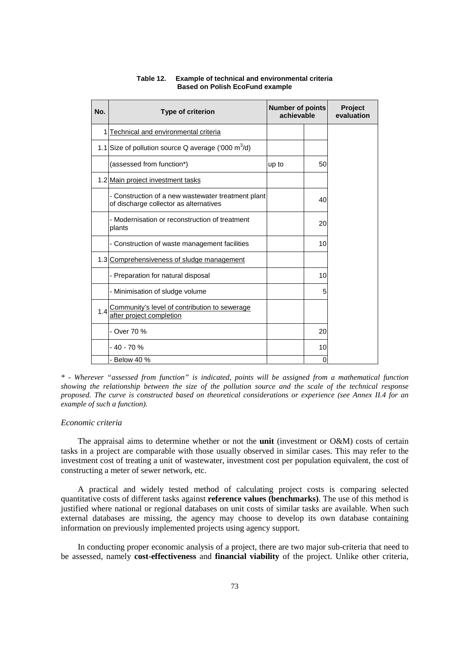| No. | Type of criterion                                                                            | <b>Number of points</b><br>achievable |    | Project<br>evaluation |
|-----|----------------------------------------------------------------------------------------------|---------------------------------------|----|-----------------------|
|     | 1 Technical and environmental criteria                                                       |                                       |    |                       |
|     | 1.1 Size of pollution source Q average ('000 $m^3/d$ )                                       |                                       |    |                       |
|     | (assessed from function*)                                                                    | up to                                 | 50 |                       |
|     | 1.2 Main project investment tasks                                                            |                                       |    |                       |
|     | - Construction of a new wastewater treatment plant<br>of discharge collector as alternatives |                                       | 40 |                       |
|     | - Modernisation or reconstruction of treatment<br>plants                                     |                                       | 20 |                       |
|     | - Construction of waste management facilities                                                |                                       | 10 |                       |
|     | 1.3 Comprehensiveness of sludge management                                                   |                                       |    |                       |
|     | - Preparation for natural disposal                                                           |                                       | 10 |                       |
|     | - Minimisation of sludge volume                                                              |                                       | 5  |                       |
| 1.4 | Community's level of contribution to sewerage<br>after project completion                    |                                       |    |                       |
|     | - Over 70 %                                                                                  |                                       | 20 |                       |
|     | $-40 - 70%$                                                                                  |                                       | 10 |                       |
|     | - Below 40 %                                                                                 |                                       | 0  |                       |

## **Table 12. Example of technical and environmental criteria Based on Polish EcoFund example**

*\* - Wherever "assessed from function" is indicated, points will be assigned from a mathematical function showing the relationship between the size of the pollution source and the scale of the technical response proposed. The curve is constructed based on theoretical considerations or experience (see Annex II.4 for an example of such a function).* 

## *Economic criteria*

The appraisal aims to determine whether or not the **unit** (investment or O&M) costs of certain tasks in a project are comparable with those usually observed in similar cases. This may refer to the investment cost of treating a unit of wastewater, investment cost per population equivalent, the cost of constructing a meter of sewer network, etc.

A practical and widely tested method of calculating project costs is comparing selected quantitative costs of different tasks against **reference values (benchmarks)**. The use of this method is justified where national or regional databases on unit costs of similar tasks are available. When such external databases are missing, the agency may choose to develop its own database containing information on previously implemented projects using agency support.

In conducting proper economic analysis of a project, there are two major sub-criteria that need to be assessed, namely **cost-effectiveness** and **financial viability** of the project. Unlike other criteria,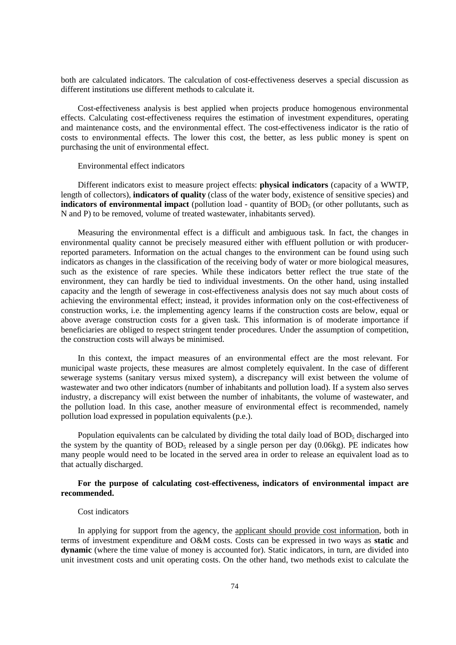both are calculated indicators. The calculation of cost-effectiveness deserves a special discussion as different institutions use different methods to calculate it.

Cost-effectiveness analysis is best applied when projects produce homogenous environmental effects. Calculating cost-effectiveness requires the estimation of investment expenditures, operating and maintenance costs, and the environmental effect. The cost-effectiveness indicator is the ratio of costs to environmental effects. The lower this cost, the better, as less public money is spent on purchasing the unit of environmental effect.

# Environmental effect indicators

Different indicators exist to measure project effects: **physical indicators** (capacity of a WWTP, length of collectors), **indicators of quality** (class of the water body, existence of sensitive species) and **indicators of environmental impact** (pollution load - quantity of  $BOD<sub>5</sub>$  (or other pollutants, such as N and P) to be removed, volume of treated wastewater, inhabitants served).

Measuring the environmental effect is a difficult and ambiguous task. In fact, the changes in environmental quality cannot be precisely measured either with effluent pollution or with producerreported parameters. Information on the actual changes to the environment can be found using such indicators as changes in the classification of the receiving body of water or more biological measures, such as the existence of rare species. While these indicators better reflect the true state of the environment, they can hardly be tied to individual investments. On the other hand, using installed capacity and the length of sewerage in cost-effectiveness analysis does not say much about costs of achieving the environmental effect; instead, it provides information only on the cost-effectiveness of construction works, i.e. the implementing agency learns if the construction costs are below, equal or above average construction costs for a given task. This information is of moderate importance if beneficiaries are obliged to respect stringent tender procedures. Under the assumption of competition, the construction costs will always be minimised.

In this context, the impact measures of an environmental effect are the most relevant. For municipal waste projects, these measures are almost completely equivalent. In the case of different sewerage systems (sanitary versus mixed system), a discrepancy will exist between the volume of wastewater and two other indicators (number of inhabitants and pollution load). If a system also serves industry, a discrepancy will exist between the number of inhabitants, the volume of wastewater, and the pollution load. In this case, another measure of environmental effect is recommended, namely pollution load expressed in population equivalents (p.e.).

Population equivalents can be calculated by dividing the total daily load of  $BOD<sub>5</sub>$  discharged into the system by the quantity of  $BOD_5$  released by a single person per day (0.06kg). PE indicates how many people would need to be located in the served area in order to release an equivalent load as to that actually discharged.

# **For the purpose of calculating cost-effectiveness, indicators of environmental impact are recommended.**

## Cost indicators

In applying for support from the agency, the applicant should provide cost information, both in terms of investment expenditure and O&M costs. Costs can be expressed in two ways as **static** and **dynamic** (where the time value of money is accounted for). Static indicators, in turn, are divided into unit investment costs and unit operating costs. On the other hand, two methods exist to calculate the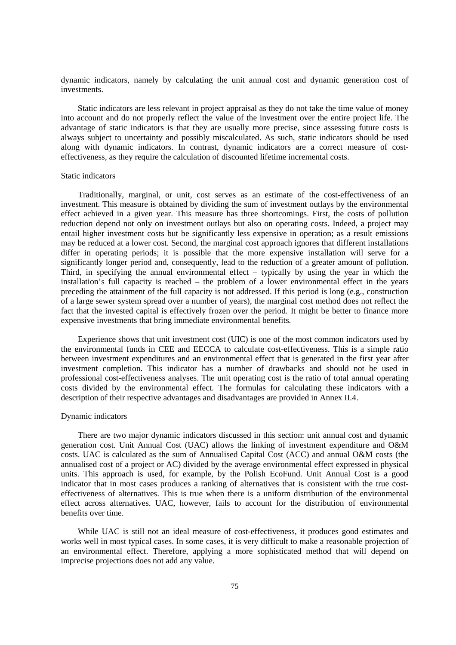dynamic indicators, namely by calculating the unit annual cost and dynamic generation cost of investments.

Static indicators are less relevant in project appraisal as they do not take the time value of money into account and do not properly reflect the value of the investment over the entire project life. The advantage of static indicators is that they are usually more precise, since assessing future costs is always subject to uncertainty and possibly miscalculated. As such, static indicators should be used along with dynamic indicators. In contrast, dynamic indicators are a correct measure of costeffectiveness, as they require the calculation of discounted lifetime incremental costs.

## Static indicators

Traditionally, marginal, or unit, cost serves as an estimate of the cost-effectiveness of an investment. This measure is obtained by dividing the sum of investment outlays by the environmental effect achieved in a given year. This measure has three shortcomings. First, the costs of pollution reduction depend not only on investment outlays but also on operating costs. Indeed, a project may entail higher investment costs but be significantly less expensive in operation; as a result emissions may be reduced at a lower cost. Second, the marginal cost approach ignores that different installations differ in operating periods; it is possible that the more expensive installation will serve for a significantly longer period and, consequently, lead to the reduction of a greater amount of pollution. Third, in specifying the annual environmental effect – typically by using the year in which the installation's full capacity is reached – the problem of a lower environmental effect in the years preceding the attainment of the full capacity is not addressed. If this period is long (e.g., construction of a large sewer system spread over a number of years), the marginal cost method does not reflect the fact that the invested capital is effectively frozen over the period. It might be better to finance more expensive investments that bring immediate environmental benefits.

Experience shows that unit investment cost (UIC) is one of the most common indicators used by the environmental funds in CEE and EECCA to calculate cost-effectiveness. This is a simple ratio between investment expenditures and an environmental effect that is generated in the first year after investment completion. This indicator has a number of drawbacks and should not be used in professional cost-effectiveness analyses. The unit operating cost is the ratio of total annual operating costs divided by the environmental effect. The formulas for calculating these indicators with a description of their respective advantages and disadvantages are provided in Annex II.4.

#### Dynamic indicators

There are two major dynamic indicators discussed in this section: unit annual cost and dynamic generation cost. Unit Annual Cost (UAC) allows the linking of investment expenditure and O&M costs. UAC is calculated as the sum of Annualised Capital Cost (ACC) and annual O&M costs (the annualised cost of a project or AC) divided by the average environmental effect expressed in physical units. This approach is used, for example, by the Polish EcoFund. Unit Annual Cost is a good indicator that in most cases produces a ranking of alternatives that is consistent with the true costeffectiveness of alternatives. This is true when there is a uniform distribution of the environmental effect across alternatives. UAC, however, fails to account for the distribution of environmental benefits over time.

While UAC is still not an ideal measure of cost-effectiveness, it produces good estimates and works well in most typical cases. In some cases, it is very difficult to make a reasonable projection of an environmental effect. Therefore, applying a more sophisticated method that will depend on imprecise projections does not add any value.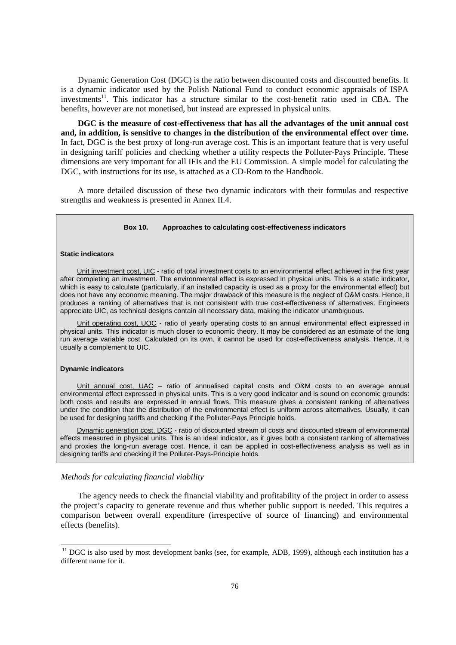Dynamic Generation Cost (DGC) is the ratio between discounted costs and discounted benefits. It is a dynamic indicator used by the Polish National Fund to conduct economic appraisals of ISPA investments<sup>11</sup>. This indicator has a structure similar to the cost-benefit ratio used in CBA. The benefits, however are not monetised, but instead are expressed in physical units.

**DGC is the measure of cost-effectiveness that has all the advantages of the unit annual cost and, in addition, is sensitive to changes in the distribution of the environmental effect over time.** In fact, DGC is the best proxy of long-run average cost. This is an important feature that is very useful in designing tariff policies and checking whether a utility respects the Polluter-Pays Principle. These dimensions are very important for all IFIs and the EU Commission. A simple model for calculating the DGC, with instructions for its use, is attached as a CD-Rom to the Handbook.

A more detailed discussion of these two dynamic indicators with their formulas and respective strengths and weakness is presented in Annex II.4.

#### **Box 10. Approaches to calculating cost-effectiveness indicators**

#### **Static indicators**

Unit investment cost, UIC - ratio of total investment costs to an environmental effect achieved in the first year after completing an investment. The environmental effect is expressed in physical units. This is a static indicator, which is easy to calculate (particularly, if an installed capacity is used as a proxy for the environmental effect) but does not have any economic meaning. The major drawback of this measure is the neglect of O&M costs. Hence, it produces a ranking of alternatives that is not consistent with true cost-effectiveness of alternatives. Engineers appreciate UIC, as technical designs contain all necessary data, making the indicator unambiguous.

Unit operating cost, UOC - ratio of yearly operating costs to an annual environmental effect expressed in physical units. This indicator is much closer to economic theory. It may be considered as an estimate of the long run average variable cost. Calculated on its own, it cannot be used for cost-effectiveness analysis. Hence, it is usually a complement to UIC.

## **Dynamic indicators**

-

Unit annual cost, UAC – ratio of annualised capital costs and O&M costs to an average annual environmental effect expressed in physical units. This is a very good indicator and is sound on economic grounds: both costs and results are expressed in annual flows. This measure gives a consistent ranking of alternatives under the condition that the distribution of the environmental effect is uniform across alternatives. Usually, it can be used for designing tariffs and checking if the Polluter-Pays Principle holds.

Dynamic generation cost, DGC - ratio of discounted stream of costs and discounted stream of environmental effects measured in physical units. This is an ideal indicator, as it gives both a consistent ranking of alternatives and proxies the long-run average cost. Hence, it can be applied in cost-effectiveness analysis as well as in designing tariffs and checking if the Polluter-Pays-Principle holds.

## *Methods for calculating financial viability*

The agency needs to check the financial viability and profitability of the project in order to assess the project's capacity to generate revenue and thus whether public support is needed. This requires a comparison between overall expenditure (irrespective of source of financing) and environmental effects (benefits).

 $11$  DGC is also used by most development banks (see, for example, ADB, 1999), although each institution has a different name for it.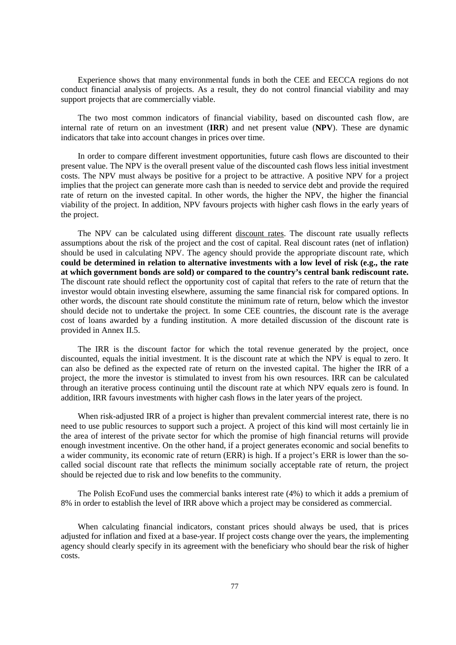Experience shows that many environmental funds in both the CEE and EECCA regions do not conduct financial analysis of projects. As a result, they do not control financial viability and may support projects that are commercially viable.

The two most common indicators of financial viability, based on discounted cash flow, are internal rate of return on an investment (**IRR**) and net present value (**NPV**). These are dynamic indicators that take into account changes in prices over time.

In order to compare different investment opportunities, future cash flows are discounted to their present value. The NPV is the overall present value of the discounted cash flows less initial investment costs. The NPV must always be positive for a project to be attractive. A positive NPV for a project implies that the project can generate more cash than is needed to service debt and provide the required rate of return on the invested capital. In other words, the higher the NPV, the higher the financial viability of the project. In addition, NPV favours projects with higher cash flows in the early years of the project.

The NPV can be calculated using different discount rates. The discount rate usually reflects assumptions about the risk of the project and the cost of capital. Real discount rates (net of inflation) should be used in calculating NPV. The agency should provide the appropriate discount rate, which **could be determined in relation to alternative investments with a low level of risk (e.g., the rate at which government bonds are sold) or compared to the country's central bank rediscount rate.** The discount rate should reflect the opportunity cost of capital that refers to the rate of return that the investor would obtain investing elsewhere, assuming the same financial risk for compared options. In other words, the discount rate should constitute the minimum rate of return, below which the investor should decide not to undertake the project. In some CEE countries, the discount rate is the average cost of loans awarded by a funding institution. A more detailed discussion of the discount rate is provided in Annex II.5.

The IRR is the discount factor for which the total revenue generated by the project, once discounted, equals the initial investment. It is the discount rate at which the NPV is equal to zero. It can also be defined as the expected rate of return on the invested capital. The higher the IRR of a project, the more the investor is stimulated to invest from his own resources. IRR can be calculated through an iterative process continuing until the discount rate at which NPV equals zero is found. In addition, IRR favours investments with higher cash flows in the later years of the project.

When risk-adjusted IRR of a project is higher than prevalent commercial interest rate, there is no need to use public resources to support such a project. A project of this kind will most certainly lie in the area of interest of the private sector for which the promise of high financial returns will provide enough investment incentive. On the other hand, if a project generates economic and social benefits to a wider community, its economic rate of return (ERR) is high. If a project's ERR is lower than the socalled social discount rate that reflects the minimum socially acceptable rate of return, the project should be rejected due to risk and low benefits to the community.

The Polish EcoFund uses the commercial banks interest rate (4%) to which it adds a premium of 8% in order to establish the level of IRR above which a project may be considered as commercial.

When calculating financial indicators, constant prices should always be used, that is prices adjusted for inflation and fixed at a base-year. If project costs change over the years, the implementing agency should clearly specify in its agreement with the beneficiary who should bear the risk of higher costs.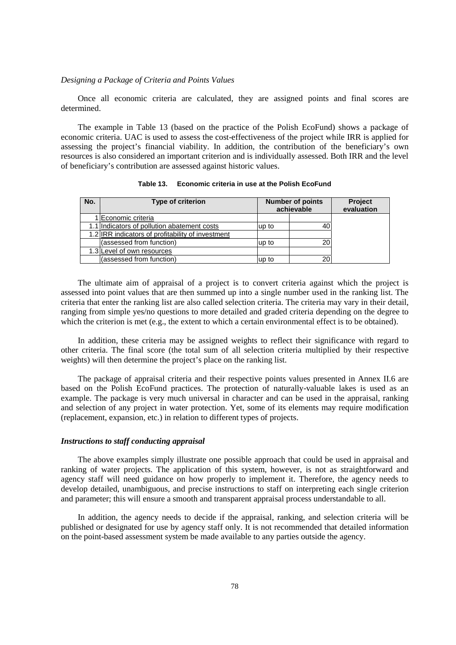## *Designing a Package of Criteria and Points Values*

Once all economic criteria are calculated, they are assigned points and final scores are determined.

The example in Table 13 (based on the practice of the Polish EcoFund) shows a package of economic criteria. UAC is used to assess the cost-effectiveness of the project while IRR is applied for assessing the project's financial viability. In addition, the contribution of the beneficiary's own resources is also considered an important criterion and is individually assessed. Both IRR and the level of beneficiary's contribution are assessed against historic values.

| No. | Type of criterion                                 | <b>Number of points</b><br>achievable |    | Project<br>evaluation |
|-----|---------------------------------------------------|---------------------------------------|----|-----------------------|
|     | Economic criteria                                 |                                       |    |                       |
|     | 1.1 Indicators of pollution abatement costs       | up to                                 |    |                       |
|     | 1.2 IRR indicators of profitability of investment |                                       |    |                       |
|     | (assessed from function)                          | up to                                 | 20 |                       |
|     | 1.3 Level of own resources                        |                                       |    |                       |
|     | (assessed from function)                          | up to                                 | 20 |                       |

**Table 13. Economic criteria in use at the Polish EcoFund** 

The ultimate aim of appraisal of a project is to convert criteria against which the project is assessed into point values that are then summed up into a single number used in the ranking list. The criteria that enter the ranking list are also called selection criteria. The criteria may vary in their detail, ranging from simple yes/no questions to more detailed and graded criteria depending on the degree to which the criterion is met (e.g., the extent to which a certain environmental effect is to be obtained).

In addition, these criteria may be assigned weights to reflect their significance with regard to other criteria. The final score (the total sum of all selection criteria multiplied by their respective weights) will then determine the project's place on the ranking list.

The package of appraisal criteria and their respective points values presented in Annex II.6 are based on the Polish EcoFund practices. The protection of naturally-valuable lakes is used as an example. The package is very much universal in character and can be used in the appraisal, ranking and selection of any project in water protection. Yet, some of its elements may require modification (replacement, expansion, etc.) in relation to different types of projects.

# *Instructions to staff conducting appraisal*

The above examples simply illustrate one possible approach that could be used in appraisal and ranking of water projects. The application of this system, however, is not as straightforward and agency staff will need guidance on how properly to implement it. Therefore, the agency needs to develop detailed, unambiguous, and precise instructions to staff on interpreting each single criterion and parameter; this will ensure a smooth and transparent appraisal process understandable to all.

In addition, the agency needs to decide if the appraisal, ranking, and selection criteria will be published or designated for use by agency staff only. It is not recommended that detailed information on the point-based assessment system be made available to any parties outside the agency.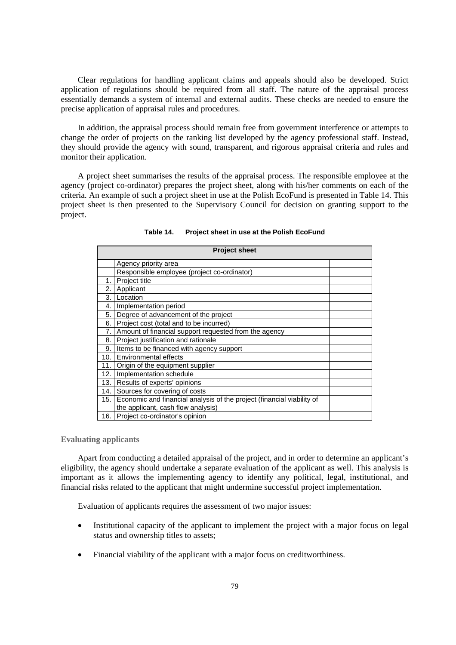Clear regulations for handling applicant claims and appeals should also be developed. Strict application of regulations should be required from all staff. The nature of the appraisal process essentially demands a system of internal and external audits. These checks are needed to ensure the precise application of appraisal rules and procedures.

In addition, the appraisal process should remain free from government interference or attempts to change the order of projects on the ranking list developed by the agency professional staff. Instead, they should provide the agency with sound, transparent, and rigorous appraisal criteria and rules and monitor their application.

A project sheet summarises the results of the appraisal process. The responsible employee at the agency (project co-ordinator) prepares the project sheet, along with his/her comments on each of the criteria. An example of such a project sheet in use at the Polish EcoFund is presented in Table 14. This project sheet is then presented to the Supervisory Council for decision on granting support to the project.

|     | <b>Project sheet</b>                                                       |  |
|-----|----------------------------------------------------------------------------|--|
|     | Agency priority area                                                       |  |
|     | Responsible employee (project co-ordinator)                                |  |
| 1.  | Project title                                                              |  |
| 2.  | Applicant                                                                  |  |
| 3.  | Location                                                                   |  |
| 4.  | Implementation period                                                      |  |
| 5.  | Degree of advancement of the project                                       |  |
| 6.  | Project cost (total and to be incurred)                                    |  |
| 7.  | Amount of financial support requested from the agency                      |  |
| 8.  | Project justification and rationale                                        |  |
| 9.  | Items to be financed with agency support                                   |  |
| 10. | Environmental effects                                                      |  |
| 11. | Origin of the equipment supplier                                           |  |
| 12. | Implementation schedule                                                    |  |
| 13. | Results of experts' opinions                                               |  |
| 14. | Sources for covering of costs                                              |  |
|     | 15. Economic and financial analysis of the project (financial viability of |  |
|     | the applicant, cash flow analysis)                                         |  |
| 16. | Project co-ordinator's opinion                                             |  |

**Table 14. Project sheet in use at the Polish EcoFund** 

# **Evaluating applicants**

Apart from conducting a detailed appraisal of the project, and in order to determine an applicant's eligibility, the agency should undertake a separate evaluation of the applicant as well. This analysis is important as it allows the implementing agency to identify any political, legal, institutional, and financial risks related to the applicant that might undermine successful project implementation.

Evaluation of applicants requires the assessment of two major issues:

- Institutional capacity of the applicant to implement the project with a major focus on legal status and ownership titles to assets;
- Financial viability of the applicant with a major focus on creditworthiness.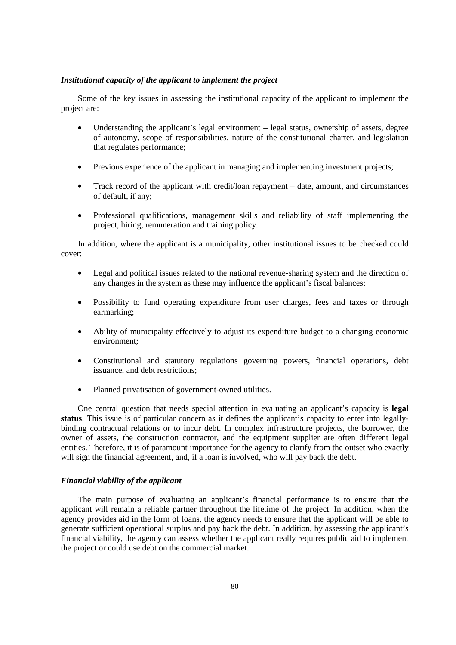# *Institutional capacity of the applicant to implement the project*

Some of the key issues in assessing the institutional capacity of the applicant to implement the project are:

- Understanding the applicant's legal environment legal status, ownership of assets, degree of autonomy, scope of responsibilities, nature of the constitutional charter, and legislation that regulates performance;
- Previous experience of the applicant in managing and implementing investment projects;
- Track record of the applicant with credit/loan repayment date, amount, and circumstances of default, if any;
- Professional qualifications, management skills and reliability of staff implementing the project, hiring, remuneration and training policy.

In addition, where the applicant is a municipality, other institutional issues to be checked could cover:

- Legal and political issues related to the national revenue-sharing system and the direction of any changes in the system as these may influence the applicant's fiscal balances;
- Possibility to fund operating expenditure from user charges, fees and taxes or through earmarking;
- Ability of municipality effectively to adjust its expenditure budget to a changing economic environment;
- Constitutional and statutory regulations governing powers, financial operations, debt issuance, and debt restrictions;
- Planned privatisation of government-owned utilities.

One central question that needs special attention in evaluating an applicant's capacity is **legal status**. This issue is of particular concern as it defines the applicant's capacity to enter into legallybinding contractual relations or to incur debt. In complex infrastructure projects, the borrower, the owner of assets, the construction contractor, and the equipment supplier are often different legal entities. Therefore, it is of paramount importance for the agency to clarify from the outset who exactly will sign the financial agreement, and, if a loan is involved, who will pay back the debt.

## *Financial viability of the applicant*

The main purpose of evaluating an applicant's financial performance is to ensure that the applicant will remain a reliable partner throughout the lifetime of the project. In addition, when the agency provides aid in the form of loans, the agency needs to ensure that the applicant will be able to generate sufficient operational surplus and pay back the debt. In addition, by assessing the applicant's financial viability, the agency can assess whether the applicant really requires public aid to implement the project or could use debt on the commercial market.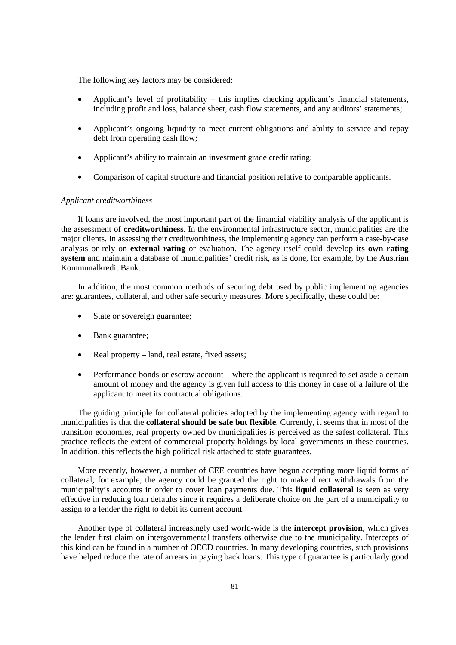The following key factors may be considered:

- Applicant's level of profitability this implies checking applicant's financial statements, including profit and loss, balance sheet, cash flow statements, and any auditors' statements;
- Applicant's ongoing liquidity to meet current obligations and ability to service and repay debt from operating cash flow;
- Applicant's ability to maintain an investment grade credit rating;
- Comparison of capital structure and financial position relative to comparable applicants.

## *Applicant creditworthiness*

If loans are involved, the most important part of the financial viability analysis of the applicant is the assessment of **creditworthiness**. In the environmental infrastructure sector, municipalities are the major clients. In assessing their creditworthiness, the implementing agency can perform a case-by-case analysis or rely on **external rating** or evaluation. The agency itself could develop **its own rating system** and maintain a database of municipalities' credit risk, as is done, for example, by the Austrian Kommunalkredit Bank.

In addition, the most common methods of securing debt used by public implementing agencies are: guarantees, collateral, and other safe security measures. More specifically, these could be:

- State or sovereign guarantee;
- Bank guarantee;
- Real property land, real estate, fixed assets;
- Performance bonds or escrow account where the applicant is required to set aside a certain amount of money and the agency is given full access to this money in case of a failure of the applicant to meet its contractual obligations.

The guiding principle for collateral policies adopted by the implementing agency with regard to municipalities is that the **collateral should be safe but flexible**. Currently, it seems that in most of the transition economies, real property owned by municipalities is perceived as the safest collateral. This practice reflects the extent of commercial property holdings by local governments in these countries. In addition, this reflects the high political risk attached to state guarantees.

More recently, however, a number of CEE countries have begun accepting more liquid forms of collateral; for example, the agency could be granted the right to make direct withdrawals from the municipality's accounts in order to cover loan payments due. This **liquid collateral** is seen as very effective in reducing loan defaults since it requires a deliberate choice on the part of a municipality to assign to a lender the right to debit its current account.

Another type of collateral increasingly used world-wide is the **intercept provision**, which gives the lender first claim on intergovernmental transfers otherwise due to the municipality. Intercepts of this kind can be found in a number of OECD countries. In many developing countries, such provisions have helped reduce the rate of arrears in paying back loans. This type of guarantee is particularly good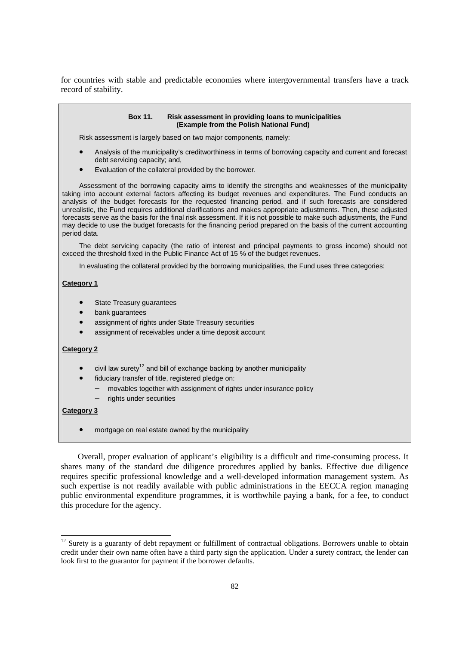for countries with stable and predictable economies where intergovernmental transfers have a track record of stability.

#### **Box 11. Risk assessment in providing loans to municipalities (Example from the Polish National Fund)**

Risk assessment is largely based on two major components, namely:

- Analysis of the municipality's creditworthiness in terms of borrowing capacity and current and forecast debt servicing capacity; and,
- Evaluation of the collateral provided by the borrower.

Assessment of the borrowing capacity aims to identify the strengths and weaknesses of the municipality taking into account external factors affecting its budget revenues and expenditures. The Fund conducts an analysis of the budget forecasts for the requested financing period, and if such forecasts are considered unrealistic, the Fund requires additional clarifications and makes appropriate adjustments. Then, these adjusted forecasts serve as the basis for the final risk assessment. If it is not possible to make such adjustments, the Fund may decide to use the budget forecasts for the financing period prepared on the basis of the current accounting period data.

The debt servicing capacity (the ratio of interest and principal payments to gross income) should not exceed the threshold fixed in the Public Finance Act of 15 % of the budget revenues.

In evaluating the collateral provided by the borrowing municipalities, the Fund uses three categories:

## **Category 1**

- State Treasury guarantees
- bank guarantees
- assignment of rights under State Treasury securities
- assignment of receivables under a time deposit account

# **Category 2**

- civil law surety<sup>12</sup> and bill of exchange backing by another municipality
- fiduciary transfer of title, registered pledge on:
	- movables together with assignment of rights under insurance policy
	- rights under securities

# **Category 3**

j

• mortgage on real estate owned by the municipality

Overall, proper evaluation of applicant's eligibility is a difficult and time-consuming process. It shares many of the standard due diligence procedures applied by banks. Effective due diligence requires specific professional knowledge and a well-developed information management system. As such expertise is not readily available with public administrations in the EECCA region managing public environmental expenditure programmes, it is worthwhile paying a bank, for a fee, to conduct this procedure for the agency.

 $12$  Surety is a guaranty of debt repayment or fulfillment of contractual obligations. Borrowers unable to obtain credit under their own name often have a third party sign the application. Under a surety contract, the lender can look first to the guarantor for payment if the borrower defaults.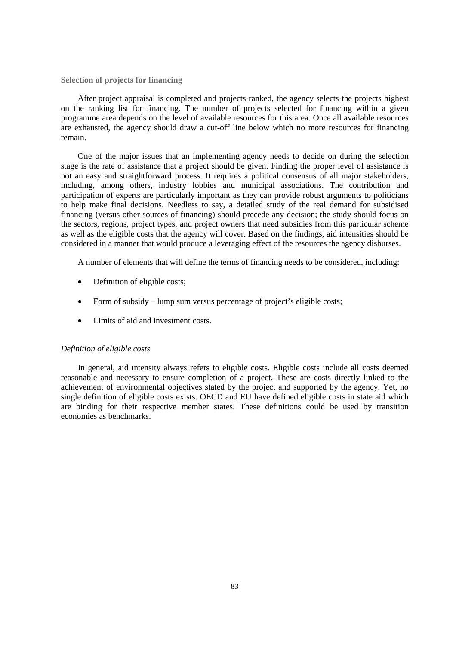**Selection of projects for financing** 

After project appraisal is completed and projects ranked, the agency selects the projects highest on the ranking list for financing. The number of projects selected for financing within a given programme area depends on the level of available resources for this area. Once all available resources are exhausted, the agency should draw a cut-off line below which no more resources for financing remain.

One of the major issues that an implementing agency needs to decide on during the selection stage is the rate of assistance that a project should be given. Finding the proper level of assistance is not an easy and straightforward process. It requires a political consensus of all major stakeholders, including, among others, industry lobbies and municipal associations. The contribution and participation of experts are particularly important as they can provide robust arguments to politicians to help make final decisions. Needless to say, a detailed study of the real demand for subsidised financing (versus other sources of financing) should precede any decision; the study should focus on the sectors, regions, project types, and project owners that need subsidies from this particular scheme as well as the eligible costs that the agency will cover. Based on the findings, aid intensities should be considered in a manner that would produce a leveraging effect of the resources the agency disburses.

A number of elements that will define the terms of financing needs to be considered, including:

- Definition of eligible costs;
- Form of subsidy lump sum versus percentage of project's eligible costs;
- Limits of aid and investment costs.

# *Definition of eligible costs*

In general, aid intensity always refers to eligible costs. Eligible costs include all costs deemed reasonable and necessary to ensure completion of a project. These are costs directly linked to the achievement of environmental objectives stated by the project and supported by the agency. Yet, no single definition of eligible costs exists. OECD and EU have defined eligible costs in state aid which are binding for their respective member states. These definitions could be used by transition economies as benchmarks.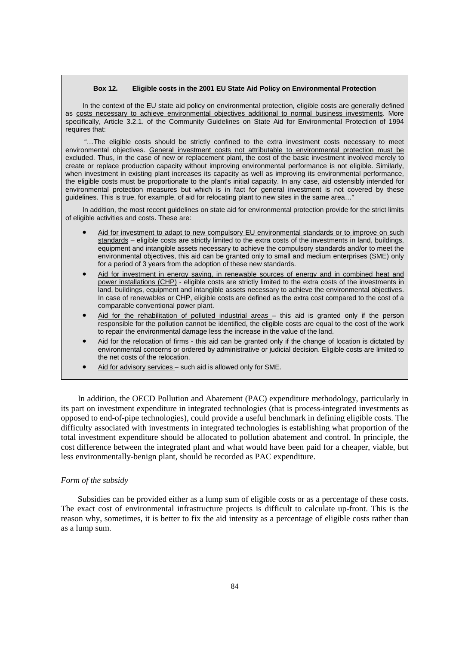#### **Box 12. Eligible costs in the 2001 EU State Aid Policy on Environmental Protection**

In the context of the EU state aid policy on environmental protection, eligible costs are generally defined as costs necessary to achieve environmental objectives additional to normal business investments. More specifically, Article 3.2.1. of the Community Guidelines on State Aid for Environmental Protection of 1994 requires that:

 "…The eligible costs should be strictly confined to the extra investment costs necessary to meet environmental objectives. General investment costs not attributable to environmental protection must be excluded. Thus, in the case of new or replacement plant, the cost of the basic investment involved merely to create or replace production capacity without improving environmental performance is not eligible. Similarly, when investment in existing plant increases its capacity as well as improving its environmental performance, the eligible costs must be proportionate to the plant's initial capacity. In any case, aid ostensibly intended for environmental protection measures but which is in fact for general investment is not covered by these guidelines. This is true, for example, of aid for relocating plant to new sites in the same area…"

In addition, the most recent guidelines on state aid for environmental protection provide for the strict limits of eligible activities and costs. These are:

- Aid for investment to adapt to new compulsory EU environmental standards or to improve on such standards – eligible costs are strictly limited to the extra costs of the investments in land, buildings, equipment and intangible assets necessary to achieve the compulsory standards and/or to meet the environmental objectives, this aid can be granted only to small and medium enterprises (SME) only for a period of 3 years from the adoption of these new standards.
- Aid for investment in energy saving, in renewable sources of energy and in combined heat and power installations (CHP) - eligible costs are strictly limited to the extra costs of the investments in land, buildings, equipment and intangible assets necessary to achieve the environmental objectives. In case of renewables or CHP, eligible costs are defined as the extra cost compared to the cost of a comparable conventional power plant.
- Aid for the rehabilitation of polluted industrial areas  $-$  this aid is granted only if the person responsible for the pollution cannot be identified, the eligible costs are equal to the cost of the work to repair the environmental damage less the increase in the value of the land.
- Aid for the relocation of firms this aid can be granted only if the change of location is dictated by environmental concerns or ordered by administrative or judicial decision. Eligible costs are limited to the net costs of the relocation.
- Aid for advisory services such aid is allowed only for SME.

In addition, the OECD Pollution and Abatement (PAC) expenditure methodology, particularly in its part on investment expenditure in integrated technologies (that is process-integrated investments as opposed to end-of-pipe technologies), could provide a useful benchmark in defining eligible costs. The difficulty associated with investments in integrated technologies is establishing what proportion of the total investment expenditure should be allocated to pollution abatement and control. In principle, the cost difference between the integrated plant and what would have been paid for a cheaper, viable, but less environmentally-benign plant, should be recorded as PAC expenditure.

## *Form of the subsidy*

Subsidies can be provided either as a lump sum of eligible costs or as a percentage of these costs. The exact cost of environmental infrastructure projects is difficult to calculate up-front. This is the reason why, sometimes, it is better to fix the aid intensity as a percentage of eligible costs rather than as a lump sum.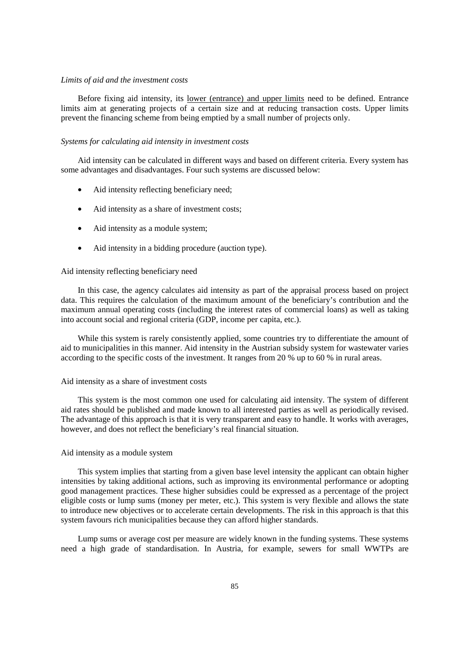## *Limits of aid and the investment costs*

Before fixing aid intensity, its lower (entrance) and upper limits need to be defined. Entrance limits aim at generating projects of a certain size and at reducing transaction costs. Upper limits prevent the financing scheme from being emptied by a small number of projects only.

#### *Systems for calculating aid intensity in investment costs*

Aid intensity can be calculated in different ways and based on different criteria. Every system has some advantages and disadvantages. Four such systems are discussed below:

- Aid intensity reflecting beneficiary need;
- Aid intensity as a share of investment costs;
- Aid intensity as a module system;
- Aid intensity in a bidding procedure (auction type).

## Aid intensity reflecting beneficiary need

In this case, the agency calculates aid intensity as part of the appraisal process based on project data. This requires the calculation of the maximum amount of the beneficiary's contribution and the maximum annual operating costs (including the interest rates of commercial loans) as well as taking into account social and regional criteria (GDP, income per capita, etc.).

While this system is rarely consistently applied, some countries try to differentiate the amount of aid to municipalities in this manner. Aid intensity in the Austrian subsidy system for wastewater varies according to the specific costs of the investment. It ranges from 20 % up to 60 % in rural areas.

## Aid intensity as a share of investment costs

This system is the most common one used for calculating aid intensity. The system of different aid rates should be published and made known to all interested parties as well as periodically revised. The advantage of this approach is that it is very transparent and easy to handle. It works with averages, however, and does not reflect the beneficiary's real financial situation.

#### Aid intensity as a module system

This system implies that starting from a given base level intensity the applicant can obtain higher intensities by taking additional actions, such as improving its environmental performance or adopting good management practices. These higher subsidies could be expressed as a percentage of the project eligible costs or lump sums (money per meter, etc.). This system is very flexible and allows the state to introduce new objectives or to accelerate certain developments. The risk in this approach is that this system favours rich municipalities because they can afford higher standards.

Lump sums or average cost per measure are widely known in the funding systems. These systems need a high grade of standardisation. In Austria, for example, sewers for small WWTPs are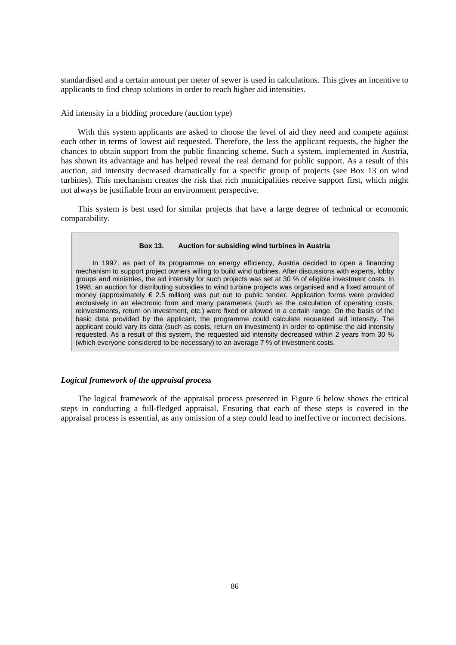standardised and a certain amount per meter of sewer is used in calculations. This gives an incentive to applicants to find cheap solutions in order to reach higher aid intensities.

Aid intensity in a bidding procedure (auction type)

With this system applicants are asked to choose the level of aid they need and compete against each other in terms of lowest aid requested. Therefore, the less the applicant requests, the higher the chances to obtain support from the public financing scheme. Such a system, implemented in Austria, has shown its advantage and has helped reveal the real demand for public support. As a result of this auction, aid intensity decreased dramatically for a specific group of projects (see Box 13 on wind turbines). This mechanism creates the risk that rich municipalities receive support first, which might not always be justifiable from an environment perspective.

This system is best used for similar projects that have a large degree of technical or economic comparability.

## **Box 13. Auction for subsiding wind turbines in Austria**

In 1997, as part of its programme on energy efficiency, Austria decided to open a financing mechanism to support project owners willing to build wind turbines. After discussions with experts, lobby groups and ministries, the aid intensity for such projects was set at 30 % of eligible investment costs. In 1998, an auction for distributing subsidies to wind turbine projects was organised and a fixed amount of money (approximately  $\epsilon$  2.5 million) was put out to public tender. Application forms were provided exclusively in an electronic form and many parameters (such as the calculation of operating costs, reinvestments, return on investment, etc.) were fixed or allowed in a certain range. On the basis of the basic data provided by the applicant, the programme could calculate requested aid intensity. The applicant could vary its data (such as costs, return on investment) in order to optimise the aid intensity requested. As a result of this system, the requested aid intensity decreased within 2 years from 30 % (which everyone considered to be necessary) to an average 7 % of investment costs.

# *Logical framework of the appraisal process*

The logical framework of the appraisal process presented in Figure 6 below shows the critical steps in conducting a full-fledged appraisal. Ensuring that each of these steps is covered in the appraisal process is essential, as any omission of a step could lead to ineffective or incorrect decisions.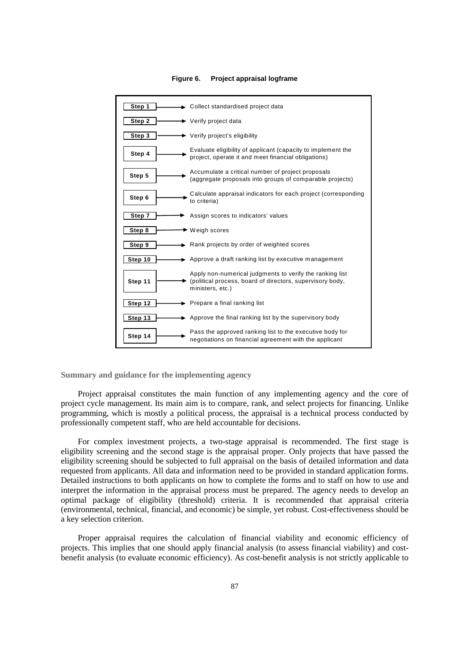



**Summary and guidance for the implementing agency** 

Project appraisal constitutes the main function of any implementing agency and the core of project cycle management. Its main aim is to compare, rank, and select projects for financing. Unlike programming, which is mostly a political process, the appraisal is a technical process conducted by professionally competent staff, who are held accountable for decisions.

For complex investment projects, a two-stage appraisal is recommended. The first stage is eligibility screening and the second stage is the appraisal proper. Only projects that have passed the eligibility screening should be subjected to full appraisal on the basis of detailed information and data requested from applicants. All data and information need to be provided in standard application forms. Detailed instructions to both applicants on how to complete the forms and to staff on how to use and interpret the information in the appraisal process must be prepared. The agency needs to develop an optimal package of eligibility (threshold) criteria. It is recommended that appraisal criteria (environmental, technical, financial, and economic) be simple, yet robust. Cost-effectiveness should be a key selection criterion.

Proper appraisal requires the calculation of financial viability and economic efficiency of projects. This implies that one should apply financial analysis (to assess financial viability) and costbenefit analysis (to evaluate economic efficiency). As cost-benefit analysis is not strictly applicable to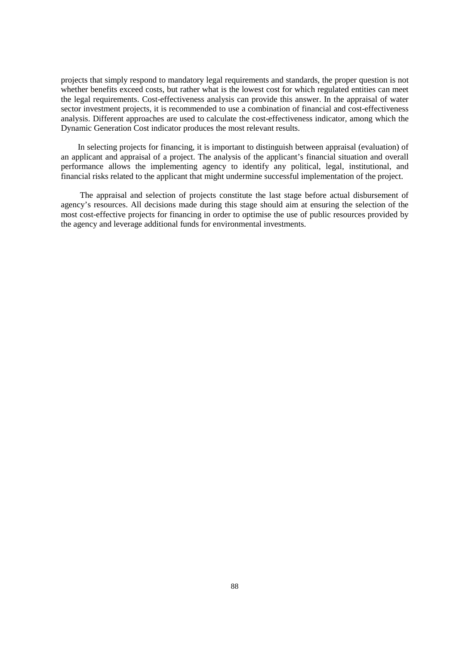projects that simply respond to mandatory legal requirements and standards, the proper question is not whether benefits exceed costs, but rather what is the lowest cost for which regulated entities can meet the legal requirements. Cost-effectiveness analysis can provide this answer. In the appraisal of water sector investment projects, it is recommended to use a combination of financial and cost-effectiveness analysis. Different approaches are used to calculate the cost-effectiveness indicator, among which the Dynamic Generation Cost indicator produces the most relevant results.

In selecting projects for financing, it is important to distinguish between appraisal (evaluation) of an applicant and appraisal of a project. The analysis of the applicant's financial situation and overall performance allows the implementing agency to identify any political, legal, institutional, and financial risks related to the applicant that might undermine successful implementation of the project.

 The appraisal and selection of projects constitute the last stage before actual disbursement of agency's resources. All decisions made during this stage should aim at ensuring the selection of the most cost-effective projects for financing in order to optimise the use of public resources provided by the agency and leverage additional funds for environmental investments.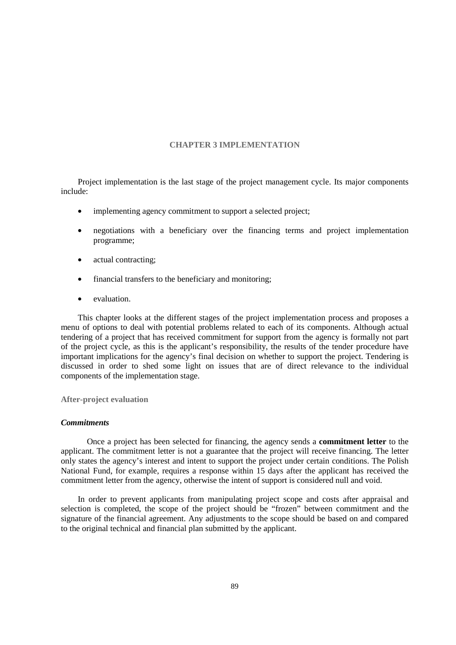# **CHAPTER 3 IMPLEMENTATION**

Project implementation is the last stage of the project management cycle. Its major components include:

- implementing agency commitment to support a selected project:
- negotiations with a beneficiary over the financing terms and project implementation programme;
- actual contracting;
- financial transfers to the beneficiary and monitoring;
- evaluation.

This chapter looks at the different stages of the project implementation process and proposes a menu of options to deal with potential problems related to each of its components. Although actual tendering of a project that has received commitment for support from the agency is formally not part of the project cycle, as this is the applicant's responsibility, the results of the tender procedure have important implications for the agency's final decision on whether to support the project. Tendering is discussed in order to shed some light on issues that are of direct relevance to the individual components of the implementation stage.

**After-project evaluation** 

# *Commitments*

 Once a project has been selected for financing, the agency sends a **commitment letter** to the applicant. The commitment letter is not a guarantee that the project will receive financing. The letter only states the agency's interest and intent to support the project under certain conditions. The Polish National Fund, for example, requires a response within 15 days after the applicant has received the commitment letter from the agency, otherwise the intent of support is considered null and void.

In order to prevent applicants from manipulating project scope and costs after appraisal and selection is completed, the scope of the project should be "frozen" between commitment and the signature of the financial agreement. Any adjustments to the scope should be based on and compared to the original technical and financial plan submitted by the applicant.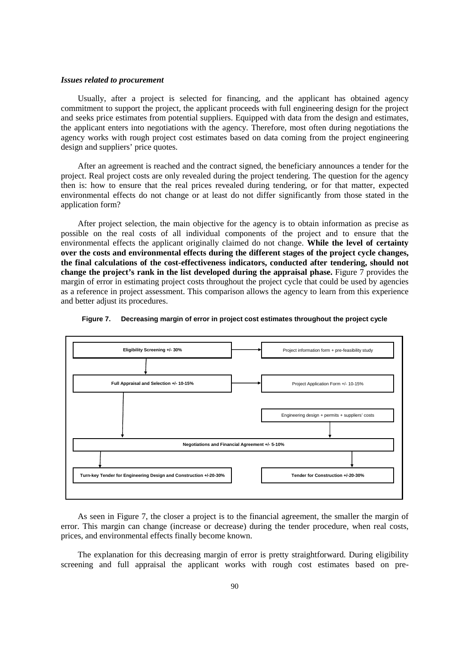## *Issues related to procurement*

Usually, after a project is selected for financing, and the applicant has obtained agency commitment to support the project, the applicant proceeds with full engineering design for the project and seeks price estimates from potential suppliers. Equipped with data from the design and estimates, the applicant enters into negotiations with the agency. Therefore, most often during negotiations the agency works with rough project cost estimates based on data coming from the project engineering design and suppliers' price quotes.

After an agreement is reached and the contract signed, the beneficiary announces a tender for the project. Real project costs are only revealed during the project tendering. The question for the agency then is: how to ensure that the real prices revealed during tendering, or for that matter, expected environmental effects do not change or at least do not differ significantly from those stated in the application form?

After project selection, the main objective for the agency is to obtain information as precise as possible on the real costs of all individual components of the project and to ensure that the environmental effects the applicant originally claimed do not change. **While the level of certainty over the costs and environmental effects during the different stages of the project cycle changes, the final calculations of the cost-effectiveness indicators, conducted after tendering, should not change the project's rank in the list developed during the appraisal phase.** Figure 7 provides the margin of error in estimating project costs throughout the project cycle that could be used by agencies as a reference in project assessment. This comparison allows the agency to learn from this experience and better adjust its procedures.



**Figure 7. Decreasing margin of error in project cost estimates throughout the project cycle** 

As seen in Figure 7, the closer a project is to the financial agreement, the smaller the margin of error. This margin can change (increase or decrease) during the tender procedure, when real costs, prices, and environmental effects finally become known.

The explanation for this decreasing margin of error is pretty straightforward. During eligibility screening and full appraisal the applicant works with rough cost estimates based on pre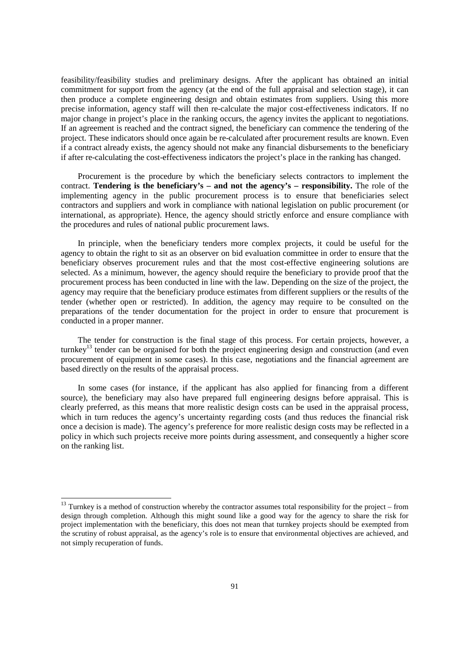feasibility/feasibility studies and preliminary designs. After the applicant has obtained an initial commitment for support from the agency (at the end of the full appraisal and selection stage), it can then produce a complete engineering design and obtain estimates from suppliers. Using this more precise information, agency staff will then re-calculate the major cost-effectiveness indicators. If no major change in project's place in the ranking occurs, the agency invites the applicant to negotiations. If an agreement is reached and the contract signed, the beneficiary can commence the tendering of the project. These indicators should once again be re-calculated after procurement results are known. Even if a contract already exists, the agency should not make any financial disbursements to the beneficiary if after re-calculating the cost-effectiveness indicators the project's place in the ranking has changed.

Procurement is the procedure by which the beneficiary selects contractors to implement the contract. **Tendering is the beneficiary's – and not the agency's – responsibility.** The role of the implementing agency in the public procurement process is to ensure that beneficiaries select contractors and suppliers and work in compliance with national legislation on public procurement (or international, as appropriate). Hence, the agency should strictly enforce and ensure compliance with the procedures and rules of national public procurement laws.

In principle, when the beneficiary tenders more complex projects, it could be useful for the agency to obtain the right to sit as an observer on bid evaluation committee in order to ensure that the beneficiary observes procurement rules and that the most cost-effective engineering solutions are selected. As a minimum, however, the agency should require the beneficiary to provide proof that the procurement process has been conducted in line with the law. Depending on the size of the project, the agency may require that the beneficiary produce estimates from different suppliers or the results of the tender (whether open or restricted). In addition, the agency may require to be consulted on the preparations of the tender documentation for the project in order to ensure that procurement is conducted in a proper manner.

The tender for construction is the final stage of this process. For certain projects, however, a turnkey<sup>13</sup> tender can be organised for both the project engineering design and construction (and even procurement of equipment in some cases). In this case, negotiations and the financial agreement are based directly on the results of the appraisal process.

In some cases (for instance, if the applicant has also applied for financing from a different source), the beneficiary may also have prepared full engineering designs before appraisal. This is clearly preferred, as this means that more realistic design costs can be used in the appraisal process, which in turn reduces the agency's uncertainty regarding costs (and thus reduces the financial risk once a decision is made). The agency's preference for more realistic design costs may be reflected in a policy in which such projects receive more points during assessment, and consequently a higher score on the ranking list.

j

 $13$  Turnkey is a method of construction whereby the contractor assumes total responsibility for the project – from design through completion. Although this might sound like a good way for the agency to share the risk for project implementation with the beneficiary, this does not mean that turnkey projects should be exempted from the scrutiny of robust appraisal, as the agency's role is to ensure that environmental objectives are achieved, and not simply recuperation of funds.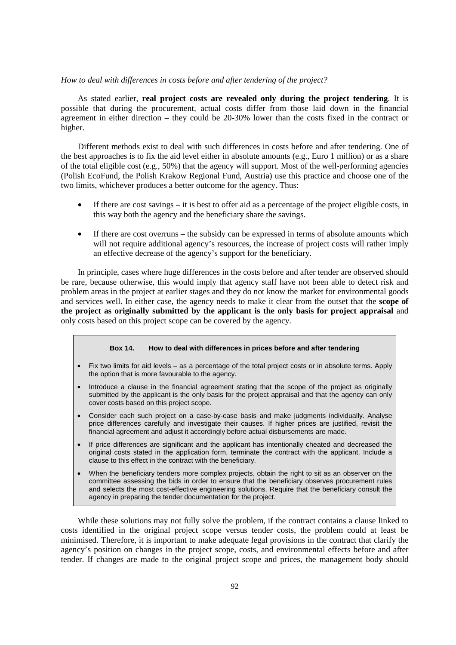## *How to deal with differences in costs before and after tendering of the project?*

As stated earlier, **real project costs are revealed only during the project tendering**. It is possible that during the procurement, actual costs differ from those laid down in the financial agreement in either direction – they could be 20-30% lower than the costs fixed in the contract or higher.

Different methods exist to deal with such differences in costs before and after tendering. One of the best approaches is to fix the aid level either in absolute amounts (e.g., Euro 1 million) or as a share of the total eligible cost (e.g., 50%) that the agency will support. Most of the well-performing agencies (Polish EcoFund, the Polish Krakow Regional Fund, Austria) use this practice and choose one of the two limits, whichever produces a better outcome for the agency. Thus:

- If there are cost savings  $-$  it is best to offer aid as a percentage of the project eligible costs, in this way both the agency and the beneficiary share the savings.
- If there are cost overruns the subsidy can be expressed in terms of absolute amounts which will not require additional agency's resources, the increase of project costs will rather imply an effective decrease of the agency's support for the beneficiary.

In principle, cases where huge differences in the costs before and after tender are observed should be rare, because otherwise, this would imply that agency staff have not been able to detect risk and problem areas in the project at earlier stages and they do not know the market for environmental goods and services well. In either case, the agency needs to make it clear from the outset that the **scope of the project as originally submitted by the applicant is the only basis for project appraisal** and only costs based on this project scope can be covered by the agency.

## **Box 14. How to deal with differences in prices before and after tendering**

- Fix two limits for aid levels as a percentage of the total project costs or in absolute terms. Apply the option that is more favourable to the agency.
- Introduce a clause in the financial agreement stating that the scope of the project as originally submitted by the applicant is the only basis for the project appraisal and that the agency can only cover costs based on this project scope.
- Consider each such project on a case-by-case basis and make judgments individually. Analyse price differences carefully and investigate their causes. If higher prices are justified, revisit the financial agreement and adjust it accordingly before actual disbursements are made.
- If price differences are significant and the applicant has intentionally cheated and decreased the original costs stated in the application form, terminate the contract with the applicant. Include a clause to this effect in the contract with the beneficiary.
- When the beneficiary tenders more complex projects, obtain the right to sit as an observer on the committee assessing the bids in order to ensure that the beneficiary observes procurement rules and selects the most cost-effective engineering solutions. Require that the beneficiary consult the agency in preparing the tender documentation for the project.

While these solutions may not fully solve the problem, if the contract contains a clause linked to costs identified in the original project scope versus tender costs, the problem could at least be minimised. Therefore, it is important to make adequate legal provisions in the contract that clarify the agency's position on changes in the project scope, costs, and environmental effects before and after tender. If changes are made to the original project scope and prices, the management body should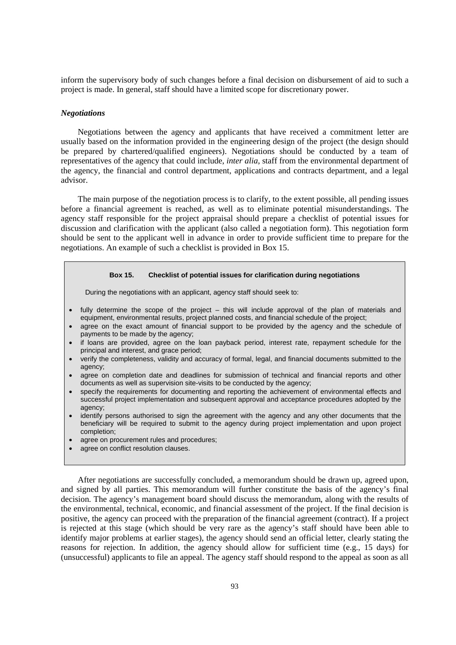inform the supervisory body of such changes before a final decision on disbursement of aid to such a project is made. In general, staff should have a limited scope for discretionary power.

## *Negotiations*

Negotiations between the agency and applicants that have received a commitment letter are usually based on the information provided in the engineering design of the project (the design should be prepared by chartered/qualified engineers). Negotiations should be conducted by a team of representatives of the agency that could include, *inter alia*, staff from the environmental department of the agency, the financial and control department, applications and contracts department, and a legal advisor.

The main purpose of the negotiation process is to clarify, to the extent possible, all pending issues before a financial agreement is reached, as well as to eliminate potential misunderstandings. The agency staff responsible for the project appraisal should prepare a checklist of potential issues for discussion and clarification with the applicant (also called a negotiation form). This negotiation form should be sent to the applicant well in advance in order to provide sufficient time to prepare for the negotiations. An example of such a checklist is provided in Box 15.

#### **Box 15. Checklist of potential issues for clarification during negotiations**

During the negotiations with an applicant, agency staff should seek to:

- fully determine the scope of the project this will include approval of the plan of materials and equipment, environmental results, project planned costs, and financial schedule of the project;
- agree on the exact amount of financial support to be provided by the agency and the schedule of payments to be made by the agency;
- if loans are provided, agree on the loan payback period, interest rate, repayment schedule for the principal and interest, and grace period;
- verify the completeness, validity and accuracy of formal, legal, and financial documents submitted to the agency;
- agree on completion date and deadlines for submission of technical and financial reports and other documents as well as supervision site-visits to be conducted by the agency;
- specify the requirements for documenting and reporting the achievement of environmental effects and successful project implementation and subsequent approval and acceptance procedures adopted by the agency;
- identify persons authorised to sign the agreement with the agency and any other documents that the beneficiary will be required to submit to the agency during project implementation and upon project completion;
- agree on procurement rules and procedures;
- agree on conflict resolution clauses.

After negotiations are successfully concluded, a memorandum should be drawn up, agreed upon, and signed by all parties. This memorandum will further constitute the basis of the agency's final decision. The agency's management board should discuss the memorandum, along with the results of the environmental, technical, economic, and financial assessment of the project. If the final decision is positive, the agency can proceed with the preparation of the financial agreement (contract). If a project is rejected at this stage (which should be very rare as the agency's staff should have been able to identify major problems at earlier stages), the agency should send an official letter, clearly stating the reasons for rejection. In addition, the agency should allow for sufficient time (e.g., 15 days) for (unsuccessful) applicants to file an appeal. The agency staff should respond to the appeal as soon as all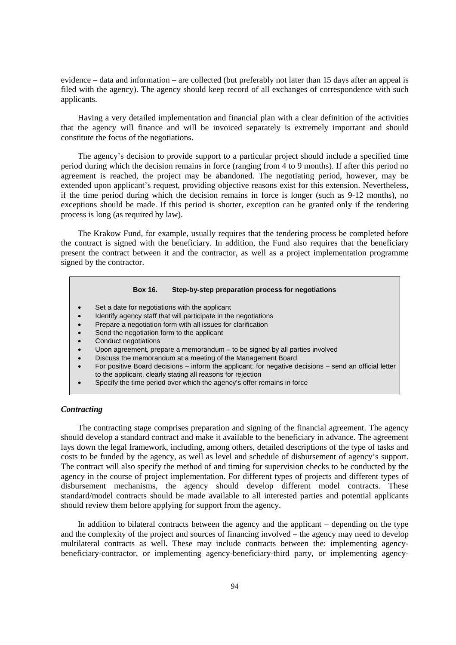evidence – data and information – are collected (but preferably not later than 15 days after an appeal is filed with the agency). The agency should keep record of all exchanges of correspondence with such applicants.

Having a very detailed implementation and financial plan with a clear definition of the activities that the agency will finance and will be invoiced separately is extremely important and should constitute the focus of the negotiations.

The agency's decision to provide support to a particular project should include a specified time period during which the decision remains in force (ranging from 4 to 9 months). If after this period no agreement is reached, the project may be abandoned. The negotiating period, however, may be extended upon applicant's request, providing objective reasons exist for this extension. Nevertheless, if the time period during which the decision remains in force is longer (such as 9-12 months), no exceptions should be made. If this period is shorter, exception can be granted only if the tendering process is long (as required by law).

The Krakow Fund, for example, usually requires that the tendering process be completed before the contract is signed with the beneficiary. In addition, the Fund also requires that the beneficiary present the contract between it and the contractor, as well as a project implementation programme signed by the contractor.

#### **Box 16. Step-by-step preparation process for negotiations**

- Set a date for negotiations with the applicant
- Identify agency staff that will participate in the negotiations
- Prepare a negotiation form with all issues for clarification
- Send the negotiation form to the applicant
- Conduct negotiations
- Upon agreement, prepare a memorandum to be signed by all parties involved
- Discuss the memorandum at a meeting of the Management Board
- For positive Board decisions inform the applicant; for negative decisions send an official letter to the applicant, clearly stating all reasons for rejection
- Specify the time period over which the agency's offer remains in force

# *Contracting*

The contracting stage comprises preparation and signing of the financial agreement. The agency should develop a standard contract and make it available to the beneficiary in advance. The agreement lays down the legal framework, including, among others, detailed descriptions of the type of tasks and costs to be funded by the agency, as well as level and schedule of disbursement of agency's support. The contract will also specify the method of and timing for supervision checks to be conducted by the agency in the course of project implementation. For different types of projects and different types of disbursement mechanisms, the agency should develop different model contracts. These standard/model contracts should be made available to all interested parties and potential applicants should review them before applying for support from the agency.

In addition to bilateral contracts between the agency and the applicant – depending on the type and the complexity of the project and sources of financing involved – the agency may need to develop multilateral contracts as well. These may include contracts between the: implementing agencybeneficiary-contractor, or implementing agency-beneficiary-third party, or implementing agency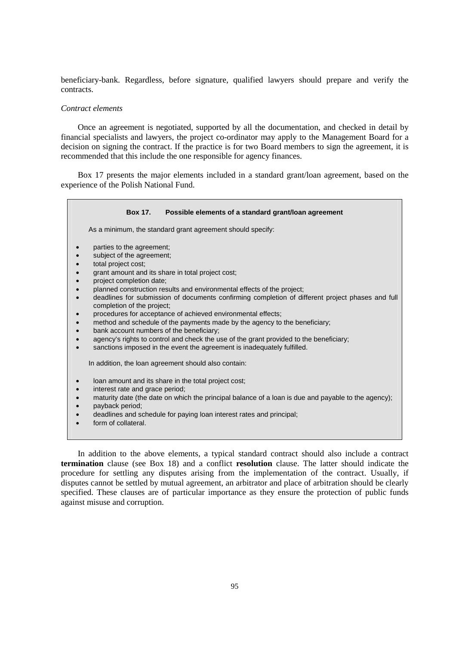beneficiary-bank. Regardless, before signature, qualified lawyers should prepare and verify the contracts.

# *Contract elements*

Once an agreement is negotiated, supported by all the documentation, and checked in detail by financial specialists and lawyers, the project co-ordinator may apply to the Management Board for a decision on signing the contract. If the practice is for two Board members to sign the agreement, it is recommended that this include the one responsible for agency finances.

Box 17 presents the major elements included in a standard grant/loan agreement, based on the experience of the Polish National Fund.

| <b>Box 17.</b>                                                                                                                                                                      | Possible elements of a standard grant/loan agreement                                                                                                                                                                                                                                                                                                                                                                                                                                                                                               |  |  |  |
|-------------------------------------------------------------------------------------------------------------------------------------------------------------------------------------|----------------------------------------------------------------------------------------------------------------------------------------------------------------------------------------------------------------------------------------------------------------------------------------------------------------------------------------------------------------------------------------------------------------------------------------------------------------------------------------------------------------------------------------------------|--|--|--|
| As a minimum, the standard grant agreement should specify:                                                                                                                          |                                                                                                                                                                                                                                                                                                                                                                                                                                                                                                                                                    |  |  |  |
| parties to the agreement;<br>subject of the agreement;<br>total project cost:<br>project completion date;<br>completion of the project;<br>bank account numbers of the beneficiary; | grant amount and its share in total project cost;<br>planned construction results and environmental effects of the project;<br>deadlines for submission of documents confirming completion of different project phases and full<br>procedures for acceptance of achieved environmental effects;<br>method and schedule of the payments made by the agency to the beneficiary;<br>agency's rights to control and check the use of the grant provided to the beneficiary;<br>sanctions imposed in the event the agreement is inadequately fulfilled. |  |  |  |
|                                                                                                                                                                                     | In addition, the loan agreement should also contain:                                                                                                                                                                                                                                                                                                                                                                                                                                                                                               |  |  |  |
| interest rate and grace period;<br>payback period;<br>form of collateral.                                                                                                           | loan amount and its share in the total project cost;<br>maturity date (the date on which the principal balance of a loan is due and payable to the agency);<br>deadlines and schedule for paying loan interest rates and principal;                                                                                                                                                                                                                                                                                                                |  |  |  |

In addition to the above elements, a typical standard contract should also include a contract **termination** clause (see Box 18) and a conflict **resolution** clause. The latter should indicate the procedure for settling any disputes arising from the implementation of the contract. Usually, if disputes cannot be settled by mutual agreement, an arbitrator and place of arbitration should be clearly specified. These clauses are of particular importance as they ensure the protection of public funds against misuse and corruption.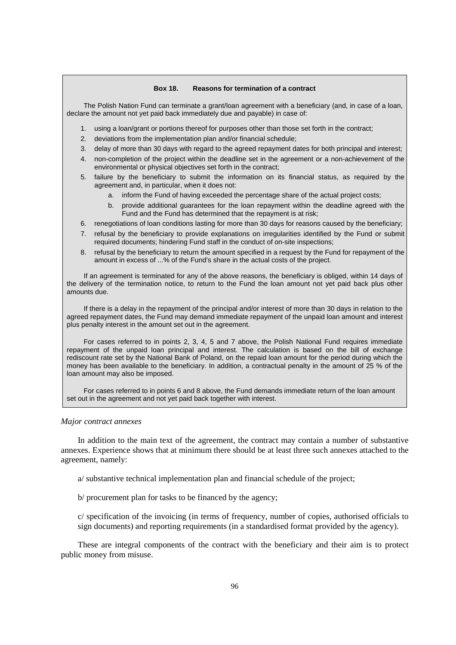#### **Box 18. Reasons for termination of a contract**

The Polish Nation Fund can terminate a grant/loan agreement with a beneficiary (and, in case of a loan, declare the amount not yet paid back immediately due and payable) in case of:

- 1. using a loan/grant or portions thereof for purposes other than those set forth in the contract;
- 2. deviations from the implementation plan and/or financial schedule;
- 3. delay of more than 30 days with regard to the agreed repayment dates for both principal and interest;
- 4. non-completion of the project within the deadline set in the agreement or a non-achievement of the environmental or physical objectives set forth in the contract;
- 5. failure by the beneficiary to submit the information on its financial status, as required by the agreement and, in particular, when it does not:
	- a. inform the Fund of having exceeded the percentage share of the actual project costs;
	- b. provide additional guarantees for the loan repayment within the deadline agreed with the Fund and the Fund has determined that the repayment is at risk;
- 6. renegotiations of loan conditions lasting for more than 30 days for reasons caused by the beneficiary;
- 7. refusal by the beneficiary to provide explanations on irregularities identified by the Fund or submit required documents; hindering Fund staff in the conduct of on-site inspections;
- 8. refusal by the beneficiary to return the amount specified in a request by the Fund for repayment of the amount in excess of ...% of the Fund's share in the actual costs of the project.

If an agreement is terminated for any of the above reasons, the beneficiary is obliged, within 14 days of the delivery of the termination notice, to return to the Fund the loan amount not yet paid back plus other amounts due.

If there is a delay in the repayment of the principal and/or interest of more than 30 days in relation to the agreed repayment dates, the Fund may demand immediate repayment of the unpaid loan amount and interest plus penalty interest in the amount set out in the agreement.

For cases referred to in points 2, 3, 4, 5 and 7 above, the Polish National Fund requires immediate repayment of the unpaid loan principal and interest. The calculation is based on the bill of exchange rediscount rate set by the National Bank of Poland, on the repaid loan amount for the period during which the money has been available to the beneficiary. In addition, a contractual penalty in the amount of 25 % of the loan amount may also be imposed.

For cases referred to in points 6 and 8 above, the Fund demands immediate return of the loan amount set out in the agreement and not yet paid back together with interest.

#### *Major contract annexes*

In addition to the main text of the agreement, the contract may contain a number of substantive annexes. Experience shows that at minimum there should be at least three such annexes attached to the agreement, namely:

a/ substantive technical implementation plan and financial schedule of the project;

b/ procurement plan for tasks to be financed by the agency;

c/ specification of the invoicing (in terms of frequency, number of copies, authorised officials to sign documents) and reporting requirements (in a standardised format provided by the agency).

These are integral components of the contract with the beneficiary and their aim is to protect public money from misuse.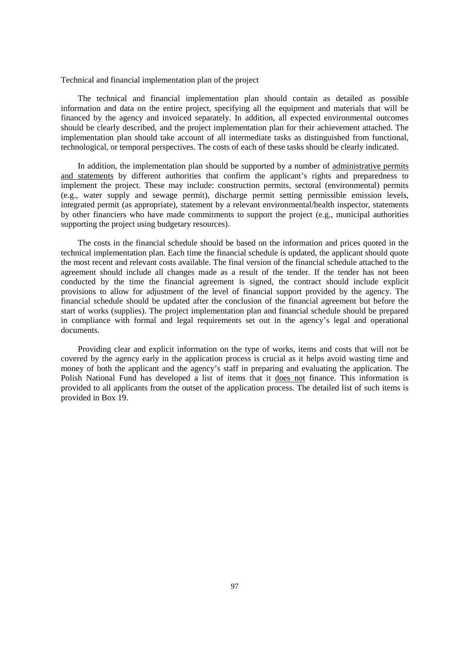Technical and financial implementation plan of the project

The technical and financial implementation plan should contain as detailed as possible information and data on the entire project, specifying all the equipment and materials that will be financed by the agency and invoiced separately. In addition, all expected environmental outcomes should be clearly described, and the project implementation plan for their achievement attached. The implementation plan should take account of all intermediate tasks as distinguished from functional, technological, or temporal perspectives. The costs of each of these tasks should be clearly indicated.

In addition, the implementation plan should be supported by a number of administrative permits and statements by different authorities that confirm the applicant's rights and preparedness to implement the project. These may include: construction permits, sectoral (environmental) permits (e.g., water supply and sewage permit), discharge permit setting permissible emission levels, integrated permit (as appropriate), statement by a relevant environmental/health inspector, statements by other financiers who have made commitments to support the project (e.g., municipal authorities supporting the project using budgetary resources).

The costs in the financial schedule should be based on the information and prices quoted in the technical implementation plan. Each time the financial schedule is updated, the applicant should quote the most recent and relevant costs available. The final version of the financial schedule attached to the agreement should include all changes made as a result of the tender. If the tender has not been conducted by the time the financial agreement is signed, the contract should include explicit provisions to allow for adjustment of the level of financial support provided by the agency. The financial schedule should be updated after the conclusion of the financial agreement but before the start of works (supplies). The project implementation plan and financial schedule should be prepared in compliance with formal and legal requirements set out in the agency's legal and operational documents.

Providing clear and explicit information on the type of works, items and costs that will not be covered by the agency early in the application process is crucial as it helps avoid wasting time and money of both the applicant and the agency's staff in preparing and evaluating the application. The Polish National Fund has developed a list of items that it does not finance. This information is provided to all applicants from the outset of the application process. The detailed list of such items is provided in Box 19.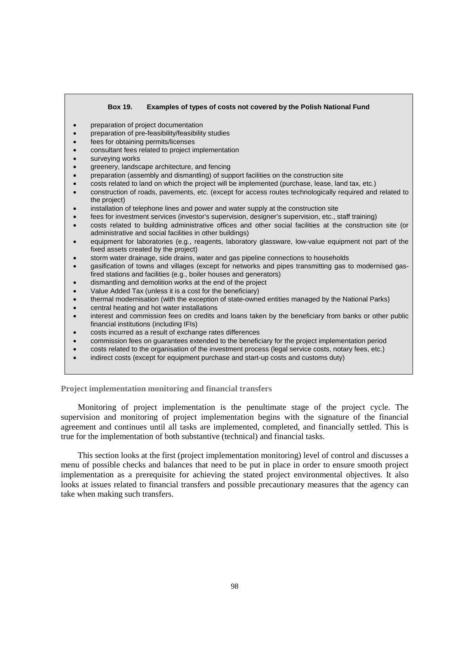#### **Box 19. Examples of types of costs not covered by the Polish National Fund**

- preparation of project documentation
- preparation of pre-feasibility/feasibility studies
- fees for obtaining permits/licenses
- consultant fees related to project implementation
- surveving works
- greenery, landscape architecture, and fencing
- preparation (assembly and dismantling) of support facilities on the construction site
- costs related to land on which the project will be implemented (purchase, lease, land tax, etc.)
- construction of roads, pavements, etc. (except for access routes technologically required and related to the project)
- installation of telephone lines and power and water supply at the construction site
- fees for investment services (investor's supervision, designer's supervision, etc., staff training)
- costs related to building administrative offices and other social facilities at the construction site (or administrative and social facilities in other buildings)
- equipment for laboratories (e.g., reagents, laboratory glassware, low-value equipment not part of the fixed assets created by the project)
- storm water drainage, side drains, water and gas pipeline connections to households
- gasification of towns and villages (except for networks and pipes transmitting gas to modernised gasfired stations and facilities (e.g., boiler houses and generators)
- dismantling and demolition works at the end of the project
- Value Added Tax (unless it is a cost for the beneficiary)
- thermal modernisation (with the exception of state-owned entities managed by the National Parks)
- central heating and hot water installations
- interest and commission fees on credits and loans taken by the beneficiary from banks or other public financial institutions (including IFIs)
- costs incurred as a result of exchange rates differences
- commission fees on guarantees extended to the beneficiary for the project implementation period
- costs related to the organisation of the investment process (legal service costs, notary fees, etc.)
- indirect costs (except for equipment purchase and start-up costs and customs duty)

**Project implementation monitoring and financial transfers** 

Monitoring of project implementation is the penultimate stage of the project cycle. The supervision and monitoring of project implementation begins with the signature of the financial agreement and continues until all tasks are implemented, completed, and financially settled. This is true for the implementation of both substantive (technical) and financial tasks.

This section looks at the first (project implementation monitoring) level of control and discusses a menu of possible checks and balances that need to be put in place in order to ensure smooth project implementation as a prerequisite for achieving the stated project environmental objectives. It also looks at issues related to financial transfers and possible precautionary measures that the agency can take when making such transfers.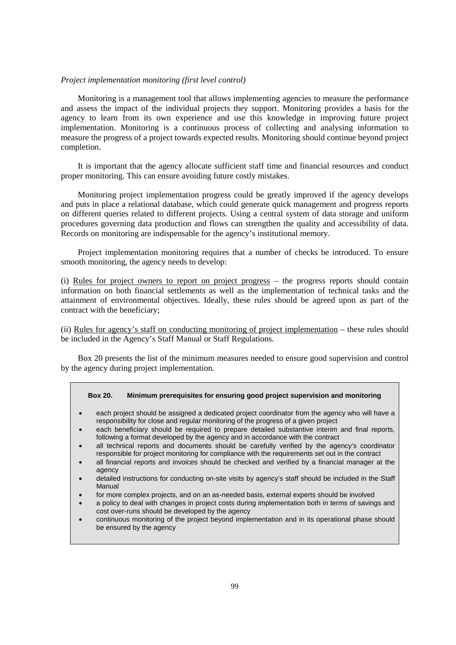## *Project implementation monitoring (first level control)*

Monitoring is a management tool that allows implementing agencies to measure the performance and assess the impact of the individual projects they support. Monitoring provides a basis for the agency to learn from its own experience and use this knowledge in improving future project implementation. Monitoring is a continuous process of collecting and analysing information to measure the progress of a project towards expected results. Monitoring should continue beyond project completion.

It is important that the agency allocate sufficient staff time and financial resources and conduct proper monitoring. This can ensure avoiding future costly mistakes.

Monitoring project implementation progress could be greatly improved if the agency develops and puts in place a relational database, which could generate quick management and progress reports on different queries related to different projects. Using a central system of data storage and uniform procedures governing data production and flows can strengthen the quality and accessibility of data. Records on monitoring are indispensable for the agency's institutional memory.

Project implementation monitoring requires that a number of checks be introduced. To ensure smooth monitoring, the agency needs to develop:

(i) Rules for project owners to report on project progress – the progress reports should contain information on both financial settlements as well as the implementation of technical tasks and the attainment of environmental objectives. Ideally, these rules should be agreed upon as part of the contract with the beneficiary;

(ii) Rules for agency's staff on conducting monitoring of project implementation – these rules should be included in the Agency's Staff Manual or Staff Regulations.

Box 20 presents the list of the minimum measures needed to ensure good supervision and control by the agency during project implementation.

#### **Box 20. Minimum prerequisites for ensuring good project supervision and monitoring**

- each project should be assigned a dedicated project coordinator from the agency who will have a responsibility for close and regular monitoring of the progress of a given project
- each beneficiary should be required to prepare detailed substantive interim and final reports, following a format developed by the agency and in accordance with the contract
- all technical reports and documents should be carefully verified by the agency's coordinator responsible for project monitoring for compliance with the requirements set out in the contract
- all financial reports and invoices should be checked and verified by a financial manager at the agency
- detailed instructions for conducting on-site visits by agency's staff should be included in the Staff Manual
- for more complex projects, and on an as-needed basis, external experts should be involved
- a policy to deal with changes in project costs during implementation both in terms of savings and cost over-runs should be developed by the agency
- continuous monitoring of the project beyond implementation and in its operational phase should be ensured by the agency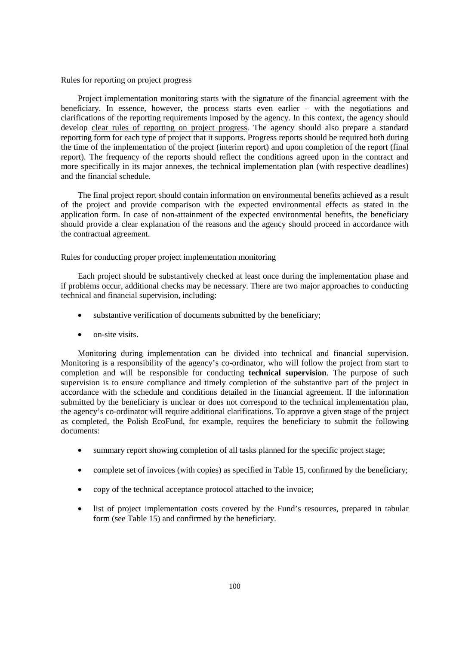Rules for reporting on project progress

Project implementation monitoring starts with the signature of the financial agreement with the beneficiary. In essence, however, the process starts even earlier – with the negotiations and clarifications of the reporting requirements imposed by the agency. In this context, the agency should develop clear rules of reporting on project progress. The agency should also prepare a standard reporting form for each type of project that it supports. Progress reports should be required both during the time of the implementation of the project (interim report) and upon completion of the report (final report). The frequency of the reports should reflect the conditions agreed upon in the contract and more specifically in its major annexes, the technical implementation plan (with respective deadlines) and the financial schedule.

The final project report should contain information on environmental benefits achieved as a result of the project and provide comparison with the expected environmental effects as stated in the application form. In case of non-attainment of the expected environmental benefits, the beneficiary should provide a clear explanation of the reasons and the agency should proceed in accordance with the contractual agreement.

Rules for conducting proper project implementation monitoring

Each project should be substantively checked at least once during the implementation phase and if problems occur, additional checks may be necessary. There are two major approaches to conducting technical and financial supervision, including:

- substantive verification of documents submitted by the beneficiary:
- on-site visits.

Monitoring during implementation can be divided into technical and financial supervision. Monitoring is a responsibility of the agency's co-ordinator, who will follow the project from start to completion and will be responsible for conducting **technical supervision**. The purpose of such supervision is to ensure compliance and timely completion of the substantive part of the project in accordance with the schedule and conditions detailed in the financial agreement. If the information submitted by the beneficiary is unclear or does not correspond to the technical implementation plan, the agency's co-ordinator will require additional clarifications. To approve a given stage of the project as completed, the Polish EcoFund, for example, requires the beneficiary to submit the following documents:

- summary report showing completion of all tasks planned for the specific project stage;
- complete set of invoices (with copies) as specified in Table 15, confirmed by the beneficiary;
- copy of the technical acceptance protocol attached to the invoice;
- list of project implementation costs covered by the Fund's resources, prepared in tabular form (see Table 15) and confirmed by the beneficiary.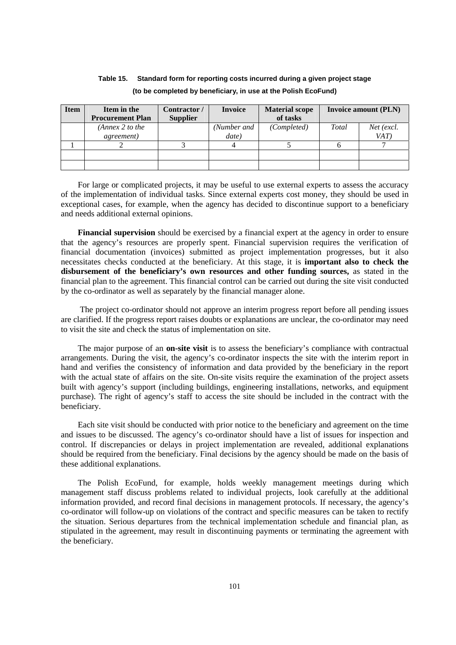| <b>Item</b> | Item in the             | C <b>ontractor</b> / | <b>Invoice</b> | <b>Material scope</b> | <b>Invoice amount (PLN)</b> |            |
|-------------|-------------------------|----------------------|----------------|-----------------------|-----------------------------|------------|
|             | <b>Procurement Plan</b> | <b>Supplier</b>      |                | of tasks              |                             |            |
|             | (Annex 2 to the         |                      | (Number and    | (Completed)           | Total                       | Net (excl. |
|             | <i>agreement</i> )      |                      | date)          |                       |                             | VAT)       |
|             |                         |                      |                |                       |                             |            |
|             |                         |                      |                |                       |                             |            |
|             |                         |                      |                |                       |                             |            |

# **Table 15. Standard form for reporting costs incurred during a given project stage (to be completed by beneficiary, in use at the Polish EcoFund)**

For large or complicated projects, it may be useful to use external experts to assess the accuracy of the implementation of individual tasks. Since external experts cost money, they should be used in exceptional cases, for example, when the agency has decided to discontinue support to a beneficiary and needs additional external opinions.

**Financial supervision** should be exercised by a financial expert at the agency in order to ensure that the agency's resources are properly spent. Financial supervision requires the verification of financial documentation (invoices) submitted as project implementation progresses, but it also necessitates checks conducted at the beneficiary. At this stage, it is **important also to check the disbursement of the beneficiary's own resources and other funding sources,** as stated in the financial plan to the agreement. This financial control can be carried out during the site visit conducted by the co-ordinator as well as separately by the financial manager alone.

 The project co-ordinator should not approve an interim progress report before all pending issues are clarified. If the progress report raises doubts or explanations are unclear, the co-ordinator may need to visit the site and check the status of implementation on site.

The major purpose of an **on-site visit** is to assess the beneficiary's compliance with contractual arrangements. During the visit, the agency's co-ordinator inspects the site with the interim report in hand and verifies the consistency of information and data provided by the beneficiary in the report with the actual state of affairs on the site. On-site visits require the examination of the project assets built with agency's support (including buildings, engineering installations, networks, and equipment purchase). The right of agency's staff to access the site should be included in the contract with the beneficiary.

Each site visit should be conducted with prior notice to the beneficiary and agreement on the time and issues to be discussed. The agency's co-ordinator should have a list of issues for inspection and control. If discrepancies or delays in project implementation are revealed, additional explanations should be required from the beneficiary. Final decisions by the agency should be made on the basis of these additional explanations.

The Polish EcoFund, for example, holds weekly management meetings during which management staff discuss problems related to individual projects, look carefully at the additional information provided, and record final decisions in management protocols. If necessary, the agency's co-ordinator will follow-up on violations of the contract and specific measures can be taken to rectify the situation. Serious departures from the technical implementation schedule and financial plan, as stipulated in the agreement, may result in discontinuing payments or terminating the agreement with the beneficiary.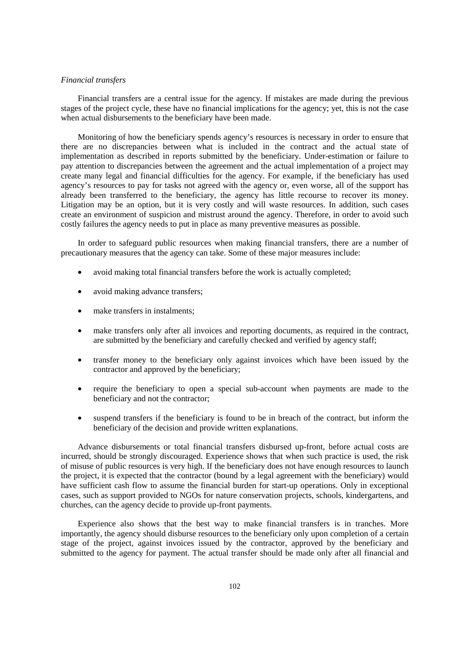## *Financial transfers*

Financial transfers are a central issue for the agency. If mistakes are made during the previous stages of the project cycle, these have no financial implications for the agency; yet, this is not the case when actual disbursements to the beneficiary have been made.

Monitoring of how the beneficiary spends agency's resources is necessary in order to ensure that there are no discrepancies between what is included in the contract and the actual state of implementation as described in reports submitted by the beneficiary. Under-estimation or failure to pay attention to discrepancies between the agreement and the actual implementation of a project may create many legal and financial difficulties for the agency. For example, if the beneficiary has used agency's resources to pay for tasks not agreed with the agency or, even worse, all of the support has already been transferred to the beneficiary, the agency has little recourse to recover its money. Litigation may be an option, but it is very costly and will waste resources. In addition, such cases create an environment of suspicion and mistrust around the agency. Therefore, in order to avoid such costly failures the agency needs to put in place as many preventive measures as possible.

In order to safeguard public resources when making financial transfers, there are a number of precautionary measures that the agency can take. Some of these major measures include:

- avoid making total financial transfers before the work is actually completed;
- avoid making advance transfers;
- make transfers in instalments;
- make transfers only after all invoices and reporting documents, as required in the contract, are submitted by the beneficiary and carefully checked and verified by agency staff;
- transfer money to the beneficiary only against invoices which have been issued by the contractor and approved by the beneficiary;
- require the beneficiary to open a special sub-account when payments are made to the beneficiary and not the contractor;
- suspend transfers if the beneficiary is found to be in breach of the contract, but inform the beneficiary of the decision and provide written explanations.

Advance disbursements or total financial transfers disbursed up-front, before actual costs are incurred, should be strongly discouraged. Experience shows that when such practice is used, the risk of misuse of public resources is very high. If the beneficiary does not have enough resources to launch the project, it is expected that the contractor (bound by a legal agreement with the beneficiary) would have sufficient cash flow to assume the financial burden for start-up operations. Only in exceptional cases, such as support provided to NGOs for nature conservation projects, schools, kindergartens, and churches, can the agency decide to provide up-front payments.

Experience also shows that the best way to make financial transfers is in tranches. More importantly, the agency should disburse resources to the beneficiary only upon completion of a certain stage of the project, against invoices issued by the contractor, approved by the beneficiary and submitted to the agency for payment. The actual transfer should be made only after all financial and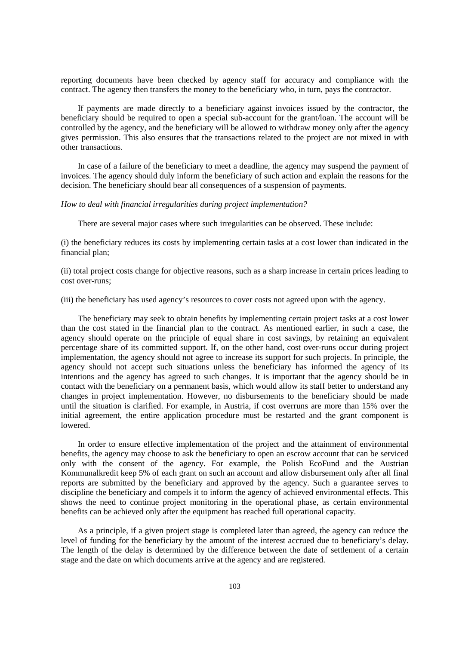reporting documents have been checked by agency staff for accuracy and compliance with the contract. The agency then transfers the money to the beneficiary who, in turn, pays the contractor.

If payments are made directly to a beneficiary against invoices issued by the contractor, the beneficiary should be required to open a special sub-account for the grant/loan. The account will be controlled by the agency, and the beneficiary will be allowed to withdraw money only after the agency gives permission. This also ensures that the transactions related to the project are not mixed in with other transactions.

In case of a failure of the beneficiary to meet a deadline, the agency may suspend the payment of invoices. The agency should duly inform the beneficiary of such action and explain the reasons for the decision. The beneficiary should bear all consequences of a suspension of payments.

# *How to deal with financial irregularities during project implementation?*

There are several major cases where such irregularities can be observed. These include:

(i) the beneficiary reduces its costs by implementing certain tasks at a cost lower than indicated in the financial plan;

(ii) total project costs change for objective reasons, such as a sharp increase in certain prices leading to cost over-runs;

(iii) the beneficiary has used agency's resources to cover costs not agreed upon with the agency.

The beneficiary may seek to obtain benefits by implementing certain project tasks at a cost lower than the cost stated in the financial plan to the contract. As mentioned earlier, in such a case, the agency should operate on the principle of equal share in cost savings, by retaining an equivalent percentage share of its committed support. If, on the other hand, cost over-runs occur during project implementation, the agency should not agree to increase its support for such projects. In principle, the agency should not accept such situations unless the beneficiary has informed the agency of its intentions and the agency has agreed to such changes. It is important that the agency should be in contact with the beneficiary on a permanent basis, which would allow its staff better to understand any changes in project implementation. However, no disbursements to the beneficiary should be made until the situation is clarified. For example, in Austria, if cost overruns are more than 15% over the initial agreement, the entire application procedure must be restarted and the grant component is lowered.

In order to ensure effective implementation of the project and the attainment of environmental benefits, the agency may choose to ask the beneficiary to open an escrow account that can be serviced only with the consent of the agency. For example, the Polish EcoFund and the Austrian Kommunalkredit keep 5% of each grant on such an account and allow disbursement only after all final reports are submitted by the beneficiary and approved by the agency. Such a guarantee serves to discipline the beneficiary and compels it to inform the agency of achieved environmental effects. This shows the need to continue project monitoring in the operational phase, as certain environmental benefits can be achieved only after the equipment has reached full operational capacity.

As a principle, if a given project stage is completed later than agreed, the agency can reduce the level of funding for the beneficiary by the amount of the interest accrued due to beneficiary's delay. The length of the delay is determined by the difference between the date of settlement of a certain stage and the date on which documents arrive at the agency and are registered.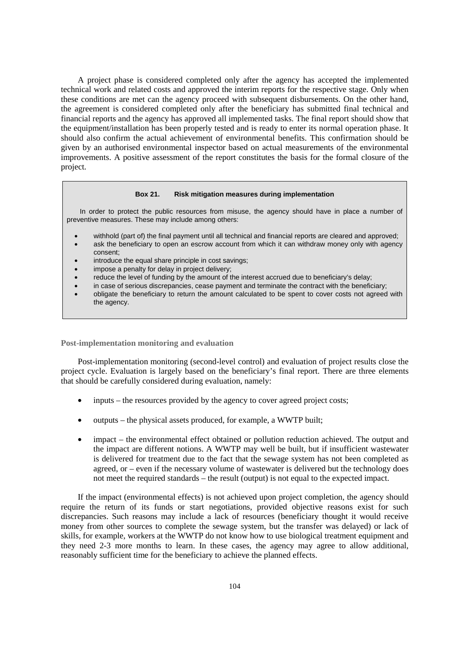A project phase is considered completed only after the agency has accepted the implemented technical work and related costs and approved the interim reports for the respective stage. Only when these conditions are met can the agency proceed with subsequent disbursements. On the other hand, the agreement is considered completed only after the beneficiary has submitted final technical and financial reports and the agency has approved all implemented tasks. The final report should show that the equipment/installation has been properly tested and is ready to enter its normal operation phase. It should also confirm the actual achievement of environmental benefits. This confirmation should be given by an authorised environmental inspector based on actual measurements of the environmental improvements. A positive assessment of the report constitutes the basis for the formal closure of the project.

#### **Box 21. Risk mitigation measures during implementation**

 In order to protect the public resources from misuse, the agency should have in place a number of preventive measures. These may include among others:

- withhold (part of) the final payment until all technical and financial reports are cleared and approved;
- ask the beneficiary to open an escrow account from which it can withdraw money only with agency consent;
- introduce the equal share principle in cost savings;
- impose a penalty for delay in project delivery;
- reduce the level of funding by the amount of the interest accrued due to beneficiary's delay;
- in case of serious discrepancies, cease payment and terminate the contract with the beneficiary;
- obligate the beneficiary to return the amount calculated to be spent to cover costs not agreed with the agency.

**Post-implementation monitoring and evaluation** 

Post-implementation monitoring (second-level control) and evaluation of project results close the project cycle. Evaluation is largely based on the beneficiary's final report. There are three elements that should be carefully considered during evaluation, namely:

- inputs the resources provided by the agency to cover agreed project costs;
- outputs the physical assets produced, for example, a WWTP built;
- impact the environmental effect obtained or pollution reduction achieved. The output and the impact are different notions. A WWTP may well be built, but if insufficient wastewater is delivered for treatment due to the fact that the sewage system has not been completed as agreed, or – even if the necessary volume of wastewater is delivered but the technology does not meet the required standards – the result (output) is not equal to the expected impact.

If the impact (environmental effects) is not achieved upon project completion, the agency should require the return of its funds or start negotiations, provided objective reasons exist for such discrepancies. Such reasons may include a lack of resources (beneficiary thought it would receive money from other sources to complete the sewage system, but the transfer was delayed) or lack of skills, for example, workers at the WWTP do not know how to use biological treatment equipment and they need 2-3 more months to learn. In these cases, the agency may agree to allow additional, reasonably sufficient time for the beneficiary to achieve the planned effects.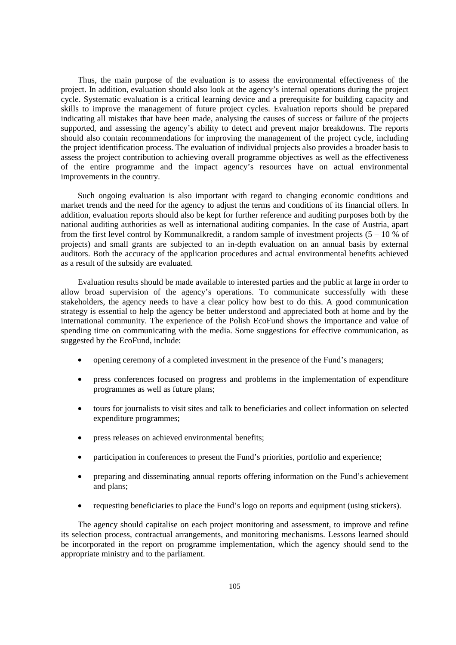Thus, the main purpose of the evaluation is to assess the environmental effectiveness of the project. In addition, evaluation should also look at the agency's internal operations during the project cycle. Systematic evaluation is a critical learning device and a prerequisite for building capacity and skills to improve the management of future project cycles. Evaluation reports should be prepared indicating all mistakes that have been made, analysing the causes of success or failure of the projects supported, and assessing the agency's ability to detect and prevent major breakdowns. The reports should also contain recommendations for improving the management of the project cycle, including the project identification process. The evaluation of individual projects also provides a broader basis to assess the project contribution to achieving overall programme objectives as well as the effectiveness of the entire programme and the impact agency's resources have on actual environmental improvements in the country.

Such ongoing evaluation is also important with regard to changing economic conditions and market trends and the need for the agency to adjust the terms and conditions of its financial offers. In addition, evaluation reports should also be kept for further reference and auditing purposes both by the national auditing authorities as well as international auditing companies. In the case of Austria, apart from the first level control by Kommunalkredit, a random sample of investment projects  $(5 - 10\%$  of projects) and small grants are subjected to an in-depth evaluation on an annual basis by external auditors. Both the accuracy of the application procedures and actual environmental benefits achieved as a result of the subsidy are evaluated.

Evaluation results should be made available to interested parties and the public at large in order to allow broad supervision of the agency's operations. To communicate successfully with these stakeholders, the agency needs to have a clear policy how best to do this. A good communication strategy is essential to help the agency be better understood and appreciated both at home and by the international community. The experience of the Polish EcoFund shows the importance and value of spending time on communicating with the media. Some suggestions for effective communication, as suggested by the EcoFund, include:

- opening ceremony of a completed investment in the presence of the Fund's managers;
- press conferences focused on progress and problems in the implementation of expenditure programmes as well as future plans;
- tours for journalists to visit sites and talk to beneficiaries and collect information on selected expenditure programmes;
- press releases on achieved environmental benefits;
- participation in conferences to present the Fund's priorities, portfolio and experience;
- preparing and disseminating annual reports offering information on the Fund's achievement and plans;
- requesting beneficiaries to place the Fund's logo on reports and equipment (using stickers).

The agency should capitalise on each project monitoring and assessment, to improve and refine its selection process, contractual arrangements, and monitoring mechanisms. Lessons learned should be incorporated in the report on programme implementation, which the agency should send to the appropriate ministry and to the parliament.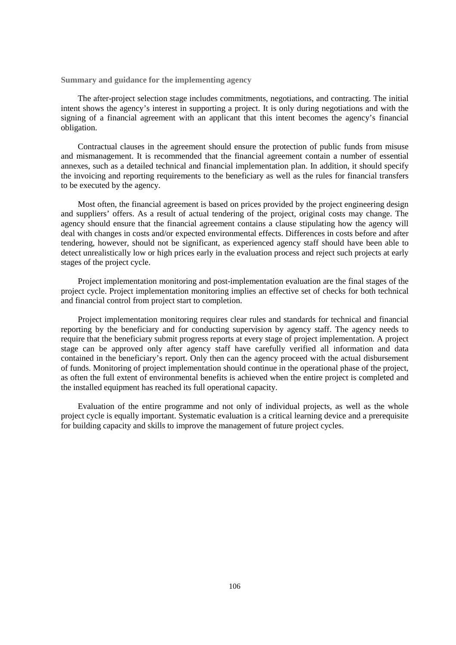**Summary and guidance for the implementing agency** 

The after-project selection stage includes commitments, negotiations, and contracting. The initial intent shows the agency's interest in supporting a project. It is only during negotiations and with the signing of a financial agreement with an applicant that this intent becomes the agency's financial obligation.

Contractual clauses in the agreement should ensure the protection of public funds from misuse and mismanagement. It is recommended that the financial agreement contain a number of essential annexes, such as a detailed technical and financial implementation plan. In addition, it should specify the invoicing and reporting requirements to the beneficiary as well as the rules for financial transfers to be executed by the agency.

Most often, the financial agreement is based on prices provided by the project engineering design and suppliers' offers. As a result of actual tendering of the project, original costs may change. The agency should ensure that the financial agreement contains a clause stipulating how the agency will deal with changes in costs and/or expected environmental effects. Differences in costs before and after tendering, however, should not be significant, as experienced agency staff should have been able to detect unrealistically low or high prices early in the evaluation process and reject such projects at early stages of the project cycle.

Project implementation monitoring and post-implementation evaluation are the final stages of the project cycle. Project implementation monitoring implies an effective set of checks for both technical and financial control from project start to completion.

Project implementation monitoring requires clear rules and standards for technical and financial reporting by the beneficiary and for conducting supervision by agency staff. The agency needs to require that the beneficiary submit progress reports at every stage of project implementation. A project stage can be approved only after agency staff have carefully verified all information and data contained in the beneficiary's report. Only then can the agency proceed with the actual disbursement of funds. Monitoring of project implementation should continue in the operational phase of the project, as often the full extent of environmental benefits is achieved when the entire project is completed and the installed equipment has reached its full operational capacity.

Evaluation of the entire programme and not only of individual projects, as well as the whole project cycle is equally important. Systematic evaluation is a critical learning device and a prerequisite for building capacity and skills to improve the management of future project cycles.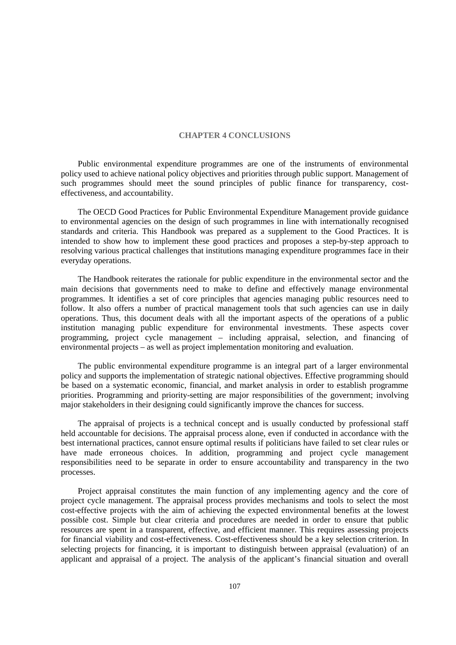## **CHAPTER 4 CONCLUSIONS**

Public environmental expenditure programmes are one of the instruments of environmental policy used to achieve national policy objectives and priorities through public support. Management of such programmes should meet the sound principles of public finance for transparency, costeffectiveness, and accountability.

The OECD Good Practices for Public Environmental Expenditure Management provide guidance to environmental agencies on the design of such programmes in line with internationally recognised standards and criteria. This Handbook was prepared as a supplement to the Good Practices. It is intended to show how to implement these good practices and proposes a step-by-step approach to resolving various practical challenges that institutions managing expenditure programmes face in their everyday operations.

The Handbook reiterates the rationale for public expenditure in the environmental sector and the main decisions that governments need to make to define and effectively manage environmental programmes. It identifies a set of core principles that agencies managing public resources need to follow. It also offers a number of practical management tools that such agencies can use in daily operations. Thus, this document deals with all the important aspects of the operations of a public institution managing public expenditure for environmental investments. These aspects cover programming, project cycle management – including appraisal, selection, and financing of environmental projects – as well as project implementation monitoring and evaluation.

The public environmental expenditure programme is an integral part of a larger environmental policy and supports the implementation of strategic national objectives. Effective programming should be based on a systematic economic, financial, and market analysis in order to establish programme priorities. Programming and priority-setting are major responsibilities of the government; involving major stakeholders in their designing could significantly improve the chances for success.

The appraisal of projects is a technical concept and is usually conducted by professional staff held accountable for decisions. The appraisal process alone, even if conducted in accordance with the best international practices, cannot ensure optimal results if politicians have failed to set clear rules or have made erroneous choices. In addition, programming and project cycle management responsibilities need to be separate in order to ensure accountability and transparency in the two processes.

Project appraisal constitutes the main function of any implementing agency and the core of project cycle management. The appraisal process provides mechanisms and tools to select the most cost-effective projects with the aim of achieving the expected environmental benefits at the lowest possible cost. Simple but clear criteria and procedures are needed in order to ensure that public resources are spent in a transparent, effective, and efficient manner. This requires assessing projects for financial viability and cost-effectiveness. Cost-effectiveness should be a key selection criterion. In selecting projects for financing, it is important to distinguish between appraisal (evaluation) of an applicant and appraisal of a project. The analysis of the applicant's financial situation and overall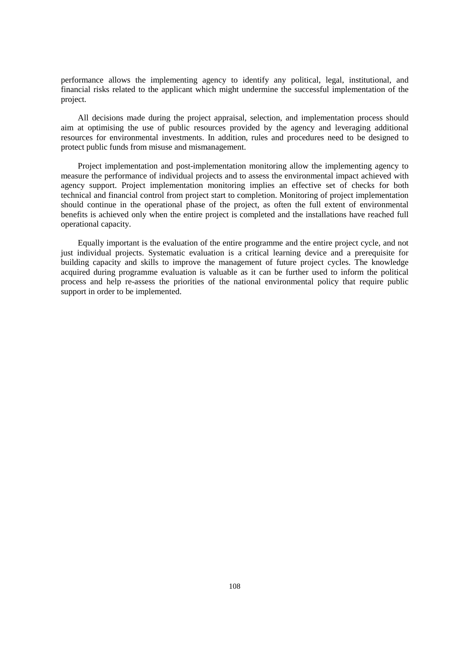performance allows the implementing agency to identify any political, legal, institutional, and financial risks related to the applicant which might undermine the successful implementation of the project.

All decisions made during the project appraisal, selection, and implementation process should aim at optimising the use of public resources provided by the agency and leveraging additional resources for environmental investments. In addition, rules and procedures need to be designed to protect public funds from misuse and mismanagement.

Project implementation and post-implementation monitoring allow the implementing agency to measure the performance of individual projects and to assess the environmental impact achieved with agency support. Project implementation monitoring implies an effective set of checks for both technical and financial control from project start to completion. Monitoring of project implementation should continue in the operational phase of the project, as often the full extent of environmental benefits is achieved only when the entire project is completed and the installations have reached full operational capacity.

Equally important is the evaluation of the entire programme and the entire project cycle, and not just individual projects. Systematic evaluation is a critical learning device and a prerequisite for building capacity and skills to improve the management of future project cycles. The knowledge acquired during programme evaluation is valuable as it can be further used to inform the political process and help re-assess the priorities of the national environmental policy that require public support in order to be implemented.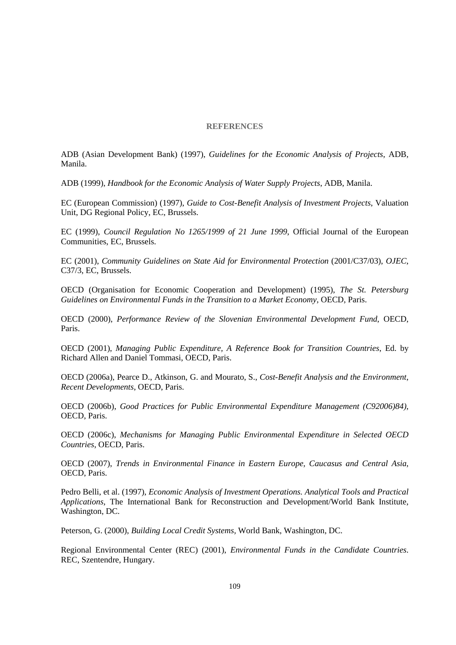#### **REFERENCES**

ADB (Asian Development Bank) (1997), *Guidelines for the Economic Analysis of Projects*, ADB, Manila.

ADB (1999), *Handbook for the Economic Analysis of Water Supply Projects*, ADB, Manila.

EC (European Commission) (1997), *Guide to Cost-Benefit Analysis of Investment Projects*, Valuation Unit, DG Regional Policy, EC, Brussels.

EC (1999), *Council Regulation No 1265/1999 of 21 June 1999*, Official Journal of the European Communities, EC, Brussels.

EC (2001), *Community Guidelines on State Aid for Environmental Protection* (2001/C37/03), *OJEC*, C37/3, EC, Brussels.

OECD (Organisation for Economic Cooperation and Development) (1995), *The St. Petersburg Guidelines on Environmental Funds in the Transition to a Market Economy*, OECD, Paris.

OECD (2000), *Performance Review of the Slovenian Environmental Development Fund*, OECD, Paris.

OECD (2001), *Managing Public Expenditure, A Reference Book for Transition Countries*, Ed. by Richard Allen and Daniel Tommasi, OECD, Paris.

OECD (2006a), Pearce D., Atkinson, G. and Mourato, S., *Cost-Benefit Analysis and the Environment*, *Recent Developments*, OECD, Paris.

OECD (2006b), *Good Practices for Public Environmental Expenditure Management (C92006)84)*, OECD, Paris.

OECD (2006c), *Mechanisms for Managing Public Environmental Expenditure in Selected OECD Countries*, OECD, Paris.

OECD (2007), *Trends in Environmental Finance in Eastern Europe, Caucasus and Central Asia*, OECD, Paris.

Pedro Belli, et al. (1997), *Economic Analysis of Investment Operations. Analytical Tools and Practical Applications,* The International Bank for Reconstruction and Development/World Bank Institute, Washington, DC.

Peterson, G. (2000), *Building Local Credit Systems,* World Bank, Washington, DC.

Regional Environmental Center (REC) (2001), *Environmental Funds in the Candidate Countries*. REC, Szentendre, Hungary.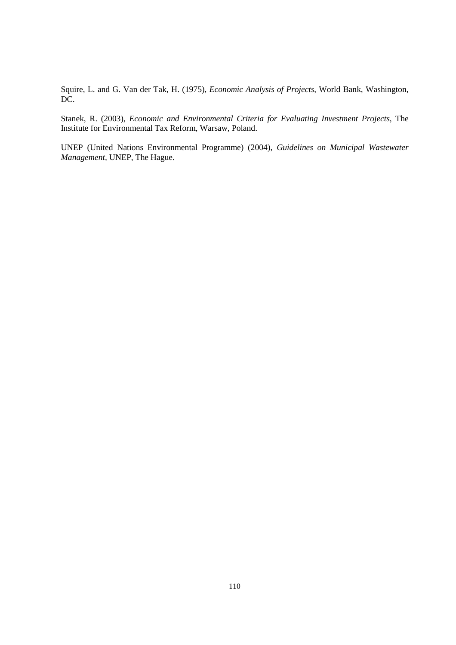Squire, L. and G. Van der Tak, H. (1975), *Economic Analysis of Projects*, World Bank, Washington, DC.

Stanek, R. (2003), *Economic and Environmental Criteria for Evaluating Investment Projects*, The Institute for Environmental Tax Reform, Warsaw, Poland.

UNEP (United Nations Environmental Programme) (2004), *Guidelines on Municipal Wastewater Management,* UNEP, The Hague.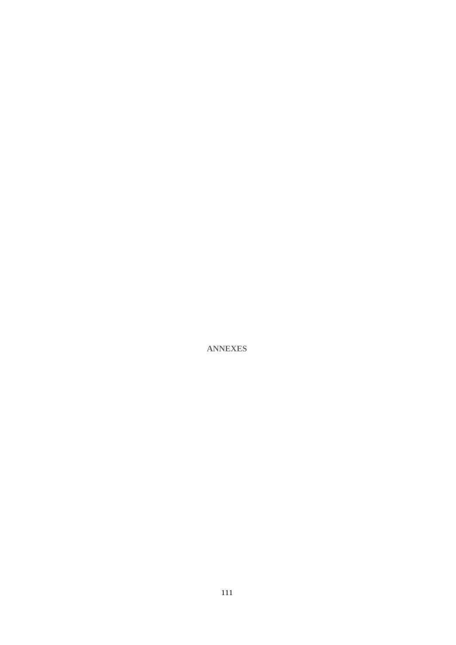**ANNEXES**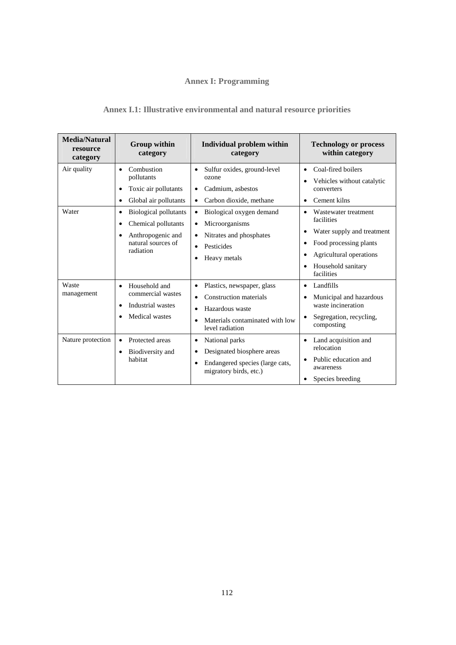# **Annex I: Programming**

# **Annex I.1: Illustrative environmental and natural resource priorities**

| <b>Media/Natural</b><br>resource<br>category | Group within<br>category                                                                                                                                                                                                                                        | Individual problem within<br>category                                                                                                                                                                                                                                  | <b>Technology or process</b><br>within category                                                                                                                                                                                                |
|----------------------------------------------|-----------------------------------------------------------------------------------------------------------------------------------------------------------------------------------------------------------------------------------------------------------------|------------------------------------------------------------------------------------------------------------------------------------------------------------------------------------------------------------------------------------------------------------------------|------------------------------------------------------------------------------------------------------------------------------------------------------------------------------------------------------------------------------------------------|
| Air quality<br>Water                         | Combustion<br>$\bullet$<br>pollutants<br>Toxic air pollutants<br>$\bullet$<br>Global air pollutants<br>$\bullet$<br>Biological pollutants<br>$\bullet$<br>Chemical pollutants<br>$\bullet$<br>Anthropogenic and<br>$\bullet$<br>natural sources of<br>radiation | Sulfur oxides, ground-level<br>$\bullet$<br>ozone<br>Cadmium, asbestos<br>$\bullet$<br>Carbon dioxide, methane<br>$\bullet$<br>Biological oxygen demand<br>$\bullet$<br>Microorganisms<br>$\bullet$<br>Nitrates and phosphates<br>$\bullet$<br>Pesticides<br>$\bullet$ | Coal-fired boilers<br>$\bullet$<br>Vehicles without catalytic<br>converters<br>Cement kilns<br>$\bullet$<br>Wastewater treatment<br>$\bullet$<br>facilities<br>Water supply and treatment<br>Food processing plants<br>Agricultural operations |
| Waste<br>management                          | Household and<br>commercial wastes<br>Industrial wastes<br>$\bullet$<br><b>Medical</b> wastes                                                                                                                                                                   | Heavy metals<br>$\bullet$<br>Plastics, newspaper, glass<br>$\bullet$<br>Construction materials<br>$\bullet$<br>Hazardous waste<br>$\bullet$<br>Materials contaminated with low<br>Ċ<br>level radiation                                                                 | Household sanitary<br>facilities<br>Landfills<br>$\bullet$<br>Municipal and hazardous<br>waste incineration<br>Segregation, recycling,<br>composting                                                                                           |
| Nature protection                            | Protected areas<br>$\bullet$<br>Biodiversity and<br>$\bullet$<br>habitat                                                                                                                                                                                        | National parks<br>$\bullet$<br>Designated biosphere areas<br>$\bullet$<br>Endangered species (large cats,<br>$\bullet$<br>migratory birds, etc.)                                                                                                                       | Land acquisition and<br>relocation<br>Public education and<br>awareness<br>Species breeding                                                                                                                                                    |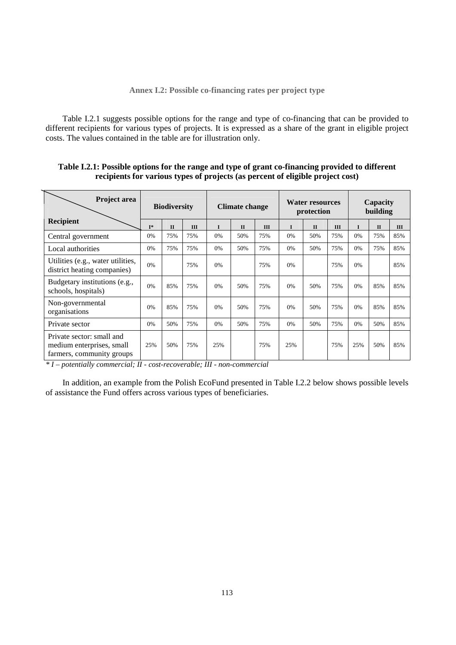#### **Annex I.2: Possible co-financing rates per project type**

Table I.2.1 suggests possible options for the range and type of co-financing that can be provided to different recipients for various types of projects. It is expressed as a share of the grant in eligible project costs. The values contained in the table are for illustration only.

| Project area                                                                        | <b>Biodiversity</b> |              | <b>Climate change</b> |     | <b>Water resources</b><br>protection |              |     | Capacity<br>building |     |     |       |     |
|-------------------------------------------------------------------------------------|---------------------|--------------|-----------------------|-----|--------------------------------------|--------------|-----|----------------------|-----|-----|-------|-----|
| <b>Recipient</b>                                                                    | $I^*$               | $\mathbf{I}$ | III                   |     | $\mathbf{H}$                         | $\mathbf{H}$ | I   | $\Pi$                | III | I   | $\Pi$ | III |
| Central government                                                                  | 0%                  | 75%          | 75%                   | 0%  | 50%                                  | 75%          | 0%  | 50%                  | 75% | 0%  | 75%   | 85% |
| Local authorities                                                                   | 0%                  | 75%          | 75%                   | 0%  | 50%                                  | 75%          | 0%  | 50%                  | 75% | 0%  | 75%   | 85% |
| Utilities (e.g., water utilities,<br>district heating companies)                    | 0%                  |              | 75%                   | 0%  |                                      | 75%          | 0%  |                      | 75% | 0%  |       | 85% |
| Budgetary institutions (e.g.,<br>schools, hospitals)                                | 0%                  | 85%          | 75%                   | 0%  | 50%                                  | 75%          | 0%  | 50%                  | 75% | 0%  | 85%   | 85% |
| Non-governmental<br>organisations                                                   | 0%                  | 85%          | 75%                   | 0%  | 50%                                  | 75%          | 0%  | 50%                  | 75% | 0%  | 85%   | 85% |
| Private sector                                                                      | 0%                  | 50%          | 75%                   | 0%  | 50%                                  | 75%          | 0%  | 50%                  | 75% | 0%  | 50%   | 85% |
| Private sector: small and<br>medium enterprises, small<br>farmers, community groups | 25%                 | 50%          | 75%                   | 25% |                                      | 75%          | 25% |                      | 75% | 25% | 50%   | 85% |

**Table I.2.1: Possible options for the range and type of grant co-financing provided to different recipients for various types of projects (as percent of eligible project cost)** 

*\* I – potentially commercial; II - cost-recoverable; III - non-commercial* 

In addition, an example from the Polish EcoFund presented in Table I.2.2 below shows possible levels of assistance the Fund offers across various types of beneficiaries.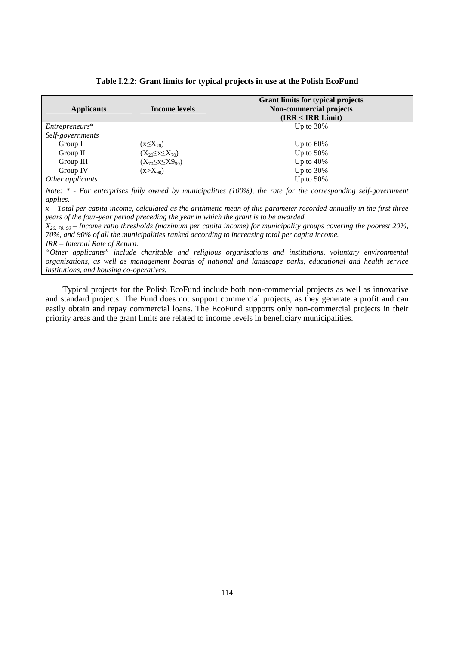| <b>Applicants</b> | <b>Income levels</b>         | <b>Grant limits for typical projects</b><br>Non-commercial projects<br>$\left( \text{IRR} < \text{IRR Limit} \right)$ |
|-------------------|------------------------------|-----------------------------------------------------------------------------------------------------------------------|
| Entrepreneurs*    |                              | Up to $30\%$                                                                                                          |
| Self-governments  |                              |                                                                                                                       |
| Group I           | $(x \le X_{20})$             | Up to $60\%$                                                                                                          |
| Group II          | $(X_{20} \le x \le X_{70})$  | Up to $50\%$                                                                                                          |
| Group III         | $(X_{70} \le x \le X9_{90})$ | Up to $40\%$                                                                                                          |
| Group IV          | $(x > X_{90})$               | Up to $30\%$                                                                                                          |
| Other applicants  |                              | Up to $50\%$                                                                                                          |

### **Table I.2.2: Grant limits for typical projects in use at the Polish EcoFund**

*Note: \* - For enterprises fully owned by municipalities (100%), the rate for the corresponding self-government applies.* 

*x – Total per capita income, calculated as the arithmetic mean of this parameter recorded annually in the first three years of the four-year period preceding the year in which the grant is to be awarded.* 

*X20, 70, 90 – Income ratio thresholds (maximum per capita income) for municipality groups covering the poorest 20%, 70%, and 90% of all the municipalities ranked according to increasing total per capita income.* 

*IRR – Internal Rate of Return.* 

*"Other applicants" include charitable and religious organisations and institutions, voluntary environmental organisations, as well as management boards of national and landscape parks, educational and health service institutions, and housing co-operatives.*

Typical projects for the Polish EcoFund include both non-commercial projects as well as innovative and standard projects. The Fund does not support commercial projects, as they generate a profit and can easily obtain and repay commercial loans. The EcoFund supports only non-commercial projects in their priority areas and the grant limits are related to income levels in beneficiary municipalities.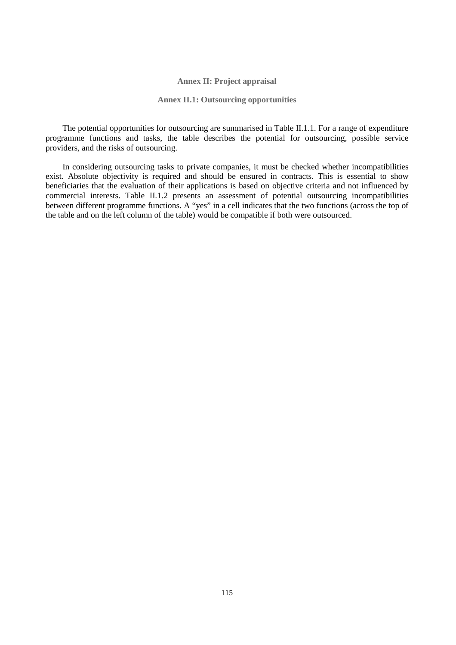#### **Annex II: Project appraisal**

#### **Annex II.1: Outsourcing opportunities**

The potential opportunities for outsourcing are summarised in Table II.1.1. For a range of expenditure programme functions and tasks, the table describes the potential for outsourcing, possible service providers, and the risks of outsourcing.

In considering outsourcing tasks to private companies, it must be checked whether incompatibilities exist. Absolute objectivity is required and should be ensured in contracts. This is essential to show beneficiaries that the evaluation of their applications is based on objective criteria and not influenced by commercial interests. Table II.1.2 presents an assessment of potential outsourcing incompatibilities between different programme functions. A "yes" in a cell indicates that the two functions (across the top of the table and on the left column of the table) would be compatible if both were outsourced.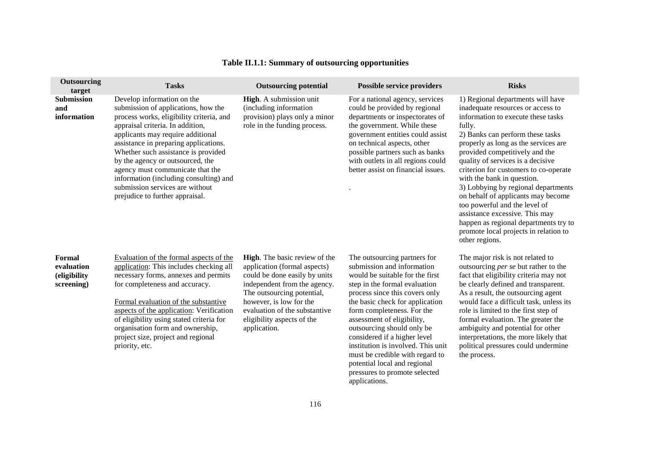| Outsourcing<br>target                              | <b>Tasks</b>                                                                                                                                                                                                                                                                                                                                                                                                                                                   | <b>Outsourcing potential</b>                                                                                                                                                                                                                                           | <b>Possible service providers</b>                                                                                                                                                                                                                                                                                                                                                                                                      | <b>Risks</b>                                                                                                                                                                                                                                                                                                                                                                                                                                                                                                                                                                                         |
|----------------------------------------------------|----------------------------------------------------------------------------------------------------------------------------------------------------------------------------------------------------------------------------------------------------------------------------------------------------------------------------------------------------------------------------------------------------------------------------------------------------------------|------------------------------------------------------------------------------------------------------------------------------------------------------------------------------------------------------------------------------------------------------------------------|----------------------------------------------------------------------------------------------------------------------------------------------------------------------------------------------------------------------------------------------------------------------------------------------------------------------------------------------------------------------------------------------------------------------------------------|------------------------------------------------------------------------------------------------------------------------------------------------------------------------------------------------------------------------------------------------------------------------------------------------------------------------------------------------------------------------------------------------------------------------------------------------------------------------------------------------------------------------------------------------------------------------------------------------------|
| <b>Submission</b><br>and<br>information            | Develop information on the<br>submission of applications, how the<br>process works, eligibility criteria, and<br>appraisal criteria. In addition,<br>applicants may require additional<br>assistance in preparing applications.<br>Whether such assistance is provided<br>by the agency or outsourced, the<br>agency must communicate that the<br>information (including consulting) and<br>submission services are without<br>prejudice to further appraisal. | High. A submission unit<br>(including information<br>provision) plays only a minor<br>role in the funding process.                                                                                                                                                     | For a national agency, services<br>could be provided by regional<br>departments or inspectorates of<br>the government. While these<br>government entities could assist<br>on technical aspects, other<br>possible partners such as banks<br>with outlets in all regions could<br>better assist on financial issues.                                                                                                                    | 1) Regional departments will have<br>inadequate resources or access to<br>information to execute these tasks<br>fully.<br>2) Banks can perform these tasks<br>properly as long as the services are<br>provided competitively and the<br>quality of services is a decisive<br>criterion for customers to co-operate<br>with the bank in question.<br>3) Lobbying by regional departments<br>on behalf of applicants may become<br>too powerful and the level of<br>assistance excessive. This may<br>happen as regional departments try to<br>promote local projects in relation to<br>other regions. |
| Formal<br>evaluation<br>(eligibility<br>screening) | Evaluation of the formal aspects of the<br>application: This includes checking all<br>necessary forms, annexes and permits<br>for completeness and accuracy.<br>Formal evaluation of the substantive<br>aspects of the application: Verification<br>of eligibility using stated criteria for<br>organisation form and ownership,<br>project size, project and regional<br>priority, etc.                                                                       | High. The basic review of the<br>application (formal aspects)<br>could be done easily by units<br>independent from the agency.<br>The outsourcing potential,<br>however, is low for the<br>evaluation of the substantive<br>eligibility aspects of the<br>application. | The outsourcing partners for<br>submission and information<br>would be suitable for the first<br>step in the formal evaluation<br>process since this covers only<br>the basic check for application<br>form completeness. For the<br>assessment of eligibility,<br>outsourcing should only be<br>considered if a higher level<br>institution is involved. This unit<br>must be credible with regard to<br>potential local and regional | The major risk is not related to<br>outsourcing <i>per se</i> but rather to the<br>fact that eligibility criteria may not<br>be clearly defined and transparent.<br>As a result, the outsourcing agent<br>would face a difficult task, unless its<br>role is limited to the first step of<br>formal evaluation. The greater the<br>ambiguity and potential for other<br>interpretations, the more likely that<br>political pressures could undermine<br>the process.                                                                                                                                 |

# **Table II.1.1: Summary of outsourcing opportunities**

pressures to promote selected

applications.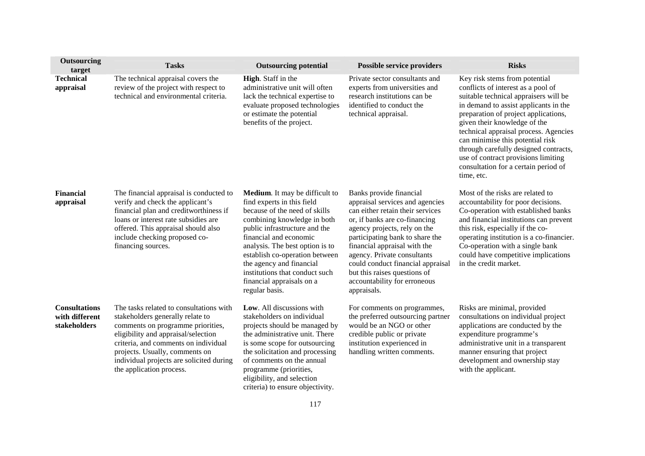| Outsourcing<br>target                                  | <b>Tasks</b>                                                                                                                                                                                                                                                                                              | <b>Outsourcing potential</b>                                                                                                                                                                                                                                                                                                                                              | <b>Possible service providers</b>                                                                                                                                                                                                                                                                                                                                                     | <b>Risks</b>                                                                                                                                                                                                                                                                                                                                                                                                                                     |
|--------------------------------------------------------|-----------------------------------------------------------------------------------------------------------------------------------------------------------------------------------------------------------------------------------------------------------------------------------------------------------|---------------------------------------------------------------------------------------------------------------------------------------------------------------------------------------------------------------------------------------------------------------------------------------------------------------------------------------------------------------------------|---------------------------------------------------------------------------------------------------------------------------------------------------------------------------------------------------------------------------------------------------------------------------------------------------------------------------------------------------------------------------------------|--------------------------------------------------------------------------------------------------------------------------------------------------------------------------------------------------------------------------------------------------------------------------------------------------------------------------------------------------------------------------------------------------------------------------------------------------|
| <b>Technical</b><br>appraisal                          | The technical appraisal covers the<br>review of the project with respect to<br>technical and environmental criteria.                                                                                                                                                                                      | High. Staff in the<br>administrative unit will often<br>lack the technical expertise to<br>evaluate proposed technologies<br>or estimate the potential<br>benefits of the project.                                                                                                                                                                                        | Private sector consultants and<br>experts from universities and<br>research institutions can be<br>identified to conduct the<br>technical appraisal.                                                                                                                                                                                                                                  | Key risk stems from potential<br>conflicts of interest as a pool of<br>suitable technical appraisers will be<br>in demand to assist applicants in the<br>preparation of project applications,<br>given their knowledge of the<br>technical appraisal process. Agencies<br>can minimise this potential risk<br>through carefully designed contracts,<br>use of contract provisions limiting<br>consultation for a certain period of<br>time, etc. |
| <b>Financial</b><br>appraisal                          | The financial appraisal is conducted to<br>verify and check the applicant's<br>financial plan and creditworthiness if<br>loans or interest rate subsidies are<br>offered. This appraisal should also<br>include checking proposed co-<br>financing sources.                                               | Medium. It may be difficult to<br>find experts in this field<br>because of the need of skills<br>combining knowledge in both<br>public infrastructure and the<br>financial and economic<br>analysis. The best option is to<br>establish co-operation between<br>the agency and financial<br>institutions that conduct such<br>financial appraisals on a<br>regular basis. | Banks provide financial<br>appraisal services and agencies<br>can either retain their services<br>or, if banks are co-financing<br>agency projects, rely on the<br>participating bank to share the<br>financial appraisal with the<br>agency. Private consultants<br>could conduct financial appraisal<br>but this raises questions of<br>accountability for erroneous<br>appraisals. | Most of the risks are related to<br>accountability for poor decisions.<br>Co-operation with established banks<br>and financial institutions can prevent<br>this risk, especially if the co-<br>operating institution is a co-financier.<br>Co-operation with a single bank<br>could have competitive implications<br>in the credit market.                                                                                                       |
| <b>Consultations</b><br>with different<br>stakeholders | The tasks related to consultations with<br>stakeholders generally relate to<br>comments on programme priorities,<br>eligibility and appraisal/selection<br>criteria, and comments on individual<br>projects. Usually, comments on<br>individual projects are solicited during<br>the application process. | Low. All discussions with<br>stakeholders on individual<br>projects should be managed by<br>the administrative unit. There<br>is some scope for outsourcing<br>the solicitation and processing<br>of comments on the annual<br>programme (priorities,<br>eligibility, and selection<br>criteria) to ensure objectivity.                                                   | For comments on programmes,<br>the preferred outsourcing partner<br>would be an NGO or other<br>credible public or private<br>institution experienced in<br>handling written comments.                                                                                                                                                                                                | Risks are minimal, provided<br>consultations on individual project<br>applications are conducted by the<br>expenditure programme's<br>administrative unit in a transparent<br>manner ensuring that project<br>development and ownership stay<br>with the applicant.                                                                                                                                                                              |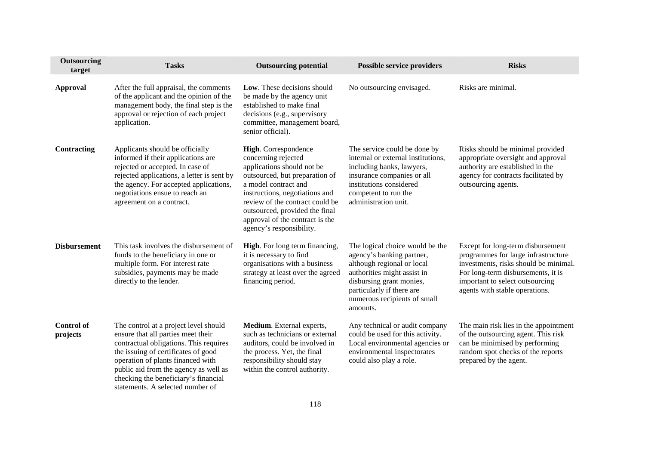| <b>Outsourcing</b><br>target  | <b>Tasks</b>                                                                                                                                                                                                                                                                                                           | <b>Outsourcing potential</b>                                                                                                                                                                                                                                                                              | <b>Possible service providers</b>                                                                                                                                                                                              | <b>Risks</b>                                                                                                                                                                                                                 |
|-------------------------------|------------------------------------------------------------------------------------------------------------------------------------------------------------------------------------------------------------------------------------------------------------------------------------------------------------------------|-----------------------------------------------------------------------------------------------------------------------------------------------------------------------------------------------------------------------------------------------------------------------------------------------------------|--------------------------------------------------------------------------------------------------------------------------------------------------------------------------------------------------------------------------------|------------------------------------------------------------------------------------------------------------------------------------------------------------------------------------------------------------------------------|
| <b>Approval</b>               | After the full appraisal, the comments<br>of the applicant and the opinion of the<br>management body, the final step is the<br>approval or rejection of each project<br>application.                                                                                                                                   | Low. These decisions should<br>be made by the agency unit<br>established to make final<br>decisions (e.g., supervisory<br>committee, management board,<br>senior official).                                                                                                                               | No outsourcing envisaged.                                                                                                                                                                                                      | Risks are minimal.                                                                                                                                                                                                           |
| Contracting                   | Applicants should be officially<br>informed if their applications are<br>rejected or accepted. In case of<br>rejected applications, a letter is sent by<br>the agency. For accepted applications,<br>negotiations ensue to reach an<br>agreement on a contract.                                                        | High. Correspondence<br>concerning rejected<br>applications should not be<br>outsourced, but preparation of<br>a model contract and<br>instructions, negotiations and<br>review of the contract could be<br>outsourced, provided the final<br>approval of the contract is the<br>agency's responsibility. | The service could be done by<br>internal or external institutions,<br>including banks, lawyers,<br>insurance companies or all<br>institutions considered<br>competent to run the<br>administration unit.                       | Risks should be minimal provided<br>appropriate oversight and approval<br>authority are established in the<br>agency for contracts facilitated by<br>outsourcing agents.                                                     |
| <b>Disbursement</b>           | This task involves the disbursement of<br>funds to the beneficiary in one or<br>multiple form. For interest rate<br>subsidies, payments may be made<br>directly to the lender.                                                                                                                                         | High. For long term financing,<br>it is necessary to find<br>organisations with a business<br>strategy at least over the agreed<br>financing period.                                                                                                                                                      | The logical choice would be the<br>agency's banking partner,<br>although regional or local<br>authorities might assist in<br>disbursing grant monies,<br>particularly if there are<br>numerous recipients of small<br>amounts. | Except for long-term disbursement<br>programmes for large infrastructure<br>investments, risks should be minimal.<br>For long-term disbursements, it is<br>important to select outsourcing<br>agents with stable operations. |
| <b>Control of</b><br>projects | The control at a project level should<br>ensure that all parties meet their<br>contractual obligations. This requires<br>the issuing of certificates of good<br>operation of plants financed with<br>public aid from the agency as well as<br>checking the beneficiary's financial<br>statements. A selected number of | Medium. External experts,<br>such as technicians or external<br>auditors, could be involved in<br>the process. Yet, the final<br>responsibility should stay<br>within the control authority.                                                                                                              | Any technical or audit company<br>could be used for this activity.<br>Local environmental agencies or<br>environmental inspectorates<br>could also play a role.                                                                | The main risk lies in the appointment<br>of the outsourcing agent. This risk<br>can be minimised by performing<br>random spot checks of the reports<br>prepared by the agent.                                                |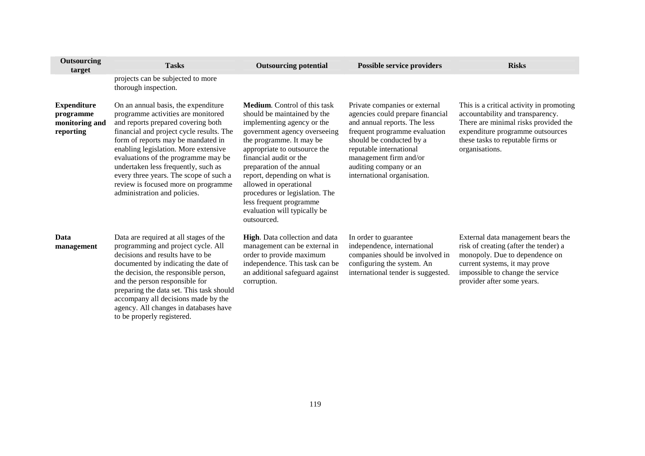| Outsourcing<br>target                                          | <b>Tasks</b>                                                                                                                                                                                                                                                                                                                                                                                                                             | <b>Outsourcing potential</b>                                                                                                                                                                                                                                                                                                                                                                                       | Possible service providers                                                                                                                                                                                                                                                   | <b>Risks</b>                                                                                                                                                                                                     |
|----------------------------------------------------------------|------------------------------------------------------------------------------------------------------------------------------------------------------------------------------------------------------------------------------------------------------------------------------------------------------------------------------------------------------------------------------------------------------------------------------------------|--------------------------------------------------------------------------------------------------------------------------------------------------------------------------------------------------------------------------------------------------------------------------------------------------------------------------------------------------------------------------------------------------------------------|------------------------------------------------------------------------------------------------------------------------------------------------------------------------------------------------------------------------------------------------------------------------------|------------------------------------------------------------------------------------------------------------------------------------------------------------------------------------------------------------------|
|                                                                | projects can be subjected to more<br>thorough inspection.                                                                                                                                                                                                                                                                                                                                                                                |                                                                                                                                                                                                                                                                                                                                                                                                                    |                                                                                                                                                                                                                                                                              |                                                                                                                                                                                                                  |
| <b>Expenditure</b><br>programme<br>monitoring and<br>reporting | On an annual basis, the expenditure<br>programme activities are monitored<br>and reports prepared covering both<br>financial and project cycle results. The<br>form of reports may be mandated in<br>enabling legislation. More extensive<br>evaluations of the programme may be<br>undertaken less frequently, such as<br>every three years. The scope of such a<br>review is focused more on programme<br>administration and policies. | Medium. Control of this task<br>should be maintained by the<br>implementing agency or the<br>government agency overseeing<br>the programme. It may be<br>appropriate to outsource the<br>financial audit or the<br>preparation of the annual<br>report, depending on what is<br>allowed in operational<br>procedures or legislation. The<br>less frequent programme<br>evaluation will typically be<br>outsourced. | Private companies or external<br>agencies could prepare financial<br>and annual reports. The less<br>frequent programme evaluation<br>should be conducted by a<br>reputable international<br>management firm and/or<br>auditing company or an<br>international organisation. | This is a critical activity in promoting<br>accountability and transparency.<br>There are minimal risks provided the<br>expenditure programme outsources<br>these tasks to reputable firms or<br>organisations.  |
| Data<br>management                                             | Data are required at all stages of the<br>programming and project cycle. All<br>decisions and results have to be<br>documented by indicating the date of<br>the decision, the responsible person,<br>and the person responsible for<br>preparing the data set. This task should<br>accompany all decisions made by the<br>agency. All changes in databases have<br>to be properly registered.                                            | High. Data collection and data<br>management can be external in<br>order to provide maximum<br>independence. This task can be<br>an additional safeguard against<br>corruption.                                                                                                                                                                                                                                    | In order to guarantee<br>independence, international<br>companies should be involved in<br>configuring the system. An<br>international tender is suggested.                                                                                                                  | External data management bears the<br>risk of creating (after the tender) a<br>monopoly. Due to dependence on<br>current systems, it may prove<br>impossible to change the service<br>provider after some years. |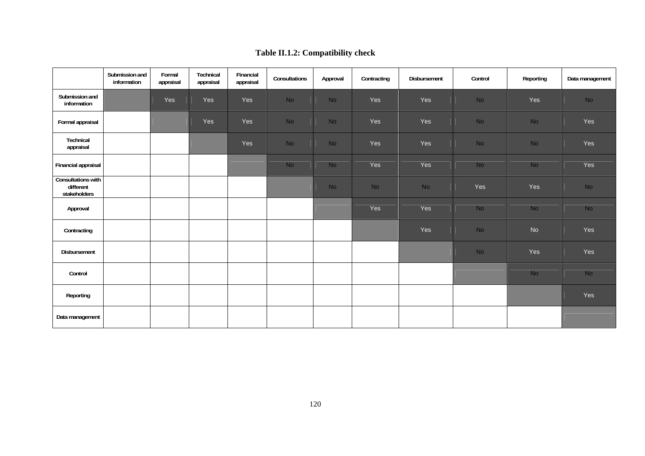# **Table II.1.2: Compatibility check**

|                                                        | Submission and<br>information | Formal<br>appraisal | Technical<br>appraisal | Financial<br>appraisal | Consultations | Approval  | Contracting | Disbursement | Control   | Reporting | Data management |
|--------------------------------------------------------|-------------------------------|---------------------|------------------------|------------------------|---------------|-----------|-------------|--------------|-----------|-----------|-----------------|
| Submission and<br>information                          |                               | Yes                 | Yes                    | Yes                    | <b>No</b>     | <b>No</b> | Yes         | Yes          | <b>No</b> | Yes       | <b>No</b>       |
| Formal appraisal                                       |                               |                     | Yes                    | Yes                    | <b>No</b>     | <b>No</b> | Yes         | Yes          | <b>No</b> | <b>No</b> | Yes             |
| Technical<br>appraisal                                 |                               |                     |                        | Yes                    | <b>No</b>     | <b>No</b> | Yes         | Yes          | <b>No</b> | <b>No</b> | Yes             |
| <b>Financial appraisal</b>                             |                               |                     |                        |                        | <b>No</b>     | <b>No</b> | Yes         | Yes          | <b>No</b> | <b>No</b> | Yes             |
| <b>Consultations with</b><br>different<br>stakeholders |                               |                     |                        |                        |               | <b>No</b> | <b>No</b>   | <b>No</b>    | Yes       | Yes       | <b>No</b>       |
| Approval                                               |                               |                     |                        |                        |               |           | Yes         | Yes          | <b>No</b> | <b>No</b> | <b>No</b>       |
| Contracting                                            |                               |                     |                        |                        |               |           |             | Yes          | <b>No</b> | No        | Yes             |
| <b>Disbursement</b>                                    |                               |                     |                        |                        |               |           |             |              | <b>No</b> | Yes       | Yes             |
| Control                                                |                               |                     |                        |                        |               |           |             |              |           | No        | <b>No</b>       |
| Reporting                                              |                               |                     |                        |                        |               |           |             |              |           |           | Yes             |
| Data management                                        |                               |                     |                        |                        |               |           |             |              |           |           |                 |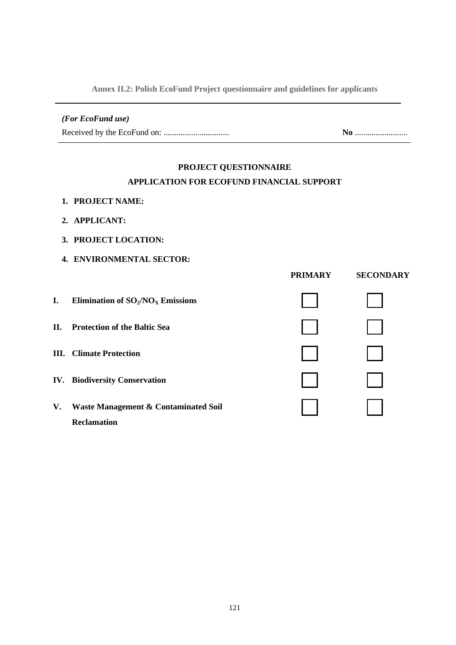**Annex II.2: Polish EcoFund Project questionnaire and guidelines for applicants** 

## *(For EcoFund use)*

Received by the EcoFund on: ............................... **No** .........................

# **PROJECT QUESTIONNAIRE**

# **APPLICATION FOR ECOFUND FINANCIAL SUPPORT**

- **1. PROJECT NAME:**
- **2. APPLICANT:**
- **3. PROJECT LOCATION:**
- **4. ENVIRONMENTAL SECTOR:**

|     |                                                                       | <b>PRIMARY</b> | <b>SECONDARY</b> |
|-----|-----------------------------------------------------------------------|----------------|------------------|
| I.  | Elimination of $SO_2/NO_X$ Emissions                                  |                |                  |
| II. | <b>Protection of the Baltic Sea</b>                                   |                |                  |
|     | <b>III.</b> Climate Protection                                        |                |                  |
|     | <b>IV.</b> Biodiversity Conservation                                  |                |                  |
| V.  | <b>Waste Management &amp; Contaminated Soil</b><br><b>Reclamation</b> |                |                  |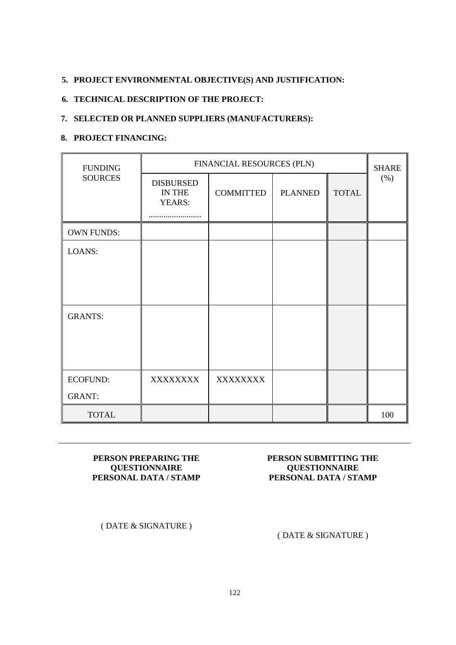# **5. PROJECT ENVIRONMENTAL OBJECTIVE(S) AND JUSTIFICATION:**

# **6. TECHNICAL DESCRIPTION OF THE PROJECT:**

# **7. SELECTED OR PLANNED SUPPLIERS (MANUFACTURERS):**

## **8. PROJECT FINANCING:**

| <b>FUNDING</b>    | FINANCIAL RESOURCES (PLN)            | <b>SHARE</b>     |                |              |         |
|-------------------|--------------------------------------|------------------|----------------|--------------|---------|
| <b>SOURCES</b>    | <b>DISBURSED</b><br>IN THE<br>YEARS: | <b>COMMITTED</b> | <b>PLANNED</b> | <b>TOTAL</b> | $(\% )$ |
| <b>OWN FUNDS:</b> |                                      |                  |                |              |         |
| LOANS:            |                                      |                  |                |              |         |
|                   |                                      |                  |                |              |         |
|                   |                                      |                  |                |              |         |
| <b>GRANTS:</b>    |                                      |                  |                |              |         |
|                   |                                      |                  |                |              |         |
| ECOFUND:          | XXXXXXXX                             | XXXXXXXX         |                |              |         |
| <b>GRANT:</b>     |                                      |                  |                |              |         |
| <b>TOTAL</b>      |                                      |                  |                |              | 100     |

**PERSON PREPARING THE QUESTIONNAIRE PERSONAL DATA / STAMP**

## **PERSON SUBMITTING THE QUESTIONNAIRE PERSONAL DATA / STAMP**

( DATE & SIGNATURE )

( DATE & SIGNATURE )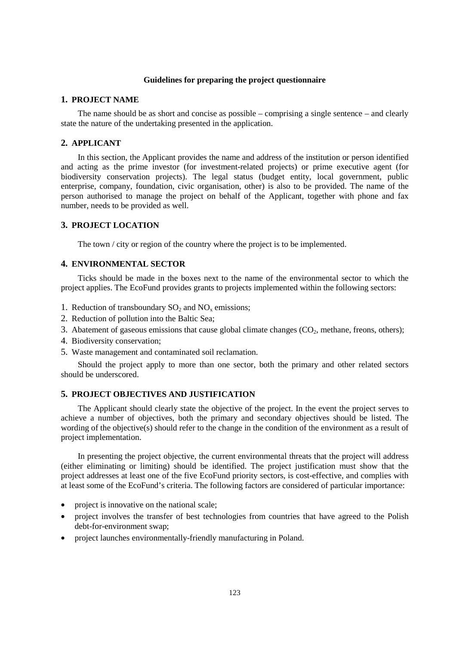## **Guidelines for preparing the project questionnaire**

## **1. PROJECT NAME**

The name should be as short and concise as possible – comprising a single sentence – and clearly state the nature of the undertaking presented in the application.

## **2. APPLICANT**

In this section, the Applicant provides the name and address of the institution or person identified and acting as the prime investor (for investment-related projects) or prime executive agent (for biodiversity conservation projects). The legal status (budget entity, local government, public enterprise, company, foundation, civic organisation, other) is also to be provided. The name of the person authorised to manage the project on behalf of the Applicant, together with phone and fax number, needs to be provided as well.

## **3. PROJECT LOCATION**

The town / city or region of the country where the project is to be implemented.

## **4. ENVIRONMENTAL SECTOR**

Ticks should be made in the boxes next to the name of the environmental sector to which the project applies. The EcoFund provides grants to projects implemented within the following sectors:

- 1. Reduction of transboundary  $SO_2$  and  $NO_x$  emissions;
- 2. Reduction of pollution into the Baltic Sea;
- 3. Abatement of gaseous emissions that cause global climate changes  $(CO<sub>2</sub>)$ , methane, freons, others);
- 4. Biodiversity conservation;
- 5. Waste management and contaminated soil reclamation.

Should the project apply to more than one sector, both the primary and other related sectors should be underscored.

## **5. PROJECT OBJECTIVES AND JUSTIFICATION**

The Applicant should clearly state the objective of the project. In the event the project serves to achieve a number of objectives, both the primary and secondary objectives should be listed. The wording of the objective(s) should refer to the change in the condition of the environment as a result of project implementation.

In presenting the project objective, the current environmental threats that the project will address (either eliminating or limiting) should be identified. The project justification must show that the project addresses at least one of the five EcoFund priority sectors, is cost-effective, and complies with at least some of the EcoFund's criteria. The following factors are considered of particular importance:

- project is innovative on the national scale;
- project involves the transfer of best technologies from countries that have agreed to the Polish debt-for-environment swap;
- project launches environmentally-friendly manufacturing in Poland.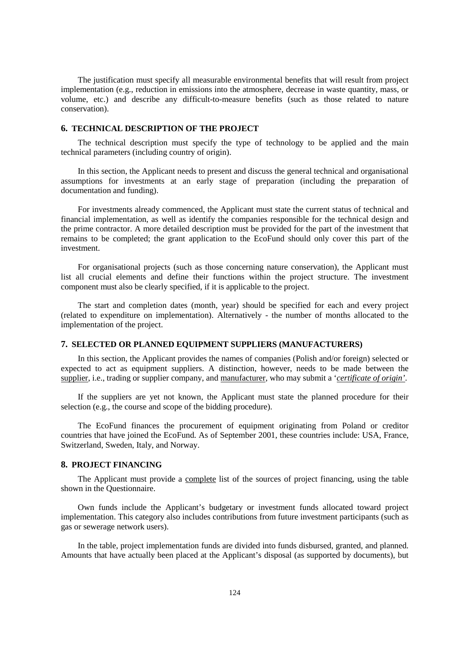The justification must specify all measurable environmental benefits that will result from project implementation (e.g., reduction in emissions into the atmosphere, decrease in waste quantity, mass, or volume, etc.) and describe any difficult-to-measure benefits (such as those related to nature conservation).

#### **6. TECHNICAL DESCRIPTION OF THE PROJECT**

The technical description must specify the type of technology to be applied and the main technical parameters (including country of origin).

In this section, the Applicant needs to present and discuss the general technical and organisational assumptions for investments at an early stage of preparation (including the preparation of documentation and funding).

For investments already commenced, the Applicant must state the current status of technical and financial implementation, as well as identify the companies responsible for the technical design and the prime contractor. A more detailed description must be provided for the part of the investment that remains to be completed; the grant application to the EcoFund should only cover this part of the investment.

For organisational projects (such as those concerning nature conservation), the Applicant must list all crucial elements and define their functions within the project structure. The investment component must also be clearly specified, if it is applicable to the project.

The start and completion dates (month, year) should be specified for each and every project (related to expenditure on implementation). Alternatively - the number of months allocated to the implementation of the project.

#### **7. SELECTED OR PLANNED EQUIPMENT SUPPLIERS (MANUFACTURERS)**

In this section, the Applicant provides the names of companies (Polish and/or foreign) selected or expected to act as equipment suppliers. A distinction, however, needs to be made between the supplier, i.e., trading or supplier company, and manufacturer, who may submit a '*certificate of origin'*.

If the suppliers are yet not known, the Applicant must state the planned procedure for their selection (e.g., the course and scope of the bidding procedure).

The EcoFund finances the procurement of equipment originating from Poland or creditor countries that have joined the EcoFund. As of September 2001, these countries include: USA, France, Switzerland, Sweden, Italy, and Norway.

#### **8. PROJECT FINANCING**

The Applicant must provide a complete list of the sources of project financing, using the table shown in the Questionnaire.

Own funds include the Applicant's budgetary or investment funds allocated toward project implementation. This category also includes contributions from future investment participants (such as gas or sewerage network users).

In the table, project implementation funds are divided into funds disbursed, granted, and planned. Amounts that have actually been placed at the Applicant's disposal (as supported by documents), but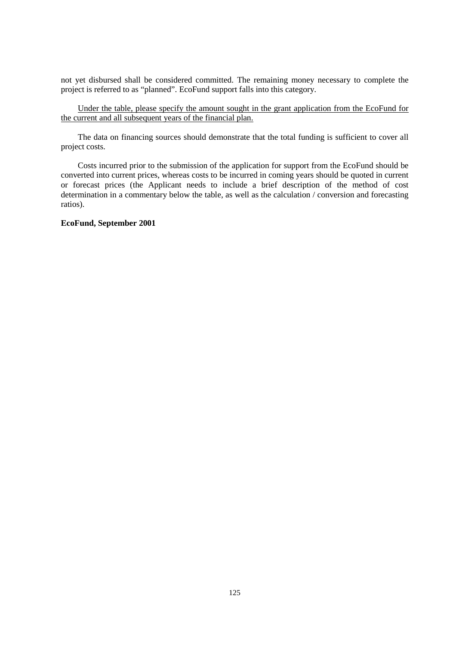not yet disbursed shall be considered committed. The remaining money necessary to complete the project is referred to as "planned". EcoFund support falls into this category.

Under the table, please specify the amount sought in the grant application from the EcoFund for the current and all subsequent years of the financial plan.

The data on financing sources should demonstrate that the total funding is sufficient to cover all project costs.

Costs incurred prior to the submission of the application for support from the EcoFund should be converted into current prices, whereas costs to be incurred in coming years should be quoted in current or forecast prices (the Applicant needs to include a brief description of the method of cost determination in a commentary below the table, as well as the calculation / conversion and forecasting ratios).

#### **EcoFund, September 2001**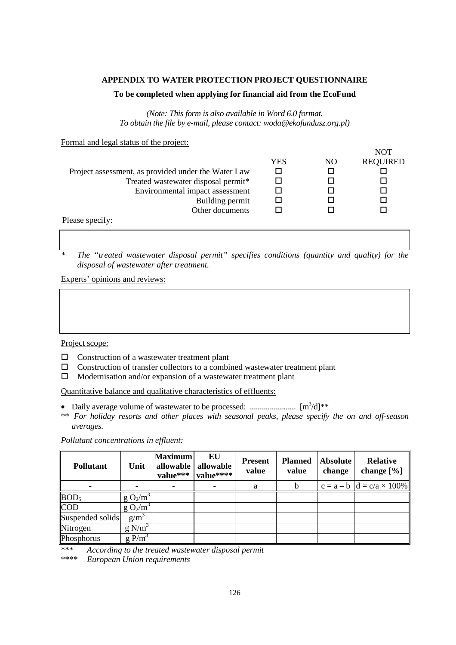# **APPENDIX TO WATER PROTECTION PROJECT QUESTIONNAIRE**

## **To be completed when applying for financial aid from the EcoFund**

*(Note: This form is also available in Word 6.0 format. To obtain the file by e-mail, please contact: woda@ekofundusz.org.pl)* 

NOT

Formal and legal status of the project:

|                                                     |     |     | NU              |
|-----------------------------------------------------|-----|-----|-----------------|
|                                                     | YES | NO. | <b>REQUIRED</b> |
| Project assessment, as provided under the Water Law |     |     |                 |
| Treated wastewater disposal permit*                 |     |     |                 |
| Environmental impact assessment                     |     |     |                 |
| Building permit                                     |     |     |                 |
| Other documents                                     |     |     |                 |
| $D0.000$ angoify                                    |     |     |                 |

Please specify:

*\* The "treated wastewater disposal permit" specifies conditions (quantity and quality) for the disposal of wastewater after treatment.* 

Experts' opinions and reviews:

Project scope:

- $\square$  Construction of a wastewater treatment plant
- $\square$  Construction of transfer collectors to a combined wastewater treatment plant
- $\Box$  Modernisation and/or expansion of a wastewater treatment plant

Quantitative balance and qualitative characteristics of effluents:

- Daily average volume of wastewater to be processed: ....................... [m3 /d]\*\*
- \*\* *For holiday resorts and other places with seasonal peaks, please specify the on and off-season averages.*

| <b>Pollutant</b> | Unit                             | <b>Maximum</b><br>allowable<br>value*** | EU<br>allowable<br>value**** | <b>Present</b><br>value | <b>Planned</b><br>value | <b>Absolute</b><br>change | <b>Relative</b><br>change $[\%]$   |
|------------------|----------------------------------|-----------------------------------------|------------------------------|-------------------------|-------------------------|---------------------------|------------------------------------|
|                  |                                  |                                         |                              | a                       | b                       |                           | $c = a - b$ $d = c/a \times 100\%$ |
| BOD <sub>5</sub> | g O <sub>2</sub> /m <sup>3</sup> |                                         |                              |                         |                         |                           |                                    |
| $ $ COD          | g O <sub>2</sub> /m <sup>3</sup> |                                         |                              |                         |                         |                           |                                    |
| Suspended solids | $g/m^3$                          |                                         |                              |                         |                         |                           |                                    |
| Nitrogen         | g N/m <sup>3</sup>               |                                         |                              |                         |                         |                           |                                    |
| Phosphorus       | g P/m <sup>3</sup>               |                                         |                              |                         |                         |                           |                                    |

*Pollutant concentrations in effluent:*

\*\*\* *According to the treated wastewater disposal permit*

\*\*\*\* *European Union requirements*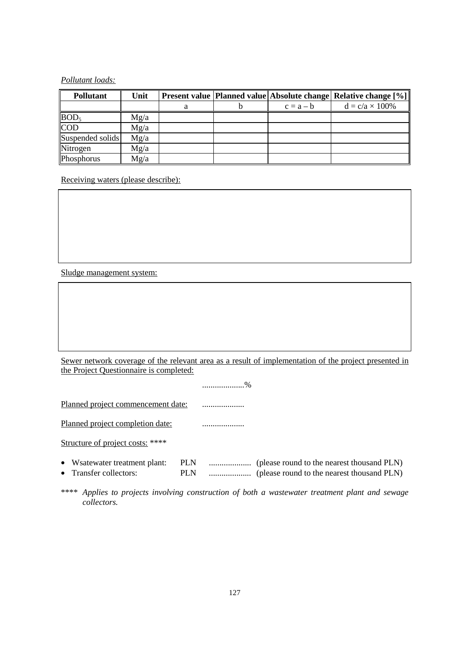### *Pollutant loads:*

| <b>Pollutant</b> | Unit |  |             | <b>Present value   Planned value   Absolute change   Relative change [%]  </b> |
|------------------|------|--|-------------|--------------------------------------------------------------------------------|
|                  |      |  | $c = a - b$ | $d = c/a \times 100\%$                                                         |
| BOD <sub>5</sub> | Mg/a |  |             |                                                                                |
| $\overline{COD}$ | Mg/a |  |             |                                                                                |
| Suspended solids | Mg/a |  |             |                                                                                |
| Nitrogen         | Mg/a |  |             |                                                                                |
| Phosphorus       | Mg/a |  |             |                                                                                |

Receiving waters (please describe):

Sludge management system:

Sewer network coverage of the relevant area as a result of implementation of the project presented in the Project Questionnaire is completed:

....................%

Planned project commencement date: ....................

Planned project completion date: ....................

Structure of project costs: \*\*\*\*

| • Wsatewater treatment plant: PLN |     |  |
|-----------------------------------|-----|--|
| • Transfer collectors:            | PLN |  |

\*\*\*\* *Applies to projects involving construction of both a wastewater treatment plant and sewage collectors.*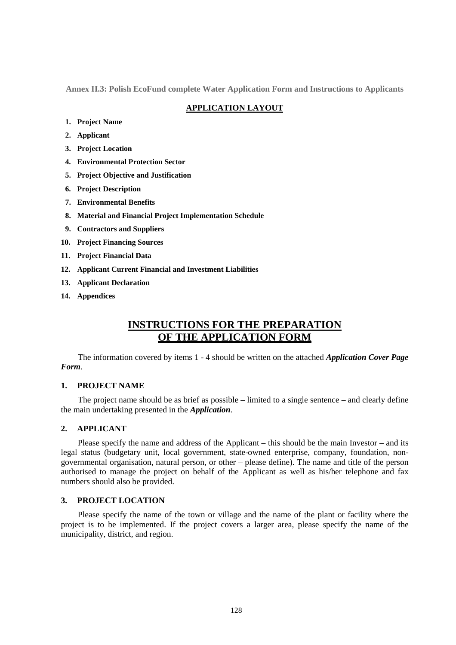**Annex II.3: Polish EcoFund complete Water Application Form and Instructions to Applicants** 

# **APPLICATION LAYOUT**

- **1. Project Name**
- **2. Applicant**
- **3. Project Location**
- **4. Environmental Protection Sector**
- **5. Project Objective and Justification**
- **6. Project Description**
- **7. Environmental Benefits**
- **8. Material and Financial Project Implementation Schedule**
- **9. Contractors and Suppliers**
- **10. Project Financing Sources**
- **11. Project Financial Data**
- **12. Applicant Current Financial and Investment Liabilities**
- **13. Applicant Declaration**
- **14. Appendices**

# **INSTRUCTIONS FOR THE PREPARATION OF THE APPLICATION FORM**

The information covered by items 1 - 4 should be written on the attached *Application Cover Page Form*.

#### **1. PROJECT NAME**

The project name should be as brief as possible – limited to a single sentence – and clearly define the main undertaking presented in the *Application*.

## **2. APPLICANT**

Please specify the name and address of the Applicant – this should be the main Investor – and its legal status (budgetary unit, local government, state-owned enterprise, company, foundation, nongovernmental organisation, natural person, or other – please define). The name and title of the person authorised to manage the project on behalf of the Applicant as well as his/her telephone and fax numbers should also be provided.

## **3. PROJECT LOCATION**

Please specify the name of the town or village and the name of the plant or facility where the project is to be implemented. If the project covers a larger area, please specify the name of the municipality, district, and region.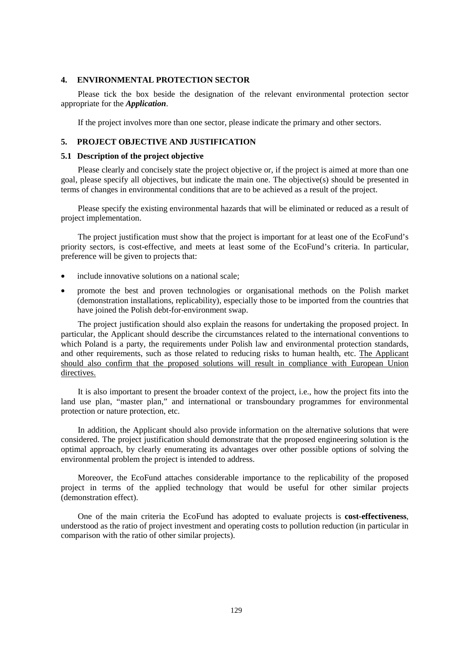#### **4. ENVIRONMENTAL PROTECTION SECTOR**

Please tick the box beside the designation of the relevant environmental protection sector appropriate for the *Application*.

If the project involves more than one sector, please indicate the primary and other sectors.

## **5. PROJECT OBJECTIVE AND JUSTIFICATION**

#### **5.1 Description of the project objective**

Please clearly and concisely state the project objective or, if the project is aimed at more than one goal, please specify all objectives, but indicate the main one. The objective(s) should be presented in terms of changes in environmental conditions that are to be achieved as a result of the project.

Please specify the existing environmental hazards that will be eliminated or reduced as a result of project implementation.

The project justification must show that the project is important for at least one of the EcoFund's priority sectors, is cost-effective, and meets at least some of the EcoFund's criteria. In particular, preference will be given to projects that:

- include innovative solutions on a national scale;
- promote the best and proven technologies or organisational methods on the Polish market (demonstration installations, replicability), especially those to be imported from the countries that have joined the Polish debt-for-environment swap.

The project justification should also explain the reasons for undertaking the proposed project. In particular, the Applicant should describe the circumstances related to the international conventions to which Poland is a party, the requirements under Polish law and environmental protection standards, and other requirements, such as those related to reducing risks to human health, etc. The Applicant should also confirm that the proposed solutions will result in compliance with European Union directives.

It is also important to present the broader context of the project, i.e., how the project fits into the land use plan, "master plan," and international or transboundary programmes for environmental protection or nature protection, etc.

In addition, the Applicant should also provide information on the alternative solutions that were considered. The project justification should demonstrate that the proposed engineering solution is the optimal approach, by clearly enumerating its advantages over other possible options of solving the environmental problem the project is intended to address.

Moreover, the EcoFund attaches considerable importance to the replicability of the proposed project in terms of the applied technology that would be useful for other similar projects (demonstration effect).

One of the main criteria the EcoFund has adopted to evaluate projects is **cost-effectiveness**, understood as the ratio of project investment and operating costs to pollution reduction (in particular in comparison with the ratio of other similar projects).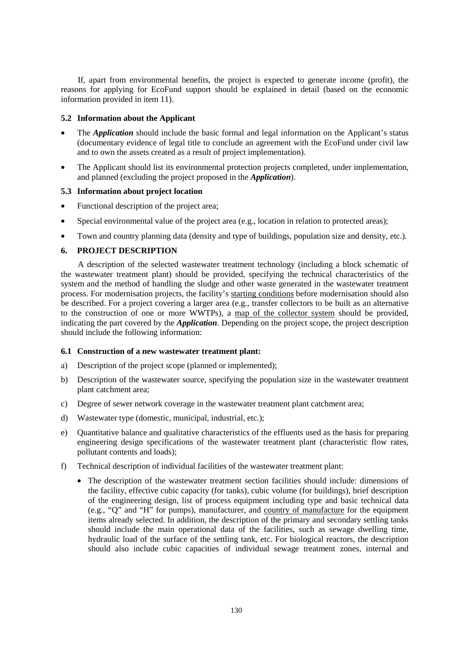If, apart from environmental benefits, the project is expected to generate income (profit), the reasons for applying for EcoFund support should be explained in detail (based on the economic information provided in item 11).

## **5.2 Information about the Applicant**

- The *Application* should include the basic formal and legal information on the Applicant's status (documentary evidence of legal title to conclude an agreement with the EcoFund under civil law and to own the assets created as a result of project implementation).
- The Applicant should list its environmental protection projects completed, under implementation, and planned (excluding the project proposed in the *Application*).

# **5.3 Information about project location**

- Functional description of the project area;
- Special environmental value of the project area (e.g., location in relation to protected areas);
- Town and country planning data (density and type of buildings, population size and density, etc.).

# **6. PROJECT DESCRIPTION**

A description of the selected wastewater treatment technology (including a block schematic of the wastewater treatment plant) should be provided, specifying the technical characteristics of the system and the method of handling the sludge and other waste generated in the wastewater treatment process. For modernisation projects, the facility's starting conditions before modernisation should also be described. For a project covering a larger area (e.g., transfer collectors to be built as an alternative to the construction of one or more WWTPs), a map of the collector system should be provided, indicating the part covered by the *Application*. Depending on the project scope, the project description should include the following information:

## **6.1 Construction of a new wastewater treatment plant:**

- a) Description of the project scope (planned or implemented);
- b) Description of the wastewater source, specifying the population size in the wastewater treatment plant catchment area;
- c) Degree of sewer network coverage in the wastewater treatment plant catchment area;
- d) Wastewater type (domestic, municipal, industrial, etc.);
- e) Quantitative balance and qualitative characteristics of the effluents used as the basis for preparing engineering design specifications of the wastewater treatment plant (characteristic flow rates, pollutant contents and loads);
- f) Technical description of individual facilities of the wastewater treatment plant:
	- The description of the wastewater treatment section facilities should include: dimensions of the facility, effective cubic capacity (for tanks), cubic volume (for buildings), brief description of the engineering design, list of process equipment including type and basic technical data (e.g., "Q" and "H" for pumps), manufacturer, and country of manufacture for the equipment items already selected. In addition, the description of the primary and secondary settling tanks should include the main operational data of the facilities, such as sewage dwelling time, hydraulic load of the surface of the settling tank, etc. For biological reactors, the description should also include cubic capacities of individual sewage treatment zones, internal and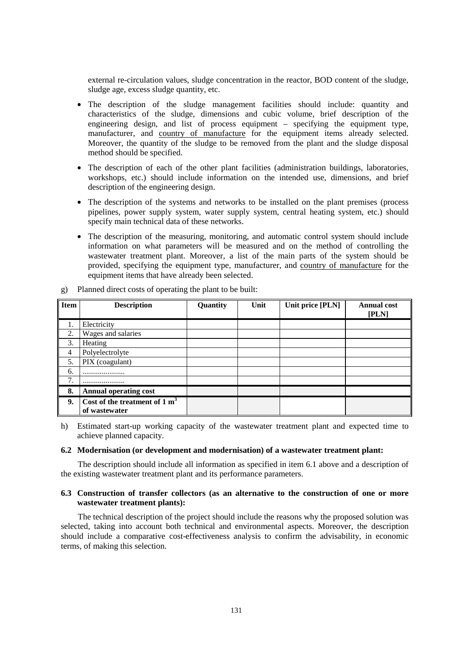external re-circulation values, sludge concentration in the reactor, BOD content of the sludge, sludge age, excess sludge quantity, etc.

- The description of the sludge management facilities should include: quantity and characteristics of the sludge, dimensions and cubic volume, brief description of the engineering design, and list of process equipment – specifying the equipment type, manufacturer, and country of manufacture for the equipment items already selected. Moreover, the quantity of the sludge to be removed from the plant and the sludge disposal method should be specified.
- The description of each of the other plant facilities (administration buildings, laboratories, workshops, etc.) should include information on the intended use, dimensions, and brief description of the engineering design.
- The description of the systems and networks to be installed on the plant premises (process pipelines, power supply system, water supply system, central heating system, etc.) should specify main technical data of these networks.
- The description of the measuring, monitoring, and automatic control system should include information on what parameters will be measured and on the method of controlling the wastewater treatment plant. Moreover, a list of the main parts of the system should be provided, specifying the equipment type, manufacturer, and country of manufacture for the equipment items that have already been selected.

| <b>Item</b>     | <b>Description</b>                                        | Quantity | Unit | Unit price [PLN] | <b>Annual cost</b><br>[PLN] |
|-----------------|-----------------------------------------------------------|----------|------|------------------|-----------------------------|
|                 | Electricity                                               |          |      |                  |                             |
| 2.              | Wages and salaries                                        |          |      |                  |                             |
| 3.              | Heating                                                   |          |      |                  |                             |
| 4               | Polyelectrolyte                                           |          |      |                  |                             |
| 5.              | PIX (coagulant)                                           |          |      |                  |                             |
| 6.              |                                                           |          |      |                  |                             |
| 7<br>$\prime$ . |                                                           |          |      |                  |                             |
| 8.              | <b>Annual operating cost</b>                              |          |      |                  |                             |
| 9.              | Cost of the treatment of $1 \text{ m}^3$<br>of wastewater |          |      |                  |                             |

g) Planned direct costs of operating the plant to be built:

h) Estimated start-up working capacity of the wastewater treatment plant and expected time to achieve planned capacity.

#### **6.2 Modernisation (or development and modernisation) of a wastewater treatment plant:**

The description should include all information as specified in item 6.1 above and a description of the existing wastewater treatment plant and its performance parameters.

### **6.3 Construction of transfer collectors (as an alternative to the construction of one or more wastewater treatment plants):**

The technical description of the project should include the reasons why the proposed solution was selected, taking into account both technical and environmental aspects. Moreover, the description should include a comparative cost-effectiveness analysis to confirm the advisability, in economic terms, of making this selection.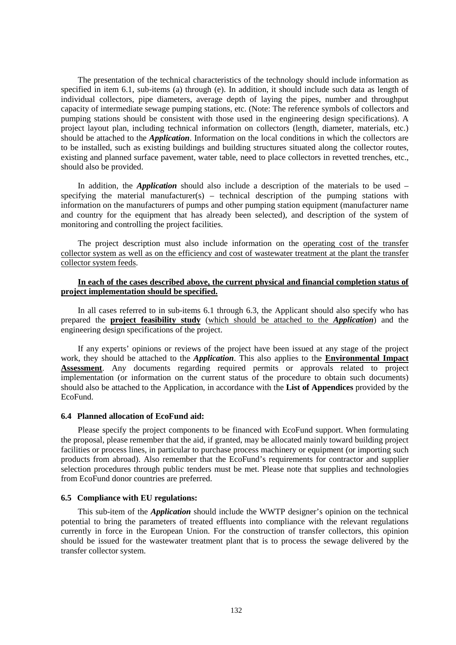The presentation of the technical characteristics of the technology should include information as specified in item 6.1, sub-items (a) through (e). In addition, it should include such data as length of individual collectors, pipe diameters, average depth of laying the pipes, number and throughput capacity of intermediate sewage pumping stations, etc. (Note: The reference symbols of collectors and pumping stations should be consistent with those used in the engineering design specifications). A project layout plan, including technical information on collectors (length, diameter, materials, etc.) should be attached to the *Application*. Information on the local conditions in which the collectors are to be installed, such as existing buildings and building structures situated along the collector routes, existing and planned surface pavement, water table, need to place collectors in revetted trenches, etc., should also be provided.

In addition, the *Application* should also include a description of the materials to be used – specifying the material manufacturer(s) – technical description of the pumping stations with information on the manufacturers of pumps and other pumping station equipment (manufacturer name and country for the equipment that has already been selected), and description of the system of monitoring and controlling the project facilities.

The project description must also include information on the operating cost of the transfer collector system as well as on the efficiency and cost of wastewater treatment at the plant the transfer collector system feeds.

## **In each of the cases described above, the current physical and financial completion status of project implementation should be specified.**

In all cases referred to in sub-items 6.1 through 6.3, the Applicant should also specify who has prepared the **project feasibility study** (which should be attached to the *Application*) and the engineering design specifications of the project.

If any experts' opinions or reviews of the project have been issued at any stage of the project work, they should be attached to the *Application*. This also applies to the **Environmental Impact Assessment**. Any documents regarding required permits or approvals related to project implementation (or information on the current status of the procedure to obtain such documents) should also be attached to the Application, in accordance with the **List of Appendices** provided by the EcoFund.

#### **6.4 Planned allocation of EcoFund aid:**

Please specify the project components to be financed with EcoFund support. When formulating the proposal, please remember that the aid, if granted, may be allocated mainly toward building project facilities or process lines, in particular to purchase process machinery or equipment (or importing such products from abroad). Also remember that the EcoFund's requirements for contractor and supplier selection procedures through public tenders must be met. Please note that supplies and technologies from EcoFund donor countries are preferred.

#### **6.5 Compliance with EU regulations:**

This sub-item of the *Application* should include the WWTP designer's opinion on the technical potential to bring the parameters of treated effluents into compliance with the relevant regulations currently in force in the European Union. For the construction of transfer collectors, this opinion should be issued for the wastewater treatment plant that is to process the sewage delivered by the transfer collector system.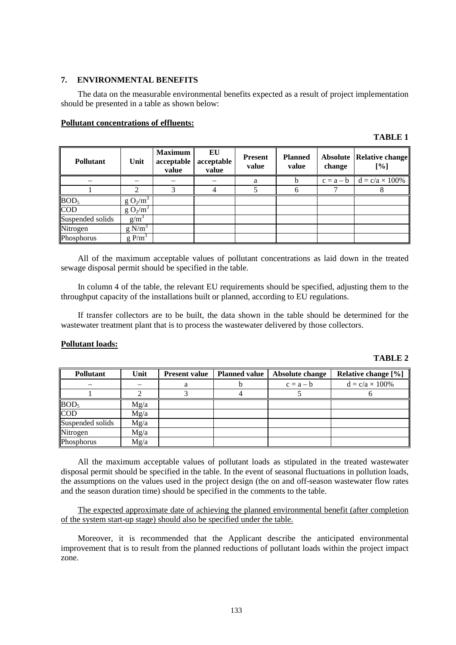## **7. ENVIRONMENTAL BENEFITS**

The data on the measurable environmental benefits expected as a result of project implementation should be presented in a table as shown below:

| <b>Pollutant</b> | Unit                             | <b>Maximum</b><br>acceptable<br>value | EU<br>acceptable<br>value | <b>Present</b><br>value | <b>Planned</b><br>value | change      | Absolute   Relative change   <br>$[\%]$ |
|------------------|----------------------------------|---------------------------------------|---------------------------|-------------------------|-------------------------|-------------|-----------------------------------------|
|                  |                                  |                                       |                           | a                       | h                       | $c = a - b$ | $d = c/a \times 100\%$                  |
|                  |                                  |                                       |                           |                         |                         |             |                                         |
| BOD <sub>5</sub> | g O <sub>2</sub> /m <sup>3</sup> |                                       |                           |                         |                         |             |                                         |
| <b>COD</b>       | g O <sub>2</sub> /m <sup>3</sup> |                                       |                           |                         |                         |             |                                         |
| Suspended solids | g/m <sup>3</sup>                 |                                       |                           |                         |                         |             |                                         |
| Nitrogen         | g N/m <sup>3</sup>               |                                       |                           |                         |                         |             |                                         |
| Phosphorus       | g P/m <sup>3</sup>               |                                       |                           |                         |                         |             |                                         |

#### **Pollutant concentrations of effluents:**

# All of the maximum acceptable values of pollutant concentrations as laid down in the treated sewage disposal permit should be specified in the table.

In column 4 of the table, the relevant EU requirements should be specified, adjusting them to the throughput capacity of the installations built or planned, according to EU regulations.

If transfer collectors are to be built, the data shown in the table should be determined for the wastewater treatment plant that is to process the wastewater delivered by those collectors.

#### **Pollutant loads:**

#### **TABLE 2**

**TABLE 1** 

| <b>Pollutant</b>   | Unit | <b>Present value</b> | <b>Planned value</b> | Absolute change | Relative change [%]    |
|--------------------|------|----------------------|----------------------|-----------------|------------------------|
|                    |      |                      |                      | $c = a - b$     | $d = c/a \times 100\%$ |
|                    |      |                      |                      |                 |                        |
| $\overline{BOD_5}$ | Mg/a |                      |                      |                 |                        |
| <b>COD</b>         | Mg/a |                      |                      |                 |                        |
| Suspended solids   | Mg/a |                      |                      |                 |                        |
| Nitrogen           | Mg/a |                      |                      |                 |                        |
| Phosphorus         | Mg/a |                      |                      |                 |                        |

All the maximum acceptable values of pollutant loads as stipulated in the treated wastewater disposal permit should be specified in the table. In the event of seasonal fluctuations in pollution loads, the assumptions on the values used in the project design (the on and off-season wastewater flow rates and the season duration time) should be specified in the comments to the table.

The expected approximate date of achieving the planned environmental benefit (after completion of the system start-up stage) should also be specified under the table.

Moreover, it is recommended that the Applicant describe the anticipated environmental improvement that is to result from the planned reductions of pollutant loads within the project impact zone.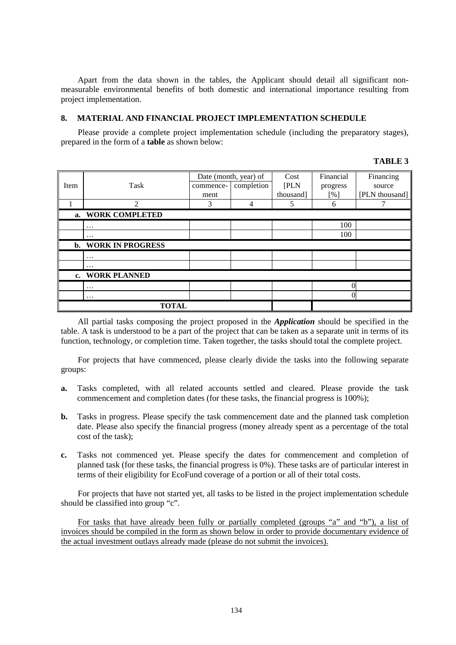Apart from the data shown in the tables, the Applicant should detail all significant nonmeasurable environmental benefits of both domestic and international importance resulting from project implementation.

### **8. MATERIAL AND FINANCIAL PROJECT IMPLEMENTATION SCHEDULE**

Please provide a complete project implementation schedule (including the preparatory stages), prepared in the form of a **table** as shown below:

| ABLI<br>в. |  |
|------------|--|
|------------|--|

|      |                         |           | Date (month, year) of | Cost      | Financial | Financing      |  |  |
|------|-------------------------|-----------|-----------------------|-----------|-----------|----------------|--|--|
| Item | Task                    | commence- | completion            | [PLN]     | progress  | source         |  |  |
|      |                         | ment      |                       | thousand] | [%]       | [PLN thousand] |  |  |
|      | $\overline{2}$          | 3         | 4                     |           | 6         |                |  |  |
| a.   | <b>WORK COMPLETED</b>   |           |                       |           |           |                |  |  |
|      | $\ddotsc$               |           |                       |           | 100       |                |  |  |
|      | $\cdots$                |           |                       |           | 100       |                |  |  |
| b.   | <b>WORK IN PROGRESS</b> |           |                       |           |           |                |  |  |
|      | $\cdots$                |           |                       |           |           |                |  |  |
|      | $\cdots$                |           |                       |           |           |                |  |  |
|      | c. WORK PLANNED         |           |                       |           |           |                |  |  |
|      | $\cdots$                |           |                       |           |           |                |  |  |
|      | $\cdots$                |           |                       |           |           |                |  |  |
|      | <b>TOTAL</b>            |           |                       |           |           |                |  |  |

All partial tasks composing the project proposed in the *Application* should be specified in the table. A task is understood to be a part of the project that can be taken as a separate unit in terms of its function, technology, or completion time. Taken together, the tasks should total the complete project.

For projects that have commenced, please clearly divide the tasks into the following separate groups:

- **a.** Tasks completed, with all related accounts settled and cleared. Please provide the task commencement and completion dates (for these tasks, the financial progress is 100%);
- **b.** Tasks in progress. Please specify the task commencement date and the planned task completion date. Please also specify the financial progress (money already spent as a percentage of the total cost of the task);
- **c.** Tasks not commenced yet. Please specify the dates for commencement and completion of planned task (for these tasks, the financial progress is 0%). These tasks are of particular interest in terms of their eligibility for EcoFund coverage of a portion or all of their total costs.

For projects that have not started yet, all tasks to be listed in the project implementation schedule should be classified into group "c".

For tasks that have already been fully or partially completed (groups "a" and "b"), a list of invoices should be compiled in the form as shown below in order to provide documentary evidence of the actual investment outlays already made (please do not submit the invoices).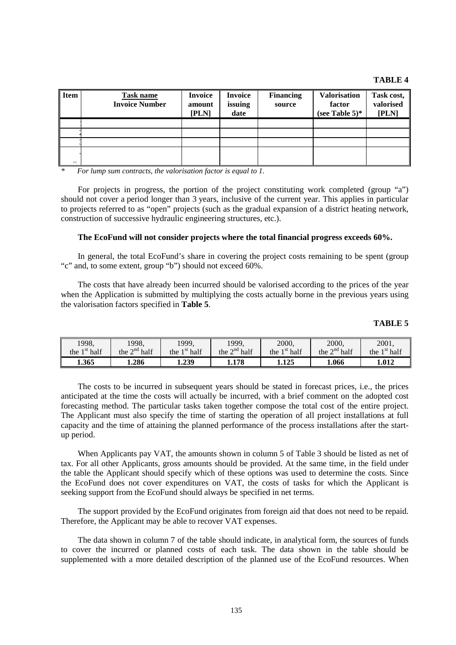#### **TABLE 4**

| Item | Task name<br><b>Invoice Number</b> | <b>Invoice</b><br>amount<br>[PLN] | <b>Invoice</b><br>issuing<br>date | <b>Financing</b><br>source | <b>Valorisation</b><br>factor<br>(see Table $5$ )* | Task cost,<br>valorised<br>[PLN] |
|------|------------------------------------|-----------------------------------|-----------------------------------|----------------------------|----------------------------------------------------|----------------------------------|
|      |                                    |                                   |                                   |                            |                                                    |                                  |
|      |                                    |                                   |                                   |                            |                                                    |                                  |
|      |                                    |                                   |                                   |                            |                                                    |                                  |
|      |                                    |                                   |                                   |                            |                                                    |                                  |

*\* For lump sum contracts, the valorisation factor is equal to 1.* 

For projects in progress, the portion of the project constituting work completed (group "a") should not cover a period longer than 3 years, inclusive of the current year. This applies in particular to projects referred to as "open" projects (such as the gradual expansion of a district heating network, construction of successive hydraulic engineering structures, etc.).

#### **The EcoFund will not consider projects where the total financial progress exceeds 60%.**

In general, the total EcoFund's share in covering the project costs remaining to be spent (group "c" and, to some extent, group "b") should not exceed 60%.

The costs that have already been incurred should be valorised according to the prices of the year when the Application is submitted by multiplying the costs actually borne in the previous years using the valorisation factors specified in **Table 5**.

#### **TABLE 5**

| 1998,<br>$1st$ half<br>the 1 | '998,<br>the $2^{nd}$ half | 1999.<br>$1st$ half<br>the l | 1999,<br>$2nd$ half<br>the 2 | 2000,<br>$1st$ half<br>the i | 2000.<br>$2nd$ half<br>the 2 | 2001.<br>$1st$ half<br>the 1 |
|------------------------------|----------------------------|------------------------------|------------------------------|------------------------------|------------------------------|------------------------------|
| 1.365                        | . 286                      | 1.239                        | 1.178                        | 1.125                        | 1.066                        | 1.012                        |

The costs to be incurred in subsequent years should be stated in forecast prices, i.e., the prices anticipated at the time the costs will actually be incurred, with a brief comment on the adopted cost forecasting method. The particular tasks taken together compose the total cost of the entire project. The Applicant must also specify the time of starting the operation of all project installations at full capacity and the time of attaining the planned performance of the process installations after the startup period.

When Applicants pay VAT, the amounts shown in column 5 of Table 3 should be listed as net of tax. For all other Applicants, gross amounts should be provided. At the same time, in the field under the table the Applicant should specify which of these options was used to determine the costs. Since the EcoFund does not cover expenditures on VAT, the costs of tasks for which the Applicant is seeking support from the EcoFund should always be specified in net terms.

The support provided by the EcoFund originates from foreign aid that does not need to be repaid. Therefore, the Applicant may be able to recover VAT expenses.

The data shown in column 7 of the table should indicate, in analytical form, the sources of funds to cover the incurred or planned costs of each task. The data shown in the table should be supplemented with a more detailed description of the planned use of the EcoFund resources. When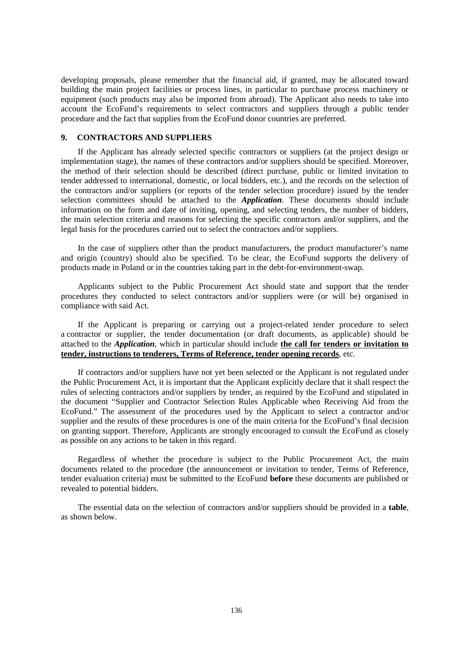developing proposals, please remember that the financial aid, if granted, may be allocated toward building the main project facilities or process lines, in particular to purchase process machinery or equipment (such products may also be imported from abroad). The Applicant also needs to take into account the EcoFund's requirements to select contractors and suppliers through a public tender procedure and the fact that supplies from the EcoFund donor countries are preferred.

#### **9. CONTRACTORS AND SUPPLIERS**

If the Applicant has already selected specific contractors or suppliers (at the project design or implementation stage), the names of these contractors and/or suppliers should be specified. Moreover, the method of their selection should be described (direct purchase, public or limited invitation to tender addressed to international, domestic, or local bidders, etc.), and the records on the selection of the contractors and/or suppliers (or reports of the tender selection procedure) issued by the tender selection committees should be attached to the *Application*. These documents should include information on the form and date of inviting, opening, and selecting tenders, the number of bidders, the main selection criteria and reasons for selecting the specific contractors and/or suppliers, and the legal basis for the procedures carried out to select the contractors and/or suppliers.

In the case of suppliers other than the product manufacturers, the product manufacturer's name and origin (country) should also be specified. To be clear, the EcoFund supports the delivery of products made in Poland or in the countries taking part in the debt-for-environment-swap.

Applicants subject to the Public Procurement Act should state and support that the tender procedures they conducted to select contractors and/or suppliers were (or will be) organised in compliance with said Act.

If the Applicant is preparing or carrying out a project-related tender procedure to select a contractor or supplier, the tender documentation (or draft documents, as applicable) should be attached to the *Application*, which in particular should include **the call for tenders or invitation to tender, instructions to tenderers, Terms of Reference, tender opening records**, etc.

If contractors and/or suppliers have not yet been selected or the Applicant is not regulated under the Public Procurement Act, it is important that the Applicant explicitly declare that it shall respect the rules of selecting contractors and/or suppliers by tender, as required by the EcoFund and stipulated in the document "Supplier and Contractor Selection Rules Applicable when Receiving Aid from the EcoFund." The assessment of the procedures used by the Applicant to select a contractor and/or supplier and the results of these procedures is one of the main criteria for the EcoFund's final decision on granting support. Therefore, Applicants are strongly encouraged to consult the EcoFund as closely as possible on any actions to be taken in this regard.

Regardless of whether the procedure is subject to the Public Procurement Act, the main documents related to the procedure (the announcement or invitation to tender, Terms of Reference, tender evaluation criteria) must be submitted to the EcoFund **before** these documents are published or revealed to potential bidders.

The essential data on the selection of contractors and/or suppliers should be provided in a **table**, as shown below.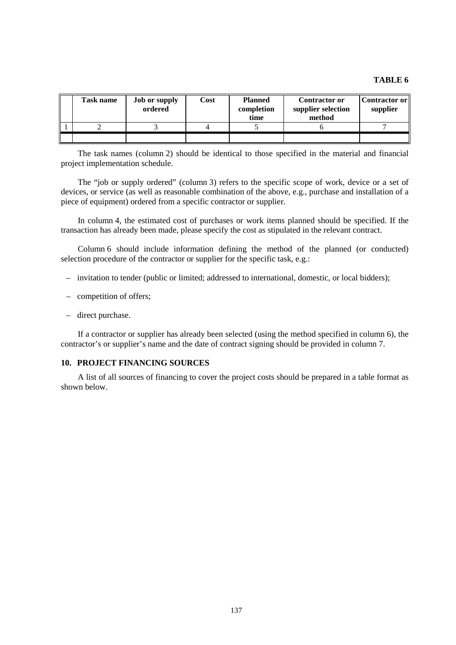| <b>Task name</b> | <b>Job or supply</b><br>ordered | Cost | <b>Planned</b><br>completion<br>time | <b>Contractor or</b><br>supplier selection<br>method | Contractor or<br>supplier |
|------------------|---------------------------------|------|--------------------------------------|------------------------------------------------------|---------------------------|
|                  |                                 |      |                                      |                                                      |                           |
|                  |                                 |      |                                      |                                                      |                           |

The task names (column 2) should be identical to those specified in the material and financial project implementation schedule.

The "job or supply ordered" (column 3) refers to the specific scope of work, device or a set of devices, or service (as well as reasonable combination of the above, e.g., purchase and installation of a piece of equipment) ordered from a specific contractor or supplier.

In column 4, the estimated cost of purchases or work items planned should be specified. If the transaction has already been made, please specify the cost as stipulated in the relevant contract.

Column 6 should include information defining the method of the planned (or conducted) selection procedure of the contractor or supplier for the specific task, e.g.:

- invitation to tender (public or limited; addressed to international, domestic, or local bidders);
- competition of offers;
- direct purchase.

If a contractor or supplier has already been selected (using the method specified in column 6), the contractor's or supplier's name and the date of contract signing should be provided in column 7.

## **10. PROJECT FINANCING SOURCES**

A list of all sources of financing to cover the project costs should be prepared in a table format as shown below.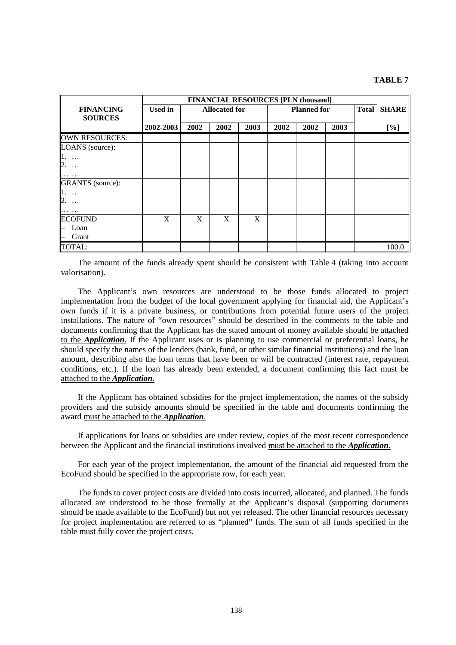## **TABLE 7**

|                           | <b>FINANCIAL RESOURCES [PLN thousand]</b> |      |                      |      |      |                    |      |              |              |
|---------------------------|-------------------------------------------|------|----------------------|------|------|--------------------|------|--------------|--------------|
| <b>FINANCING</b>          | <b>Used in</b>                            |      | <b>Allocated for</b> |      |      | <b>Planned for</b> |      | <b>Total</b> | <b>SHARE</b> |
| <b>SOURCES</b>            |                                           |      |                      |      |      |                    |      |              |              |
|                           | 2002-2003                                 | 2002 | 2002                 | 2003 | 2002 | 2002               | 2003 |              | [%]          |
| OWN RESOURCES:            |                                           |      |                      |      |      |                    |      |              |              |
| LOANS (source):           |                                           |      |                      |      |      |                    |      |              |              |
| 1.<br>$\ddots$            |                                           |      |                      |      |      |                    |      |              |              |
| 2.<br>$\ddotsc$           |                                           |      |                      |      |      |                    |      |              |              |
| .                         |                                           |      |                      |      |      |                    |      |              |              |
| <b>GRANTS</b> (source):   |                                           |      |                      |      |      |                    |      |              |              |
| 1.<br>$\cdot \cdot \cdot$ |                                           |      |                      |      |      |                    |      |              |              |
| .                         |                                           |      |                      |      |      |                    |      |              |              |
|                           |                                           |      |                      |      |      |                    |      |              |              |
| <b>ECOFUND</b>            | X                                         | X    | X                    | X    |      |                    |      |              |              |
| Loan                      |                                           |      |                      |      |      |                    |      |              |              |
| Grant                     |                                           |      |                      |      |      |                    |      |              |              |
| TOTAL:                    |                                           |      |                      |      |      |                    |      |              | 100.0        |

The amount of the funds already spent should be consistent with Table 4 (taking into account valorisation).

The Applicant's own resources are understood to be those funds allocated to project implementation from the budget of the local government applying for financial aid, the Applicant's own funds if it is a private business, or contributions from potential future users of the project installations. The nature of "own resources" should be described in the comments to the table and documents confirming that the Applicant has the stated amount of money available should be attached to the *Application*. If the Applicant uses or is planning to use commercial or preferential loans, he should specify the names of the lenders (bank, fund, or other similar financial institutions) and the loan amount, describing also the loan terms that have been or will be contracted (interest rate, repayment conditions, etc.). If the loan has already been extended, a document confirming this fact must be attached to the *Application*.

If the Applicant has obtained subsidies for the project implementation, the names of the subsidy providers and the subsidy amounts should be specified in the table and documents confirming the award must be attached to the *Application*.

If applications for loans or subsidies are under review, copies of the most recent correspondence between the Applicant and the financial institutions involved must be attached to the *Application*.

For each year of the project implementation, the amount of the financial aid requested from the EcoFund should be specified in the appropriate row, for each year.

The funds to cover project costs are divided into costs incurred, allocated, and planned. The funds allocated are understood to be those formally at the Applicant's disposal (supporting documents should be made available to the EcoFund) but not yet released. The other financial resources necessary for project implementation are referred to as "planned" funds. The sum of all funds specified in the table must fully cover the project costs.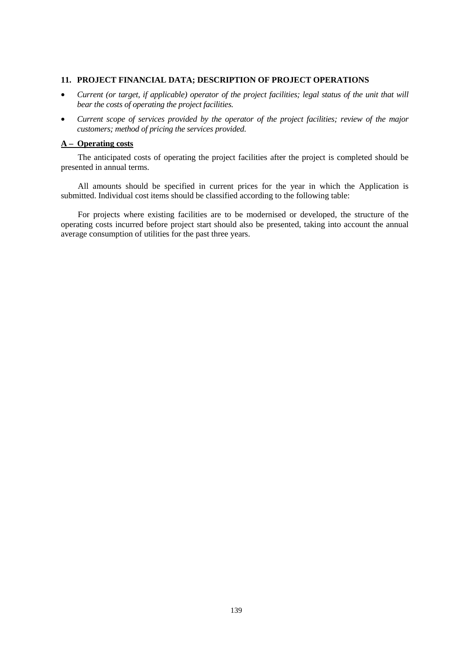### **11. PROJECT FINANCIAL DATA; DESCRIPTION OF PROJECT OPERATIONS**

- • *Current (or target, if applicable) operator of the project facilities; legal status of the unit that will bear the costs of operating the project facilities.*
- *Current scope of services provided by the operator of the project facilities; review of the major customers; method of pricing the services provided.*

#### **A – Operating costs**

The anticipated costs of operating the project facilities after the project is completed should be presented in annual terms.

All amounts should be specified in current prices for the year in which the Application is submitted. Individual cost items should be classified according to the following table:

For projects where existing facilities are to be modernised or developed, the structure of the operating costs incurred before project start should also be presented, taking into account the annual average consumption of utilities for the past three years.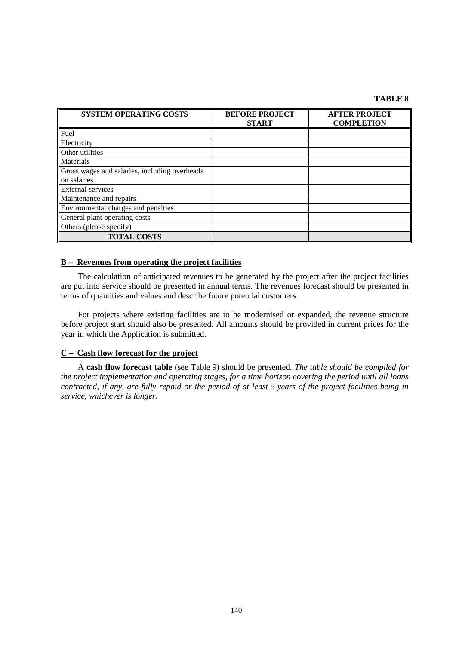## **TABLE 8**

| <b>SYSTEM OPERATING COSTS</b>                 | <b>BEFORE PROJECT</b><br><b>START</b> | <b>AFTER PROJECT</b><br><b>COMPLETION</b> |
|-----------------------------------------------|---------------------------------------|-------------------------------------------|
| Fuel                                          |                                       |                                           |
| Electricity                                   |                                       |                                           |
| Other utilities                               |                                       |                                           |
| Materials                                     |                                       |                                           |
| Gross wages and salaries, including overheads |                                       |                                           |
| on salaries                                   |                                       |                                           |
| External services                             |                                       |                                           |
| Maintenance and repairs                       |                                       |                                           |
| Environmental charges and penalties           |                                       |                                           |
| General plant operating costs                 |                                       |                                           |
| Others (please specify)                       |                                       |                                           |
| <b>TOTAL COSTS</b>                            |                                       |                                           |

## **B – Revenues from operating the project facilities**

The calculation of anticipated revenues to be generated by the project after the project facilities are put into service should be presented in annual terms. The revenues forecast should be presented in terms of quantities and values and describe future potential customers.

For projects where existing facilities are to be modernised or expanded, the revenue structure before project start should also be presented. All amounts should be provided in current prices for the year in which the Application is submitted.

# **C – Cash flow forecast for the project**

A **cash flow forecast table** (see Table 9) should be presented. *The table should be compiled for the project implementation and operating stages, for a time horizon covering the period until all loans contracted, if any, are fully repaid or the period of at least 5 years of the project facilities being in service, whichever is longer.*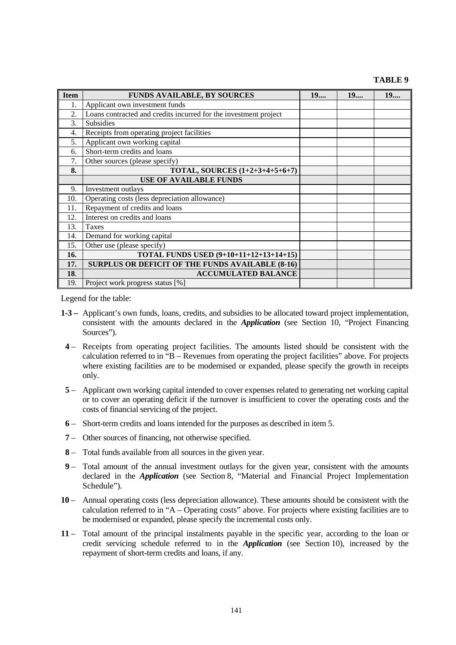#### **TABLE 9**

| <b>Item</b> | <b>FUNDS AVAILABLE, BY SOURCES</b>                               | 19 | 19 | 19 |
|-------------|------------------------------------------------------------------|----|----|----|
| 1.          | Applicant own investment funds                                   |    |    |    |
| 2.          | Loans contracted and credits incurred for the investment project |    |    |    |
| 3.          | Subsidies                                                        |    |    |    |
| 4.          | Receipts from operating project facilities                       |    |    |    |
| 5.          | Applicant own working capital                                    |    |    |    |
| 6.          | Short-term credits and loans                                     |    |    |    |
| 7.          | Other sources (please specify)                                   |    |    |    |
| 8.          | TOTAL, SOURCES (1+2+3+4+5+6+7)                                   |    |    |    |
|             | <b>USE OF AVAILABLE FUNDS</b>                                    |    |    |    |
| 9.          | Investment outlays                                               |    |    |    |
| 10.         | Operating costs (less depreciation allowance)                    |    |    |    |
| 11.         | Repayment of credits and loans                                   |    |    |    |
| 12.         | Interest on credits and loans                                    |    |    |    |
| 13.         | Taxes                                                            |    |    |    |
| 14.         | Demand for working capital                                       |    |    |    |
| 15.         | Other use (please specify)                                       |    |    |    |
| 16.         | TOTAL FUNDS USED (9+10+11+12+13+14+15)                           |    |    |    |
| 17.         | <b>SURPLUS OR DEFICIT OF THE FUNDS AVAILABLE (8-16)</b>          |    |    |    |
| 18.         | <b>ACCUMULATED BALANCE</b>                                       |    |    |    |
| 19.         | Project work progress status [%]                                 |    |    |    |

Legend for the table:

- **1-3 –** Applicant's own funds, loans, credits, and subsidies to be allocated toward project implementation, consistent with the amounts declared in the *Application* (see Section 10, "Project Financing Sources").
- **4**  Receipts from operating project facilities. The amounts listed should be consistent with the calculation referred to in "B – Revenues from operating the project facilities" above. For projects where existing facilities are to be modernised or expanded, please specify the growth in receipts only.
- **5**  Applicant own working capital intended to cover expenses related to generating net working capital or to cover an operating deficit if the turnover is insufficient to cover the operating costs and the costs of financial servicing of the project.
- **6**  Short-term credits and loans intended for the purposes as described in item 5.
- **7**  Other sources of financing, not otherwise specified.
- **8**  Total funds available from all sources in the given year.
- **9**  Total amount of the annual investment outlays for the given year, consistent with the amounts declared in the *Application* (see Section 8, "Material and Financial Project Implementation Schedule").
- **10**  Annual operating costs (less depreciation allowance). These amounts should be consistent with the calculation referred to in "A – Operating costs" above. For projects where existing facilities are to be modernised or expanded, please specify the incremental costs only.
- **11**  Total amount of the principal instalments payable in the specific year, according to the loan or credit servicing schedule referred to in the *Application* (see Section 10), increased by the repayment of short-term credits and loans, if any.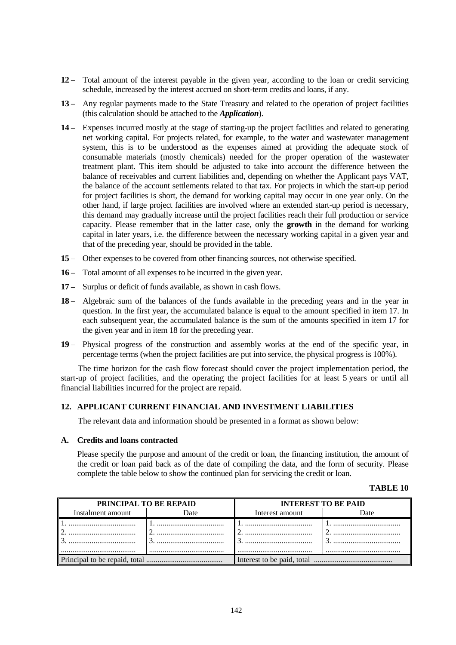- **12**  Total amount of the interest payable in the given year, according to the loan or credit servicing schedule, increased by the interest accrued on short-term credits and loans, if any.
- **13**  Any regular payments made to the State Treasury and related to the operation of project facilities (this calculation should be attached to the *Application*).
- **14**  Expenses incurred mostly at the stage of starting-up the project facilities and related to generating net working capital. For projects related, for example, to the water and wastewater management system, this is to be understood as the expenses aimed at providing the adequate stock of consumable materials (mostly chemicals) needed for the proper operation of the wastewater treatment plant. This item should be adjusted to take into account the difference between the balance of receivables and current liabilities and, depending on whether the Applicant pays VAT, the balance of the account settlements related to that tax. For projects in which the start-up period for project facilities is short, the demand for working capital may occur in one year only. On the other hand, if large project facilities are involved where an extended start-up period is necessary, this demand may gradually increase until the project facilities reach their full production or service capacity. Please remember that in the latter case, only the **growth** in the demand for working capital in later years, i.e. the difference between the necessary working capital in a given year and that of the preceding year, should be provided in the table.
- **15**  Other expenses to be covered from other financing sources, not otherwise specified.
- **16**  Total amount of all expenses to be incurred in the given year.
- **17**  Surplus or deficit of funds available, as shown in cash flows.
- **18**  Algebraic sum of the balances of the funds available in the preceding years and in the year in question. In the first year, the accumulated balance is equal to the amount specified in item 17. In each subsequent year, the accumulated balance is the sum of the amounts specified in item 17 for the given year and in item 18 for the preceding year.
- **19**  Physical progress of the construction and assembly works at the end of the specific year, in percentage terms (when the project facilities are put into service, the physical progress is 100%).

The time horizon for the cash flow forecast should cover the project implementation period, the start-up of project facilities, and the operating the project facilities for at least 5 years or until all financial liabilities incurred for the project are repaid.

#### **12. APPLICANT CURRENT FINANCIAL AND INVESTMENT LIABILITIES**

The relevant data and information should be presented in a format as shown below:

#### **A. Credits and loans contracted**

Please specify the purpose and amount of the credit or loan, the financing institution, the amount of the credit or loan paid back as of the date of compiling the data, and the form of security. Please complete the table below to show the continued plan for servicing the credit or loan.

#### **TABLE 10**

|                   | PRINCIPAL TO BE REPAID | <b>INTEREST TO BE PAID</b> |             |  |
|-------------------|------------------------|----------------------------|-------------|--|
| Instalment amount | Date                   | Interest amount            | <b>Jate</b> |  |
|                   |                        |                            |             |  |
|                   |                        |                            |             |  |
|                   |                        |                            |             |  |
|                   |                        |                            |             |  |
|                   |                        | Interest to be paid, total |             |  |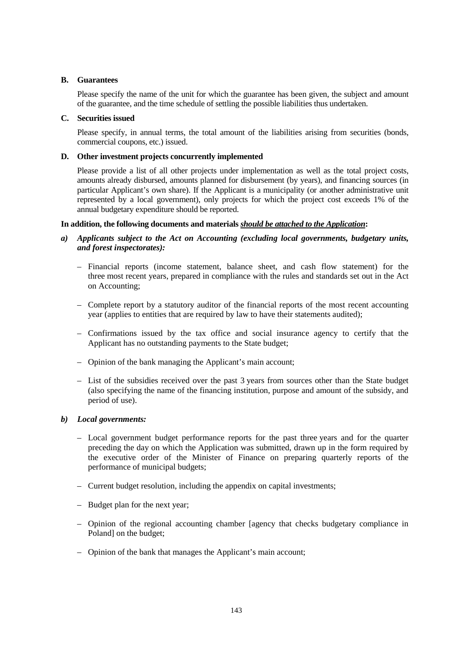# **B. Guarantees**

Please specify the name of the unit for which the guarantee has been given, the subject and amount of the guarantee, and the time schedule of settling the possible liabilities thus undertaken.

## **C. Securities issued**

Please specify, in annual terms, the total amount of the liabilities arising from securities (bonds, commercial coupons, etc.) issued.

## **D. Other investment projects concurrently implemented**

Please provide a list of all other projects under implementation as well as the total project costs, amounts already disbursed, amounts planned for disbursement (by years), and financing sources (in particular Applicant's own share). If the Applicant is a municipality (or another administrative unit represented by a local government), only projects for which the project cost exceeds 1% of the annual budgetary expenditure should be reported.

# **In addition, the following documents and materials** *should be attached to the Application***:**

- *a) Applicants subject to the Act on Accounting (excluding local governments, budgetary units, and forest inspectorates):* 
	- Financial reports (income statement, balance sheet, and cash flow statement) for the three most recent years, prepared in compliance with the rules and standards set out in the Act on Accounting;
	- Complete report by a statutory auditor of the financial reports of the most recent accounting year (applies to entities that are required by law to have their statements audited);
	- Confirmations issued by the tax office and social insurance agency to certify that the Applicant has no outstanding payments to the State budget;
	- Opinion of the bank managing the Applicant's main account;
	- List of the subsidies received over the past 3 years from sources other than the State budget (also specifying the name of the financing institution, purpose and amount of the subsidy, and period of use).

## *b) Local governments:*

- Local government budget performance reports for the past three years and for the quarter preceding the day on which the Application was submitted, drawn up in the form required by the executive order of the Minister of Finance on preparing quarterly reports of the performance of municipal budgets;
- Current budget resolution, including the appendix on capital investments;
- Budget plan for the next year;
- Opinion of the regional accounting chamber [agency that checks budgetary compliance in Poland] on the budget:
- Opinion of the bank that manages the Applicant's main account;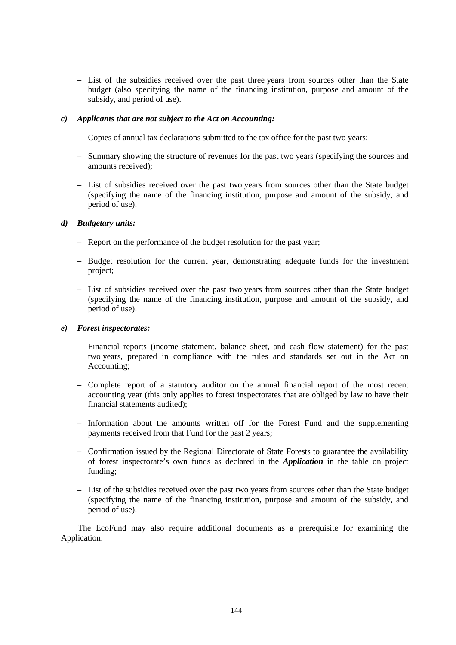– List of the subsidies received over the past three years from sources other than the State budget (also specifying the name of the financing institution, purpose and amount of the subsidy, and period of use).

## *c) Applicants that are not subject to the Act on Accounting:*

- Copies of annual tax declarations submitted to the tax office for the past two years;
- Summary showing the structure of revenues for the past two years (specifying the sources and amounts received);
- List of subsidies received over the past two years from sources other than the State budget (specifying the name of the financing institution, purpose and amount of the subsidy, and period of use).

# *d) Budgetary units:*

- Report on the performance of the budget resolution for the past year;
- Budget resolution for the current year, demonstrating adequate funds for the investment project;
- List of subsidies received over the past two years from sources other than the State budget (specifying the name of the financing institution, purpose and amount of the subsidy, and period of use).

## *e) Forest inspectorates:*

- Financial reports (income statement, balance sheet, and cash flow statement) for the past two years, prepared in compliance with the rules and standards set out in the Act on Accounting;
- Complete report of a statutory auditor on the annual financial report of the most recent accounting year (this only applies to forest inspectorates that are obliged by law to have their financial statements audited);
- Information about the amounts written off for the Forest Fund and the supplementing payments received from that Fund for the past 2 years;
- Confirmation issued by the Regional Directorate of State Forests to guarantee the availability of forest inspectorate's own funds as declared in the *Application* in the table on project funding;
- List of the subsidies received over the past two years from sources other than the State budget (specifying the name of the financing institution, purpose and amount of the subsidy, and period of use).

The EcoFund may also require additional documents as a prerequisite for examining the Application.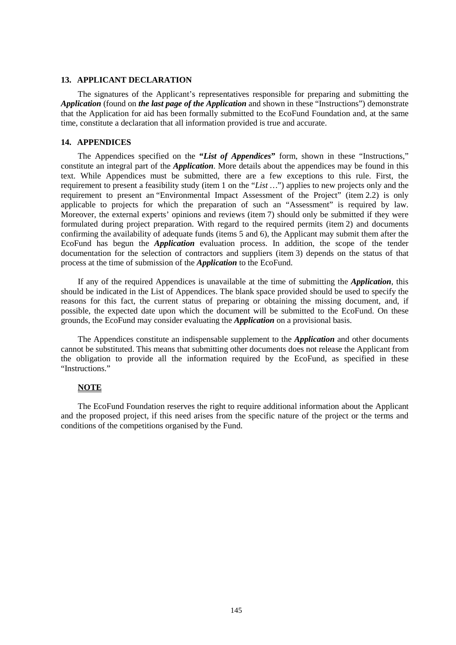# **13. APPLICANT DECLARATION**

The signatures of the Applicant's representatives responsible for preparing and submitting the *Application* (found on *the last page of the Application* and shown in these "Instructions") demonstrate that the Application for aid has been formally submitted to the EcoFund Foundation and, at the same time, constitute a declaration that all information provided is true and accurate.

#### **14. APPENDICES**

The Appendices specified on the **"***List of Appendices***"** form, shown in these "Instructions," constitute an integral part of the *Application*. More details about the appendices may be found in this text. While Appendices must be submitted, there are a few exceptions to this rule. First, the requirement to present a feasibility study (item 1 on the "*List …*") applies to new projects only and the requirement to present an "Environmental Impact Assessment of the Project" (item 2.2) is only applicable to projects for which the preparation of such an "Assessment" is required by law. Moreover, the external experts' opinions and reviews (item 7) should only be submitted if they were formulated during project preparation. With regard to the required permits (item 2) and documents confirming the availability of adequate funds (items 5 and 6), the Applicant may submit them after the EcoFund has begun the *Application* evaluation process. In addition, the scope of the tender documentation for the selection of contractors and suppliers (item 3) depends on the status of that process at the time of submission of the *Application* to the EcoFund.

If any of the required Appendices is unavailable at the time of submitting the *Application*, this should be indicated in the List of Appendices. The blank space provided should be used to specify the reasons for this fact, the current status of preparing or obtaining the missing document, and, if possible, the expected date upon which the document will be submitted to the EcoFund. On these grounds, the EcoFund may consider evaluating the *Application* on a provisional basis.

The Appendices constitute an indispensable supplement to the *Application* and other documents cannot be substituted. This means that submitting other documents does not release the Applicant from the obligation to provide all the information required by the EcoFund, as specified in these "Instructions."

### **NOTE**

The EcoFund Foundation reserves the right to require additional information about the Applicant and the proposed project, if this need arises from the specific nature of the project or the terms and conditions of the competitions organised by the Fund.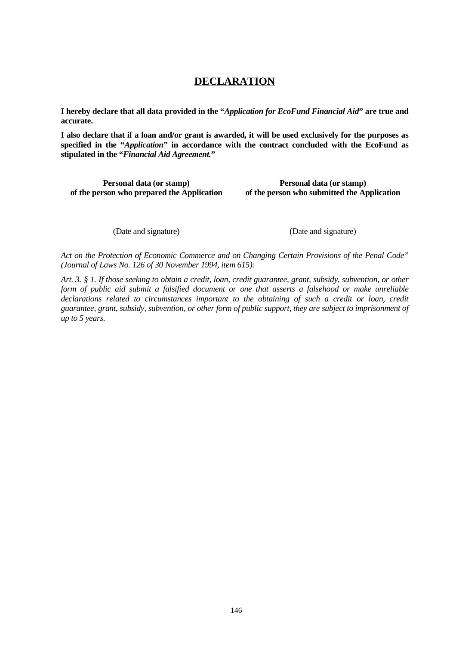# **DECLARATION**

**I hereby declare that all data provided in the "***Application for EcoFund Financial Aid***" are true and accurate.** 

**I also declare that if a loan and/or grant is awarded, it will be used exclusively for the purposes as specified in the "***Application***" in accordance with the contract concluded with the EcoFund as stipulated in the "***Financial Aid Agreement.***"**

**Personal data (or stamp) of the person who prepared the Application** 

**Personal data (or stamp) of the person who submitted the Application** 

(Date and signature) (Date and signature)

*Act on the Protection of Economic Commerce and on Changing Certain Provisions of the Penal Code" (Journal of Laws No. 126 of 30 November 1994, item 615):* 

*Art. 3. § 1. If those seeking to obtain a credit, loan, credit guarantee, grant, subsidy, subvention, or other form of public aid submit a falsified document or one that asserts a falsehood or make unreliable*  declarations related to circumstances important to the obtaining of such a credit or loan, credit *guarantee, grant, subsidy, subvention, or other form of public support, they are subject to imprisonment of up to 5 years.*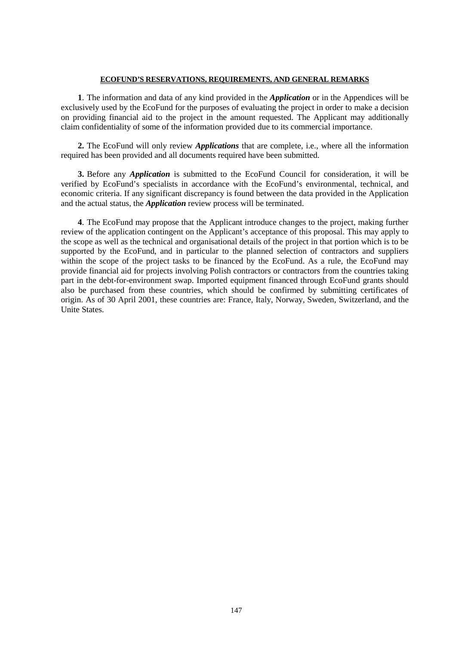#### **ECOFUND'S RESERVATIONS, REQUIREMENTS, AND GENERAL REMARKS**

**1**. The information and data of any kind provided in the *Application* or in the Appendices will be exclusively used by the EcoFund for the purposes of evaluating the project in order to make a decision on providing financial aid to the project in the amount requested. The Applicant may additionally claim confidentiality of some of the information provided due to its commercial importance.

**2.** The EcoFund will only review *Applications* that are complete, i.e., where all the information required has been provided and all documents required have been submitted.

**3.** Before any *Application* is submitted to the EcoFund Council for consideration, it will be verified by EcoFund's specialists in accordance with the EcoFund's environmental, technical, and economic criteria. If any significant discrepancy is found between the data provided in the Application and the actual status, the *Application* review process will be terminated.

**4**. The EcoFund may propose that the Applicant introduce changes to the project, making further review of the application contingent on the Applicant's acceptance of this proposal. This may apply to the scope as well as the technical and organisational details of the project in that portion which is to be supported by the EcoFund, and in particular to the planned selection of contractors and suppliers within the scope of the project tasks to be financed by the EcoFund. As a rule, the EcoFund may provide financial aid for projects involving Polish contractors or contractors from the countries taking part in the debt-for-environment swap. Imported equipment financed through EcoFund grants should also be purchased from these countries, which should be confirmed by submitting certificates of origin. As of 30 April 2001, these countries are: France, Italy, Norway, Sweden, Switzerland, and the Unite States.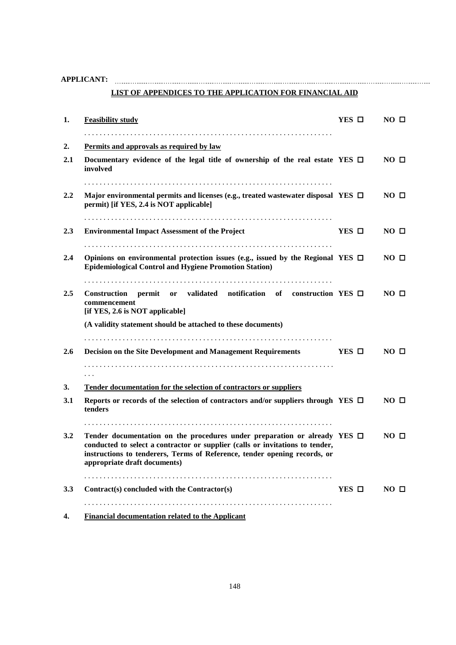**APPLICANT: LIST OF APPENDICES TO THE APPLICATION FOR FINANCIAL AID 1. Feasibility study** . . . . . . . . . . . . . . . . . . . . . . . . . . . . . . . . . . . . . . . . . . . . . . . . . . . . . . . . . . . . . . . . . YES  $\Box$  NO  $\Box$ **2. Permits and approvals as required by law 2.1** Documentary evidence of the legal title of ownership of the real estate YES  $\Box$  NO  $\Box$ **involved**  . . . . . . . . . . . . . . . . . . . . . . . . . . . . . . . . . . . . . . . . . . . . . . . . . . . . . . . . . . . . . . . . . **2.2 Major environmental permits and licenses (e.g., treated wastewater disposal YES NO permit) [if YES, 2.4 is NOT applicable]**  . . . . . . . . . . . . . . . . . . . . . . . . . . . . . . . . . . . . . . . . . . . . . . . . . . . . . . . . . . . . . . . . . **2.3 Environmental Impact Assessment of the Project**  . . . . . . . . . . . . . . . . . . . . . . . . . . . . . . . . . . . . . . . . . . . . . . . . . . . . . . . . . . . . . . . . . YES  $\Box$  NO  $\Box$ **2.4** Opinions on environmental protection issues (e.g., issued by the Regional YES  $\Box$  NO  $\Box$ **Epidemiological Control and Hygiene Promotion Station)**  . . . . . . . . . . . . . . . . . . . . . . . . . . . . . . . . . . . . . . . . . . . . . . . . . . . . . . . . . . . . . . . . . **2.5 Construction permit or validated notification of construction YES NO commencement [if YES, 2.6 is NOT applicable] (A validity statement should be attached to these documents)**  . . . . . . . . . . . . . . . . . . . . . . . . . . . . . . . . . . . . . . . . . . . . . . . . . . . . . . . . . . . . . . . . . **2.6 Decision on the Site Development and Management Requirements**  . . . . . . . . . . . . . . . . . . . . . . . . . . . . . . . . . . . . . . . . . . . . . . . . . . . . . . . . . . . . . . . . . . . . YES  $\Box$  NO  $\Box$ **3. Tender documentation for the selection of contractors or suppliers 3.1** Reports or records of the selection of contractors and/or suppliers through YES  $\Box$  NO  $\Box$ **tenders**  . . . . . . . . . . . . . . . . . . . . . . . . . . . . . . . . . . . . . . . . . . . . . . . . . . . . . . . . . . . . . . . . . **3.2 Tender documentation on the procedures under preparation or already YES NO conducted to select a contractor or supplier (calls or invitations to tender, instructions to tenderers, Terms of Reference, tender opening records, or appropriate draft documents)**  . . . . . . . . . . . . . . . . . . . . . . . . . . . . . . . . . . . . . . . . . . . . . . . . . . . . . . . . . . . . . . . . . **3.3 Contract(s) concluded with the Contractor(s)**  . . . . . . . . . . . . . . . . . . . . . . . . . . . . . . . . . . . . . . . . . . . . . . . . . . . . . . . . . . . . . . . . . **YES**  $\Box$  **NO**  $\Box$ **4. Financial documentation related to the Applicant**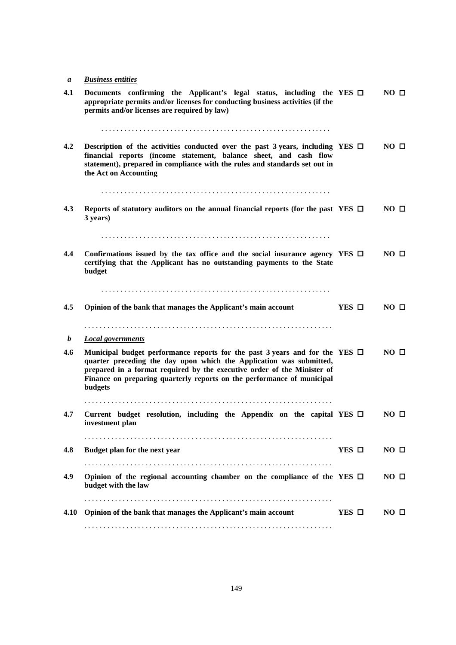# *a Business entities*

| 4.1      | Documents confirming the Applicant's legal status, including the YES $\Box$<br>appropriate permits and/or licenses for conducting business activities (if the<br>permits and/or licenses are required by law)                                                                                                                                       |                 | $NO$ $\square$  |
|----------|-----------------------------------------------------------------------------------------------------------------------------------------------------------------------------------------------------------------------------------------------------------------------------------------------------------------------------------------------------|-----------------|-----------------|
| 4.2      | Description of the activities conducted over the past 3 years, including YES $\Box$<br>financial reports (income statement, balance sheet, and cash flow<br>statement), prepared in compliance with the rules and standards set out in<br>the Act on Accounting                                                                                     |                 | $NO$ $\square$  |
| 4.3      | Reports of statutory auditors on the annual financial reports (for the past YES $\Box$<br>3 years)                                                                                                                                                                                                                                                  |                 | $NO$ $\square$  |
| 4.4      | Confirmations issued by the tax office and the social insurance agency YES $\Box$<br>certifying that the Applicant has no outstanding payments to the State<br>budget                                                                                                                                                                               |                 | $NO$ $\Box$     |
| 4.5      | Opinion of the bank that manages the Applicant's main account                                                                                                                                                                                                                                                                                       | $YES$ $\square$ | $NO$ $\square$  |
| b<br>4.6 | <b>Local governments</b><br>Municipal budget performance reports for the past 3 years and for the YES $\Box$<br>quarter preceding the day upon which the Application was submitted,<br>prepared in a format required by the executive order of the Minister of<br>Finance on preparing quarterly reports on the performance of municipal<br>budgets |                 | $NO$ $\square$  |
| 4.7      | Current budget resolution, including the Appendix on the capital YES $\Box$<br>investment plan                                                                                                                                                                                                                                                      |                 | NO <sub>0</sub> |
| 4.8      | Budget plan for the next year                                                                                                                                                                                                                                                                                                                       | YES O           | $NO$ $\square$  |
| 4.9      | Opinion of the regional accounting chamber on the compliance of the YES $\Box$<br>budget with the law                                                                                                                                                                                                                                               |                 | $NO$ $\square$  |
| 4.10     | Opinion of the bank that manages the Applicant's main account                                                                                                                                                                                                                                                                                       | $YES$ $\square$ | $NO$ $\square$  |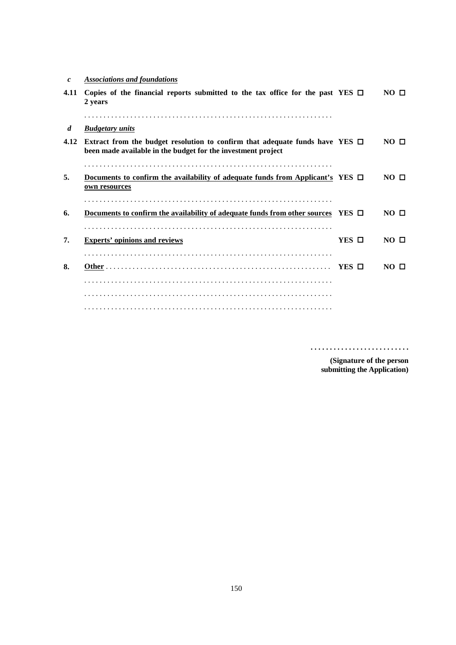# *c Associations and foundations*

| 4.11             | Copies of the financial reports submitted to the tax office for the past YES $\Box$<br>2 years                                                    |       | $NO$ $\square$ |
|------------------|---------------------------------------------------------------------------------------------------------------------------------------------------|-------|----------------|
|                  |                                                                                                                                                   |       |                |
| $\boldsymbol{d}$ | <b>Budgetary units</b>                                                                                                                            |       |                |
| 4.12             | Extract from the budget resolution to confirm that adequate funds have YES $\Box$<br>been made available in the budget for the investment project |       | $NO$ $\square$ |
|                  |                                                                                                                                                   |       |                |
| 5.               | Documents to confirm the availability of adequate funds from Applicant's YES $\Box$<br>own resources                                              |       | $NO$ $\square$ |
|                  |                                                                                                                                                   |       |                |
| 6.               | Documents to confirm the availability of adequate funds from other sources                                                                        | YES O | $NO$ $\square$ |
|                  |                                                                                                                                                   |       |                |
| 7.               | <b>Experts' opinions and reviews</b>                                                                                                              | YES O | $NO$ $\square$ |
|                  |                                                                                                                                                   |       |                |
| 8.               |                                                                                                                                                   | YES O | $NO$ $\square$ |
|                  |                                                                                                                                                   |       |                |
|                  |                                                                                                                                                   |       |                |
|                  |                                                                                                                                                   |       |                |

**. . . . . . . . . . . . . . . . . . . . . . . . . .** 

**(Signature of the person submitting the Application)**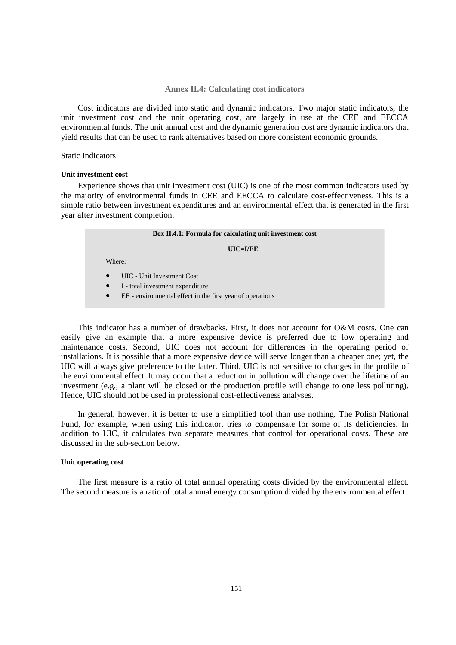#### **Annex II.4: Calculating cost indicators**

Cost indicators are divided into static and dynamic indicators. Two major static indicators, the unit investment cost and the unit operating cost, are largely in use at the CEE and EECCA environmental funds. The unit annual cost and the dynamic generation cost are dynamic indicators that yield results that can be used to rank alternatives based on more consistent economic grounds.

#### Static Indicators

#### **Unit investment cost**

Experience shows that unit investment cost (UIC) is one of the most common indicators used by the majority of environmental funds in CEE and EECCA to calculate cost-effectiveness. This is a simple ratio between investment expenditures and an environmental effect that is generated in the first year after investment completion.

| Box II.4.1: Formula for calculating unit investment cost |                                                           |  |  |  |
|----------------------------------------------------------|-----------------------------------------------------------|--|--|--|
|                                                          | $UIC=I/EE$                                                |  |  |  |
| Where:                                                   |                                                           |  |  |  |
| $\bullet$                                                | <b>UIC</b> - Unit Investment Cost                         |  |  |  |
| I - total investment expenditure<br>$\bullet$            |                                                           |  |  |  |
| $\bullet$                                                | EE - environmental effect in the first year of operations |  |  |  |

This indicator has a number of drawbacks. First, it does not account for O&M costs. One can easily give an example that a more expensive device is preferred due to low operating and maintenance costs. Second, UIC does not account for differences in the operating period of installations. It is possible that a more expensive device will serve longer than a cheaper one; yet, the UIC will always give preference to the latter. Third, UIC is not sensitive to changes in the profile of the environmental effect. It may occur that a reduction in pollution will change over the lifetime of an investment (e.g., a plant will be closed or the production profile will change to one less polluting). Hence, UIC should not be used in professional cost-effectiveness analyses.

In general, however, it is better to use a simplified tool than use nothing. The Polish National Fund, for example, when using this indicator, tries to compensate for some of its deficiencies. In addition to UIC, it calculates two separate measures that control for operational costs. These are discussed in the sub-section below.

#### **Unit operating cost**

The first measure is a ratio of total annual operating costs divided by the environmental effect. The second measure is a ratio of total annual energy consumption divided by the environmental effect.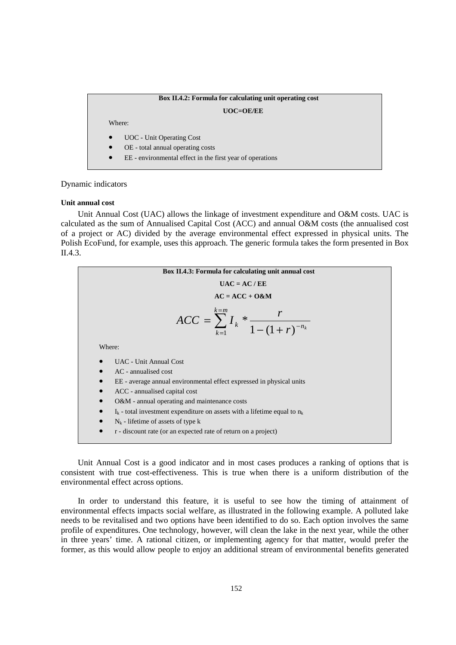

#### Dynamic indicators

#### **Unit annual cost**

Unit Annual Cost (UAC) allows the linkage of investment expenditure and O&M costs. UAC is calculated as the sum of Annualised Capital Cost (ACC) and annual O&M costs (the annualised cost of a project or AC) divided by the average environmental effect expressed in physical units. The Polish EcoFund, for example, uses this approach. The generic formula takes the form presented in Box II.4.3.



Unit Annual Cost is a good indicator and in most cases produces a ranking of options that is consistent with true cost-effectiveness. This is true when there is a uniform distribution of the environmental effect across options.

In order to understand this feature, it is useful to see how the timing of attainment of environmental effects impacts social welfare, as illustrated in the following example. A polluted lake needs to be revitalised and two options have been identified to do so. Each option involves the same profile of expenditures. One technology, however, will clean the lake in the next year, while the other in three years' time. A rational citizen, or implementing agency for that matter, would prefer the former, as this would allow people to enjoy an additional stream of environmental benefits generated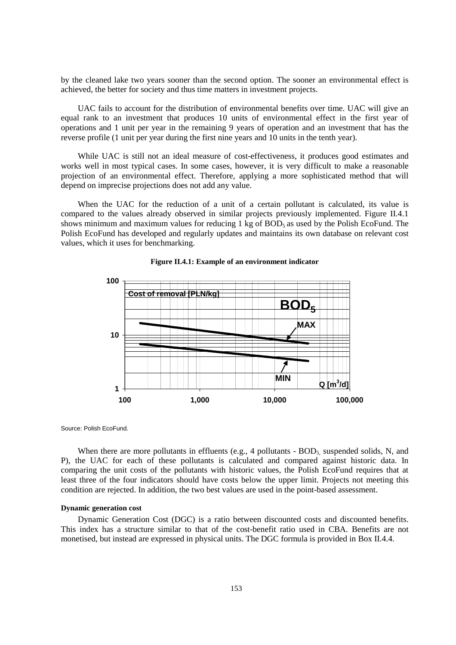by the cleaned lake two years sooner than the second option. The sooner an environmental effect is achieved, the better for society and thus time matters in investment projects.

UAC fails to account for the distribution of environmental benefits over time. UAC will give an equal rank to an investment that produces 10 units of environmental effect in the first year of operations and 1 unit per year in the remaining 9 years of operation and an investment that has the reverse profile (1 unit per year during the first nine years and 10 units in the tenth year).

While UAC is still not an ideal measure of cost-effectiveness, it produces good estimates and works well in most typical cases. In some cases, however, it is very difficult to make a reasonable projection of an environmental effect. Therefore, applying a more sophisticated method that will depend on imprecise projections does not add any value.

When the UAC for the reduction of a unit of a certain pollutant is calculated, its value is compared to the values already observed in similar projects previously implemented. Figure II.4.1 shows minimum and maximum values for reducing 1 kg of  $BOD<sub>5</sub>$  as used by the Polish EcoFund. The Polish EcoFund has developed and regularly updates and maintains its own database on relevant cost values, which it uses for benchmarking.





Source: Polish EcoFund.

When there are more pollutants in effluents (e.g., 4 pollutants -  $BOD<sub>5</sub>$  suspended solids, N, and P), the UAC for each of these pollutants is calculated and compared against historic data. In comparing the unit costs of the pollutants with historic values, the Polish EcoFund requires that at least three of the four indicators should have costs below the upper limit. Projects not meeting this condition are rejected. In addition, the two best values are used in the point-based assessment.

#### **Dynamic generation cost**

Dynamic Generation Cost (DGC) is a ratio between discounted costs and discounted benefits. This index has a structure similar to that of the cost-benefit ratio used in CBA. Benefits are not monetised, but instead are expressed in physical units. The DGC formula is provided in Box II.4.4.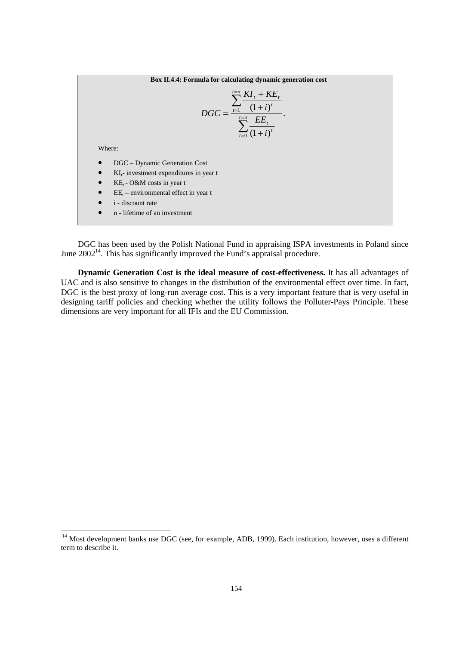

DGC has been used by the Polish National Fund in appraising ISPA investments in Poland since June  $2002<sup>14</sup>$ . This has significantly improved the Fund's appraisal procedure.

**Dynamic Generation Cost is the ideal measure of cost-effectiveness.** It has all advantages of UAC and is also sensitive to changes in the distribution of the environmental effect over time. In fact, DGC is the best proxy of long-run average cost. This is a very important feature that is very useful in designing tariff policies and checking whether the utility follows the Polluter-Pays Principle. These dimensions are very important for all IFIs and the EU Commission.

j

<sup>&</sup>lt;sup>14</sup> Most development banks use DGC (see, for example, ADB, 1999). Each institution, however, uses a different term to describe it.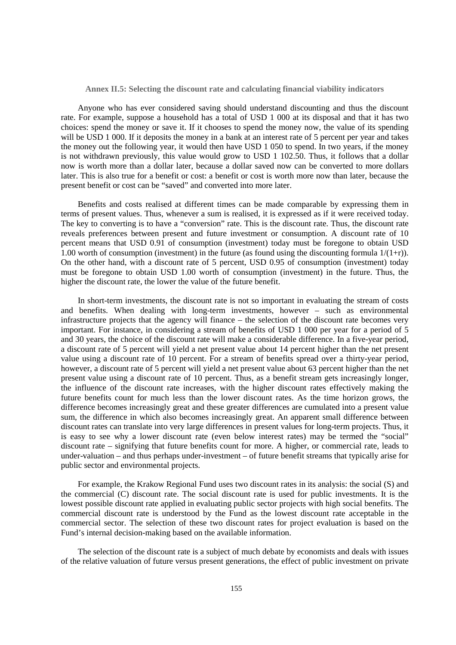#### **Annex II.5: Selecting the discount rate and calculating financial viability indicators**

Anyone who has ever considered saving should understand discounting and thus the discount rate. For example, suppose a household has a total of USD 1 000 at its disposal and that it has two choices: spend the money or save it. If it chooses to spend the money now, the value of its spending will be USD 1 000. If it deposits the money in a bank at an interest rate of 5 percent per year and takes the money out the following year, it would then have USD 1 050 to spend. In two years, if the money is not withdrawn previously, this value would grow to USD 1 102.50. Thus, it follows that a dollar now is worth more than a dollar later, because a dollar saved now can be converted to more dollars later. This is also true for a benefit or cost: a benefit or cost is worth more now than later, because the present benefit or cost can be "saved" and converted into more later.

Benefits and costs realised at different times can be made comparable by expressing them in terms of present values. Thus, whenever a sum is realised, it is expressed as if it were received today. The key to converting is to have a "conversion" rate. This is the discount rate. Thus, the discount rate reveals preferences between present and future investment or consumption. A discount rate of 10 percent means that USD 0.91 of consumption (investment) today must be foregone to obtain USD 1.00 worth of consumption (investment) in the future (as found using the discounting formula  $1/(1+r)$ ). On the other hand, with a discount rate of 5 percent, USD 0.95 of consumption (investment) today must be foregone to obtain USD 1.00 worth of consumption (investment) in the future. Thus, the higher the discount rate, the lower the value of the future benefit.

In short-term investments, the discount rate is not so important in evaluating the stream of costs and benefits. When dealing with long-term investments, however – such as environmental infrastructure projects that the agency will finance – the selection of the discount rate becomes very important. For instance, in considering a stream of benefits of USD 1 000 per year for a period of 5 and 30 years, the choice of the discount rate will make a considerable difference. In a five-year period, a discount rate of 5 percent will yield a net present value about 14 percent higher than the net present value using a discount rate of 10 percent. For a stream of benefits spread over a thirty-year period, however, a discount rate of 5 percent will yield a net present value about 63 percent higher than the net present value using a discount rate of 10 percent. Thus, as a benefit stream gets increasingly longer, the influence of the discount rate increases, with the higher discount rates effectively making the future benefits count for much less than the lower discount rates. As the time horizon grows, the difference becomes increasingly great and these greater differences are cumulated into a present value sum, the difference in which also becomes increasingly great. An apparent small difference between discount rates can translate into very large differences in present values for long-term projects. Thus, it is easy to see why a lower discount rate (even below interest rates) may be termed the "social" discount rate – signifying that future benefits count for more. A higher, or commercial rate, leads to under-valuation – and thus perhaps under-investment – of future benefit streams that typically arise for public sector and environmental projects.

For example, the Krakow Regional Fund uses two discount rates in its analysis: the social (S) and the commercial (C) discount rate. The social discount rate is used for public investments. It is the lowest possible discount rate applied in evaluating public sector projects with high social benefits. The commercial discount rate is understood by the Fund as the lowest discount rate acceptable in the commercial sector. The selection of these two discount rates for project evaluation is based on the Fund's internal decision-making based on the available information.

The selection of the discount rate is a subject of much debate by economists and deals with issues of the relative valuation of future versus present generations, the effect of public investment on private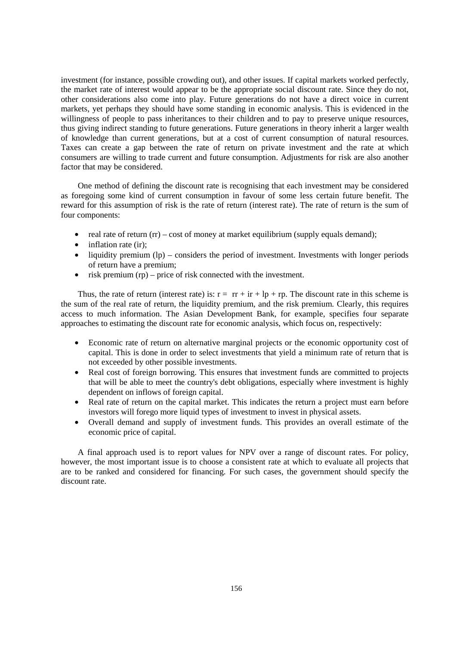investment (for instance, possible crowding out), and other issues. If capital markets worked perfectly, the market rate of interest would appear to be the appropriate social discount rate. Since they do not, other considerations also come into play. Future generations do not have a direct voice in current markets, yet perhaps they should have some standing in economic analysis. This is evidenced in the willingness of people to pass inheritances to their children and to pay to preserve unique resources, thus giving indirect standing to future generations. Future generations in theory inherit a larger wealth of knowledge than current generations, but at a cost of current consumption of natural resources. Taxes can create a gap between the rate of return on private investment and the rate at which consumers are willing to trade current and future consumption. Adjustments for risk are also another factor that may be considered.

One method of defining the discount rate is recognising that each investment may be considered as foregoing some kind of current consumption in favour of some less certain future benefit. The reward for this assumption of risk is the rate of return (interest rate). The rate of return is the sum of four components:

- real rate of return (rr) cost of money at market equilibrium (supply equals demand);
- inflation rate (ir);
- liquidity premium (lp) considers the period of investment. Investments with longer periods of return have a premium;
- risk premium  $(np)$  price of risk connected with the investment.

Thus, the rate of return (interest rate) is:  $r = rr + ir + lp + rp$ . The discount rate in this scheme is the sum of the real rate of return, the liquidity premium, and the risk premium. Clearly, this requires access to much information. The Asian Development Bank, for example, specifies four separate approaches to estimating the discount rate for economic analysis, which focus on, respectively:

- Economic rate of return on alternative marginal projects or the economic opportunity cost of capital. This is done in order to select investments that yield a minimum rate of return that is not exceeded by other possible investments.
- Real cost of foreign borrowing. This ensures that investment funds are committed to projects that will be able to meet the country's debt obligations, especially where investment is highly dependent on inflows of foreign capital.
- Real rate of return on the capital market. This indicates the return a project must earn before investors will forego more liquid types of investment to invest in physical assets.
- Overall demand and supply of investment funds. This provides an overall estimate of the economic price of capital.

A final approach used is to report values for NPV over a range of discount rates. For policy, however, the most important issue is to choose a consistent rate at which to evaluate all projects that are to be ranked and considered for financing. For such cases, the government should specify the discount rate.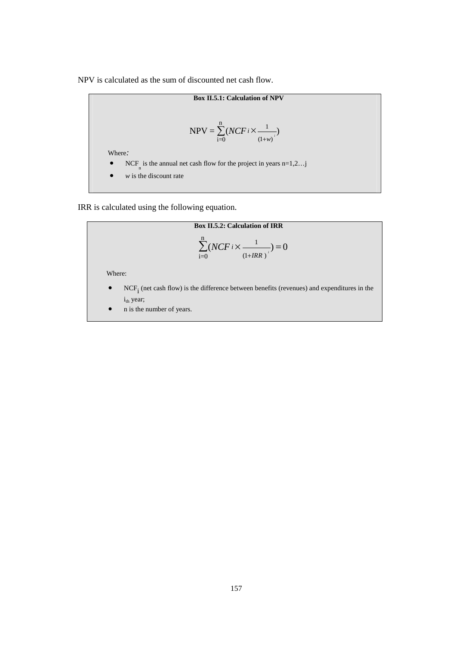NPV is calculated as the sum of discounted net cash flow.

Box II.5.1: Calculation of NPV  
\n
$$
NPV = \sum_{i=0}^{n} (NCF \times \frac{1}{(1+w)^{i}})
$$

Where*:* 

- NCF<sub>n</sub> is the annual net cash flow for the project in years n=1,2...j
- w is the discount rate

IRR is calculated using the following equation.

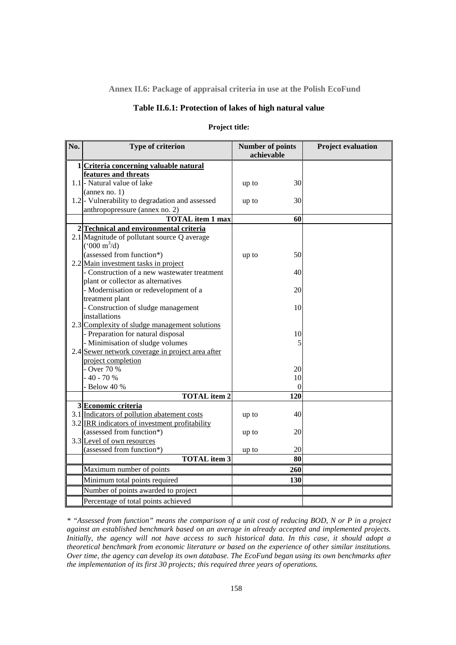**Annex II.6: Package of appraisal criteria in use at the Polish EcoFund** 

# **Table II.6.1: Protection of lakes of high natural value**

#### **Project title:**

| No. | Type of criterion                                                                         | <b>Number of points</b> |     | <b>Project evaluation</b> |  |
|-----|-------------------------------------------------------------------------------------------|-------------------------|-----|---------------------------|--|
|     |                                                                                           | achievable              |     |                           |  |
|     | 1 Criteria concerning valuable natural                                                    |                         |     |                           |  |
|     | features and threats                                                                      |                         |     |                           |  |
|     | 1.1 - Natural value of lake                                                               | up to                   | 30  |                           |  |
|     | (annex no. 1)                                                                             |                         |     |                           |  |
|     | 1.2 - Vulnerability to degradation and assessed                                           | up to                   | 30  |                           |  |
|     | anthropopressure (annex no. 2)                                                            |                         |     |                           |  |
|     | <b>TOTAL</b> item 1 max                                                                   |                         | 60  |                           |  |
|     | 2 Technical and environmental criteria                                                    |                         |     |                           |  |
|     | 2.1 Magnitude of pollutant source $Q$ average                                             |                         |     |                           |  |
|     | $(^{\circ}000 \text{ m}^3/\text{d})$                                                      |                         |     |                           |  |
|     | (assessed from function*)                                                                 | up to                   | 50  |                           |  |
|     | 2.2 Main investment tasks in project                                                      |                         |     |                           |  |
|     | - Construction of a new wastewater treatment                                              |                         | 40  |                           |  |
|     | plant or collector as alternatives                                                        |                         |     |                           |  |
|     | - Modernisation or redevelopment of a                                                     |                         | 20  |                           |  |
|     | treatment plant                                                                           |                         |     |                           |  |
|     | - Construction of sludge management                                                       |                         | 10  |                           |  |
|     | installations                                                                             |                         |     |                           |  |
|     | 2.3 Complexity of sludge management solutions                                             |                         |     |                           |  |
|     | - Preparation for natural disposal                                                        |                         | 10  |                           |  |
|     | - Minimisation of sludge volumes<br>5<br>2.4 Sewer network coverage in project area after |                         |     |                           |  |
|     | project completion                                                                        |                         |     |                           |  |
|     | - Over 70 %                                                                               |                         | 20  |                           |  |
|     | $-40 - 70 %$                                                                              |                         | 10  |                           |  |
|     | - Below 40 %                                                                              |                         | 0   |                           |  |
|     | <b>TOTAL</b> item 2                                                                       |                         | 120 |                           |  |
|     | 3 Economic criteria                                                                       |                         |     |                           |  |
|     | 3.1 Indicators of pollution abatement costs                                               | up to                   | 40  |                           |  |
|     | 3.2 <b>IRR</b> indicators of investment profitability                                     |                         |     |                           |  |
|     | (assessed from function*)                                                                 | up to                   | 20  |                           |  |
|     | 3.3 Level of own resources                                                                |                         |     |                           |  |
|     | (assessed from function*)                                                                 | up to                   | 20  |                           |  |
|     | <b>TOTAL</b> item 3                                                                       |                         | 80  |                           |  |
|     | Maximum number of points                                                                  |                         | 260 |                           |  |
|     | Minimum total points required                                                             |                         | 130 |                           |  |
|     | Number of points awarded to project                                                       |                         |     |                           |  |
|     |                                                                                           |                         |     |                           |  |
|     | Percentage of total points achieved                                                       |                         |     |                           |  |

*\* "Assessed from function" means the comparison of a unit cost of reducing BOD, N or P in a project against an established benchmark based on an average in already accepted and implemented projects. Initially, the agency will not have access to such historical data. In this case, it should adopt a theoretical benchmark from economic literature or based on the experience of other similar institutions. Over time, the agency can develop its own database. The EcoFund began using its own benchmarks after the implementation of its first 30 projects; this required three years of operations.*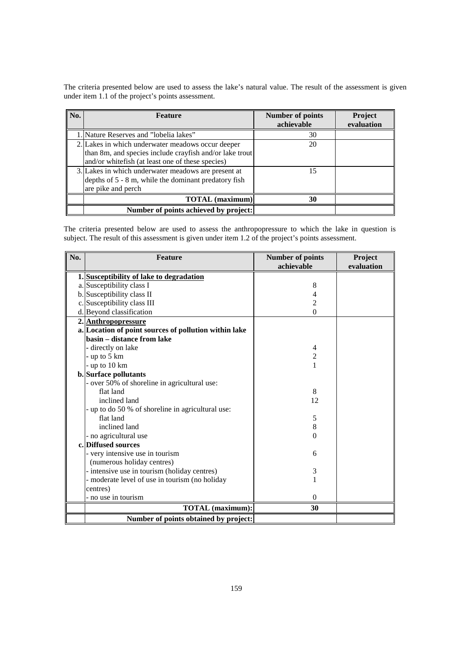The criteria presented below are used to assess the lake's natural value. The result of the assessment is given under item 1.1 of the project's points assessment.

| No. | <b>Feature</b>                                          | <b>Number of points</b><br>achievable | Project<br>evaluation |
|-----|---------------------------------------------------------|---------------------------------------|-----------------------|
|     | 1. Nature Reserves and "lobelia lakes"                  | 30                                    |                       |
|     | 2. Lakes in which underwater meadows occur deeper       | 20                                    |                       |
|     | than 8m, and species include crayfish and/or lake trout |                                       |                       |
|     | and/or white fish (at least one of these species)       |                                       |                       |
|     | 3. Lakes in which underwater meadows are present at     | 15                                    |                       |
|     | depths of 5 - 8 m, while the dominant predatory fish    |                                       |                       |
|     | are pike and perch                                      |                                       |                       |
|     | <b>TOTAL</b> (maximum)                                  | 30                                    |                       |
|     | Number of points achieved by project:                   |                                       |                       |

The criteria presented below are used to assess the anthropopressure to which the lake in question is subject. The result of this assessment is given under item 1.2 of the project's points assessment.

| No.                                               | <b>Feature</b>                                        | <b>Number of points</b><br>achievable | Project<br>evaluation |  |  |
|---------------------------------------------------|-------------------------------------------------------|---------------------------------------|-----------------------|--|--|
|                                                   | 1. Susceptibility of lake to degradation              |                                       |                       |  |  |
|                                                   | a. Susceptibility class I                             | 8                                     |                       |  |  |
|                                                   | b. Susceptibility class II                            | 4                                     |                       |  |  |
|                                                   | c. Susceptibility class III                           | $\overline{2}$                        |                       |  |  |
|                                                   | d. Beyond classification                              | $\Omega$                              |                       |  |  |
|                                                   | 2. Anthropopressure                                   |                                       |                       |  |  |
|                                                   | a. Location of point sources of pollution within lake |                                       |                       |  |  |
|                                                   | basin – distance from lake                            |                                       |                       |  |  |
|                                                   | - directly on lake                                    | 4                                     |                       |  |  |
|                                                   | - up to $5 \text{ km}$                                | $\overline{c}$                        |                       |  |  |
|                                                   | - up to 10 km                                         | $\mathbf{1}$                          |                       |  |  |
|                                                   | b. Surface pollutants                                 |                                       |                       |  |  |
|                                                   | - over 50% of shoreline in agricultural use:          |                                       |                       |  |  |
|                                                   | flat land                                             | 8                                     |                       |  |  |
|                                                   | inclined land<br>12                                   |                                       |                       |  |  |
|                                                   | - up to do 50 % of shoreline in agricultural use:     |                                       |                       |  |  |
|                                                   | flat land                                             | 5                                     |                       |  |  |
|                                                   | inclined land                                         | 8                                     |                       |  |  |
|                                                   | - no agricultural use                                 | $\Omega$                              |                       |  |  |
|                                                   | c. Diffused sources                                   |                                       |                       |  |  |
|                                                   | - very intensive use in tourism                       | 6                                     |                       |  |  |
|                                                   | (numerous holiday centres)                            |                                       |                       |  |  |
| - intensive use in tourism (holiday centres)<br>3 |                                                       |                                       |                       |  |  |
|                                                   | - moderate level of use in tourism (no holiday        | 1                                     |                       |  |  |
|                                                   | centres)                                              |                                       |                       |  |  |
|                                                   | - no use in tourism                                   | $\Omega$                              |                       |  |  |
|                                                   | <b>TOTAL</b> (maximum):<br>30                         |                                       |                       |  |  |
|                                                   | Number of points obtained by project:                 |                                       |                       |  |  |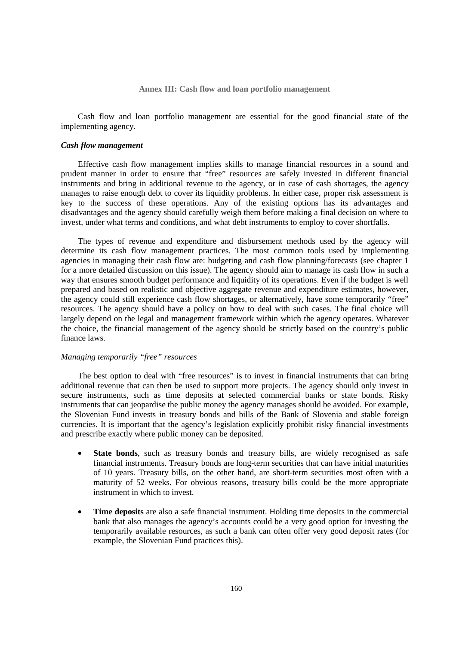#### **Annex III: Cash flow and loan portfolio management**

Cash flow and loan portfolio management are essential for the good financial state of the implementing agency.

#### *Cash flow management*

Effective cash flow management implies skills to manage financial resources in a sound and prudent manner in order to ensure that "free" resources are safely invested in different financial instruments and bring in additional revenue to the agency, or in case of cash shortages, the agency manages to raise enough debt to cover its liquidity problems. In either case, proper risk assessment is key to the success of these operations. Any of the existing options has its advantages and disadvantages and the agency should carefully weigh them before making a final decision on where to invest, under what terms and conditions, and what debt instruments to employ to cover shortfalls.

The types of revenue and expenditure and disbursement methods used by the agency will determine its cash flow management practices. The most common tools used by implementing agencies in managing their cash flow are: budgeting and cash flow planning/forecasts (see chapter 1 for a more detailed discussion on this issue). The agency should aim to manage its cash flow in such a way that ensures smooth budget performance and liquidity of its operations. Even if the budget is well prepared and based on realistic and objective aggregate revenue and expenditure estimates, however, the agency could still experience cash flow shortages, or alternatively, have some temporarily "free" resources. The agency should have a policy on how to deal with such cases. The final choice will largely depend on the legal and management framework within which the agency operates. Whatever the choice, the financial management of the agency should be strictly based on the country's public finance laws.

#### *Managing temporarily "free" resources*

The best option to deal with "free resources" is to invest in financial instruments that can bring additional revenue that can then be used to support more projects. The agency should only invest in secure instruments, such as time deposits at selected commercial banks or state bonds. Risky instruments that can jeopardise the public money the agency manages should be avoided. For example, the Slovenian Fund invests in treasury bonds and bills of the Bank of Slovenia and stable foreign currencies. It is important that the agency's legislation explicitly prohibit risky financial investments and prescribe exactly where public money can be deposited.

- **State bonds**, such as treasury bonds and treasury bills, are widely recognised as safe financial instruments. Treasury bonds are long-term securities that can have initial maturities of 10 years. Treasury bills, on the other hand, are short-term securities most often with a maturity of 52 weeks. For obvious reasons, treasury bills could be the more appropriate instrument in which to invest.
- **Time deposits** are also a safe financial instrument. Holding time deposits in the commercial bank that also manages the agency's accounts could be a very good option for investing the temporarily available resources, as such a bank can often offer very good deposit rates (for example, the Slovenian Fund practices this).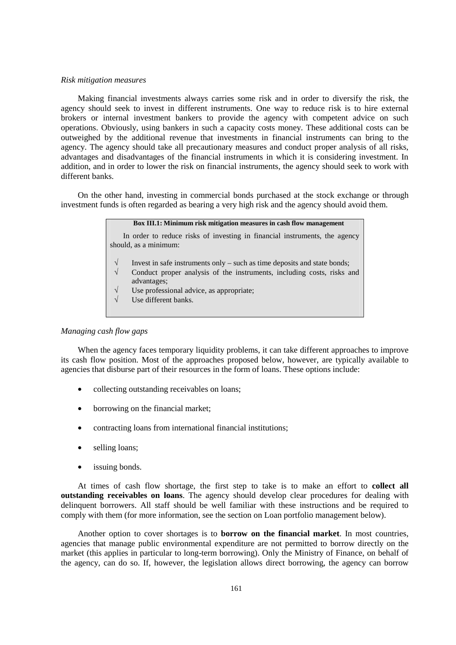#### *Risk mitigation measures*

Making financial investments always carries some risk and in order to diversify the risk, the agency should seek to invest in different instruments. One way to reduce risk is to hire external brokers or internal investment bankers to provide the agency with competent advice on such operations. Obviously, using bankers in such a capacity costs money. These additional costs can be outweighed by the additional revenue that investments in financial instruments can bring to the agency. The agency should take all precautionary measures and conduct proper analysis of all risks, advantages and disadvantages of the financial instruments in which it is considering investment. In addition, and in order to lower the risk on financial instruments, the agency should seek to work with different banks.

On the other hand, investing in commercial bonds purchased at the stock exchange or through investment funds is often regarded as bearing a very high risk and the agency should avoid them.

| Box III.1: Minimum risk mitigation measures in cash flow management                                                                                                                                                                                                  |  |  |  |  |
|----------------------------------------------------------------------------------------------------------------------------------------------------------------------------------------------------------------------------------------------------------------------|--|--|--|--|
| In order to reduce risks of investing in financial instruments, the agency<br>should, as a minimum:                                                                                                                                                                  |  |  |  |  |
| Invest in safe instruments only $-$ such as time deposits and state bonds;<br>$\sqrt{ }$<br>Conduct proper analysis of the instruments, including costs, risks and<br>V<br>advantages;<br>Use professional advice, as appropriate;<br>V<br>Use different banks.<br>N |  |  |  |  |

#### *Managing cash flow gaps*

When the agency faces temporary liquidity problems, it can take different approaches to improve its cash flow position. Most of the approaches proposed below, however, are typically available to agencies that disburse part of their resources in the form of loans. These options include:

- collecting outstanding receivables on loans;
- borrowing on the financial market;
- contracting loans from international financial institutions;
- selling loans;
- issuing bonds.

At times of cash flow shortage, the first step to take is to make an effort to **collect all outstanding receivables on loans**. The agency should develop clear procedures for dealing with delinquent borrowers. All staff should be well familiar with these instructions and be required to comply with them (for more information, see the section on Loan portfolio management below).

Another option to cover shortages is to **borrow on the financial market**. In most countries, agencies that manage public environmental expenditure are not permitted to borrow directly on the market (this applies in particular to long-term borrowing). Only the Ministry of Finance, on behalf of the agency, can do so. If, however, the legislation allows direct borrowing, the agency can borrow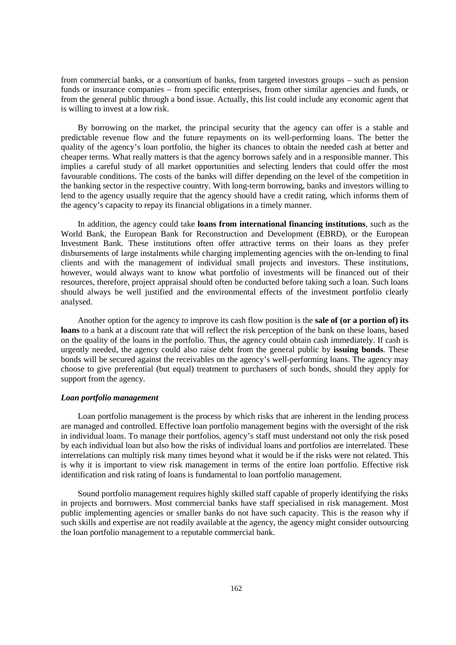from commercial banks, or a consortium of banks, from targeted investors groups – such as pension funds or insurance companies – from specific enterprises, from other similar agencies and funds, or from the general public through a bond issue. Actually, this list could include any economic agent that is willing to invest at a low risk.

By borrowing on the market, the principal security that the agency can offer is a stable and predictable revenue flow and the future repayments on its well-performing loans. The better the quality of the agency's loan portfolio, the higher its chances to obtain the needed cash at better and cheaper terms. What really matters is that the agency borrows safely and in a responsible manner. This implies a careful study of all market opportunities and selecting lenders that could offer the most favourable conditions. The costs of the banks will differ depending on the level of the competition in the banking sector in the respective country. With long-term borrowing, banks and investors willing to lend to the agency usually require that the agency should have a credit rating, which informs them of the agency's capacity to repay its financial obligations in a timely manner.

In addition, the agency could take **loans from international financing institutions**, such as the World Bank, the European Bank for Reconstruction and Development (EBRD), or the European Investment Bank. These institutions often offer attractive terms on their loans as they prefer disbursements of large instalments while charging implementing agencies with the on-lending to final clients and with the management of individual small projects and investors. These institutions, however, would always want to know what portfolio of investments will be financed out of their resources, therefore, project appraisal should often be conducted before taking such a loan. Such loans should always be well justified and the environmental effects of the investment portfolio clearly analysed.

Another option for the agency to improve its cash flow position is the **sale of (or a portion of) its loans** to a bank at a discount rate that will reflect the risk perception of the bank on these loans, based on the quality of the loans in the portfolio. Thus, the agency could obtain cash immediately. If cash is urgently needed, the agency could also raise debt from the general public by **issuing bonds**. These bonds will be secured against the receivables on the agency's well-performing loans. The agency may choose to give preferential (but equal) treatment to purchasers of such bonds, should they apply for support from the agency.

#### *Loan portfolio management*

Loan portfolio management is the process by which risks that are inherent in the lending process are managed and controlled. Effective loan portfolio management begins with the oversight of the risk in individual loans. To manage their portfolios, agency's staff must understand not only the risk posed by each individual loan but also how the risks of individual loans and portfolios are interrelated. These interrelations can multiply risk many times beyond what it would be if the risks were not related. This is why it is important to view risk management in terms of the entire loan portfolio. Effective risk identification and risk rating of loans is fundamental to loan portfolio management.

Sound portfolio management requires highly skilled staff capable of properly identifying the risks in projects and borrowers. Most commercial banks have staff specialised in risk management. Most public implementing agencies or smaller banks do not have such capacity. This is the reason why if such skills and expertise are not readily available at the agency, the agency might consider outsourcing the loan portfolio management to a reputable commercial bank.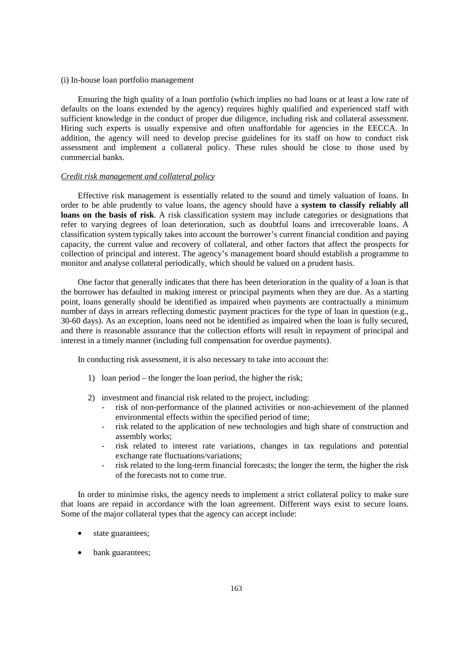#### (i) In-house loan portfolio management

Ensuring the high quality of a loan portfolio (which implies no bad loans or at least a low rate of defaults on the loans extended by the agency) requires highly qualified and experienced staff with sufficient knowledge in the conduct of proper due diligence, including risk and collateral assessment. Hiring such experts is usually expensive and often unaffordable for agencies in the EECCA. In addition, the agency will need to develop precise guidelines for its staff on how to conduct risk assessment and implement a collateral policy. These rules should be close to those used by commercial banks.

### *Credit risk management and collateral policy*

Effective risk management is essentially related to the sound and timely valuation of loans. In order to be able prudently to value loans, the agency should have a **system to classify reliably all loans on the basis of risk**. A risk classification system may include categories or designations that refer to varying degrees of loan deterioration, such as doubtful loans and irrecoverable loans. A classification system typically takes into account the borrower's current financial condition and paying capacity, the current value and recovery of collateral, and other factors that affect the prospects for collection of principal and interest. The agency's management board should establish a programme to monitor and analyse collateral periodically, which should be valued on a prudent basis.

One factor that generally indicates that there has been deterioration in the quality of a loan is that the borrower has defaulted in making interest or principal payments when they are due. As a starting point, loans generally should be identified as impaired when payments are contractually a minimum number of days in arrears reflecting domestic payment practices for the type of loan in question (e.g., 30-60 days). As an exception, loans need not be identified as impaired when the loan is fully secured, and there is reasonable assurance that the collection efforts will result in repayment of principal and interest in a timely manner (including full compensation for overdue payments).

In conducting risk assessment, it is also necessary to take into account the:

- 1) loan period the longer the loan period, the higher the risk;
- 2) investment and financial risk related to the project, including:
	- risk of non-performance of the planned activities or non-achievement of the planned environmental effects within the specified period of time;
	- risk related to the application of new technologies and high share of construction and assembly works;
	- risk related to interest rate variations, changes in tax regulations and potential exchange rate fluctuations/variations;
	- risk related to the long-term financial forecasts; the longer the term, the higher the risk of the forecasts not to come true.

In order to minimise risks, the agency needs to implement a strict collateral policy to make sure that loans are repaid in accordance with the loan agreement. Different ways exist to secure loans. Some of the major collateral types that the agency can accept include:

- state guarantees:
- bank guarantees;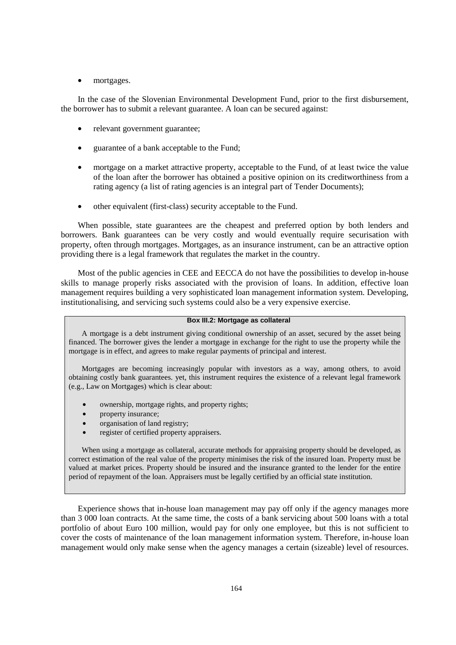• mortgages.

In the case of the Slovenian Environmental Development Fund, prior to the first disbursement, the borrower has to submit a relevant guarantee. A loan can be secured against:

- relevant government guarantee;
- guarantee of a bank acceptable to the Fund;
- mortgage on a market attractive property, acceptable to the Fund, of at least twice the value of the loan after the borrower has obtained a positive opinion on its creditworthiness from a rating agency (a list of rating agencies is an integral part of Tender Documents);
- other equivalent (first-class) security acceptable to the Fund.

When possible, state guarantees are the cheapest and preferred option by both lenders and borrowers. Bank guarantees can be very costly and would eventually require securisation with property, often through mortgages. Mortgages, as an insurance instrument, can be an attractive option providing there is a legal framework that regulates the market in the country.

Most of the public agencies in CEE and EECCA do not have the possibilities to develop in-house skills to manage properly risks associated with the provision of loans. In addition, effective loan management requires building a very sophisticated loan management information system. Developing, institutionalising, and servicing such systems could also be a very expensive exercise.

#### **Box III.2: Mortgage as collateral**

 A mortgage is a debt instrument giving conditional ownership of an asset, secured by the asset being financed. The borrower gives the lender a mortgage in exchange for the right to use the property while the mortgage is in effect, and agrees to make regular payments of principal and interest.

 Mortgages are becoming increasingly popular with investors as a way, among others, to avoid obtaining costly bank guarantees. yet, this instrument requires the existence of a relevant legal framework (e.g., Law on Mortgages) which is clear about:

- ownership, mortgage rights, and property rights;
- property insurance;
- organisation of land registry;
- register of certified property appraisers.

 When using a mortgage as collateral, accurate methods for appraising property should be developed, as correct estimation of the real value of the property minimises the risk of the insured loan. Property must be valued at market prices. Property should be insured and the insurance granted to the lender for the entire period of repayment of the loan. Appraisers must be legally certified by an official state institution.

Experience shows that in-house loan management may pay off only if the agency manages more than 3 000 loan contracts. At the same time, the costs of a bank servicing about 500 loans with a total portfolio of about Euro 100 million, would pay for only one employee, but this is not sufficient to cover the costs of maintenance of the loan management information system. Therefore, in-house loan management would only make sense when the agency manages a certain (sizeable) level of resources.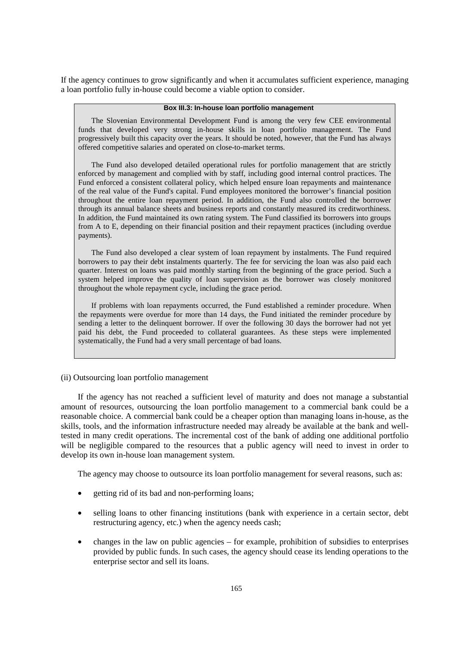If the agency continues to grow significantly and when it accumulates sufficient experience, managing a loan portfolio fully in-house could become a viable option to consider.

#### **Box III.3: In-house loan portfolio management**

 The Slovenian Environmental Development Fund is among the very few CEE environmental funds that developed very strong in-house skills in loan portfolio management. The Fund progressively built this capacity over the years. It should be noted, however, that the Fund has always offered competitive salaries and operated on close-to-market terms.

 The Fund also developed detailed operational rules for portfolio management that are strictly enforced by management and complied with by staff, including good internal control practices. The Fund enforced a consistent collateral policy, which helped ensure loan repayments and maintenance of the real value of the Fund's capital. Fund employees monitored the borrower's financial position throughout the entire loan repayment period. In addition, the Fund also controlled the borrower through its annual balance sheets and business reports and constantly measured its creditworthiness. In addition, the Fund maintained its own rating system. The Fund classified its borrowers into groups from A to E, depending on their financial position and their repayment practices (including overdue payments).

 The Fund also developed a clear system of loan repayment by instalments. The Fund required borrowers to pay their debt instalments quarterly. The fee for servicing the loan was also paid each quarter. Interest on loans was paid monthly starting from the beginning of the grace period. Such a system helped improve the quality of loan supervision as the borrower was closely monitored throughout the whole repayment cycle, including the grace period.

 If problems with loan repayments occurred, the Fund established a reminder procedure. When the repayments were overdue for more than 14 days, the Fund initiated the reminder procedure by sending a letter to the delinquent borrower. If over the following 30 days the borrower had not yet paid his debt, the Fund proceeded to collateral guarantees. As these steps were implemented systematically, the Fund had a very small percentage of bad loans.

#### (ii) Outsourcing loan portfolio management

If the agency has not reached a sufficient level of maturity and does not manage a substantial amount of resources, outsourcing the loan portfolio management to a commercial bank could be a reasonable choice. A commercial bank could be a cheaper option than managing loans in-house, as the skills, tools, and the information infrastructure needed may already be available at the bank and welltested in many credit operations. The incremental cost of the bank of adding one additional portfolio will be negligible compared to the resources that a public agency will need to invest in order to develop its own in-house loan management system.

The agency may choose to outsource its loan portfolio management for several reasons, such as:

- getting rid of its bad and non-performing loans;
- selling loans to other financing institutions (bank with experience in a certain sector, debt restructuring agency, etc.) when the agency needs cash;
- changes in the law on public agencies for example, prohibition of subsidies to enterprises provided by public funds. In such cases, the agency should cease its lending operations to the enterprise sector and sell its loans.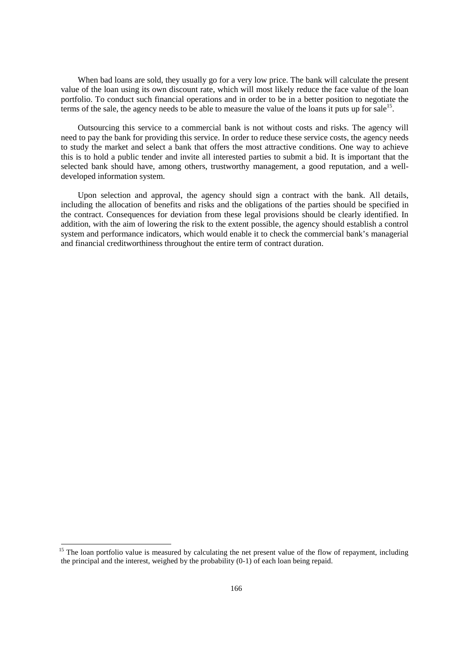When bad loans are sold, they usually go for a very low price. The bank will calculate the present value of the loan using its own discount rate, which will most likely reduce the face value of the loan portfolio. To conduct such financial operations and in order to be in a better position to negotiate the terms of the sale, the agency needs to be able to measure the value of the loans it puts up for sale<sup>15</sup>.

Outsourcing this service to a commercial bank is not without costs and risks. The agency will need to pay the bank for providing this service. In order to reduce these service costs, the agency needs to study the market and select a bank that offers the most attractive conditions. One way to achieve this is to hold a public tender and invite all interested parties to submit a bid. It is important that the selected bank should have, among others, trustworthy management, a good reputation, and a welldeveloped information system.

Upon selection and approval, the agency should sign a contract with the bank. All details, including the allocation of benefits and risks and the obligations of the parties should be specified in the contract. Consequences for deviation from these legal provisions should be clearly identified. In addition, with the aim of lowering the risk to the extent possible, the agency should establish a control system and performance indicators, which would enable it to check the commercial bank's managerial and financial creditworthiness throughout the entire term of contract duration.

-

<sup>&</sup>lt;sup>15</sup> The loan portfolio value is measured by calculating the net present value of the flow of repayment, including the principal and the interest, weighed by the probability (0-1) of each loan being repaid.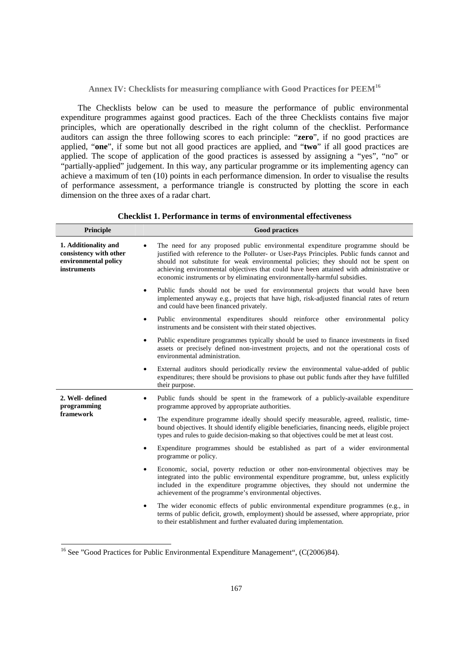# **Annex IV: Checklists for measuring compliance with Good Practices for PEEM<sup>16</sup>**

The Checklists below can be used to measure the performance of public environmental expenditure programmes against good practices. Each of the three Checklists contains five major principles, which are operationally described in the right column of the checklist. Performance auditors can assign the three following scores to each principle: "**zero**", if no good practices are applied, "**one**", if some but not all good practices are applied, and "**two**" if all good practices are applied. The scope of application of the good practices is assessed by assigning a "yes", "no" or "partially-applied" judgement. In this way, any particular programme or its implementing agency can achieve a maximum of ten (10) points in each performance dimension. In order to visualise the results of performance assessment, a performance triangle is constructed by plotting the score in each dimension on the three axes of a radar chart.

**Checklist 1. Performance in terms of environmental effectiveness** 

| Principle                                                                                    | <b>Good practices</b>                                                                                                                                                                                                                                                                                                                                                                                                                                   |
|----------------------------------------------------------------------------------------------|---------------------------------------------------------------------------------------------------------------------------------------------------------------------------------------------------------------------------------------------------------------------------------------------------------------------------------------------------------------------------------------------------------------------------------------------------------|
| 1. Additionality and<br>consistency with other<br>environmental policy<br><b>instruments</b> | The need for any proposed public environmental expenditure programme should be<br>$\bullet$<br>justified with reference to the Polluter- or User-Pays Principles. Public funds cannot and<br>should not substitute for weak environmental policies; they should not be spent on<br>achieving environmental objectives that could have been attained with administrative or<br>economic instruments or by eliminating environmentally-harmful subsidies. |
|                                                                                              | Public funds should not be used for environmental projects that would have been<br>$\bullet$<br>implemented anyway e.g., projects that have high, risk-adjusted financial rates of return<br>and could have been financed privately.                                                                                                                                                                                                                    |
|                                                                                              | Public environmental expenditures should reinforce other environmental policy<br>$\bullet$<br>instruments and be consistent with their stated objectives.                                                                                                                                                                                                                                                                                               |
|                                                                                              | Public expenditure programmes typically should be used to finance investments in fixed<br>$\bullet$<br>assets or precisely defined non-investment projects, and not the operational costs of<br>environmental administration.                                                                                                                                                                                                                           |
|                                                                                              | External auditors should periodically review the environmental value-added of public<br>$\bullet$<br>expenditures; there should be provisions to phase out public funds after they have fulfilled<br>their purpose.                                                                                                                                                                                                                                     |
| 2. Well-defined<br>programming                                                               | Public funds should be spent in the framework of a publicly-available expenditure<br>$\bullet$<br>programme approved by appropriate authorities.                                                                                                                                                                                                                                                                                                        |
| framework                                                                                    | The expenditure programme ideally should specify measurable, agreed, realistic, time-<br>$\bullet$<br>bound objectives. It should identify eligible beneficiaries, financing needs, eligible project<br>types and rules to guide decision-making so that objectives could be met at least cost.                                                                                                                                                         |
|                                                                                              | Expenditure programmes should be established as part of a wider environmental<br>$\bullet$<br>programme or policy.                                                                                                                                                                                                                                                                                                                                      |
|                                                                                              | Economic, social, poverty reduction or other non-environmental objectives may be<br>$\bullet$<br>integrated into the public environmental expenditure programme, but, unless explicitly<br>included in the expenditure programme objectives, they should not undermine the<br>achievement of the programme's environmental objectives.                                                                                                                  |
|                                                                                              | The wider economic effects of public environmental expenditure programmes (e.g., in<br>$\bullet$<br>terms of public deficit, growth, employment) should be assessed, where appropriate, prior<br>to their establishment and further evaluated during implementation.                                                                                                                                                                                    |

<sup>&</sup>lt;sup>16</sup> See "Good Practices for Public Environmental Expenditure Management", (C(2006)84).

-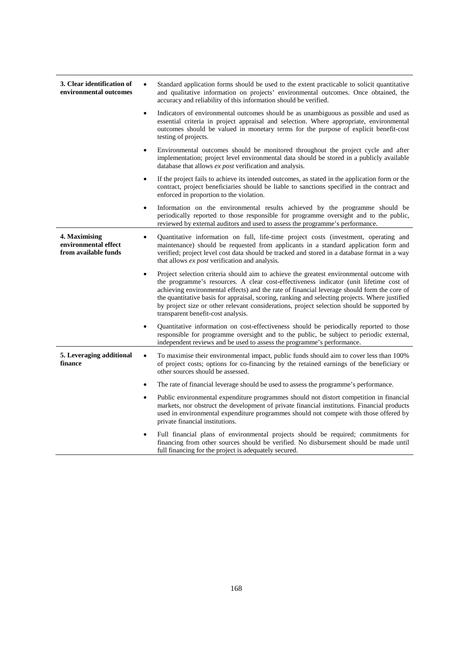| 3. Clear identification of<br>environmental outcomes          | $\bullet$ | Standard application forms should be used to the extent practicable to solicit quantitative<br>and qualitative information on projects' environmental outcomes. Once obtained, the<br>accuracy and reliability of this information should be verified.                                                                                                                                                                                                                                                                  |
|---------------------------------------------------------------|-----------|-------------------------------------------------------------------------------------------------------------------------------------------------------------------------------------------------------------------------------------------------------------------------------------------------------------------------------------------------------------------------------------------------------------------------------------------------------------------------------------------------------------------------|
|                                                               | $\bullet$ | Indicators of environmental outcomes should be as unambiguous as possible and used as<br>essential criteria in project appraisal and selection. Where appropriate, environmental<br>outcomes should be valued in monetary terms for the purpose of explicit benefit-cost<br>testing of projects.                                                                                                                                                                                                                        |
|                                                               |           | Environmental outcomes should be monitored throughout the project cycle and after<br>implementation; project level environmental data should be stored in a publicly available<br>database that allows ex post verification and analysis.                                                                                                                                                                                                                                                                               |
|                                                               | $\bullet$ | If the project fails to achieve its intended outcomes, as stated in the application form or the<br>contract, project beneficiaries should be liable to sanctions specified in the contract and<br>enforced in proportion to the violation.                                                                                                                                                                                                                                                                              |
|                                                               | $\bullet$ | Information on the environmental results achieved by the programme should be<br>periodically reported to those responsible for programme oversight and to the public,<br>reviewed by external auditors and used to assess the programme's performance.                                                                                                                                                                                                                                                                  |
| 4. Maximising<br>environmental effect<br>from available funds | ٠         | Quantitative information on full, life-time project costs (investment, operating and<br>maintenance) should be requested from applicants in a standard application form and<br>verified; project level cost data should be tracked and stored in a database format in a way<br>that allows ex post verification and analysis.                                                                                                                                                                                           |
|                                                               | $\bullet$ | Project selection criteria should aim to achieve the greatest environmental outcome with<br>the programme's resources. A clear cost-effectiveness indicator (unit lifetime cost of<br>achieving environmental effects) and the rate of financial leverage should form the core of<br>the quantitative basis for appraisal, scoring, ranking and selecting projects. Where justified<br>by project size or other relevant considerations, project selection should be supported by<br>transparent benefit-cost analysis. |
|                                                               | $\bullet$ | Quantitative information on cost-effectiveness should be periodically reported to those<br>responsible for programme oversight and to the public, be subject to periodic external,<br>independent reviews and be used to assess the programme's performance.                                                                                                                                                                                                                                                            |
| 5. Leveraging additional<br>finance                           | $\bullet$ | To maximise their environmental impact, public funds should aim to cover less than 100%<br>of project costs; options for co-financing by the retained earnings of the beneficiary or<br>other sources should be assessed.                                                                                                                                                                                                                                                                                               |
|                                                               | $\bullet$ | The rate of financial leverage should be used to assess the programme's performance.                                                                                                                                                                                                                                                                                                                                                                                                                                    |
|                                                               | $\bullet$ | Public environmental expenditure programmes should not distort competition in financial<br>markets, nor obstruct the development of private financial institutions. Financial products<br>used in environmental expenditure programmes should not compete with those offered by<br>private financial institutions.                                                                                                                                                                                                      |
|                                                               | $\bullet$ | Full financial plans of environmental projects should be required; commitments for<br>financing from other sources should be verified. No disbursement should be made until<br>full financing for the project is adequately secured.                                                                                                                                                                                                                                                                                    |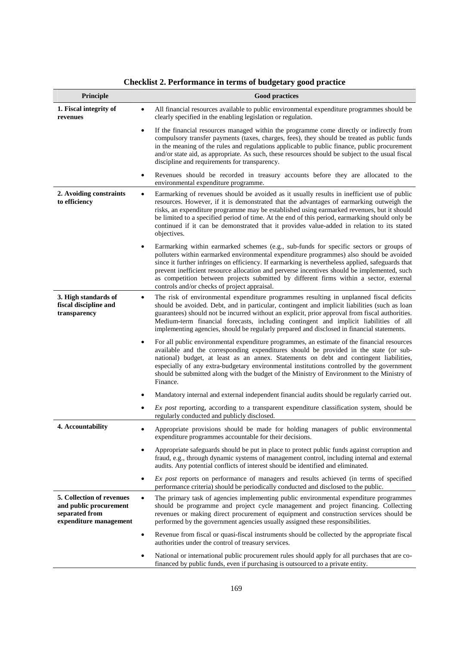| Principle                                                                                       | <b>Good practices</b>                                                                                                                                                                                                                                                                                                                                                                                                                                                                                                          |
|-------------------------------------------------------------------------------------------------|--------------------------------------------------------------------------------------------------------------------------------------------------------------------------------------------------------------------------------------------------------------------------------------------------------------------------------------------------------------------------------------------------------------------------------------------------------------------------------------------------------------------------------|
| 1. Fiscal integrity of<br>revenues                                                              | All financial resources available to public environmental expenditure programmes should be<br>$\bullet$<br>clearly specified in the enabling legislation or regulation.                                                                                                                                                                                                                                                                                                                                                        |
|                                                                                                 | If the financial resources managed within the programme come directly or indirectly from<br>$\bullet$<br>compulsory transfer payments (taxes, charges, fees), they should be treated as public funds<br>in the meaning of the rules and regulations applicable to public finance, public procurement<br>and/or state aid, as appropriate. As such, these resources should be subject to the usual fiscal<br>discipline and requirements for transparency.                                                                      |
|                                                                                                 | Revenues should be recorded in treasury accounts before they are allocated to the<br>environmental expenditure programme.                                                                                                                                                                                                                                                                                                                                                                                                      |
| 2. Avoiding constraints<br>to efficiency                                                        | Earmarking of revenues should be avoided as it usually results in inefficient use of public<br>٠<br>resources. However, if it is demonstrated that the advantages of earmarking outweigh the<br>risks, an expenditure programme may be established using earmarked revenues, but it should<br>be limited to a specified period of time. At the end of this period, earmarking should only be<br>continued if it can be demonstrated that it provides value-added in relation to its stated<br>objectives.                      |
|                                                                                                 | Earmarking within earmarked schemes (e.g., sub-funds for specific sectors or groups of<br>polluters within earmarked environmental expenditure programmes) also should be avoided<br>since it further infringes on efficiency. If earmarking is nevertheless applied, safeguards that<br>prevent inefficient resource allocation and perverse incentives should be implemented, such<br>as competition between projects submitted by different firms within a sector, external<br>controls and/or checks of project appraisal. |
| 3. High standards of<br>fiscal discipline and<br>transparency                                   | The risk of environmental expenditure programmes resulting in unplanned fiscal deficits<br>٠<br>should be avoided. Debt, and in particular, contingent and implicit liabilities (such as loan<br>guarantees) should not be incurred without an explicit, prior approval from fiscal authorities.<br>Medium-term financial forecasts, including contingent and implicit liabilities of all<br>implementing agencies, should be regularly prepared and disclosed in financial statements.                                        |
|                                                                                                 | For all public environmental expenditure programmes, an estimate of the financial resources<br>available and the corresponding expenditures should be provided in the state (or sub-<br>national) budget, at least as an annex. Statements on debt and contingent liabilities,<br>especially of any extra-budgetary environmental institutions controlled by the government<br>should be submitted along with the budget of the Ministry of Environment to the Ministry of<br>Finance.                                         |
|                                                                                                 | Mandatory internal and external independent financial audits should be regularly carried out.                                                                                                                                                                                                                                                                                                                                                                                                                                  |
|                                                                                                 | <i>Ex post</i> reporting, according to a transparent expenditure classification system, should be<br>regularly conducted and publicly disclosed.                                                                                                                                                                                                                                                                                                                                                                               |
| 4. Accountability                                                                               | Appropriate provisions should be made for holding managers of public environmental<br>expenditure programmes accountable for their decisions.                                                                                                                                                                                                                                                                                                                                                                                  |
|                                                                                                 | Appropriate safeguards should be put in place to protect public funds against corruption and<br>fraud, e.g., through dynamic systems of management control, including internal and external<br>audits. Any potential conflicts of interest should be identified and eliminated.                                                                                                                                                                                                                                                |
|                                                                                                 | Ex post reports on performance of managers and results achieved (in terms of specified<br>٠<br>performance criteria) should be periodically conducted and disclosed to the public.                                                                                                                                                                                                                                                                                                                                             |
| 5. Collection of revenues<br>and public procurement<br>separated from<br>expenditure management | The primary task of agencies implementing public environmental expenditure programmes<br>$\bullet$<br>should be programme and project cycle management and project financing. Collecting<br>revenues or making direct procurement of equipment and construction services should be<br>performed by the government agencies usually assigned these responsibilities.                                                                                                                                                            |
|                                                                                                 | Revenue from fiscal or quasi-fiscal instruments should be collected by the appropriate fiscal<br>$\bullet$<br>authorities under the control of treasury services.                                                                                                                                                                                                                                                                                                                                                              |
|                                                                                                 | National or international public procurement rules should apply for all purchases that are co-<br>financed by public funds, even if purchasing is outsourced to a private entity.                                                                                                                                                                                                                                                                                                                                              |

# **Checklist 2. Performance in terms of budgetary good practice**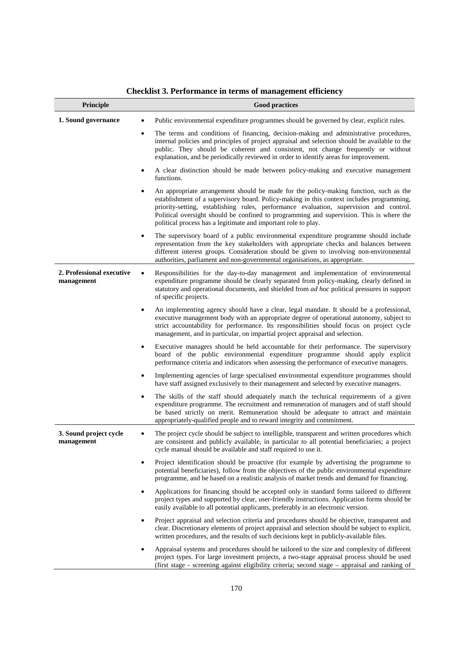| Principle                               | <b>Good practices</b>                                                                                                                                                                                                                                                                                                                                                                                                                      |
|-----------------------------------------|--------------------------------------------------------------------------------------------------------------------------------------------------------------------------------------------------------------------------------------------------------------------------------------------------------------------------------------------------------------------------------------------------------------------------------------------|
| 1. Sound governance                     | Public environmental expenditure programmes should be governed by clear, explicit rules.<br>٠                                                                                                                                                                                                                                                                                                                                              |
|                                         | The terms and conditions of financing, decision-making and administrative procedures,<br>٠<br>internal policies and principles of project appraisal and selection should be available to the<br>public. They should be coherent and consistent, not change frequently or without<br>explanation, and be periodically reviewed in order to identify areas for improvement.                                                                  |
|                                         | A clear distinction should be made between policy-making and executive management<br>functions.                                                                                                                                                                                                                                                                                                                                            |
|                                         | An appropriate arrangement should be made for the policy-making function, such as the<br>establishment of a supervisory board. Policy-making in this context includes programming,<br>priority-setting, establishing rules, performance evaluation, supervision and control.<br>Political oversight should be confined to programming and supervision. This is where the<br>political process has a legitimate and important role to play. |
|                                         | The supervisory board of a public environmental expenditure programme should include<br>٠<br>representation from the key stakeholders with appropriate checks and balances between<br>different interest groups. Consideration should be given to involving non-environmental<br>authorities, parliament and non-governmental organisations, as appropriate.                                                                               |
| 2. Professional executive<br>management | Responsibilities for the day-to-day management and implementation of environmental<br>expenditure programme should be clearly separated from policy-making, clearly defined in<br>statutory and operational documents, and shielded from <i>ad hoc</i> political pressures in support<br>of specific projects.                                                                                                                             |
|                                         | An implementing agency should have a clear, legal mandate. It should be a professional,<br>executive management body with an appropriate degree of operational autonomy, subject to<br>strict accountability for performance. Its responsibilities should focus on project cycle<br>management, and in particular, on impartial project appraisal and selection.                                                                           |
|                                         | Executive managers should be held accountable for their performance. The supervisory<br>board of the public environmental expenditure programme should apply explicit<br>performance criteria and indicators when assessing the performance of executive managers.                                                                                                                                                                         |
|                                         | Implementing agencies of large specialised environmental expenditure programmes should<br>٠<br>have staff assigned exclusively to their management and selected by executive managers.                                                                                                                                                                                                                                                     |
|                                         | The skills of the staff should adequately match the technical requirements of a given<br>expenditure programme. The recruitment and remuneration of managers and of staff should<br>be based strictly on merit. Remuneration should be adequate to attract and maintain<br>appropriately-qualified people and to reward integrity and commitment.                                                                                          |
| 3. Sound project cycle<br>management    | The project cycle should be subject to intelligible, transparent and written procedures which<br>٠<br>are consistent and publicly available, in particular to all potential beneficiaries; a project<br>cycle manual should be available and staff required to use it.                                                                                                                                                                     |
|                                         | Project identification should be proactive (for example by advertising the programme to<br>$\bullet$<br>potential beneficiaries), follow from the objectives of the public environmental expenditure<br>programme, and be based on a realistic analysis of market trends and demand for financing.                                                                                                                                         |
|                                         | Applications for financing should be accepted only in standard forms tailored to different<br>٠<br>project types and supported by clear, user-friendly instructions. Application forms should be<br>easily available to all potential applicants, preferably in an electronic version.                                                                                                                                                     |
|                                         | Project appraisal and selection criteria and procedures should be objective, transparent and<br>٠<br>clear. Discretionary elements of project appraisal and selection should be subject to explicit,<br>written procedures, and the results of such decisions kept in publicly-available files.                                                                                                                                            |
|                                         | Appraisal systems and procedures should be tailored to the size and complexity of different<br>٠<br>project types. For large investment projects, a two-stage appraisal process should be used<br>(first stage - screening against eligibility criteria; second stage – appraisal and ranking of                                                                                                                                           |

# **Checklist 3. Performance in terms of management efficiency**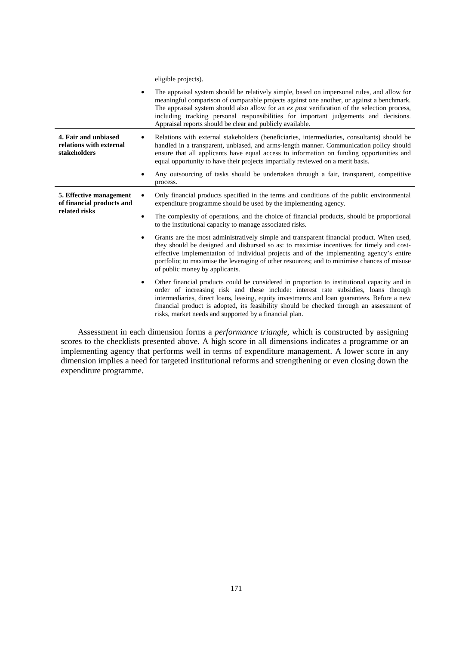|                                                                 |           | eligible projects).                                                                                                                                                                                                                                                                                                                                                                                                                            |
|-----------------------------------------------------------------|-----------|------------------------------------------------------------------------------------------------------------------------------------------------------------------------------------------------------------------------------------------------------------------------------------------------------------------------------------------------------------------------------------------------------------------------------------------------|
|                                                                 | $\bullet$ | The appraisal system should be relatively simple, based on impersonal rules, and allow for<br>meaningful comparison of comparable projects against one another, or against a benchmark.<br>The appraisal system should also allow for an $ex$ post verification of the selection process,<br>including tracking personal responsibilities for important judgements and decisions.<br>Appraisal reports should be clear and publicly available. |
| 4. Fair and unbiased<br>relations with external<br>stakeholders |           | Relations with external stakeholders (beneficiaries, intermediaries, consultants) should be<br>handled in a transparent, unbiased, and arms-length manner. Communication policy should<br>ensure that all applicants have equal access to information on funding opportunities and<br>equal opportunity to have their projects impartially reviewed on a merit basis.                                                                          |
|                                                                 |           | Any outsourcing of tasks should be undertaken through a fair, transparent, competitive<br>process.                                                                                                                                                                                                                                                                                                                                             |
| 5. Effective management<br>of financial products and            |           | Only financial products specified in the terms and conditions of the public environmental<br>expenditure programme should be used by the implementing agency.                                                                                                                                                                                                                                                                                  |
| related risks                                                   | $\bullet$ | The complexity of operations, and the choice of financial products, should be proportional<br>to the institutional capacity to manage associated risks.                                                                                                                                                                                                                                                                                        |
|                                                                 | $\bullet$ | Grants are the most administratively simple and transparent financial product. When used,<br>they should be designed and disbursed so as: to maximise incentives for timely and cost-<br>effective implementation of individual projects and of the implementing agency's entire<br>portfolio; to maximise the leveraging of other resources; and to minimise chances of misuse<br>of public money by applicants.                              |
|                                                                 | ٠         | Other financial products could be considered in proportion to institutional capacity and in<br>order of increasing risk and these include: interest rate subsidies, loans through<br>intermediaries, direct loans, leasing, equity investments and loan guarantees. Before a new<br>financial product is adopted, its feasibility should be checked through an assessment of<br>risks, market needs and supported by a financial plan.         |

Assessment in each dimension forms a *performance triangle,* which is constructed by assigning scores to the checklists presented above. A high score in all dimensions indicates a programme or an implementing agency that performs well in terms of expenditure management. A lower score in any dimension implies a need for targeted institutional reforms and strengthening or even closing down the expenditure programme.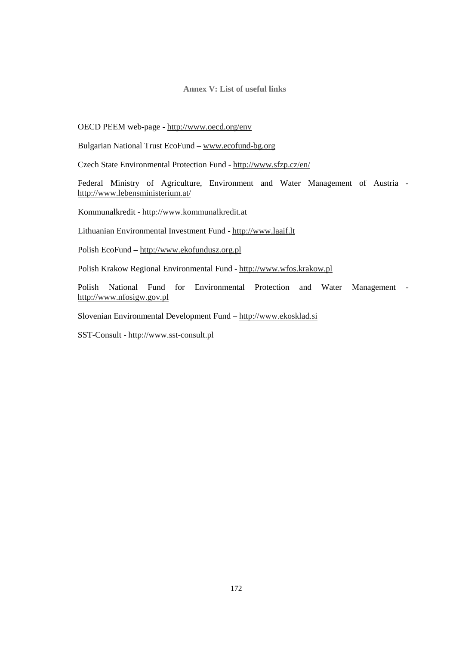**Annex V: List of useful links** 

OECD PEEM web-page - http://www.oecd.org/env

Bulgarian National Trust EcoFund – www.ecofund-bg.org

Czech State Environmental Protection Fund - http://www.sfzp.cz/en/

Federal Ministry of Agriculture, Environment and Water Management of Austria http://www.lebensministerium.at/

Kommunalkredit - http://www.kommunalkredit.at

Lithuanian Environmental Investment Fund - http://www.laaif.lt

Polish EcoFund – http://www.ekofundusz.org.pl

Polish Krakow Regional Environmental Fund - http://www.wfos.krakow.pl

Polish National Fund for Environmental Protection and Water Management http://www.nfosigw.gov.pl

Slovenian Environmental Development Fund – http://www.ekosklad.si

SST-Consult - http://www.sst-consult.pl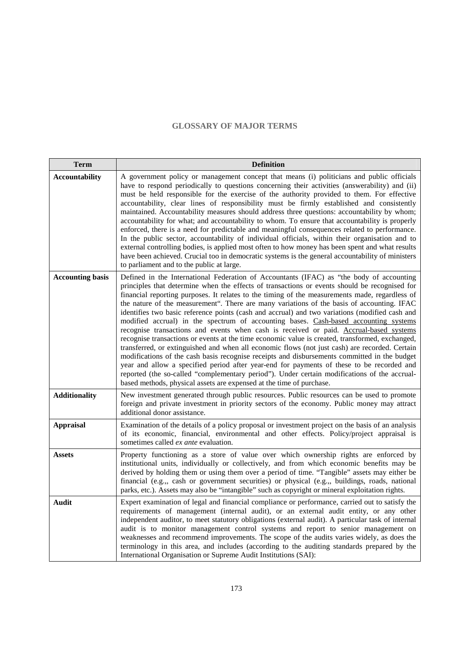# **GLOSSARY OF MAJOR TERMS**

| <b>Term</b>             | <b>Definition</b>                                                                                                                                                                                                                                                                                                                                                                                                                                                                                                                                                                                                                                                                                                                                                                                                                                                                                                                                                                                                                                                                                                                                                                                                                                       |
|-------------------------|---------------------------------------------------------------------------------------------------------------------------------------------------------------------------------------------------------------------------------------------------------------------------------------------------------------------------------------------------------------------------------------------------------------------------------------------------------------------------------------------------------------------------------------------------------------------------------------------------------------------------------------------------------------------------------------------------------------------------------------------------------------------------------------------------------------------------------------------------------------------------------------------------------------------------------------------------------------------------------------------------------------------------------------------------------------------------------------------------------------------------------------------------------------------------------------------------------------------------------------------------------|
| <b>Accountability</b>   | A government policy or management concept that means (i) politicians and public officials<br>have to respond periodically to questions concerning their activities (answerability) and (ii)<br>must be held responsible for the exercise of the authority provided to them. For effective<br>accountability, clear lines of responsibility must be firmly established and consistently<br>maintained. Accountability measures should address three questions: accountability by whom;<br>accountability for what; and accountability to whom. To ensure that accountability is properly<br>enforced, there is a need for predictable and meaningful consequences related to performance.<br>In the public sector, accountability of individual officials, within their organisation and to<br>external controlling bodies, is applied most often to how money has been spent and what results<br>have been achieved. Crucial too in democratic systems is the general accountability of ministers<br>to parliament and to the public at large.                                                                                                                                                                                                          |
| <b>Accounting basis</b> | Defined in the International Federation of Accountants (IFAC) as "the body of accounting<br>principles that determine when the effects of transactions or events should be recognised for<br>financial reporting purposes. It relates to the timing of the measurements made, regardless of<br>the nature of the measurement". There are many variations of the basis of accounting. IFAC<br>identifies two basic reference points (cash and accrual) and two variations (modified cash and<br>modified accrual) in the spectrum of accounting bases. Cash-based accounting systems<br>recognise transactions and events when cash is received or paid. Accrual-based systems<br>recognise transactions or events at the time economic value is created, transformed, exchanged,<br>transferred, or extinguished and when all economic flows (not just cash) are recorded. Certain<br>modifications of the cash basis recognise receipts and disbursements committed in the budget<br>year and allow a specified period after year-end for payments of these to be recorded and<br>reported (the so-called "complementary period"). Under certain modifications of the accrual-<br>based methods, physical assets are expensed at the time of purchase. |
| <b>Additionality</b>    | New investment generated through public resources. Public resources can be used to promote<br>foreign and private investment in priority sectors of the economy. Public money may attract<br>additional donor assistance.                                                                                                                                                                                                                                                                                                                                                                                                                                                                                                                                                                                                                                                                                                                                                                                                                                                                                                                                                                                                                               |
| <b>Appraisal</b>        | Examination of the details of a policy proposal or investment project on the basis of an analysis<br>of its economic, financial, environmental and other effects. Policy/project appraisal is<br>sometimes called ex ante evaluation.                                                                                                                                                                                                                                                                                                                                                                                                                                                                                                                                                                                                                                                                                                                                                                                                                                                                                                                                                                                                                   |
| <b>Assets</b>           | Property functioning as a store of value over which ownership rights are enforced by<br>institutional units, individually or collectively, and from which economic benefits may be<br>derived by holding them or using them over a period of time. "Tangible" assets may either be<br>financial (e.g.,, cash or government securities) or physical (e.g.,, buildings, roads, national<br>parks, etc.). Assets may also be "intangible" such as copyright or mineral exploitation rights.                                                                                                                                                                                                                                                                                                                                                                                                                                                                                                                                                                                                                                                                                                                                                                |
| <b>Audit</b>            | Expert examination of legal and financial compliance or performance, carried out to satisfy the<br>requirements of management (internal audit), or an external audit entity, or any other<br>independent auditor, to meet statutory obligations (external audit). A particular task of internal<br>audit is to monitor management control systems and report to senior management on<br>weaknesses and recommend improvements. The scope of the audits varies widely, as does the<br>terminology in this area, and includes (according to the auditing standards prepared by the<br>International Organisation or Supreme Audit Institutions (SAI):                                                                                                                                                                                                                                                                                                                                                                                                                                                                                                                                                                                                     |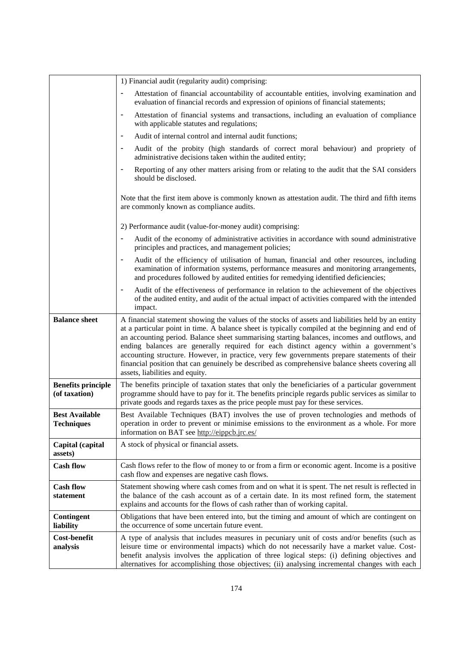|                                            | 1) Financial audit (regularity audit) comprising:                                                                                                                                                                                                                                                                                                                                                                                                                                                                                                                                                                                     |
|--------------------------------------------|---------------------------------------------------------------------------------------------------------------------------------------------------------------------------------------------------------------------------------------------------------------------------------------------------------------------------------------------------------------------------------------------------------------------------------------------------------------------------------------------------------------------------------------------------------------------------------------------------------------------------------------|
|                                            | Attestation of financial accountability of accountable entities, involving examination and<br>-<br>evaluation of financial records and expression of opinions of financial statements;                                                                                                                                                                                                                                                                                                                                                                                                                                                |
|                                            | Attestation of financial systems and transactions, including an evaluation of compliance<br>with applicable statutes and regulations;                                                                                                                                                                                                                                                                                                                                                                                                                                                                                                 |
|                                            | Audit of internal control and internal audit functions;                                                                                                                                                                                                                                                                                                                                                                                                                                                                                                                                                                               |
|                                            | Audit of the probity (high standards of correct moral behaviour) and propriety of<br>administrative decisions taken within the audited entity;                                                                                                                                                                                                                                                                                                                                                                                                                                                                                        |
|                                            | Reporting of any other matters arising from or relating to the audit that the SAI considers<br>should be disclosed.                                                                                                                                                                                                                                                                                                                                                                                                                                                                                                                   |
|                                            | Note that the first item above is commonly known as attestation audit. The third and fifth items<br>are commonly known as compliance audits.                                                                                                                                                                                                                                                                                                                                                                                                                                                                                          |
|                                            | 2) Performance audit (value-for-money audit) comprising:                                                                                                                                                                                                                                                                                                                                                                                                                                                                                                                                                                              |
|                                            | Audit of the economy of administrative activities in accordance with sound administrative<br>principles and practices, and management policies;                                                                                                                                                                                                                                                                                                                                                                                                                                                                                       |
|                                            | Audit of the efficiency of utilisation of human, financial and other resources, including<br>examination of information systems, performance measures and monitoring arrangements,<br>and procedures followed by audited entities for remedying identified deficiencies;                                                                                                                                                                                                                                                                                                                                                              |
|                                            | Audit of the effectiveness of performance in relation to the achievement of the objectives<br>of the audited entity, and audit of the actual impact of activities compared with the intended<br>impact.                                                                                                                                                                                                                                                                                                                                                                                                                               |
| <b>Balance sheet</b>                       | A financial statement showing the values of the stocks of assets and liabilities held by an entity<br>at a particular point in time. A balance sheet is typically compiled at the beginning and end of<br>an accounting period. Balance sheet summarising starting balances, incomes and outflows, and<br>ending balances are generally required for each distinct agency within a government's<br>accounting structure. However, in practice, very few governments prepare statements of their<br>financial position that can genuinely be described as comprehensive balance sheets covering all<br>assets, liabilities and equity. |
| <b>Benefits principle</b><br>(of taxation) | The benefits principle of taxation states that only the beneficiaries of a particular government<br>programme should have to pay for it. The benefits principle regards public services as similar to<br>private goods and regards taxes as the price people must pay for these services.                                                                                                                                                                                                                                                                                                                                             |
| <b>Best Available</b><br><b>Techniques</b> | Best Available Techniques (BAT) involves the use of proven technologies and methods of<br>operation in order to prevent or minimise emissions to the environment as a whole. For more<br>information on BAT see http://eippcb.jrc.es/                                                                                                                                                                                                                                                                                                                                                                                                 |
| Capital (capital<br>assets)                | A stock of physical or financial assets.                                                                                                                                                                                                                                                                                                                                                                                                                                                                                                                                                                                              |
| <b>Cash flow</b>                           | Cash flows refer to the flow of money to or from a firm or economic agent. Income is a positive<br>cash flow and expenses are negative cash flows.                                                                                                                                                                                                                                                                                                                                                                                                                                                                                    |
| <b>Cash flow</b><br>statement              | Statement showing where cash comes from and on what it is spent. The net result is reflected in<br>the balance of the cash account as of a certain date. In its most refined form, the statement<br>explains and accounts for the flows of cash rather than of working capital.                                                                                                                                                                                                                                                                                                                                                       |
| <b>Contingent</b><br>liability             | Obligations that have been entered into, but the timing and amount of which are contingent on<br>the occurrence of some uncertain future event.                                                                                                                                                                                                                                                                                                                                                                                                                                                                                       |
| Cost-benefit<br>analysis                   | A type of analysis that includes measures in pecuniary unit of costs and/or benefits (such as<br>leisure time or environmental impacts) which do not necessarily have a market value. Cost-<br>benefit analysis involves the application of three logical steps: (i) defining objectives and<br>alternatives for accomplishing those objectives; (ii) analysing incremental changes with each                                                                                                                                                                                                                                         |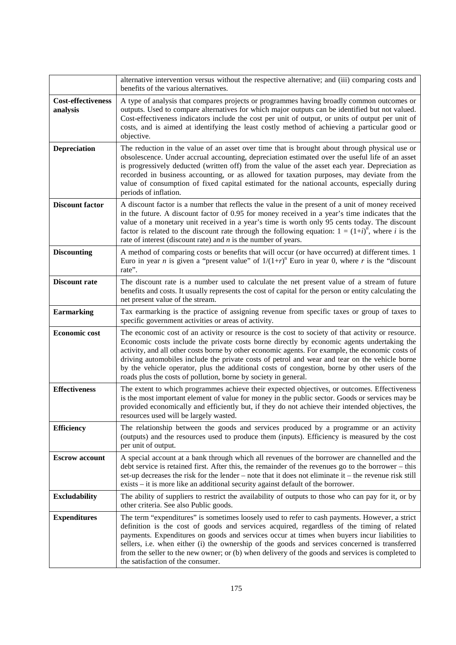|                                       | alternative intervention versus without the respective alternative; and (iii) comparing costs and<br>benefits of the various alternatives.                                                                                                                                                                                                                                                                                                                                                                                                                                |
|---------------------------------------|---------------------------------------------------------------------------------------------------------------------------------------------------------------------------------------------------------------------------------------------------------------------------------------------------------------------------------------------------------------------------------------------------------------------------------------------------------------------------------------------------------------------------------------------------------------------------|
| <b>Cost-effectiveness</b><br>analysis | A type of analysis that compares projects or programmes having broadly common outcomes or<br>outputs. Used to compare alternatives for which major outputs can be identified but not valued.<br>Cost-effectiveness indicators include the cost per unit of output, or units of output per unit of<br>costs, and is aimed at identifying the least costly method of achieving a particular good or<br>objective.                                                                                                                                                           |
| <b>Depreciation</b>                   | The reduction in the value of an asset over time that is brought about through physical use or<br>obsolescence. Under accrual accounting, depreciation estimated over the useful life of an asset<br>is progressively deducted (written off) from the value of the asset each year. Depreciation as<br>recorded in business accounting, or as allowed for taxation purposes, may deviate from the<br>value of consumption of fixed capital estimated for the national accounts, especially during<br>periods of inflation.                                                |
| <b>Discount factor</b>                | A discount factor is a number that reflects the value in the present of a unit of money received<br>in the future. A discount factor of 0.95 for money received in a year's time indicates that the<br>value of a monetary unit received in a year's time is worth only 95 cents today. The discount<br>factor is related to the discount rate through the following equation: $1 = (1+i)^n$ , where i is the<br>rate of interest (discount rate) and $n$ is the number of years.                                                                                         |
| <b>Discounting</b>                    | A method of comparing costs or benefits that will occur (or have occurred) at different times. 1<br>Euro in year <i>n</i> is given a "present value" of $1/(1+r)^n$ Euro in year 0, where <i>r</i> is the "discount<br>rate".                                                                                                                                                                                                                                                                                                                                             |
| <b>Discount rate</b>                  | The discount rate is a number used to calculate the net present value of a stream of future<br>benefits and costs. It usually represents the cost of capital for the person or entity calculating the<br>net present value of the stream.                                                                                                                                                                                                                                                                                                                                 |
| <b>Earmarking</b>                     | Tax earmarking is the practice of assigning revenue from specific taxes or group of taxes to<br>specific government activities or areas of activity.                                                                                                                                                                                                                                                                                                                                                                                                                      |
| <b>Economic cost</b>                  | The economic cost of an activity or resource is the cost to society of that activity or resource.<br>Economic costs include the private costs borne directly by economic agents undertaking the<br>activity, and all other costs borne by other economic agents. For example, the economic costs of<br>driving automobiles include the private costs of petrol and wear and tear on the vehicle borne<br>by the vehicle operator, plus the additional costs of congestion, borne by other users of the<br>roads plus the costs of pollution, borne by society in general. |
| <b>Effectiveness</b>                  | The extent to which programmes achieve their expected objectives, or outcomes. Effectiveness<br>is the most important element of value for money in the public sector. Goods or services may be<br>provided economically and efficiently but, if they do not achieve their intended objectives, the<br>resources used will be largely wasted.                                                                                                                                                                                                                             |
| <b>Efficiency</b>                     | The relationship between the goods and services produced by a programme or an activity<br>(outputs) and the resources used to produce them (inputs). Efficiency is measured by the cost<br>per unit of output.                                                                                                                                                                                                                                                                                                                                                            |
| <b>Escrow</b> account                 | A special account at a bank through which all revenues of the borrower are channelled and the<br>debt service is retained first. After this, the remainder of the revenues go to the borrower – this<br>set-up decreases the risk for the lender $-$ note that it does not eliminate it $-$ the revenue risk still<br>exists – it is more like an additional security against default of the borrower.                                                                                                                                                                    |
| <b>Excludability</b>                  | The ability of suppliers to restrict the availability of outputs to those who can pay for it, or by<br>other criteria. See also Public goods.                                                                                                                                                                                                                                                                                                                                                                                                                             |
| <b>Expenditures</b>                   | The term "expenditures" is sometimes loosely used to refer to cash payments. However, a strict<br>definition is the cost of goods and services acquired, regardless of the timing of related<br>payments. Expenditures on goods and services occur at times when buyers incur liabilities to<br>sellers, i.e. when either (i) the ownership of the goods and services concerned is transferred<br>from the seller to the new owner; or (b) when delivery of the goods and services is completed to<br>the satisfaction of the consumer.                                   |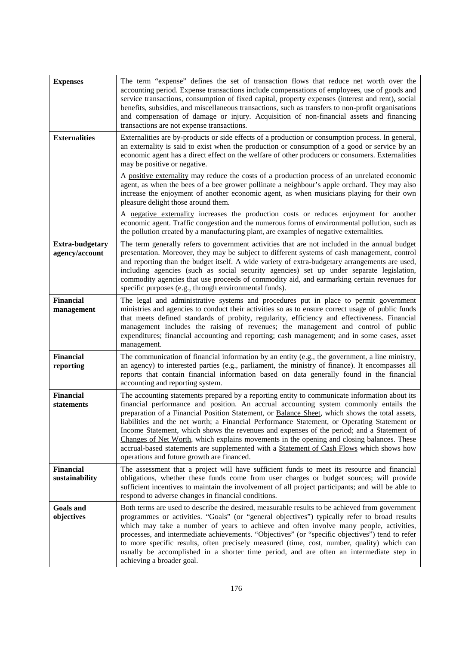| <b>Expenses</b>                          | The term "expense" defines the set of transaction flows that reduce net worth over the<br>accounting period. Expense transactions include compensations of employees, use of goods and<br>service transactions, consumption of fixed capital, property expenses (interest and rent), social<br>benefits, subsidies, and miscellaneous transactions, such as transfers to non-profit organisations<br>and compensation of damage or injury. Acquisition of non-financial assets and financing<br>transactions are not expense transactions.                                                                                                                                                                                  |
|------------------------------------------|-----------------------------------------------------------------------------------------------------------------------------------------------------------------------------------------------------------------------------------------------------------------------------------------------------------------------------------------------------------------------------------------------------------------------------------------------------------------------------------------------------------------------------------------------------------------------------------------------------------------------------------------------------------------------------------------------------------------------------|
| <b>Externalities</b>                     | Externalities are by-products or side effects of a production or consumption process. In general,<br>an externality is said to exist when the production or consumption of a good or service by an<br>economic agent has a direct effect on the welfare of other producers or consumers. Externalities<br>may be positive or negative.                                                                                                                                                                                                                                                                                                                                                                                      |
|                                          | A positive externality may reduce the costs of a production process of an unrelated economic<br>agent, as when the bees of a bee grower pollinate a neighbour's apple orchard. They may also<br>increase the enjoyment of another economic agent, as when musicians playing for their own<br>pleasure delight those around them.                                                                                                                                                                                                                                                                                                                                                                                            |
|                                          | A negative externality increases the production costs or reduces enjoyment for another<br>economic agent. Traffic congestion and the numerous forms of environmental pollution, such as<br>the pollution created by a manufacturing plant, are examples of negative externalities.                                                                                                                                                                                                                                                                                                                                                                                                                                          |
| <b>Extra-budgetary</b><br>agency/account | The term generally refers to government activities that are not included in the annual budget<br>presentation. Moreover, they may be subject to different systems of cash management, control<br>and reporting than the budget itself. A wide variety of extra-budgetary arrangements are used,<br>including agencies (such as social security agencies) set up under separate legislation,<br>commodity agencies that use proceeds of commodity aid, and earmarking certain revenues for<br>specific purposes (e.g., through environmental funds).                                                                                                                                                                         |
| <b>Financial</b><br>management           | The legal and administrative systems and procedures put in place to permit government<br>ministries and agencies to conduct their activities so as to ensure correct usage of public funds<br>that meets defined standards of probity, regularity, efficiency and effectiveness. Financial<br>management includes the raising of revenues; the management and control of public<br>expenditures; financial accounting and reporting; cash management; and in some cases, asset<br>management.                                                                                                                                                                                                                               |
| <b>Financial</b><br>reporting            | The communication of financial information by an entity (e.g., the government, a line ministry,<br>an agency) to interested parties (e.g., parliament, the ministry of finance). It encompasses all<br>reports that contain financial information based on data generally found in the financial<br>accounting and reporting system.                                                                                                                                                                                                                                                                                                                                                                                        |
| <b>Financial</b><br>statements           | The accounting statements prepared by a reporting entity to communicate information about its<br>financial performance and position. An accrual accounting system commonly entails the<br>preparation of a Financial Position Statement, or Balance Sheet, which shows the total assets,<br>liabilities and the net worth; a Financial Performance Statement, or Operating Statement or<br>Income Statement, which shows the revenues and expenses of the period; and a Statement of<br>Changes of Net Worth, which explains movements in the opening and closing balances. These<br>accrual-based statements are supplemented with a Statement of Cash Flows which shows how<br>operations and future growth are financed. |
| <b>Financial</b><br>sustainability       | The assessment that a project will have sufficient funds to meet its resource and financial<br>obligations, whether these funds come from user charges or budget sources; will provide<br>sufficient incentives to maintain the involvement of all project participants; and will be able to<br>respond to adverse changes in financial conditions.                                                                                                                                                                                                                                                                                                                                                                         |
| <b>Goals and</b><br>objectives           | Both terms are used to describe the desired, measurable results to be achieved from government<br>programmes or activities. "Goals" (or "general objectives") typically refer to broad results<br>which may take a number of years to achieve and often involve many people, activities,<br>processes, and intermediate achievements. "Objectives" (or "specific objectives") tend to refer<br>to more specific results, often precisely measured (time, cost, number, quality) which can<br>usually be accomplished in a shorter time period, and are often an intermediate step in<br>achieving a broader goal.                                                                                                           |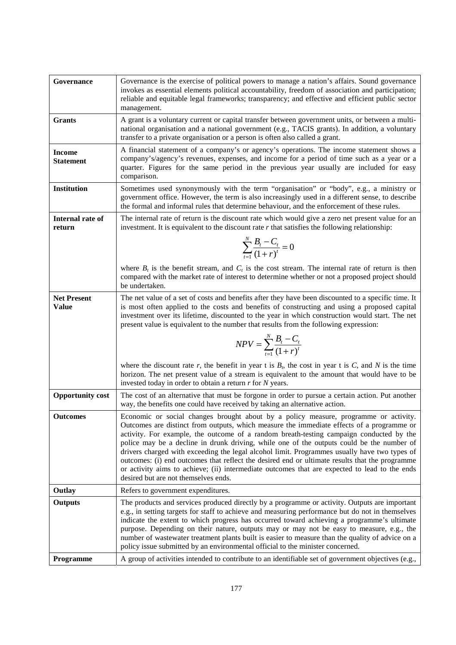| Governance                         | Governance is the exercise of political powers to manage a nation's affairs. Sound governance<br>invokes as essential elements political accountability, freedom of association and participation;<br>reliable and equitable legal frameworks; transparency; and effective and efficient public sector<br>management.                                                                                                                                                                                                                                                                                                                                                                                                |
|------------------------------------|----------------------------------------------------------------------------------------------------------------------------------------------------------------------------------------------------------------------------------------------------------------------------------------------------------------------------------------------------------------------------------------------------------------------------------------------------------------------------------------------------------------------------------------------------------------------------------------------------------------------------------------------------------------------------------------------------------------------|
| <b>Grants</b>                      | A grant is a voluntary current or capital transfer between government units, or between a multi-<br>national organisation and a national government (e.g., TACIS grants). In addition, a voluntary<br>transfer to a private organisation or a person is often also called a grant.                                                                                                                                                                                                                                                                                                                                                                                                                                   |
| <b>Income</b><br><b>Statement</b>  | A financial statement of a company's or agency's operations. The income statement shows a<br>company's/agency's revenues, expenses, and income for a period of time such as a year or a<br>quarter. Figures for the same period in the previous year usually are included for easy<br>comparison.                                                                                                                                                                                                                                                                                                                                                                                                                    |
| Institution                        | Sometimes used synonymously with the term "organisation" or "body", e.g., a ministry or<br>government office. However, the term is also increasingly used in a different sense, to describe<br>the formal and informal rules that determine behaviour, and the enforcement of these rules.                                                                                                                                                                                                                                                                                                                                                                                                                           |
| Internal rate of<br>return         | The internal rate of return is the discount rate which would give a zero net present value for an<br>investment. It is equivalent to the discount rate $r$ that satisfies the following relationship:                                                                                                                                                                                                                                                                                                                                                                                                                                                                                                                |
|                                    | $\sum_{t=1}^{N} \frac{B_t - C_t}{(1+r)^t} = 0$                                                                                                                                                                                                                                                                                                                                                                                                                                                                                                                                                                                                                                                                       |
|                                    | where $B_t$ is the benefit stream, and $C_t$ is the cost stream. The internal rate of return is then<br>compared with the market rate of interest to determine whether or not a proposed project should<br>be undertaken.                                                                                                                                                                                                                                                                                                                                                                                                                                                                                            |
| <b>Net Present</b><br><b>Value</b> | The net value of a set of costs and benefits after they have been discounted to a specific time. It<br>is most often applied to the costs and benefits of constructing and using a proposed capital<br>investment over its lifetime, discounted to the year in which construction would start. The net<br>present value is equivalent to the number that results from the following expression:                                                                                                                                                                                                                                                                                                                      |
|                                    | $NPV = \sum_{t=1}^{N} \frac{B_t - C_t}{(1+r)^t}$                                                                                                                                                                                                                                                                                                                                                                                                                                                                                                                                                                                                                                                                     |
|                                    | where the discount rate r, the benefit in year t is $B_t$ , the cost in year t is C, and N is the time<br>horizon. The net present value of a stream is equivalent to the amount that would have to be<br>invested today in order to obtain a return $r$ for $N$ years.                                                                                                                                                                                                                                                                                                                                                                                                                                              |
| <b>Opportunity cost</b>            | The cost of an alternative that must be forgone in order to pursue a certain action. Put another<br>way, the benefits one could have received by taking an alternative action.                                                                                                                                                                                                                                                                                                                                                                                                                                                                                                                                       |
| <b>Outcomes</b>                    | Economic or social changes brought about by a policy measure, programme or activity.<br>Outcomes are distinct from outputs, which measure the immediate effects of a programme or<br>activity. For example, the outcome of a random breath-testing campaign conducted by the<br>police may be a decline in drunk driving, while one of the outputs could be the number of<br>drivers charged with exceeding the legal alcohol limit. Programmes usually have two types of<br>outcomes: (i) end outcomes that reflect the desired end or ultimate results that the programme<br>or activity aims to achieve; (ii) intermediate outcomes that are expected to lead to the ends<br>desired but are not themselves ends. |
| Outlay                             | Refers to government expenditures.                                                                                                                                                                                                                                                                                                                                                                                                                                                                                                                                                                                                                                                                                   |
| Outputs                            | The products and services produced directly by a programme or activity. Outputs are important<br>e.g., in setting targets for staff to achieve and measuring performance but do not in themselves<br>indicate the extent to which progress has occurred toward achieving a programme's ultimate<br>purpose. Depending on their nature, outputs may or may not be easy to measure, e.g., the<br>number of wastewater treatment plants built is easier to measure than the quality of advice on a<br>policy issue submitted by an environmental official to the minister concerned.                                                                                                                                    |
| Programme                          | A group of activities intended to contribute to an identifiable set of government objectives (e.g.,                                                                                                                                                                                                                                                                                                                                                                                                                                                                                                                                                                                                                  |